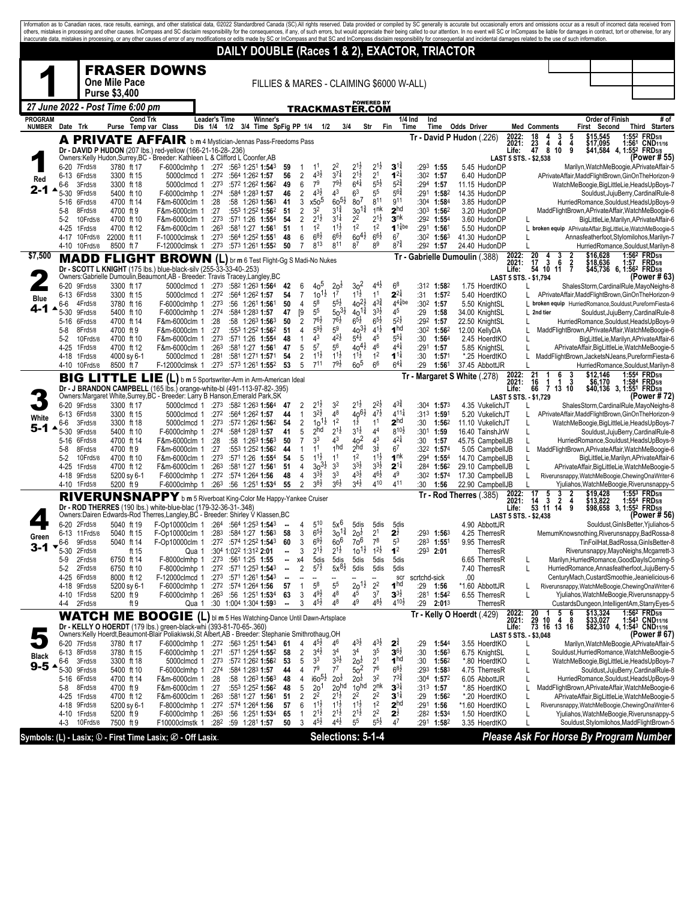|                                 |                   |                           |                                                 |                                                                                                                                                                             |                      |                                                               |                                |                                  |                                          |                                          |                                          |                                          |                                          |                                   |                           |                                |                                      |                | inaccurate data, mistakes in processing, or any other causes of error of any modifications or edits made by SC or InCompass and that SC and InCompass disclaim responsibility for consequential and incidental damages related |                          | Information as to Canadian races, race results, earnings, and other statistical data, @2022 Standardbred Canada (SC).All rights reserved. Data provided or compiled by SC generally is accurate but occasionally errors and om<br>others, mistakes in processing and other causes. InCompass and SC disclaim responsibility for the consequences, if any, of such errors, but would appreciate their being called to our attention. In no event will SC or InCom |
|---------------------------------|-------------------|---------------------------|-------------------------------------------------|-----------------------------------------------------------------------------------------------------------------------------------------------------------------------------|----------------------|---------------------------------------------------------------|--------------------------------|----------------------------------|------------------------------------------|------------------------------------------|------------------------------------------|------------------------------------------|------------------------------------------|-----------------------------------|---------------------------|--------------------------------|--------------------------------------|----------------|--------------------------------------------------------------------------------------------------------------------------------------------------------------------------------------------------------------------------------|--------------------------|------------------------------------------------------------------------------------------------------------------------------------------------------------------------------------------------------------------------------------------------------------------------------------------------------------------------------------------------------------------------------------------------------------------------------------------------------------------|
|                                 |                   |                           |                                                 |                                                                                                                                                                             |                      | DAILY DOUBLE (Races 1 & 2), EXACTOR, TRIACTOR                 |                                |                                  |                                          |                                          |                                          |                                          |                                          |                                   |                           |                                |                                      |                |                                                                                                                                                                                                                                |                          |                                                                                                                                                                                                                                                                                                                                                                                                                                                                  |
|                                 |                   |                           |                                                 | <b>FRASER DOWNS</b>                                                                                                                                                         |                      |                                                               |                                |                                  |                                          |                                          |                                          |                                          |                                          |                                   |                           |                                |                                      |                |                                                                                                                                                                                                                                |                          |                                                                                                                                                                                                                                                                                                                                                                                                                                                                  |
|                                 |                   |                           | <b>One Mile Pace</b>                            |                                                                                                                                                                             |                      | FILLIES & MARES - CLAIMING \$6000 W-ALL)                      |                                |                                  |                                          |                                          |                                          |                                          |                                          |                                   |                           |                                |                                      |                |                                                                                                                                                                                                                                |                          |                                                                                                                                                                                                                                                                                                                                                                                                                                                                  |
|                                 |                   |                           | <b>Purse \$3,400</b>                            |                                                                                                                                                                             |                      |                                                               |                                |                                  |                                          |                                          |                                          |                                          |                                          |                                   |                           |                                |                                      |                |                                                                                                                                                                                                                                |                          |                                                                                                                                                                                                                                                                                                                                                                                                                                                                  |
|                                 |                   |                           | 27 June 2022 - Post Time 6:00 pm                |                                                                                                                                                                             |                      |                                                               |                                |                                  |                                          | TRACKMASTER.COM                          |                                          | <b>POWERED BY</b>                        |                                          |                                   |                           |                                |                                      |                |                                                                                                                                                                                                                                |                          |                                                                                                                                                                                                                                                                                                                                                                                                                                                                  |
| <b>PROGRAM</b><br><b>NUMBER</b> | Date              | Trk                       | Cond Trk                                        |                                                                                                                                                                             | <b>Leader's Time</b> | Winner's<br>3/4 Time SpFig PP 1/4                             |                                |                                  | 1/2                                      | 3/4                                      |                                          | Str                                      | $1/4$ Ind<br>Fin<br>Time                 | Ind                               |                           | <b>Odds Driver</b>             |                                      |                |                                                                                                                                                                                                                                | Order of Finish          | # of<br>Third Starters                                                                                                                                                                                                                                                                                                                                                                                                                                           |
|                                 |                   |                           | Purse Temp var Class<br><b>A PRIVATE AFFAIR</b> |                                                                                                                                                                             | Dis 1/4 1/2          |                                                               |                                |                                  |                                          |                                          |                                          |                                          |                                          |                                   | Time                      | Tr - David P Hudon (.226)      |                                      | 2022:          | <b>Med Comments</b><br>$\frac{3}{4}$<br>18<br>5<br>4                                                                                                                                                                           | First Second<br>\$15.545 | 1:552 FRD5/8                                                                                                                                                                                                                                                                                                                                                                                                                                                     |
|                                 |                   |                           |                                                 | Dr - DAVID P HUDON (207 lbs.) red-yellow (166-21-16-28-.236)                                                                                                                |                      | b m 4 Mystician-Jennas Pass-Freedoms Pass                     |                                |                                  |                                          |                                          |                                          |                                          |                                          |                                   |                           |                                |                                      | 2021:<br>Life: | $\frac{23}{47}$<br>4<br>4<br>8<br>10<br>9                                                                                                                                                                                      | \$17,095                 | 1:561 CND <sub>11/16</sub><br>\$41,584 4, 1:55 <sup>2</sup> FRD <sub>5/8</sub>                                                                                                                                                                                                                                                                                                                                                                                   |
|                                 | 6-20              | 7Frd5/8                   | 3780 ft 17                                      | Owners:Kelly Hudon, Surrey, BC - Breeder: Kathleen L & Clifford L Coonfer, AB<br>F-6000clmhp 1 :27 <sup>2</sup> :56 <sup>3</sup> 1:25 <sup>1</sup> 1:54 <sup>3</sup>        |                      |                                                               | 59                             | 1                                | 1 <sup>1</sup>                           | $2^2$                                    | $2^{1}$                                  | $2^{1\frac{1}{2}}$                       | $3^{11}$                                 | :293                              | 1:55                      |                                | 5.45 HudonDP                         |                | LAST 5 STS. - \$2,538                                                                                                                                                                                                          |                          | (Power # 55)<br>Marilyn, WatchMeBoogie, APrivateAffair-5                                                                                                                                                                                                                                                                                                                                                                                                         |
| Red                             |                   | 6-13 6Frd5/8              | 3300 ft 15                                      | 5000clmcd 1                                                                                                                                                                 | :272                 | :564 1:262 1:57                                               | 56                             | $\overline{2}$                   | $4^{3}\frac{1}{2}$                       | $3^{7}$                                  | $2^{1\frac{1}{2}}$                       | 2 <sup>1</sup>                           | $1^{2}$                                  | :302                              | 1:57                      |                                | 6.40 HudonDP                         |                |                                                                                                                                                                                                                                |                          | APrivateAffair.MaddFlightBrown.GinOnTheHorizon-9                                                                                                                                                                                                                                                                                                                                                                                                                 |
| 2-1                             | 6-6<br>5-30       | 3Frd5/8<br>9Frd5/8        | 3300 ft 18<br>5400 ft 10                        | 5000clmcd 1<br>F-6000clmhp 1                                                                                                                                                | :273<br>:274         | :572 1:262 1:562<br>:584 1:283 1:57                           | 49<br>46                       | 6<br>$\overline{2}$              | 7 <sup>9</sup><br>$4^{3}\frac{1}{2}$     | $79\frac{1}{2}$<br>4 <sup>3</sup>        | $6^{41}$<br>6 <sup>3</sup>               | $5^{5}\frac{1}{2}$<br>5 <sup>5</sup>     | $5^{24}$<br>$5^{64}$                     | :294<br>:291                      | 1:57<br>1:582             | 11.15 HudonDP<br>14.35 HudonDP |                                      |                |                                                                                                                                                                                                                                |                          | WatchMeBoogie,BigLittleLie,HeadsUpBoys-7<br>Souldust, JujuBerry, CardinalRule-8                                                                                                                                                                                                                                                                                                                                                                                  |
|                                 | 5-16              | 6Frd5/8                   | 4700 ft 14                                      | F&m-6000clm 1                                                                                                                                                               | :28                  | :58 1:26 <sup>3</sup> 1:56 <sup>3</sup>                       | 41                             | 3                                | x50 <sup>5</sup>                         | $60^{51}$                                | 8 <sup>7</sup>                           | $8^{11}$                                 | g11                                      | $:30^4$ 1:584                     |                           |                                | 3.85 HudonDP                         |                |                                                                                                                                                                                                                                |                          | HurriedRomance,Souldust,HeadsUpBoys-9                                                                                                                                                                                                                                                                                                                                                                                                                            |
|                                 | $5-8$<br>5-2      | 8Frd5/8<br>10Frd5/8       | 4700 ft 9<br>4700 ft 10                         | F&m-6000clm 1<br>F&m-6000clm 1                                                                                                                                              | :27<br>:273          | :553 1:252 1:562<br>:571 1:26 1:554                           | 51<br>54                       | $\overline{2}$<br>$\overline{2}$ | 3 <sup>2</sup><br>$2^{1\frac{1}{2}}$     | $3^{1\frac{3}{4}}$<br>$3^{11}$           | $30^{11/2}$<br>$2^2$                     | 1 <sup>nk</sup><br>$2^{1\frac{1}{2}}$    | 2 <sup>hd</sup><br>3 <sup>nk</sup>       | $:30^3$ 1:56 <sup>2</sup><br>:292 | 1:554                     |                                | 3.20 HudonDP<br>3.60 HudonDP         |                |                                                                                                                                                                                                                                |                          | MaddFlightBrown, APrivateAffair, WatchMeBoogie-6<br>BigLittleLie,Marilyn,APrivateAffair-6                                                                                                                                                                                                                                                                                                                                                                        |
|                                 | $4 - 25$          | 1 Frd 5/8                 | 4700 ft 12                                      | F&m-6000clm 1                                                                                                                                                               | :26 <sup>3</sup>     | :581 1:27 1:561                                               | 51                             | $\mathbf{1}$                     | 1 <sup>2</sup>                           | $1^{1\frac{1}{2}}$                       | 1 <sup>2</sup>                           | 1 <sup>2</sup>                           | $1^{1}$ <sub>4</sub> be                  | :291                              | 1:56                      |                                | 5.50 HudonDP                         |                |                                                                                                                                                                                                                                |                          | broken equip APrivateAffair, BigLittleLie, WatchMeBoogie-5                                                                                                                                                                                                                                                                                                                                                                                                       |
|                                 | 4-17              | 10Frd5/8<br>4-10 10Frd5/8 | 22000 ft 11<br>8500 ft 7                        | F-10000clmsk 1<br>F-12000clmsk 1                                                                                                                                            | :273<br>:273         | :564 1:252 1:551<br>:573 1:261 1:552                          | 48<br>50                       | 6<br>$\overline{7}$              | $68\frac{1}{2}$<br>$8^{13}$              | $66\frac{1}{2}$<br>811                   | $60^{41}$<br>8 <sup>7</sup>              | $66\frac{1}{2}$<br>8 <sup>9</sup>        | 6 <sup>7</sup><br>$8^{7\frac{3}{4}}$     | :302<br>$:29^2$ 1:57              | 1:563                     | 41.30 HudonDP<br>24.40 HudonDP |                                      |                |                                                                                                                                                                                                                                |                          | Annasfeatherfoot, Stylomilohos, Marilyn-7<br>HurriedRomance,Souldust,Marilyn-8                                                                                                                                                                                                                                                                                                                                                                                   |
| \$7,500                         |                   |                           | MADD FLIGHT                                     | <b>BROWN</b> (L) br m 6 Test Flight-Gg S Madi-No Nukes                                                                                                                      |                      |                                                               |                                |                                  |                                          |                                          |                                          |                                          |                                          |                                   |                           | Tr - Gabrielle Dumoulin (.388) |                                      | 2022:          | 20<br>3<br>4<br>2                                                                                                                                                                                                              | \$16,628                 | 1:56 <sup>2</sup> FRD <sub>5/8</sub>                                                                                                                                                                                                                                                                                                                                                                                                                             |
|                                 |                   |                           |                                                 | Dr - SCOTT L KNIGHT (175 lbs.) blue-black-silv (255-33-33-40-.253)<br>Owners:Gabrielle Dumoulin,Beaumont,AB - Breeder: Travis Tracey,Langley,BC                             |                      |                                                               |                                |                                  |                                          |                                          |                                          |                                          |                                          |                                   |                           |                                |                                      | 2021:<br>Life: | 17<br>3<br>6<br>$\frac{2}{7}$<br>54 10 11                                                                                                                                                                                      | \$18,636                 | 1:57 FRD <sub>5/8</sub><br>\$45,736 6, 1:56 <sup>2</sup> FRD <sub>5/8</sub>                                                                                                                                                                                                                                                                                                                                                                                      |
|                                 | $6 - 20$          | 9Frd5/8                   | 3300 ft 17                                      | 5000clmcd 1                                                                                                                                                                 |                      | :273 :582 1:263 1:564                                         | 42                             | 6                                | 40 <sup>5</sup>                          | $2o\overline{z}$                         | 3 <sup>2</sup>                           | $4^{4}$                                  | $6^8$                                    | :312 1:582                        |                           |                                | 1.75 HoerdtKO                        |                | LAST 5 STS. - \$1,794                                                                                                                                                                                                          |                          | (Power # 63)<br>ShalesStorm,CardinalRule,MayoNeighs-8                                                                                                                                                                                                                                                                                                                                                                                                            |
| Blue                            |                   | 6-13 6Frd5/8              | 3300 ft 15                                      | 5000clmcd 1                                                                                                                                                                 | :272                 | :564 1:262 1:57                                               | 54                             | $\overline{7}$                   | $10^{11}$                                | 1 <sup>7</sup>                           | $1^{1\frac{1}{2}}$                       | 1 <sup>1</sup>                           | $2^{2\frac{1}{4}}$                       | :31                               | 1:57 <sup>2</sup>         |                                | 5.40 HoerdtKO                        |                |                                                                                                                                                                                                                                |                          | APrivateAffair.MaddFlightBrown.GinOnTheHorizon-9                                                                                                                                                                                                                                                                                                                                                                                                                 |
|                                 | 6-6<br>5-30       | 4Frd5/8<br>9Frd5/8        | 3780 ft 16<br>5400 ft 10                        | F-6000clmhp 1<br>F-6000clmhp 1                                                                                                                                              | :273<br>:274         | :56 1:261 1:561<br>:584 1:283 1:57                            | 50<br>47                       | $\overline{4}$<br>[9             | $5^8$<br>5 <sup>5</sup>                  | $5^{5}\frac{1}{2}$<br>$50^{31}$          | $40^{21}$<br>$40^{13}$                   | $4^{3\frac{3}{4}}$<br>$3^{3}\frac{1}{2}$ | $44$ <sub>4</sub> be<br>45               | :30 <sup>2</sup> 1:57<br>:29      | 1:58                      | 34.00 KnightSL                 | 5.50 KnightSL                        |                | $L$ 2nd tier                                                                                                                                                                                                                   |                          | L broken equip HurriedRomance, Souldust, PureformFiesta-6<br>Souldust, JujuBerry, CardinalRule-8                                                                                                                                                                                                                                                                                                                                                                 |
|                                 | 5-16              | 6Frd5/8                   | 4700 ft 14                                      | F&m-6000clm 1                                                                                                                                                               | :28                  | $:58$ 1:26 <sup>3</sup> 1:56 <sup>3</sup>                     | 50                             | $\overline{2}$                   | $76\frac{1}{2}$                          | $7^{6}\frac{1}{2}$                       | $6^{5\frac{1}{2}}$                       | $6^{5}\frac{1}{2}$                       | $5^{21}$                                 | :292                              | 1:57                      | 22.50 KnightSL                 |                                      |                |                                                                                                                                                                                                                                |                          | HurriedRomance,Souldust,HeadsUpBoys-9                                                                                                                                                                                                                                                                                                                                                                                                                            |
|                                 | 5-8<br>5-2        | 8Frd5/8<br>10Frd5/8       | 4700 ft 9<br>4700 ft 10                         | F&m-6000clm 1<br>F&m-6000clm 1                                                                                                                                              | :27<br>:273          | :553 1:252 1:562<br>:571 1:26 1:554                           | 51<br>48                       | 4<br>$\mathbf{1}$                | $5^{9}2$<br>$4^3\,$                      | 59<br>$4^{2}\frac{1}{2}$                 | $40^{31}$<br>$5^{4}$                     | $4^{1\frac{1}{2}}$<br>45                 | 1 <sup>hd</sup><br>$5^{51}$              | :302 1:562<br>:30                 | 1:564                     | 12.00 KellyDA                  | 2.45 HoerdtKO                        |                |                                                                                                                                                                                                                                |                          | MaddFlightBrown, APrivateAffair, WatchMeBoogie-6<br>BigLittleLie,Marilyn,APrivateAffair-6                                                                                                                                                                                                                                                                                                                                                                        |
|                                 | $4 - 25$          | 1Frd5/8                   | 4700 ft 12                                      | F&m-6000clm 1                                                                                                                                                               | :26 <sup>3</sup>     | :581 1:27 1:561                                               | 47                             | 5                                | 5 <sup>7</sup>                           | 5 <sup>6</sup>                           | $40^{4}$ <sub>2</sub>                    | 46                                       | $4^{41}$                                 | :291                              | 1:57                      |                                | 5.85 KnightSL                        |                |                                                                                                                                                                                                                                |                          | APrivateAffair,BigLittleLie,WatchMeBoogie-5                                                                                                                                                                                                                                                                                                                                                                                                                      |
|                                 | 4-18<br>4-10      | 1Frd5/8<br>10Frd5/8       | 4000 sy 6-1<br>8500 ft 7                        | 5000clmcd 1<br>F-12000clmsk 1                                                                                                                                               | :281<br>:273         | :581 1:271 1:571<br>:573 1:261 1:552                          | 54<br>53                       | $\overline{2}$<br>5              | $11\frac{1}{2}$<br>$7^{11}$              | $11\frac{1}{2}$<br>$79\frac{1}{2}$       | $11\frac{1}{2}$<br>60 <sup>5</sup>       | 1 <sup>2</sup><br>6 <sup>6</sup>         | $1^{11}$<br>$6^{4\frac{1}{4}}$           | :30<br>:29                        | 1:571<br>1:561            | 37.45 AbbottJR                 | *.25 HoerdtKO                        |                |                                                                                                                                                                                                                                |                          | MaddFlightBrown, JacketsNJeans, PureformFiesta-6<br>HurriedRomance,Souldust,Marilyn-8                                                                                                                                                                                                                                                                                                                                                                            |
|                                 |                   |                           | <b>BIG LITTLE LI</b>                            | Е<br>(L) b m 5 Sportswriter-Arm in Arm-American Ideal                                                                                                                       |                      |                                                               |                                |                                  |                                          |                                          |                                          |                                          |                                          |                                   |                           | Tr - Margaret S White (.278)   |                                      | 2022:          | 21<br>3<br>6<br>16<br>1                                                                                                                                                                                                        | \$12,146                 | 1:554 FRD5/8<br>1:584 FRD5/8                                                                                                                                                                                                                                                                                                                                                                                                                                     |
|                                 |                   |                           |                                                 | Dr - J BRANDON CAMPBELL (165 lbs.) orange-white-bl (491-113-97-82-.395)                                                                                                     |                      |                                                               |                                |                                  |                                          |                                          |                                          |                                          |                                          |                                   |                           |                                |                                      | 2021:<br>Life: | 3<br>1<br>66<br>7 13 10                                                                                                                                                                                                        | \$6,170                  | \$40,136 3, 1:551 FRD5/8                                                                                                                                                                                                                                                                                                                                                                                                                                         |
|                                 | 6-20              | 9Frd5/8                   | 3300 ft 17                                      | Owners:Margaret White,Surrey,BC - Breeder: Larry B Hanson,Emerald Park,SK                                                                                                   |                      | 5000clmcd 1 :273 :582 1:263 1:564                             | -47                            | 2                                | $2^{1}$                                  | 3 <sup>2</sup>                           | $2^{1}\frac{1}{2}$                       | 22½                                      | $4^{3}\frac{3}{4}$                       | :304                              | 1:573                     |                                | 4.35 VukelichJT                      |                | LAST 5 STS. - \$1,729                                                                                                                                                                                                          |                          | (Power # 72<br>ShalesStorm, CardinalRule, MayoNeighs-8                                                                                                                                                                                                                                                                                                                                                                                                           |
| White                           | $6 - 13$          | 6Frd5/8                   | 3300 ft 15                                      | 5000clmcd 1                                                                                                                                                                 | :272                 | :564 1:262 1:57                                               | 44                             | $\mathbf{1}$                     | $3^{2}\frac{1}{2}$                       | $4^8$<br>1 <sup>2</sup>                  | $40^{61}$                                | $4^{7}\frac{1}{2}$<br>1 <sup>1</sup>     | $4^{11}$<br>2 <sup>hd</sup>              | :313                              | 1:591                     |                                | 5.20 VukelichJT                      |                |                                                                                                                                                                                                                                |                          | APrivateAffair,MaddFlightBrown,GinOnTheHorizon-9                                                                                                                                                                                                                                                                                                                                                                                                                 |
| 5-1                             | 6-6<br>5-30       | 3Frd5/8<br>9Frd5/8        | 3300 ft 18<br>5400 ft 10                        | 5000clmcd 1<br>F-6000clmhp 1                                                                                                                                                | :273<br>:274         | :572 1:262 1:562<br>:584 1:283 1:57                           | 54<br>41                       | $\overline{c}$<br>5              | $10^{11}$<br>2 <sup>hd</sup>             | $2^{1\frac{1}{2}}$                       | $1\overline{2}$<br>$3^{1\frac{1}{2}}$    | 4 <sup>4</sup>                           | $8^{10\frac{1}{2}}$                      | :30<br>:301 1:59                  | 1:562                     |                                | 11.10 VukelichJT<br>16.40 TainshJrW  |                | L                                                                                                                                                                                                                              |                          | WatchMeBoogie,BigLittleLie,HeadsUpBoys-7<br>Souldust, JujuBerry, CardinalRule-8                                                                                                                                                                                                                                                                                                                                                                                  |
|                                 | 5-16              | 6Frd5/8                   | 4700 ft 14                                      | F&m-6000clm 1                                                                                                                                                               | :28                  | :58 1:26 <sup>3</sup> 1:56 <sup>3</sup>                       | 50<br>44                       | $\overline{7}$<br>1              | 3 <sup>3</sup><br>11                     | 4 <sup>3</sup><br>1 <sub>hd</sub>        | 40 <sup>2</sup><br>2hd                   | 4 <sup>3</sup><br>$3\frac{1}{2}$         | $4^{21}$<br>6 <sup>7</sup>               | :30                               | 1:57                      |                                | 45.75 CampbellJB                     |                | L                                                                                                                                                                                                                              |                          | HurriedRomance,Souldust,HeadsUpBoys-9                                                                                                                                                                                                                                                                                                                                                                                                                            |
|                                 | $5-8$<br>5-2      | 8Frd5/8<br>10Frd5/8       | 4700 ft 9<br>4700 ft 10                         | F&m-6000clm 1<br>F&m-6000clm 1                                                                                                                                              | :27<br>:273          | :553 1:252 1:562<br>:571 1:26 1:554                           | 54                             | 5                                | $1^{1\frac{1}{2}}$                       | 1 <sup>1</sup>                           | 1 <sup>2</sup>                           | $1^{1\frac{1}{2}}$                       | 1 <sup>nk</sup>                          | :322 1:574<br>:294                | $1:55^{4}$                |                                | 5.05 CampbellJB<br>14.70 CampbellJB  |                | L<br>L                                                                                                                                                                                                                         |                          | MaddFlightBrown, APrivateAffair, WatchMeBoogie-6<br>BigLittleLie,Marilyn,APrivateAffair-6                                                                                                                                                                                                                                                                                                                                                                        |
|                                 | 4-25              | 1 Frd 5/8                 | 4700 ft 12                                      | F&m-6000clm 1                                                                                                                                                               | :263                 | :581 1:27 1:561                                               | 51                             | 4                                | $30^{31}$<br>$3^{3}\frac{1}{2}$          | 3 <sup>3</sup><br>3 <sup>3</sup>         | $3^{3}\frac{1}{2}$<br>$4^{3}\frac{1}{2}$ | $3^{3}\frac{1}{2}$<br>$4^{6}\frac{1}{2}$ | $2^{11}$<br>4 <sup>9</sup>               | :284                              | 1:562                     |                                | 29.10 CampbellJB                     |                |                                                                                                                                                                                                                                |                          | APrivateAffair,BigLittleLie,WatchMeBoogie-5                                                                                                                                                                                                                                                                                                                                                                                                                      |
|                                 | 4-18              | 9Frd5/8<br>4-10 1Frd5/8   | 5200 sy 6-1<br>5200 ft 9                        | F-6000clmhp 1<br>F-6000clmhp 1                                                                                                                                              | :272<br>:263         | :574 1:264 1:56<br>:56 1:251 1:534                            | 48<br>55                       | $\overline{4}$<br>$\overline{2}$ | $38\frac{1}{2}$                          | $36\frac{1}{2}$                          | $34$ <sub>2</sub>                        | 410                                      | 411                                      | :302<br>:30                       | 1:57 <sup>4</sup><br>1:56 |                                | 17.30 CampbellJB<br>22.90 CampbellJB |                | L                                                                                                                                                                                                                              |                          | Riverunsnappy, WatchMeBoogie, ChewingOnaWriter-6<br>Yjuliahos, WatchMeBoogie, Riverunsnappy-5                                                                                                                                                                                                                                                                                                                                                                    |
|                                 |                   |                           |                                                 | RIVERUNSNAPPY b m 5 Riverboat King-Color Me Happy-Yankee Cruiser                                                                                                            |                      |                                                               |                                |                                  |                                          |                                          |                                          |                                          |                                          |                                   |                           | Tr - Rod Therres (.385)        |                                      | 2022:<br>2021: | 17<br>5<br>3<br>3<br>$\overline{2}$<br>14<br>4                                                                                                                                                                                 | \$19,428<br>\$13,822     | 1:55 <sup>3</sup> FRD <sub>5/8</sub><br>1:554 FRD <sub>5/8</sub>                                                                                                                                                                                                                                                                                                                                                                                                 |
|                                 |                   |                           |                                                 | Dr - ROD THERRES (190 lbs.) white-blue-blac (179-32-36-31-.348)<br>Owners:Dairen Edwards-Rod Therres,Langley,BC - Breeder: Shirley V Klassen,BC                             |                      |                                                               |                                |                                  |                                          |                                          |                                          |                                          |                                          |                                   |                           |                                |                                      | Life:          | 53 11 14<br>9<br>LAST 5 STS. - \$2,438                                                                                                                                                                                         |                          | \$98,658 3, 1:552 FRD5/8<br>(Power # 56)                                                                                                                                                                                                                                                                                                                                                                                                                         |
|                                 |                   | 6-20 2Frd5/8              | 5040 ft 19                                      | F-Op10000clm 1 :264 :564 1:253 1:543                                                                                                                                        |                      |                                                               | $\overline{\phantom{a}}$       | 4                                | $5^{10}$                                 | $5x^6$                                   | 5dis                                     | 5dis                                     | 5dis                                     |                                   |                           |                                | 4.90 AbbottJR                        |                |                                                                                                                                                                                                                                |                          | Souldust, GinlsBetter, Yjuliahos-5                                                                                                                                                                                                                                                                                                                                                                                                                               |
| Green                           | $6 - 13$          | 11Frd5/8                  | 5040 ft 15<br>5040 ft 14                        | F-Op10000clm 1<br>F-Op10000clm 1                                                                                                                                            | :283                 | :584 1:27 1:563                                               | 58<br>60                       | 3<br>3                           | $65\frac{1}{2}$<br>$6^{9}2$              | 3 <sup>0</sup><br>60 <sup>6</sup>        | $2o\overline{z}$<br>$70^6$               | 2 <sup>1</sup><br>$7^8$                  | 2 <sub>2</sub><br>5 <sup>3</sup>         | :293<br>:283 1:551                | 1:563                     |                                | 4.25 TherresR<br>9.95 TherresR       |                |                                                                                                                                                                                                                                |                          | MemumKnowsnothing, Riverunsnappy, BadRossa-8<br>TinFoilHat,BadRossa,GinIsBetter-8                                                                                                                                                                                                                                                                                                                                                                                |
| 3-1                             | 6-6<br>5-30       | 9Frd5/8<br>2Frd5/8        | ft 15                                           | Qua 1                                                                                                                                                                       |                      | $:272$ $:574$ 1:252 1:543<br>:304 1:022 1:312 2:01            |                                | 3                                | $2^{1\frac{1}{2}}$                       | $2^{1\frac{1}{2}}$                       | $10^{11}$                                | $1^{2\frac{1}{2}}$                       | 1 <sup>2</sup>                           | $:293$ 2:01                       |                           |                                | TherresR                             |                |                                                                                                                                                                                                                                |                          | Riverunsnappy, MayoNeighs, Mcgarrett-3                                                                                                                                                                                                                                                                                                                                                                                                                           |
|                                 | 5-9               | 2Frd5/8                   | 6750 ft 14                                      | F-8000clmhp 1<br>F-8000clmhp 1                                                                                                                                              | :273                 | :561 1:25 1:55<br>:272 :571 1:253 1:543                       | ۰.<br>$\overline{\phantom{a}}$ | x4<br>$\overline{c}$             | 5dis<br>$5^{7\frac{1}{2}}$               | 5dis<br>$5x^{81}$                        | 5dis<br>5dis                             | 5dis                                     | 5dis<br>5dis                             |                                   |                           |                                | 6.65 TherresR                        |                | L<br>L                                                                                                                                                                                                                         |                          | Marilyn, HurriedRomance, GoodDayIsComing-5                                                                                                                                                                                                                                                                                                                                                                                                                       |
|                                 | $5-2$<br>4-25     | 2Frd5/8<br>6Frd5/8        | 6750 ft 10<br>8000 ft 12                        | F-12000clmcd 1                                                                                                                                                              | :273                 | :571 1:261 1:543                                              |                                | --                               |                                          |                                          |                                          | 5dis                                     | scr                                      | scrtchd-sick                      |                           | .00                            | 7.40 TherresR                        |                |                                                                                                                                                                                                                                |                          | HurriedRomance, Annasfeatherfoot, JujuBerry-5<br>CenturyMach,CustardSmoothie,Jeanielicious-6                                                                                                                                                                                                                                                                                                                                                                     |
|                                 | 4-18              | 9Frd5/8                   | 5200 sy 6-1<br>5200 ft 9                        | F-6000clmhp 1<br>F-6000clmhp 1                                                                                                                                              |                      | :272 :574 1:264 1:56                                          | 57<br>63                       | $\mathbf{1}$<br>3                | $5^8$<br>$4^{9}\frac{1}{2}$              | 5 <sup>5</sup><br>4 <sup>8</sup>         | $20^{1\frac{1}{2}}$<br>45                | $2^2\,$<br>3 <sup>7</sup>                | 1 <sup>hd</sup><br>$3^{3}$               | $:29$ 1:56                        |                           | *1.60 AbbottJR                 |                                      |                | L<br>L                                                                                                                                                                                                                         |                          | Riverunsnappy, WatchMeBoogie, ChewingOnaWriter-6                                                                                                                                                                                                                                                                                                                                                                                                                 |
|                                 | 4-4               | 4-10 1Frd5/8<br>2Frd5/8   | ft 9                                            | Qua 1                                                                                                                                                                       | :26 <sup>3</sup>     | :56 1:251 1:534<br>:30 1:004 1:304 1:593                      | ۰.                             | 3                                | $4^{51}$                                 | 48                                       | 49                                       | $4^{8}\frac{1}{2}$                       | $4^{10\frac{1}{2}}$                      | :29                               | :281 1:542<br>2:013       |                                | 6.55 TherresR<br>TherresR            |                |                                                                                                                                                                                                                                |                          | Yjuliahos, WatchMeBoogie, Riverunsnappy-5<br>CustardsDungeon,IntelligentAm,StarryEyes-5                                                                                                                                                                                                                                                                                                                                                                          |
|                                 |                   |                           |                                                 | WATCH ME BOOGIE (L) bl m 5 Hes Watching-Dance Until Dawn-Artsplace                                                                                                          |                      |                                                               |                                |                                  |                                          |                                          |                                          |                                          |                                          |                                   |                           | Tr - Kelly O Hoerdt (.429)     |                                      | 2022:<br>2021: | 20 1 5 6<br>29 10 4 8<br>73 16 13 16                                                                                                                                                                                           | \$13,324<br>\$33,027     | 1:56 <sup>2</sup> FRD <sub>5/8</sub><br>1:543 CND <sub>11/16</sub>                                                                                                                                                                                                                                                                                                                                                                                               |
|                                 |                   |                           |                                                 | Dr - KELLY O HOERDT (179 lbs.) green-black-whi (393-81-70-65-.360)<br>Owners: Kelly Hoerdt, Beaumont-Blair Poliakiwski, St Albert, AB - Breeder: Stephanie Smithrothaug, OH |                      |                                                               |                                |                                  |                                          |                                          |                                          |                                          |                                          |                                   |                           |                                |                                      | Life:          | LAST 5 STS. - \$3,048                                                                                                                                                                                                          |                          | \$82,310 4, 1:543 CND11/16<br>(Power # 67)                                                                                                                                                                                                                                                                                                                                                                                                                       |
|                                 |                   | 6-20 7Frd5/8              | 3780 ft 17                                      | F-6000clmhp 1 :272 :563 1:251 1:543                                                                                                                                         |                      |                                                               | 61                             | 4                                | $4^{5}\frac{1}{2}$                       | 46                                       | $4^{3}\frac{1}{2}$                       | $4^{3}\frac{1}{2}$                       | $2^{\frac{3}{4}}$                        | :29                               | 1:544                     |                                | 3.55 HoerdtKO                        |                |                                                                                                                                                                                                                                |                          | Marilyn, WatchMeBoogie, APrivateAffair-5                                                                                                                                                                                                                                                                                                                                                                                                                         |
| <b>Black</b>                    | 6-13<br>6-6       | 8Frd5/8<br>3Frd5/8        | 3780 ft 15<br>3300 ft 18                        | F-6000clmhp 1<br>5000clmcd 1                                                                                                                                                | :271<br>:27 $3$      | :571 1:254 1:552<br>:572 1:262 1:562                          | 58<br>53                       | $\overline{2}$<br>5              | $3^{4}\frac{1}{2}$<br>3 <sup>3</sup>     | 3 <sup>4</sup><br>$3^{3}\frac{1}{2}$     | 3 <sup>4</sup><br>$20\frac{1}{2}$        | 3 <sup>5</sup><br>2 <sup>1</sup>         | $3^{6}2$<br>1 <sup>hd</sup>              | :30<br>:30                        | 1:563<br>1:562            |                                | 6.75 KnightSL<br>*.80 HoerdtKO       |                | L<br>$\mathsf{L}$                                                                                                                                                                                                              |                          | Souldust, Hurried Romance, Watch MeBoogie-5<br>WatchMeBoogie, BigLittleLie, HeadsUpBoys-7                                                                                                                                                                                                                                                                                                                                                                        |
| $9 - 5$                         | 5-30              | 9Frd5/8                   | 5400 ft 10                                      | F-6000clmhp 1                                                                                                                                                               | :274                 | :584 1:283 1:57                                               | 44                             | $\overline{4}$                   | 7 <sup>9</sup>                           | $7^7$                                    | 5 <sup>2</sup>                           | 7 <sup>6</sup>                           | $68\frac{1}{2}$                          | :293                              | 1:583                     |                                | 4.75 TherresR                        |                | L                                                                                                                                                                                                                              |                          | Souldust, JujuBerry, CardinalRule-8                                                                                                                                                                                                                                                                                                                                                                                                                              |
|                                 | $5 - 16$<br>$5-8$ | 6Frd5/8<br>8Frd5/8        | 4700 ft 14<br>4700 ft 9                         | F&m-6000clm 1<br>F&m-6000clm 1                                                                                                                                              | :28<br>:27           | $:58$ 1:26 <sup>3</sup> 1:56 <sup>3</sup><br>:553 1:252 1:562 | 48<br>48                       | $\overline{4}$<br>$\sqrt{5}$     | $i60^{51}$<br>20 <sup>1</sup>            | $20^{\frac{1}{2}}$<br>20 <sup>hd</sup>   | $20^{\frac{1}{2}}$<br>1o <sup>hd</sup>   | 3 <sup>2</sup><br>2 <sup>nk</sup>        | $7^{3}\frac{3}{4}$<br>$3^{3\frac{1}{4}}$ | $:31^3$ 1:57                      | $:304$ 1:572              |                                | 6.05 AbbottJR<br>*.85 HoerdtKO       |                | L                                                                                                                                                                                                                              |                          | HurriedRomance,Souldust,HeadsUpBoys-9<br>MaddFlightBrown, APrivateAffair, WatchMeBoogie-6                                                                                                                                                                                                                                                                                                                                                                        |
|                                 | 4-25              | 1 Frd 5/8                 | 4700 ft 12                                      | F&m-6000clm 1                                                                                                                                                               | :263                 | :581 1:27 1:561                                               | 51                             | $\overline{2}$                   | 2 <sup>2</sup>                           | $2^{1\frac{1}{2}}$                       | $2^2$                                    | 2 <sup>2</sup>                           | $3^{11}$                                 | :29                               | 1:562                     |                                | *.20 HoerdtKO                        |                | L                                                                                                                                                                                                                              |                          | APrivateAffair,BigLittleLie,WatchMeBoogie-5                                                                                                                                                                                                                                                                                                                                                                                                                      |
|                                 |                   | 4-18 9Frd5/8              | 5200 sy 6-1                                     | F-8000clmhp 1                                                                                                                                                               | :263                 | :272 :574 1:264 1:56<br>:56 1:251 1:534                       | 57<br>65                       | 6<br>$\mathbf{1}$                | $1^{1\frac{1}{2}}$<br>$2^{1\frac{1}{2}}$ | $1^{1\frac{1}{2}}$<br>$2^{1\frac{1}{2}}$ | $1^{1\frac{1}{2}}$<br>$2^{1\frac{1}{2}}$ | 1 <sup>2</sup><br>2 <sup>2</sup>         | 2 <sup>hd</sup><br>$2\frac{1}{2}$        | :291<br>:282                      | 1:56<br>1:534             |                                | *1.60 HoerdtKO                       |                |                                                                                                                                                                                                                                |                          | Riverunsnappy, WatchMeBoogie, ChewingOnaWriter-6                                                                                                                                                                                                                                                                                                                                                                                                                 |
|                                 | 4-3               | 4-10 1Frd5/8<br>10Frd5/8  | 5200 ft 9<br>7500 ft 9                          | F-6000clmhp 1<br>F10000clmstk 1                                                                                                                                             | :282                 | :59 1:281 1:57                                                | 50                             | 3                                | $4^{51/2}$                               | $4^{41}$                                 | 5 <sup>5</sup>                           | $5^{51}$                                 | 4 <sup>7</sup>                           |                                   | $:291$ 1:582              |                                | 1.50 HoerdtKO<br>3.35 HoerdtKO       |                |                                                                                                                                                                                                                                |                          | Yjuliahos, WatchMeBoogie, Riverunsnappy-5<br>Souldust, Stylomilohos, MaddFlightBrown-5                                                                                                                                                                                                                                                                                                                                                                           |
|                                 |                   |                           |                                                 | Symbols: (L) - Lasix; ① - First Time Lasix; ② - Off Lasix.                                                                                                                  |                      |                                                               |                                |                                  |                                          | Selections: 5-1-4                        |                                          |                                          |                                          |                                   |                           |                                |                                      |                |                                                                                                                                                                                                                                |                          | <b>Please Ask For Horse By Program Number</b>                                                                                                                                                                                                                                                                                                                                                                                                                    |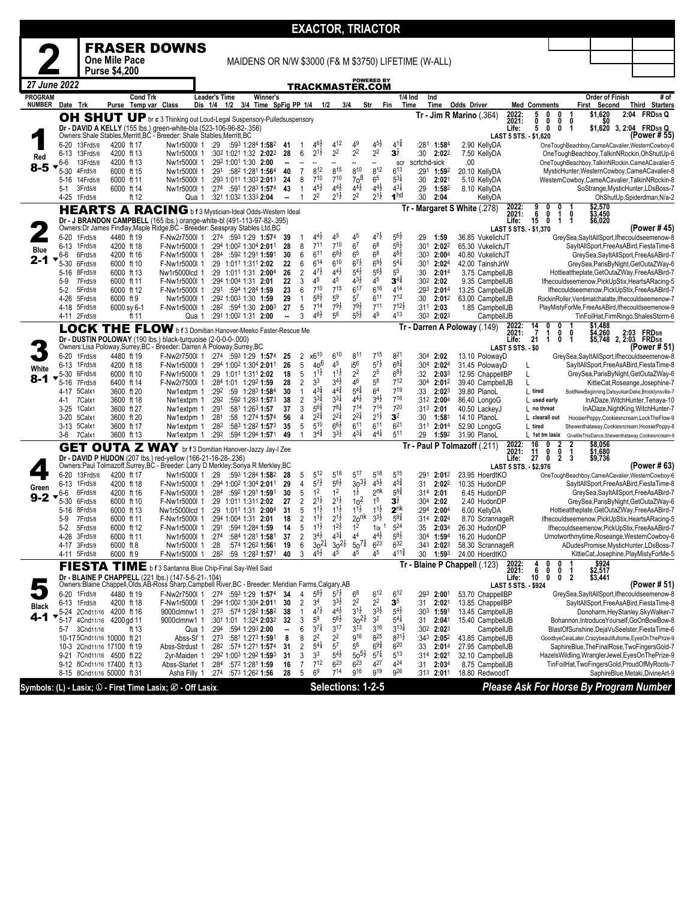|                                |                  |                              |                                                         |                 |                                                                                                                                                         |                      |                                                                                          |           |                     |                                      |                                          |                                                        | <b>EXACTOR, TRIACTOR</b>                 |                                           |                                                      |                    |                                      |                                     |                                      |                                          |                               |                 |                                                                                                     |
|--------------------------------|------------------|------------------------------|---------------------------------------------------------|-----------------|---------------------------------------------------------------------------------------------------------------------------------------------------------|----------------------|------------------------------------------------------------------------------------------|-----------|---------------------|--------------------------------------|------------------------------------------|--------------------------------------------------------|------------------------------------------|-------------------------------------------|------------------------------------------------------|--------------------|--------------------------------------|-------------------------------------|--------------------------------------|------------------------------------------|-------------------------------|-----------------|-----------------------------------------------------------------------------------------------------|
|                                |                  |                              |                                                         |                 | <b>FRASER DOWNS</b>                                                                                                                                     |                      |                                                                                          |           |                     |                                      |                                          |                                                        |                                          |                                           |                                                      |                    |                                      |                                     |                                      |                                          |                               |                 |                                                                                                     |
|                                |                  |                              | <b>One Mile Pace</b>                                    |                 |                                                                                                                                                         |                      |                                                                                          |           |                     |                                      |                                          |                                                        |                                          |                                           | MAIDENS OR N/W \$3000 (F& M \$3750) LIFETIME (W-ALL) |                    |                                      |                                     |                                      |                                          |                               |                 |                                                                                                     |
|                                |                  |                              | <b>Purse \$4,200</b>                                    |                 |                                                                                                                                                         |                      |                                                                                          |           |                     |                                      |                                          |                                                        | <b>POWERED BY</b>                        |                                           |                                                      |                    |                                      |                                     |                                      |                                          |                               |                 |                                                                                                     |
| 27 June 2022<br><b>PROGRAM</b> |                  |                              |                                                         |                 |                                                                                                                                                         | <b>Leader's Time</b> |                                                                                          |           |                     |                                      |                                          |                                                        | TRACKMASTER.COM                          |                                           |                                                      |                    |                                      |                                     |                                      |                                          |                               |                 | # of                                                                                                |
| <b>NUMBER</b>                  | Date Trk         |                              | Purse Temp var Class                                    | <b>Cond Trk</b> |                                                                                                                                                         |                      | Winner's<br>Dis 1/4 1/2 3/4 Time SpFig PP 1/4                                            |           |                     | 1/2                                  |                                          | 3/4                                                    | Str                                      | Fin                                       | $1/4$ Ind<br>Ind<br>Time<br>Time                     | <b>Odds Driver</b> |                                      |                                     | <b>Med Comments</b>                  |                                          | First Second                  | Order of Finish | Third Starters                                                                                      |
|                                |                  |                              |                                                         |                 | OH SHUT UP br c 3 Thinking out Loud-Legal Suspensory-Pulledsuspensory                                                                                   |                      |                                                                                          |           |                     |                                      |                                          |                                                        |                                          |                                           | Tr - Jim R Marino (.364)                             |                    |                                      | 2022:<br>2021:                      | 5<br>0<br>0<br>0                     | $\mathbf 1$<br>0<br>0<br>0               | \$1,620                       | 50              | 2:04 FRD5/8 Q                                                                                       |
|                                |                  |                              |                                                         |                 | Dr - DAVID A KELLY (155 lbs.) green-white-bla (523-106-96-82-.356)<br>Owners: Shale Stables, Merritt, BC - Breeder: Shale Stables, Merritt, BC          |                      |                                                                                          |           |                     |                                      |                                          |                                                        |                                          |                                           |                                                      |                    |                                      | Life:                               | 5<br>0<br>LAST 5 STS. - \$1,620      | 0<br>-1                                  |                               |                 | \$1,620 3, 2:04 FRD5/8 Q<br>(Power # 55)                                                            |
|                                | $6 - 20$         | 13Frd5/8                     | 4200 ft 17                                              |                 | Nw1r5000l 1                                                                                                                                             | :29                  | :593 1:284 <b>1:58</b> <sup>2</sup>                                                      | -41       |                     | $4^{6}$                              | $4^{12}$                                 | 49                                                     | $4^{5}$                                  | $4^{1\frac{3}{4}}$                        | :281<br>1:584                                        |                    | 2.90 KellyDA                         |                                     |                                      |                                          |                               |                 | OneToughBeachboy,CameACavalier,WesternCowboy-6                                                      |
| Red                            | 6-13<br>6-6      | 13Frd5/8<br>13Frd5/8         | 4200 ft 13<br>4200 ft 13                                |                 | Nw1r5000l 1<br>Nw1r5000I 1                                                                                                                              |                      | :302 1:021 1:32 2:022<br>:292 1:001 1:30 2:00                                            | 28<br>Ξ.  | 6                   | $2^{1\frac{1}{2}}$                   | 22                                       | 2 <sup>2</sup>                                         | 2 <sup>2</sup><br>Ξ.                     | $\mathbf{3}^{\frac{1}{2}}$<br>scr         | :30<br>2:022<br>scrtchd-sick                         | .00                | 7.50 KellvDA                         |                                     |                                      |                                          |                               |                 | OneToughBeachboy,TalkinNRockin,OhShutUp-6<br>OneToughBeachboy,TalkinNRockin,CameACavalier-5         |
| $8 - 5$                        | $5 - 30$         | 4Frd5/8                      | 6000 ft 15                                              |                 | Nw1r5000l 1                                                                                                                                             |                      | :291 :582 1:281 1:564                                                                    | 40        | $\overline{7}$      | 812<br>$7^{10}$                      | 815<br>$7^{10}$                          | 810                                                    | 812                                      | $6^{13}$<br>$5^{31}$                      | :291 1:592                                           |                    | 20.10 KellyDA                        |                                     |                                      |                                          |                               |                 | MysticHunter, WesternCowboy, CameACavalier-8                                                        |
|                                | 5-16<br>5-1      | 14Frd5/8<br>3Frd5/8          | 6000 ft 11<br>6000 ft 14                                |                 | Nw1r5000I 1<br>Nw1r5000l 1                                                                                                                              |                      | :293 1:011 1:303 2:013<br>:274 :591 1:283 1:574                                          | 24<br>43  | 8<br>$\mathbf{1}$   | $4^{5}\frac{1}{2}$                   | $4^{4}\frac{1}{2}$                       | 70 <sup>8</sup><br>$4^{4}\frac{1}{2}$                  | 6 <sup>5</sup><br>$4^{4}$ <sub>2</sub>   | $4^{3\frac{1}{4}}$                        | :30<br>2:021<br>:29<br>1:582                         |                    | 5.10 KellyDA<br>8.10 KellyDA         |                                     |                                      |                                          |                               |                 | WesternCowboy,CameACavalier,TalkinNRockin-8<br>SoStrange, MysticHunter, LDsBoss-7                   |
|                                | 4-25             | 1Frd5/8                      | ft 12                                                   |                 | Qua 1                                                                                                                                                   |                      | :321 1:032 1:333 2:04                                                                    |           |                     | 2 <sup>2</sup>                       | $2^{1\frac{1}{2}}$                       | 2 <sup>2</sup>                                         | $2^{1\frac{1}{2}}$                       | 1 <sup>hd</sup>                           | :30<br>2:04                                          |                    | KellyDA                              |                                     |                                      |                                          |                               |                 | OhShutUp,Spiderdman,N/a-2                                                                           |
|                                |                  |                              |                                                         |                 | <b>HEARTS A RACING</b> b f 3 Mystician-Ideal Odds-Western Ideal                                                                                         |                      |                                                                                          |           |                     |                                      |                                          |                                                        |                                          |                                           | Tr - Margaret S White (.278)                         |                    |                                      | 2022:<br>2021:                      | 9<br>0<br>6<br>0                     | 0<br>0<br>1                              | \$2,570<br>\$3,450<br>\$6,020 |                 |                                                                                                     |
|                                |                  |                              |                                                         |                 | Dr - J BRANDON CAMPBELL (165 lbs.) orange-white-bl (491-113-97-82-.395)<br>Owners:Dr James Findlay, Maple Ridge, BC - Breeder: Seaspray Stables Ltd, BC |                      |                                                                                          |           |                     |                                      |                                          |                                                        |                                          |                                           |                                                      |                    |                                      | Life:                               | 15<br>0<br>LAST 5 STS. - \$1,370     | $\overline{1}$<br>1                      |                               |                 | (Power # 45)                                                                                        |
|                                | 6-20<br>6-13     | 1Frd5/8<br>1Frd5/8           | 4480 ft 19<br>4200 ft 18                                |                 | F-Nw2r7500l 1<br>F-Nw1r5000l 1                                                                                                                          |                      | $:274$ $:593$ 1:29 1:574<br>:294 1:002 1:304 2:011                                       | -39<br>28 | 8                   | $4^{4}$<br>$7^{11}$                  | 45<br>$7^{10}$                           | 45<br>6 <sup>7</sup>                                   | $4^{7}\frac{1}{2}$<br>6 <sup>8</sup>     | $56\frac{1}{2}$<br>$5^{6}2$               | :29<br>1:59<br>:301<br>$2:02^2$                      |                    | 36.85 VukelichJT<br>65.30 VukelichJT |                                     |                                      |                                          |                               |                 | GreySea,SayItAllSport,Ifhecouldseemenow-8<br>SayItAllSport,FreeAsABird,FiestaTime-8                 |
| <b>Blue</b>                    | 6-6              | 6Frd5/8                      | 4200 ft 16                                              |                 | F-Nw1r5000l 1                                                                                                                                           |                      | :284 :592 1:291 1:591                                                                    | 30        | 6                   | 611                                  | $6^{8}\frac{1}{2}$                       | 6 <sup>5</sup>                                         | 6 <sup>8</sup>                           | $48\frac{1}{2}$                           | :303 2:004                                           |                    | 40.80 VukelichJT                     |                                     |                                      |                                          |                               |                 | GreySea,SayItAllSport,FreeAsABird-7                                                                 |
| 2-1                            | $5 - 30$<br>5-16 | 6Frd5/8<br>8Frd5/8           | 6000 ft 10<br>6000 ft 13                                |                 | F-Nw1r5000l 1<br>Nw1r5000lcd 1                                                                                                                          |                      | :29 1:011 1:311 2:02<br>:29 1:011 1:31 2:004                                             | 22<br>26  | 6<br>2              | $6^{14}$<br>$4^{7}\frac{1}{2}$       | $6^{10}$<br>$4^{4}$                      | $6^{7}\frac{1}{2}$<br>$5^{4}$                          | $6^{9}\frac{1}{2}$<br>$56\frac{1}{2}$    | $5^{41}$<br>5 <sup>5</sup>                | :301<br>2:024<br>:30<br>2:014                        |                    | 42.00 TainshJrW<br>3.75 CampbellJB   |                                     |                                      |                                          |                               |                 | GreySea, ParisByNight, GetOutaZWay-6<br>Hottieattheplate, GetOutaZWay, FreeAsABird-7                |
|                                | 5-9              | 7Frd5/8                      | 6000 ft 11                                              |                 | F-Nw1r5000l 1                                                                                                                                           |                      | :294 1:004 1:31 2:01                                                                     | 22        | 3                   | 45                                   | 45                                       | $4^{3}\frac{1}{2}$                                     | 45                                       | $3^{4^3}$                                 | $:30^2$ 2:02                                         |                    | 9.35 CampbellJB                      |                                     |                                      |                                          |                               |                 | Ifhecouldseemenow, PickUpStix, HeartsARacing-5                                                      |
|                                | 5-2<br>4-26      | 5Frd5/8<br>5Frd5/8           | 6000 ft 12<br>6000 ft 9                                 |                 | F-Nw1r5000l 1<br>Nw1r5000l 1                                                                                                                            |                      | :291 :594 1:284 1:59<br>:292 1:003 1:30 1:59                                             | 23<br>29  | 6                   | 710<br>$5^{8}2$                      | 715<br>5 <sup>9</sup>                    | 617<br>$5^7$                                           | 616<br>6 <sup>11</sup>                   | 414<br>$7^{12}$                           | :293 2:014<br>$2:01^2$<br>:30                        |                    | 13.25 CampbellJB<br>63.00 CampbellJB |                                     |                                      |                                          |                               |                 | lfhecouldseemenow, PickUpStix, FreeAsABird-7<br>RockinRoller, Ventimatchalatte, Ifhecouldseemenow-7 |
|                                | 4-18             | 5Frd5/8                      | 6000 sy 6-1                                             |                 | F-Nw1r5000l 1                                                                                                                                           |                      | :282 :594 1:30 2:003                                                                     | 27        | 5                   | 714                                  | $79\frac{1}{2}$                          | $79\frac{1}{2}$                                        | 711                                      | $712\frac{1}{2}$<br>413                   | :311 2:03                                            |                    | 1.85 CampbellJB                      |                                     |                                      |                                          |                               |                 | PlayMistyForMe,FreeAsABird,Ifhecouldseemenow-9                                                      |
|                                |                  | 4-11 2Frd5/8                 | ft 11                                                   |                 | Qua 1<br>LOCK THE FLOW b f 3 Domitian Hanover-Meeko Faster-Rescue Me                                                                                    |                      | :291 1:002 1:31 2:00                                                                     | −−        | 3                   | $4^{6}\frac{1}{2}$                   | 5 <sup>6</sup>                           | $5^{5\frac{1}{2}}$                                     | 49                                       | Tr٠                                       | $:30^3$ 2:023<br>Darren A Poloway (.149)             |                    | CampbellJB                           |                                     | $\frac{14}{7}$                       |                                          |                               |                 | TinFoilHat,FirmRingo,ShalesStorm-6                                                                  |
|                                |                  |                              |                                                         |                 | Dr - DUSTIN POLOWAY (190 lbs.) black-turquoise (2-0-0-0-.000)                                                                                           |                      |                                                                                          |           |                     |                                      |                                          |                                                        |                                          |                                           |                                                      |                    |                                      | 2022:<br>2021:<br>Life:             | $\frac{0}{1}$<br>21<br>1             | 0<br>0<br>0<br>-1                        | \$1,488<br>\$4,260            |                 | \$4,260 2:03 FRD5/8<br>\$5,748 2, 2:03 FRD5/8                                                       |
|                                |                  | 6-20 1Frd5/8                 | 4480 ft 19                                              |                 | Owners:Lisa Poloway,Surrey,BC - Breeder: Darren A Poloway,Surrey,BC<br>F-Nw2r7500l 1 :274 :593 1:29 1:574                                               |                      |                                                                                          |           |                     | x610                                 | $6^{10}$                                 | $8^{11}$                                               | $7^{15}$                                 | 821                                       | :304<br>2:02                                         |                    | 13.10 PolowayD                       | <b>LAST 5 STS. - \$0</b>            |                                      |                                          |                               |                 | (Power # 51)<br>GreySea,SayItAllSport,Ifhecouldseemenow-8                                           |
| White                          | 6-13             | 1Frd5/8                      | 4200 ft 18                                              |                 | F-Nw1r5000I 1                                                                                                                                           |                      | :294 1:002 1:304 2:011                                                                   | 25<br>26  | 2<br>5              | $40^{6}$                             | 45                                       | i5 <sup>6</sup>                                        | $5^{7\frac{1}{2}}$                       | $6^{8}$                                   | :304<br>2:024                                        |                    | 31.45 PolowayD                       |                                     | L                                    |                                          |                               |                 | SayItAllSport,FreeAsABird,FiestaTime-8                                                              |
| 8-1                            | $5 - 30$         | 6Frd5/8<br>5-16 7Frd5/8      | 6000 ft 10<br>6400 ft 14                                |                 | F-Nw1r5000l 1<br>F-Nw2r7500l 1                                                                                                                          |                      | :29 1:011 1:311 2:02<br>:284 1:01 1:292 1:59                                             | 18<br>28  | 5<br>2              | $11\frac{1}{2}$<br>3 <sup>3</sup>    | $11\frac{1}{2}$<br>$3^{41}$              | 2 <sup>2</sup><br>46                                   | 2 <sup>5</sup><br>$5^8$                  | $68\frac{1}{2}$<br>712                    | 2:033<br>:32<br>$:304$ 2:012                         |                    | 12.95 ChappelIBP<br>39.40 CampbellJB |                                     | L                                    |                                          |                               |                 | GreySea, ParisByNight, GetOutaZWay-6<br>KittieCat, Roseange, Josephine-7                            |
|                                | 4-17             | 5Calx1                       | 3600 ft 20                                              |                 | Nw1extpm 1                                                                                                                                              |                      | :292 :59 1:283 1:584                                                                     | 30        | $\mathbf{1}$        | $4^{3}\frac{3}{4}$                   | $4^{4^{3}_{4}}$                          | $5^{4^3}$                                              | 6 <sup>4</sup>                           | 719                                       | :33<br>2:023                                         |                    | 39.80 PlanoL                         |                                     | L tired                              |                                          |                               |                 | BoldNewBeginning,DatsyukianDeke,Brooklynsville-7                                                    |
|                                | 4-1<br>$3-25$    | 7Calx1<br>1Calx1             | 3600 ft 18<br>3600 ft 27                                |                 | Nw1extpm 1<br>Nw1extpm 1                                                                                                                                | :292                 | :592 1:283 1:573<br>:291 :581 1:263 1:57                                                 | 38<br>37  | 2<br>3              | $3^{34}$<br>$5^{6}$                  | $3^{31}$<br>$78\frac{1}{4}$              | $4^{4}$<br>714                                         | $34$ <sub>2</sub><br>714                 | 716<br>720                                | $:31^2$ 2:00 <sup>4</sup><br>:313 2:01               |                    | 86.40 LongoG<br>40.50 LackeyJ        |                                     | L used early<br>L no threat          |                                          |                               |                 | InADaze, WitchHunter, Tenaya-10<br>InADaze, NightKing, WitchHunter-7                                |
|                                | $3 - 20$         | 5Calx1                       | 3600 ft 20                                              |                 | Nw1extpm 1                                                                                                                                              | :281                 | :58 1:274 1:574                                                                          | 56        | 4                   | $2^{2^{3}_{4}}$                      | $2^{2\frac{1}{4}}$                       | $2^{2\frac{1}{4}}$                                     | $2^{1\frac{1}{2}}$                       | 3 <sup>2</sup>                            | :30<br>$1:58^{\circ}$                                |                    | 14.10 PlanoL                         |                                     | L clearall out                       |                                          |                               |                 | HoosierPoppy,Cookiesncream,LockTheFlow-9                                                            |
|                                | 3-13<br>3-6      | 5Calx1<br>7Calx1             | 3600 ft 17<br>3600 ft 13                                |                 | Nw1extpm 1<br>Nw1extpm 1                                                                                                                                | :282                 | :583 1:282 <b>1:57</b> 3<br>$:29^2$ $:59^4$ 1:294 1:571                                  | 35<br>49  | 5                   | 510<br>$3^{4}$                       | $66\frac{1}{2}$<br>$3^{3}\frac{1}{2}$    | 611<br>$4^{3\frac{1}{4}}$                              | 6 <sup>11</sup><br>$4^{4\frac{1}{4}}$    | $6^{21}$<br>511                           | :311 2:014<br>:29<br>1:592                           |                    | 52.90 LongoG<br>31.90 PlanoL         |                                     | L tired<br>L 1st tm lasix            |                                          |                               |                 | Shewenthataway, Cookiesncream, HoosierPoppy-8<br>GiveMeThisDance,Shewenthataway,Cookiesncream-9     |
|                                |                  |                              |                                                         |                 | <b>GET OUTA Z WAY</b> br f 3 Domitian Hanover-Jazzy Jay-I Zee                                                                                           |                      |                                                                                          |           |                     |                                      |                                          |                                                        |                                          |                                           | Tr - Paul P Tolmazoff (.211)                         |                    |                                      | 2022:<br>2021:                      | 16<br>0<br>11<br>0                   | $\frac{2}{0}$<br>$\frac{2}{1}$           | \$8,056<br>\$1,680            |                 |                                                                                                     |
|                                |                  |                              |                                                         |                 | Dr - DAVID P HUDON (207 lbs.) red-yellow (166-21-16-28-.236)<br>Owners:Paul Tolmazoff,Surrey,BC - Breeder: Larry D Merkley;Sonya R Merkley,BC           |                      |                                                                                          |           |                     |                                      |                                          |                                                        |                                          |                                           |                                                      |                    |                                      | Life:                               | 27<br>0<br>LAST 5 STS. - \$2,976     | 2<br>3                                   | \$9,736                       |                 | (Power # 63)                                                                                        |
|                                | $6 - 20$         | 13Frd5/8                     | 4200 ft 17                                              |                 | Nw1r5000l 1                                                                                                                                             | :29                  | :593 1:284 <b>1:58</b> <sup>2</sup>                                                      | 28        | 5                   | $5^{12}$                             | $5^{18}$                                 | $5^{17}$                                               | 518                                      | $5^{15}$                                  | :291<br>2:012                                        |                    | 23.95 HoerdtKO                       |                                     |                                      |                                          |                               |                 | OneToughBeachboy,CameACavalier,WesternCowboy-6                                                      |
| Green                          | 6-13<br>6-6      | 1Frd5/8<br>6Frd5/8           | 4200 ft 18<br>4200 ft 16                                |                 | F-Nw1r5000l 1<br>F-Nw1r5000l 1                                                                                                                          |                      | :294 1:002 1:304 2:011<br>:284 :592 1:291 1:591                                          | 29<br>30  | 4<br>5              | $5^{7\frac{1}{2}}$<br>1 <sup>2</sup> | $5^{6}$<br>1 <sup>2</sup>                | $30^{31}$<br>$1\frac{1}{2}$                            | $4^{5}\frac{1}{2}$<br>2 <sup>nk</sup>    | $4^{5^{3}_{4}}$<br>$5^{8}$                | :31<br>2:022<br>$:314$ 2:01                          |                    | 10.35 HudonDP<br>6.45 HudonDP        |                                     |                                      |                                          |                               |                 | SayItAllSport,FreeAsABird,FiestaTime-8<br>GreySea,SayItAllSport,FreeAsABird-7                       |
| $9 - 2$                        | 5-30             | 6Frd5/8                      | 6000 ft 10                                              |                 | F-Nw1r5000l 1                                                                                                                                           |                      | :29 1:011 1:311 2:02                                                                     | 27        | 2                   | $2^{1\frac{1}{2}}$                   | $2^{1\frac{1}{2}}$                       | $102$                                                  | 1 <sup>5</sup>                           | $\mathbf{3}^{\frac{1}{2}}$                | :304 2:02                                            |                    | 2.40 HudonDP                         |                                     |                                      |                                          |                               |                 | GreySea, ParisByNight, GetOutaZWay-6                                                                |
|                                | 5-16<br>5-9      | 8Frd5/8<br>7Frd5/8           | 6000 ft 13<br>6000 ft 11                                |                 | Nw1r5000lcd 1<br>F-Nw1r5000l 1                                                                                                                          |                      | :29 1:011 1:31 2:004<br>:294 1:004 1:31 2:01                                             | 31<br>18  | 5<br>2              | $11\frac{1}{2}$<br>$1^{11}$          | $11\frac{1}{2}$<br>$2^{1\frac{1}{2}}$    | $11\frac{1}{2}$<br>20 <sup>nk</sup>                    | $1^{1\frac{1}{2}}$<br>$3^{3}\frac{1}{2}$ | 2 <sup>nk</sup><br>$5^{8\frac{3}{4}}$     | :294 2:004<br>:314 2:024                             |                    | 6.00 KellyDA<br>8.70 ScrannageR      |                                     |                                      |                                          |                               |                 | Hottieattheplate, GetOutaZWay, FreeAsABird-7<br>Ifhecouldseemenow, PickUpStix, HeartsARacing-5      |
|                                | 5-2              | 5Frd5/8                      | 6000 ft 12                                              |                 | F-Nw1r5000l 1 :291 :594 1:284 1:59                                                                                                                      |                      |                                                                                          | 14        | 5                   | $1^{11}$                             | $1^{2}\frac{1}{2}$<br>$4^{3\frac{1}{4}}$ | 1 <sup>2</sup>                                         | $11x$ <sup>1</sup>                       | 524                                       | :35<br>2:034                                         |                    | 26.30 HudonDP                        |                                     |                                      |                                          |                               |                 | Ifhecouldseemenow.PickUpStix.FreeAsABird-7                                                          |
|                                |                  | 4-26 3Frd5/8<br>4-17 3Frd5/8 | 6000 ft 11<br>6000 ft 8                                 |                 | Nw1r5000l 1<br>Nw1r5000l 1                                                                                                                              | :274<br>:28          | :584 1:281 1:581<br>:574 1:262 1:561                                                     | 37<br>19  | 2<br>6              | $3^{4}$ <sub>2</sub><br>$30^{21}$    |                                          | 4 <sup>4</sup><br>$30^{2\frac{1}{2}}$ 50 <sup>73</sup> | $4^{4}$ <sub>2</sub><br>$6^{23}$         | $5^{8}$ <sub>2</sub><br>632               | :304 1:594<br>:343 2:023                             |                    | 16.20 HudonDP<br>58.30 ScrannageR    |                                     |                                      |                                          |                               |                 | Urnotworthmytime, Roseange, WesternCowboy-6<br>ADudesPromise, MysticHunter, LDsBoss-7               |
|                                |                  | 4-11 5Frd5/8                 | 6000 ft 9                                               |                 | F-Nw1r5000l 1                                                                                                                                           |                      | :282 :59 1:283 1:571                                                                     | 40        | 3                   | $4^{51}$                             | 4 <sup>5</sup>                           | 4 <sup>5</sup>                                         | 45                                       | $4^{11\frac{3}{4}}$                       | :30<br>1:593                                         |                    | 24.00 HoerdtKO                       |                                     |                                      |                                          |                               |                 | KittieCat, Josephine, PlayMistyForMe-5                                                              |
|                                |                  |                              |                                                         |                 | FIESTA TIME b f 3 Santanna Blue Chip-Final Say-Well Said                                                                                                |                      |                                                                                          |           |                     |                                      |                                          |                                                        |                                          |                                           | Tr - Blaine P Chappell (.123)                        |                    |                                      | 2022:<br>2021:                      | 4<br>0<br>6<br>0<br>10 <sup>10</sup> | 0<br>0<br>$\mathbf{1}$<br>$\overline{2}$ | \$924<br>\$2,517<br>\$3,441   |                 |                                                                                                     |
|                                |                  |                              |                                                         |                 | Dr - BLAINE P CHAPPELL (221 lbs.) (147-5-6-21-.104)<br>Owners:Blaine Chappell,Olds,AB-Ross Sharp,Campbell River,BC - Breeder: Meridian Farms,Calgary,AB |                      |                                                                                          |           |                     |                                      |                                          |                                                        |                                          |                                           |                                                      |                    |                                      | Life:<br><b>LAST 5 STS. - \$924</b> | 0                                    | 0                                        |                               |                 | (Power # 51)                                                                                        |
|                                |                  | 6-20 1Frd5/8<br>6-13 1Frd5/8 | 4480 ft 19<br>4200 ft 18                                |                 | F-Nw2r7500l 1<br>F-Nw1r5000l 1                                                                                                                          |                      | :274 :593 1:29 1:574<br>:294 1:002 1:304 2:011                                           | 34<br>30  | 4<br>$\overline{2}$ | $5^{8}$<br>3 <sup>4</sup>            | $5^{7}$<br>$3^{3}\frac{1}{2}$            | 6 <sup>8</sup><br>$2^2$                                | 612<br>$2^2$                             | 612<br>$\mathbf{3}^{5}$                   | :293 2:001<br>:31<br>2:021                           |                    | 53.70 ChappelIBP<br>13.85 ChappelIBP |                                     |                                      |                                          |                               |                 | GreySea,SayItAllSport,Ifhecouldseemenow-8<br>SayItAllSport,FreeAsABird,FiestaTime-8                 |
| <b>Black</b><br>$4 - 1$        |                  |                              | 5-24 2Cnd11/16 4200 ft 16                               |                 | 9000clmnw1 1                                                                                                                                            |                      | :273 :574 1:282 1:582                                                                    | 38        | 1                   | $4^{7}\frac{1}{2}$                   | $4^{4}\frac{1}{2}$                       | $3^{1\frac{1}{2}}$                                     | $3^{3}\frac{1}{2}$                       | $5^{4}$                                   | :303 1:591                                           |                    | 13.45 CampbellJB                     |                                     |                                      |                                          |                               |                 | Donoharm, HeyStanley, SkyWalker-7                                                                   |
|                                | $5 - 17$<br>5-7  | 3Cnd11/16                    | 4Cnd11/16 4200 gd 11<br>ft 13                           |                 | 9000clmnw1 1<br>Qua 1                                                                                                                                   |                      | :30 <sup>1</sup> 1:01 1:32 <sup>4</sup> <b>2:03</b> <sup>2</sup><br>:294 :594 1:293 2:00 | -32       | 3<br>6              | 5 <sup>9</sup><br>$3^{7}$            | $5^{6}\frac{1}{2}$<br>3 <sup>17</sup>    | $30^{21}$<br>$3^{13}$                                  | 3 <sup>2</sup><br>$3^{16}$               | $5^{4\frac{1}{4}}$<br>$3^{13}\frac{1}{4}$ | :31 2:041<br>:30 <sup>2</sup> 2:02 <sup>3</sup>      |                    | 15.40 CampbellJB<br>CampbellJB       |                                     |                                      |                                          |                               |                 | Bohannon, Introduce Yourself, GoOnBowBow-8<br>BlastOfSunshine,DejaVuSeelster,FiestaTime-6           |
|                                |                  |                              | 10-17 5Cnd11/16 10000 ft 21                             |                 | Abss-Sf 1                                                                                                                                               |                      | $:273$ $:581$ 1:273 1:591                                                                | 8         | 8                   | 2 <sup>2</sup>                       | 2 <sup>2</sup>                           | $9^{16}$                                               | $8^{25}$                                 | $8^{31}\frac{1}{2}$                       | :343 <b>2:05</b> <sup>2</sup>                        |                    | 43.85 CampbellJB                     |                                     |                                      |                                          |                               |                 | GoodbyeCeiaLater,Crazybeautifultome,EyesOnThePrize-9                                                |
|                                |                  |                              | 10-3 2Cnd11/16 17100 ft 19<br>9-21 7Cnd11/16 4500 ft 22 |                 | Abss-Strdust 1<br>2yr-Maiden 1                                                                                                                          |                      | $:28^2$ $:57^4$ 1:27 <sup>1</sup> 1:57 <sup>4</sup><br>:292 1:003 1:292 1:593            | 31<br>31  | 2<br>3              | $5^{41}$<br>3 <sup>3</sup>           | $5^7$<br>$5^{4}$                         | $5^8$<br>$50^{51}$                                     | $6^{9\frac{3}{4}}$<br>$5^{7}$            | $6^{20}$<br>$5^{13}$                      | :33<br>$2:01^4$<br>:314 2:021                        |                    | 27.95 CampbellJB<br>32.10 CampbellJB |                                     |                                      |                                          |                               |                 | SaphireBlue, TheFinalRose, TwoFingersGold-7<br>HazelsWildling, WranglerJewel, EyesOnThePrize-9      |
|                                |                  |                              | 9-12 8Cnd11/16 17400 ft 13                              |                 | Abss-Starlet 1                                                                                                                                          |                      | $:284$ $:572$ 1:28 <sup>1</sup> 1:59                                                     | 16        | 7                   | $7^{12}$<br>6 <sup>9</sup>           | $6^{23}$<br>$7^{14}$                     | $6^{23}$<br>g16                                        | 427<br><b>g19</b>                        | 424<br>926                                | :31<br>2:03 <sup>4</sup>                             |                    | 8.75 CampbellJB                      |                                     |                                      |                                          |                               |                 | TinFoilHat, TwoFingersGold, ProudOfMyRoots-7                                                        |
|                                |                  |                              | 8-15 8Cnd11/16 50000 ft 31                              |                 | Asha Filly 1                                                                                                                                            |                      | :274 :573 1:262 1:56                                                                     | 28        | 5                   |                                      |                                          |                                                        |                                          |                                           | :313 2:011                                           |                    | 18.80 RedwoodT                       |                                     |                                      |                                          |                               |                 | SaphireBlue, Metaki, DivineArt-9                                                                    |
|                                |                  |                              |                                                         |                 | Symbols: (L) - Lasix; (D - First Time Lasix; Ø - Off Lasix.                                                                                             |                      |                                                                                          |           |                     |                                      |                                          |                                                        | Selections: 1-2-5                        |                                           |                                                      |                    |                                      |                                     |                                      |                                          |                               |                 | Please Ask For Horse By Program Number                                                              |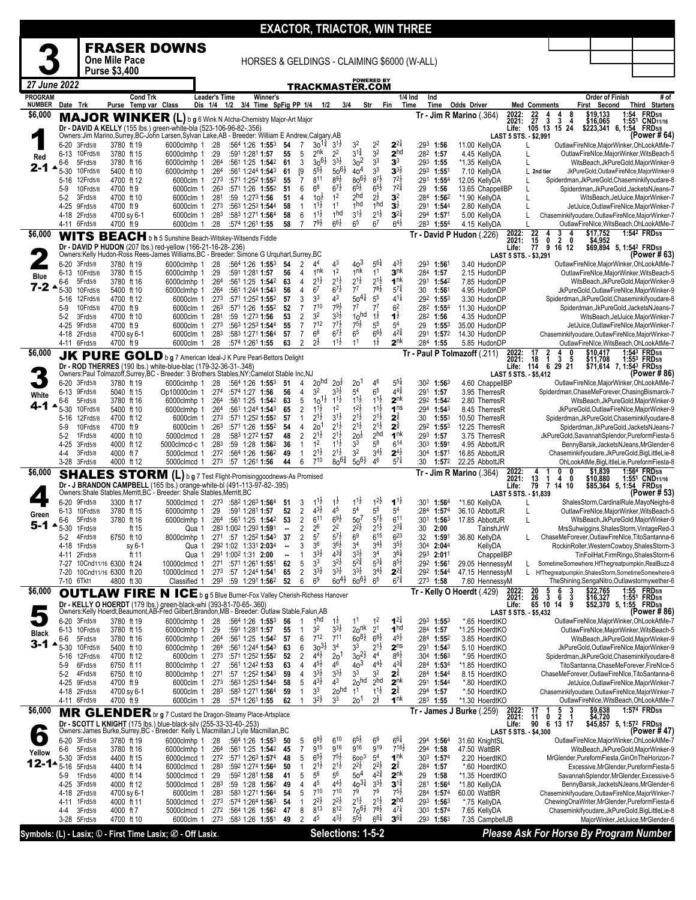|                          |                              |                          |                            |          |                                                                                                                                                                            |               |                                               |                                                                                        |                                |                                           |                                          |                                           |                                       |                                          |                                           | <b>EXACTOR, TRIACTOR, WIN THREE</b>         |                                            |                                                                      |                                                                     |                        |                                                                                                 |
|--------------------------|------------------------------|--------------------------|----------------------------|----------|----------------------------------------------------------------------------------------------------------------------------------------------------------------------------|---------------|-----------------------------------------------|----------------------------------------------------------------------------------------|--------------------------------|-------------------------------------------|------------------------------------------|-------------------------------------------|---------------------------------------|------------------------------------------|-------------------------------------------|---------------------------------------------|--------------------------------------------|----------------------------------------------------------------------|---------------------------------------------------------------------|------------------------|-------------------------------------------------------------------------------------------------|
|                          |                              |                          |                            |          | <b>FRASER DOWNS</b>                                                                                                                                                        |               |                                               |                                                                                        |                                |                                           |                                          |                                           |                                       |                                          |                                           |                                             |                                            |                                                                      |                                                                     |                        |                                                                                                 |
|                          |                              |                          | One Mile Pace              |          |                                                                                                                                                                            |               |                                               |                                                                                        |                                |                                           |                                          |                                           |                                       |                                          |                                           | HORSES & GELDINGS - CLAIMING \$6000 (W-ALL) |                                            |                                                                      |                                                                     |                        |                                                                                                 |
|                          |                              |                          | <b>Purse \$3,400</b>       |          |                                                                                                                                                                            |               |                                               |                                                                                        |                                |                                           |                                          |                                           |                                       |                                          |                                           |                                             |                                            |                                                                      |                                                                     |                        |                                                                                                 |
| 27 June 2022             |                              |                          |                            |          |                                                                                                                                                                            |               |                                               |                                                                                        |                                |                                           |                                          |                                           | TRACKMASTER.COM                       | POWERED BY                               |                                           |                                             |                                            |                                                                      |                                                                     |                        |                                                                                                 |
| <b>PROGRAM</b>           |                              |                          |                            | Cond Trk |                                                                                                                                                                            | Leader's Time |                                               | <b>Winner's</b>                                                                        |                                |                                           |                                          |                                           |                                       |                                          |                                           | 1/4 Ind<br>Ind                              |                                            |                                                                      |                                                                     | <b>Order of Finish</b> | # of                                                                                            |
| <b>NUMBER</b><br>\$6,000 | Date Trk                     |                          | Purse Temp var Class       |          |                                                                                                                                                                            | Dis 1/4       | 1/2                                           | 3/4 Time SpFig PP 1/4                                                                  |                                |                                           | 1/2                                      | 3/4                                       |                                       | Str                                      | Fin                                       | Time<br>Time                                | <b>Odds Driver</b>                         | Med Comments                                                         |                                                                     | First Second           | Third Starters<br>1:54<br><b>FRD</b> 5/8                                                        |
|                          |                              |                          |                            |          | <b>MAJOR WINKER (L)</b> b g 6 Wink N Atcha-Chemistry Major-Art Major                                                                                                       |               |                                               |                                                                                        |                                |                                           |                                          |                                           |                                       |                                          |                                           |                                             | $Tr - Jim R$ Marino $(.364)$               |                                                                      | 2022: 22 4 4 8<br>2021: 27 3 3 4<br>Life: 105 13 15 24              | \$19,133<br>\$16,065   | 1:551<br>CND <sub>11/16</sub>                                                                   |
|                          |                              |                          |                            |          | Dr - DAVID A KELLY (155 lbs.) green-white-bla (523-106-96-82-.356)<br>Owners: Jim Marino, Surrey, BC-John Larsen, Sylvan Lake, AB - Breeder: William E Andrew, Calgary, AB |               |                                               |                                                                                        |                                |                                           |                                          |                                           |                                       |                                          |                                           |                                             |                                            | LAST 5 STS. - \$2,991                                                |                                                                     |                        | $$223,341$ 6, 1:54 FRD <sub>5/8</sub><br>(Power # 64)                                           |
|                          | 6-20                         | 3Frd5/8                  | 3780 ft 19                 |          | 6000clmhp 1                                                                                                                                                                | :28           |                                               | :564 1:26 1:553                                                                        | 54                             | 7                                         | $30^{1\frac{3}{4}}$                      | $3^{1\frac{1}{2}}$                        | 32                                    | 2 <sup>2</sup>                           | $2^{2\frac{1}{4}}$                        | :293<br>1:56                                | 11.00 KellyDA                              | L                                                                    |                                                                     |                        | OutlawFireNIce,MajorWinker,OhLookAtMe-7                                                         |
| Red                      | $6 - 13$<br>6-6              | 10Frd5/8<br>5Frd5/8      | 3780 ft 15<br>3780 ft 16   |          | 6000clmhp 1<br>6000clmhp 1                                                                                                                                                 | :29<br>:264   |                                               | :591 1:281 1:57<br>:561 1:25 1:542                                                     | 55<br>61                       | 5<br>3                                    | 2 <sup>nk</sup>                          | 2 <sup>2</sup><br>$3^{3}\frac{1}{2}$      | $3^{1\frac{3}{4}}$<br>3 <sup>2</sup>  | 3 <sup>2</sup><br>3 <sup>3</sup>         | 2 <sup>hd</sup><br>3 <sup>3</sup>         | :28 <sup>2</sup> 1:57<br>:293<br>1:55       | 4.45 KellyDA<br>*1.35 KellyDA              | L<br>L                                                               |                                                                     |                        | OutlawFireNIce,MajorWinker,WitsBeach-5<br>WitsBeach, JkPureGold, MajorWinker-9                  |
| 2-1                      | $5 - 30$                     | 10Frd5/8                 | 5400 ft 10                 |          | 6000clmhp 1                                                                                                                                                                | :264          |                                               | :561 1:244 1:543                                                                       | 61                             | [9]                                       | $30^{61}_{2}$<br>5 <sup>51</sup>         | $50^{6}$                                  | 40 <sup>4</sup>                       | 3 <sup>3</sup>                           | $3^{3}$                                   | :293<br>$1:55^{\circ}$                      | 7.10 KellyDA                               |                                                                      | L 2nd tier                                                          |                        | JkPureGold,OutlawFireNIce,MajorWinker-9                                                         |
|                          | $5-16$<br>$5-9$              | 12Frd5/8<br>10Frd5/8     | 4700 ft 12<br>4700 ft 9    |          | 6000clm 1<br>6000clm 1                                                                                                                                                     | :273<br>:263  |                                               | :571 1:252 1:552<br>:571 1:26 1:552                                                    | 55<br>51                       | $\overline{7}$<br>6                       | 811<br>6 <sup>8</sup>                    | $8^{9}\frac{1}{2}$<br>$6^{7\frac{1}{2}}$  | $80^{61}$<br>$6^{51}$                 | $8^{7\frac{1}{2}}$<br>$6^{51}$           | $7^{21}$<br>$72\frac{3}{4}$               | $:291$ 1:554<br>:29<br>1:56                 | 12.05 KellyDA<br>13.65 ChappelIBP          | L                                                                    |                                                                     |                        | Spiderdman, JkPureGold, Chaseminkifyoudare-8<br>Spiderdman, JkPureGold, JacketsNJeans-7         |
|                          | $5-2$                        | 3Frd5/8                  | 4700 ft 10                 |          | 6000clm 1                                                                                                                                                                  | :281          |                                               | :59 1:27 <sup>3</sup> 1:56                                                             | 51                             | 4                                         | $10^{\frac{1}{2}}$                       | 1 <sup>2</sup>                            | 2 <sup>hd</sup>                       | $2^{\frac{1}{2}}$                        | 3 <sup>2</sup>                            | $:284$ 1:56 <sup>2</sup>                    | *1.90 KellyDA                              |                                                                      |                                                                     |                        | WitsBeach, JetJuice, MajorWinker-7                                                              |
|                          | 4-25<br>4-18 2Frd5/8         | 9Frd5/8                  | 4700 ft 9<br>4700 sy 6-1   |          | 6000clm 1<br>6000clm 1                                                                                                                                                     | :273<br>:283  |                                               | :563 1:253 1:544<br>:583 1:271 1:564                                                   | 58<br>58                       | $\mathbf{1}$<br>6                         | $11\frac{1}{2}$<br>$1^{1\frac{1}{2}}$    | 11<br>1 <sub>hd</sub>                     | 1hd<br>$3^{1\frac{1}{2}}$             | 1hd<br>$2^{1\frac{1}{2}}$                | $3\overline{2}$<br>$3^{2\frac{1}{4}}$     | :291 1:544<br>$:294$ 1:571                  | 2.80 KellyDA<br>5.00 KellyDA               | L                                                                    |                                                                     |                        | JetJuice,OutlawFireNIce,MajorWinker-7<br>Chaseminkifyoudare, OutlawFireNIce, MajorWinker-7      |
|                          | 4-11 6Frd5/8                 |                          | 4700 ft 9                  |          | 6000clm 1                                                                                                                                                                  | :28           |                                               | :574 1:261 1:55                                                                        | 58                             | $\overline{7}$                            | $79\frac{1}{2}$                          | $66\frac{1}{2}$                           | 6 <sup>5</sup>                        | 6 <sup>7</sup>                           | $6^{4}$                                   | :283<br>1:554                               | 4.15 KellyDA                               | L                                                                    |                                                                     |                        | OutlawFireNIce, WitsBeach, OhLookAtMe-7                                                         |
| \$6,000                  |                              |                          |                            |          | WITS BEACH b h 5 Sunshine Beach-Witskey-Witsends Fiddle                                                                                                                    |               |                                               |                                                                                        |                                |                                           |                                          |                                           |                                       |                                          |                                           |                                             | Tr - David P Hudon (.226)                  | $\begin{array}{c}\n 22 \\  15 \\  77\n\end{array}$<br>2022:<br>2021: | $\begin{smallmatrix} 4 \ 0 \end{smallmatrix}$<br>$\frac{3}{2}$<br>0 | \$17,752<br>\$4,952    | 1:54 <sup>2</sup> FRD <sub>5/8</sub>                                                            |
|                          |                              |                          |                            |          | Dr - DAVID P HUDON (207 lbs.) red-yellow (166-21-16-28-.236)                                                                                                               |               |                                               |                                                                                        |                                |                                           |                                          |                                           |                                       |                                          |                                           |                                             |                                            | Life:                                                                | 9<br>16 12                                                          |                        | \$69,894 5, 1:542 FRD5/8                                                                        |
|                          | 6-20 3Frd5/8                 |                          | 3780 ft 19                 |          | Owners: Kelly Hudon-Ross Rees-James Williams, BC - Breeder: Simone G Urquhart, Surrey, BC<br>6000clmhp 1                                                                   | :28           |                                               | :564 1:26 1:553                                                                        | 54                             | $\overline{2}$                            | 4 <sup>4</sup>                           | $4^3\,$                                   | 40 <sup>3</sup>                       | $5^{61}$                                 | $4^{31}$                                  | :293<br>$1:56^{\circ}$                      | 3.40 HudonDP                               | LAST 5 STS. - \$3,291                                                |                                                                     |                        | (Power # 63)<br>OutlawFireNIce,MajorWinker,OhLookAtMe-7                                         |
| Blue                     |                              | 6-13 10Frd5/8            | 3780 ft 15                 |          | 6000clmhp 1                                                                                                                                                                | :29           |                                               | :591 1:281 1:57                                                                        | 56                             | 4                                         | 1nk                                      | 1 <sup>2</sup>                            | 1 <sub>nk</sub>                       | 1 <sup>1</sup>                           | 3 <sup>nk</sup><br>1 <sup>nk</sup>        | :284 1:57                                   | 2.15 HudonDP                               |                                                                      |                                                                     |                        | OutlawFireNIce,MajorWinker,WitsBeach-5                                                          |
| 7-2                      | 6-6<br>$5 - 30$              | 5Frd5/8<br>10Frd5/8      | 3780 ft 16<br>5400 ft 10   |          | 6000clmhp 1<br>6000clmhp 1                                                                                                                                                 | :264<br>:264  |                                               | :561 1:25 1:542<br>:561 1:244 1:543                                                    | 63<br>56                       | $\overline{4}$<br>$\overline{\mathbf{4}}$ | $2^{1\frac{1}{2}}$<br>6 <sup>7</sup>     | $2^{1\frac{1}{2}}$<br>$6^{7\frac{1}{2}}$  | $2^{1\frac{1}{2}}$<br>7 <sup>7</sup>  | $2^{1\frac{1}{2}}$<br>$7^{81}$           | $5^{7}$                                   | :291 1:542<br>:30<br>1:561                  | 7.85 HudonDP<br>4.95 HudonDP               |                                                                      |                                                                     |                        | WitsBeach, JkPureGold, MajorWinker-9<br>JkPureGold.OutlawFireNIce.MaiorWinker-9                 |
|                          | $5 - 16$                     | 12Frd5/8                 | 4700 ft 12                 |          | 6000clm 1                                                                                                                                                                  | :273          |                                               | :571 1:252 1:552                                                                       | 57                             | 3                                         | 3 <sup>3</sup>                           | 4 <sup>3</sup>                            | $50^{41}$                             | $5^5$                                    | $4^{11}$                                  | :292 1:553                                  | 3.30 HudonDP                               |                                                                      |                                                                     |                        | Spiderdman, JkPureGold, Chaseminkifyoudare-8                                                    |
|                          | $5-9$<br>$5-2$               | 10Frd5/8<br>3Frd5/8      | 4700 ft 9<br>4700 ft 10    |          | 6000clm 1<br>6000clm 1                                                                                                                                                     | :263<br>:281  |                                               | :571 1:26 1:552<br>:59 1:27 <sup>3</sup> 1:56                                          | 52<br>53                       | $\overline{7}$<br>$\overline{c}$          | 710<br>3 <sup>2</sup>                    | $79\frac{1}{2}$<br>$3^{3}\frac{1}{2}$     | $7^7$<br>$10^{hd}$                    | 7 <sup>7</sup><br>$1^{\frac{1}{2}}$      | 6 <sup>2</sup><br>$1^{\frac{1}{2}}$       | :282 1:554<br>$:28^2$ 1:56                  | 11.30 HudonDP<br>4.35 HudonDP              |                                                                      |                                                                     |                        | Spiderdman, JkPureGold, JacketsNJeans-7<br>WitsBeach, JetJuice, MajorWinker-7                   |
|                          | $4 - 25$                     | 9Frd5/8                  | 4700 ft 9                  |          | 6000clm 1                                                                                                                                                                  | :273          |                                               | :563 1:253 1:544                                                                       | 55                             | $\overline{7}$                            | $7^{12}$                                 | $7^{7\frac{1}{2}}$                        | $7^{51}$                              | $5^5\,$                                  | 5 <sup>4</sup>                            | :29<br>$1:55^{3}$                           | 35.00 HudonDP                              |                                                                      |                                                                     |                        | JetJuice, OutlawFireNIce, MajorWinker-7                                                         |
|                          | 4-18 2Frd5/8<br>4-11 6Frd5/8 |                          | 4700 sv 6-1<br>4700 ft 9   |          | 6000clm 1<br>6000clm 1                                                                                                                                                     | :283<br>:28   |                                               | :583 1:271 1:564<br>:574 1:261 1:55                                                    | 57<br>63                       | $\overline{7}$<br>$\overline{2}$          | 6 <sup>8</sup><br>$2^{\frac{1}{2}}$      | $6^{7\frac{1}{2}}$<br>$1^{1\frac{1}{2}}$  | 6 <sup>5</sup><br>1 <sup>1</sup>      | $6^{6}\frac{1}{2}$<br>$1^{\frac{1}{2}}$  | $4^{2^{3}_{4}}$<br>$2^{nk}$               | :291<br>1:57 <sup>2</sup><br>:284<br>1:55   | 14.30 HudonDP<br>5.85 HudonDP              |                                                                      |                                                                     |                        | Chaseminkifyoudare, OutlawFireNIce, MajorWinker-7<br>OutlawFireNIce, WitsBeach, OhLookAtMe-7    |
| \$6,000                  |                              |                          |                            |          | JK PURE GOLD b g 7 American Ideal-J K Pure Pearl-Bettors Delight                                                                                                           |               |                                               |                                                                                        |                                |                                           |                                          |                                           |                                       |                                          |                                           |                                             | Tr - Paul P Tolmazoff (.211)               | 2022:                                                                |                                                                     | \$10,417               | 1:543 FRD <sub>5/8</sub>                                                                        |
|                          |                              |                          |                            |          | Dr - ROD THERRES (190 lbs.) white-blue-blac (179-32-36-31-.348)                                                                                                            |               |                                               |                                                                                        |                                |                                           |                                          |                                           |                                       |                                          |                                           |                                             |                                            | 2021:<br>18<br>Life:<br>114                                          | 1<br>3<br>5<br>29 21<br>6                                           | \$11,708               | 1:553 FRD5/8<br>\$71,614 7, 1:543 FRD5/8                                                        |
|                          | $6 - 20$                     | 3Frd5/8                  | 3780 ft 19                 |          | Owners:Paul Tolmazoff,Surrey,BC - Breeder: 3 Brothers Stables,NY;Camelot Stable Inc,NJ<br>6000clmhp 1                                                                      | :28           |                                               | :564 1:26 1:553                                                                        | 51                             | 4                                         | 2ohd                                     | $20\frac{1}{2}$                           | $20^{\circ}$                          | 46                                       | $5^{5}$                                   | :30 <sup>2</sup> 1:56 <sup>3</sup>          | 4.60 ChappelIBP                            | LAST 5 STS. - \$5,412                                                |                                                                     |                        | (Power # 86)<br>OutlawFireNIce,MajorWinker,OhLookAtMe-7                                         |
| White                    | $6 - 13$                     | 9Frd5/8                  | 5040 ft 15                 |          | Op10000clm 1                                                                                                                                                               | :274          |                                               | :574 1:27 1:56                                                                         | 56                             | $\overline{\mathbf{4}}$                   | 3 <sup>2</sup>                           | $3^{3}\frac{1}{2}$                        | $5^4$                                 | 6 <sup>5</sup>                           | $4^{4^{\frac{3}{4}}}$                     | :291 1:57                                   | 3.95 TherresR                              |                                                                      |                                                                     |                        | Spiderdman, ChaseMeForever, Chasing Bismarck-7                                                  |
| 4-1                      | 6-6<br>$5 - 30$              | 5Frd5/8<br>10Frd5/8      | 3780 ft 16<br>5400 ft 10   |          | 6000clmhp 1                                                                                                                                                                | :264<br>:264  |                                               | :561 1:25 1:542<br>:561 1:244 1:543                                                    | 63<br>65                       | 5<br>$\overline{c}$                       | $10^{11}$<br>$11\frac{1}{2}$             | $1^{1\frac{1}{2}}$<br>1 <sup>2</sup>      | $1^{1\frac{1}{2}}$<br>1 <sup>2</sup>  | $1^{1\frac{1}{2}}$<br>$1^{1\frac{1}{2}}$ | $2^{nk}$<br>1 <sup>ns</sup>               | :292 1:542<br>$:294$ 1:543                  | 2.80 TherresR<br>8.45 TherresR             |                                                                      |                                                                     |                        | WitsBeach, JkPureGold, MajorWinker-9<br>JkPureGold,OutlawFireNIce,MajorWinker-9                 |
|                          | $5 - 16$                     | 12Frd5/8                 | 4700 ft 12                 |          | 6000clmhp 1<br>6000clm 1                                                                                                                                                   | :273          |                                               | :571 1:252 1:552                                                                       | 57                             | 1                                         | $2^{1\frac{1}{2}}$                       | $3^{11}$                                  | $2^{1\frac{1}{2}}$                    | $2^{1\frac{1}{2}}$                       | $2^{\frac{3}{4}}$                         | :30<br>1:553                                | 10.50 TherresR                             |                                                                      |                                                                     |                        | Spiderdman, JkPureGold, Chaseminkifyoudare-8                                                    |
|                          | $5-9$                        | 10Frd5/8                 | 4700 ft 9                  |          | 6000clm 1                                                                                                                                                                  | :263<br>:28   |                                               | :57 <sup>1</sup> 1:26 <b>1:55</b> <sup>2</sup>                                         | 54<br>48                       | 4<br>$\overline{c}$                       | $20^{\degree}$<br>$2^{1\frac{1}{2}}$     | $2^{1\frac{1}{2}}$<br>$2^{1\frac{1}{2}}$  | $2^{1\frac{1}{2}}$                    | $2^{1\overline{2}}$<br>2hd               | $2^{3}$<br>1 <sup>nk</sup>                | $:29^2$ 1:553                               | 12.25 TherresR                             |                                                                      |                                                                     |                        | Spiderdman, JkPureGold, JacketsNJeans-7                                                         |
|                          | $5-2$<br>4-25                | 1Frd5/8<br>3Frd5/8       | 4000 ft 10<br>4000 ft 12   |          | 5000clmcd 1<br>5000clmcd-c 1                                                                                                                                               | :283          |                                               | :583 1:272 1:57<br>:59 1:28 1:56 <sup>2</sup>                                          | 36                             | $\mathbf{1}$                              | 1 <sup>2</sup>                           | $1^{1\frac{1}{2}}$                        | 20 <sup>1</sup><br>3 <sup>3</sup>     | $5^8$                                    | $6^{14}$                                  | $:293$ 1:57<br>$:30^3$ 1:591                | 3.75 TherresR<br>4.95 AbbottJR             |                                                                      |                                                                     |                        | JkPureGold,SavannahSplendor,PureformFiesta-5<br>BennyBarsik, JacketsNJeans, MrGlender-6         |
|                          | $4 - 4$                      | 3Frd5/8                  | 4000 ft 7                  |          | 5000clmcd 1                                                                                                                                                                | :272          |                                               | :564 1:26 1:562                                                                        | 49                             | $\mathbf{1}$                              | $2^{1\frac{1}{2}}$<br>$7^{10}$           | $2^{1\frac{1}{2}}$<br>$80^{6\frac{3}{4}}$ | 3 <sup>2</sup><br>$50^{61}$           | $3^{4}$ <sub>2</sub><br>46               | $2^{4}$<br>$5^{7\frac{1}{4}}$             | $:30^4$ 1:571                               | 16.85 AbbottJR                             |                                                                      |                                                                     |                        | Chaseminkifyoudare, JkPureGold, BigLittleLie-8                                                  |
| \$6,000                  | 3-28 3Frd5/8                 |                          | 4000 ft 12                 |          | 5000clmcd 1                                                                                                                                                                | :273          | $:57$ 1:26 <sup>1</sup> 1:56                  |                                                                                        | 44                             | 6                                         |                                          |                                           |                                       |                                          |                                           | :30<br>1:57 <sup>2</sup>                    | 22.25 AbbottJR<br>Tr - Jim R Marino (.364) | 2022:<br>4                                                           | 0                                                                   | \$1,839                | OhLookAtMe,BigLittleLie,PureformFiesta-8<br>1:564 FRD5/8                                        |
|                          |                              |                          |                            |          | SHALES STORM (L) b g 7 Test Flight-Promisinggoodnews-As Promised<br>Dr - J BRANDON CAMPBELL (165 lbs.) orange-white-bl (491-113-97-82-.395)                                |               |                                               |                                                                                        |                                |                                           |                                          |                                           |                                       |                                          |                                           |                                             |                                            | 2021:<br>$\frac{13}{79}$<br>Life:                                    | $\frac{1}{7}$<br>4<br>0<br>14<br>10                                 | \$10,880               | 1:551 CND11/16<br>\$85,364 5, 1:54 FRD5/8                                                       |
|                          |                              |                          |                            |          | Owners: Shale Stables, Merritt, BC - Breeder: Shale Stables, Merritt, BC                                                                                                   |               |                                               |                                                                                        |                                |                                           |                                          |                                           |                                       |                                          |                                           |                                             |                                            | LAST 5 STS. - \$1,839                                                |                                                                     |                        | (Power # 53)                                                                                    |
|                          | $6 - 20$                     | 9Frd5/8<br>6-13 10Frd5/8 | 3300 ft 17<br>3780 ft 15   |          | 5000clmcd 1<br>6000clmhp 1                                                                                                                                                 | :273<br>:29   |                                               | :582 1:263 1:564<br>:591 1:281 1:57                                                    | 51<br>52                       | 3<br>2                                    | $1^{11}$<br>$4^{3}\frac{1}{2}$           | $1\overline{2}$<br>45                     | $1^{1\frac{1}{2}}$<br>$5^4$           | $1^{2}\frac{1}{2}$<br>5 <sup>5</sup>     | $1^{1\frac{1}{2}}$<br>5 <sup>4</sup>      | :301<br>1:564<br>:284<br>1:57 <sup>4</sup>  | *1.60 KellyDA<br>36.10 AbbottJR            | L<br>L                                                               |                                                                     |                        | ShalesStorm,CardinalRule,MayoNeighs-8<br>OutlawFireNIce,MajorWinker,WitsBeach-5                 |
| Green<br>$5 - 1$<br>▲    | 6-6                          | 5Frd5/8                  | 3780 ft 16                 |          | 6000clmhp 1                                                                                                                                                                |               |                                               | $:264$ :561 1:25 1:542                                                                 | 53                             | 2                                         | $6^{11}$                                 | $69\frac{1}{2}$                           | 50 <sup>7</sup>                       | $5^{7\frac{1}{2}}$                       | $6^{11}$                                  | :301<br>$1:56^{3}$                          | 17.85 AbbottJR                             | L                                                                    |                                                                     |                        | WitsBeach, JkPureGold, MajorWinker-9                                                            |
|                          | $5 - 30$<br>$5-2$            | 1Frd5/8<br>4Frd5/8       | 6750 ft 10                 | ft 15    | Qua 1<br>8000clmhp 1                                                                                                                                                       | :271          |                                               | :283 1:002 1:293 1:591<br>:57 1:25 <sup>2</sup> 1:54 <sup>3</sup>                      | $\overline{\phantom{a}}$<br>37 | 2<br>2                                    | 26<br>5 <sup>7</sup>                     | 2 <sup>2</sup><br>$5^{7}$                 | $2^{2}\frac{1}{2}$<br>69              | $2^{1\frac{1}{2}}$<br>$6^{15}$           | $2^{3}\frac{3}{4}$<br>$6^{23}$            | :30<br>2:00<br>:32<br>1:591                 | TainshJrW<br>36.80 KellyDA                 | L                                                                    |                                                                     |                        | MrsSuhwiggins, ShalesStorm, VintageRed-3<br>ChaseMeForever,OutlawFireNIce,TitoSantanna-6        |
|                          | 4-18 1Frd5/8                 |                          |                            | sy 6-1   | Qua 1                                                                                                                                                                      |               |                                               | :292 1:02 1:331 2:034                                                                  | $\ddot{\phantom{a}}$           | 3                                         | 3 <sup>6</sup>                           | $36\frac{1}{2}$                           | 34                                    | $34$ <sub>2</sub>                        | $3^{5}2$                                  | :304<br>2:044                               | KellyDA                                    |                                                                      |                                                                     |                        | RockinRoller, WesternCowboy, ShalesStorm-3                                                      |
|                          | 4-11 2Frd5/8                 |                          | 7-27 10Cnd11/16 6300 ft 24 | ft 11    | Qua 1<br>10000clmcd 1                                                                                                                                                      |               | :291 1:002 1:31 2:00<br>:271 :571 1:261 1:551 |                                                                                        | $\overline{\phantom{a}}$<br>62 | $\overline{1}$<br>5                       | $3^{3}\frac{1}{2}$<br>3 <sup>3</sup>     | $4^{3}\frac{3}{4}$<br>$3^{21}$            | $3^{3}\frac{1}{2}$<br>$5^{2^{3}_{4}}$ | 3 <sup>4</sup><br>$5^{31}$               | $3^{6}$<br>$8^{5\frac{1}{2}}$             | $:293$ 2:011<br>:292 1:561                  | ChappelIBP<br>29.05 HennessyM              | L.                                                                   |                                                                     |                        | TinFoilHat,FirmRingo,ShalesStorm-6<br>SometimeSomewhere, HfThegreatpumpkin, RealBuzz-8          |
|                          |                              |                          | 7-20 10Cnd11/16 6300 ft 20 |          | 10000clmcd 1                                                                                                                                                               |               |                                               | $:27^3$ :57 1:244 1:541                                                                | 65                             | $\sqrt{2}$                                | $3^{3}\frac{1}{2}$                       | $3^{3}\frac{1}{2}$                        | $3^{3}\frac{1}{2}$                    | $3^{4}$ <sub>2</sub>                     | $2^{2^3}$                                 | :292 1:544                                  | 47.15 HennessyM                            |                                                                      |                                                                     |                        | L HfThegreatpumpkin, ShalesStorm, SometimeSomewhere-9                                           |
| \$6,000                  | 7-10 6Tkt1                   |                          | 4800 ft 30                 |          | Classified 1                                                                                                                                                               | :293          |                                               | :59 1:291 1:562                                                                        | 52                             | 6                                         | 6 <sup>9</sup>                           | $60^{41}$                                 | $60^{61}$                             | 6 <sup>5</sup>                           | $6^{7\frac{3}{4}}$                        | $:273$ 1:58                                 | 7.60 HennessyM                             |                                                                      | 6                                                                   | \$22,765               | TheShining,SengaNitro,Outlawstormywether-6<br>1:55 FRD5/8                                       |
|                          |                              |                          |                            |          | OUTLAW FIRE N ICE b g 5 Blue Burner-Fox Valley Cherish-Richess Hanover                                                                                                     |               |                                               |                                                                                        |                                |                                           |                                          |                                           |                                       |                                          |                                           |                                             | Tr - Kelly O Hoerdt (.429)                 | 2022:<br>2021:<br>$\frac{20}{26}$<br>65<br>Life:                     | $\frac{5}{3}$<br>6<br>3<br>10<br>9<br>14                            | \$16,327               | 1:551 FRD5/8<br>\$52,370 5, 1:55 FRD5.8                                                         |
|                          |                              |                          |                            |          | Dr - KELLY O HOERDT (179 lbs.) green-black-whi (393-81-70-65-.360)<br>Owners:Kelly Hoerdt,Beaumont,AB-Fred Gilbert,Brandon,MB - Breeder: Outlaw Stable,Falun,AB            |               |                                               |                                                                                        |                                |                                           |                                          |                                           |                                       |                                          |                                           |                                             |                                            | LAST 5 STS. - \$5,432                                                |                                                                     |                        | (Power # 86)                                                                                    |
|                          | 6-20 3Frd5/8                 | 6-13 10 Frd 5/8          | 3780 ft 19<br>3780 ft 15   |          | 6000clmhp 1<br>6000clmhp 1                                                                                                                                                 | :28<br>:29    |                                               | :564 1:26 1:553<br>:591 1:281 1:57                                                     | 56<br>55                       | 1<br>$\mathbf{1}$                         | 1 <sup>hd</sup><br>3 <sup>2</sup>        | $1\overline{2}$<br>$3^{3}\frac{1}{2}$     | 20 <sup>nk</sup>                      | 1 <sup>2</sup><br>$2^{1}$                | $1^{2}$<br>1 <sup>hd</sup>                | :293<br>$1:55^{3}$<br>$:284$ 1:57           | *.65 HoerdtKO<br>*1.25 HoerdtKO            |                                                                      |                                                                     |                        | OutlawFireNIce,MajorWinker,OhLookAtMe-7<br>OutlawFireNIce,MajorWinker,WitsBeach-5               |
| Black<br>$3 - 1$         | 6-6                          | 5Frd5/8                  | 3780 ft 16                 |          | 6000clmhp 1                                                                                                                                                                | :264          |                                               | :561 1:25 1:542                                                                        | 57                             | 6                                         | $7^{12}$                                 | $7^{11}$                                  | $60^{81}$                             | $6^{8}\frac{1}{2}$                       | $4^{5}\frac{1}{2}$                        | $:284$ 1:552                                | 3.85 HoerdtKO                              |                                                                      |                                                                     |                        | WitsBeach, JkPureGold, MajorWinker-9                                                            |
|                          | $5 - 30$<br>$5-16$           | 10Frd5/8<br>12Frd5/8     | 5400 ft 10<br>4700 ft 12   |          | 6000clmhp 1<br>6000clm 1                                                                                                                                                   | :273          |                                               | :264 :561 1:244 1:543<br>:571 1:252 1:552                                              | 63<br>52                       | 6<br>2                                    | $30^{31}$<br>$4^{4}$                     | 3 <sup>4</sup><br>2 <sup>0</sup>          | 3 <sup>3</sup><br>$30^{21}$           | $2^{1\frac{1}{2}}$<br>4 <sup>4</sup>     | 2 <sup>ns</sup><br>$86\frac{1}{2}$        | :291 1:543<br>$:304$ 1:563                  | 5.10 HoerdtKO<br>*.95 HoerdtKO             |                                                                      |                                                                     |                        | JkPureGold,OutlawFireNIce,MajorWinker-9<br>Spiderdman, JkPureGold, Chaseminkifyoudare-8         |
|                          | $5-9$                        | 6Frd5/8                  | 6750 ft 11                 |          | 8000clmhp 1                                                                                                                                                                | :27           |                                               | :561 1:242 1:53                                                                        | 63                             | 4                                         | $4^{51}$                                 | 46                                        | 40 <sup>3</sup>                       | $4^{4}\frac{1}{2}$                       | $4^{3}\frac{3}{4}$                        | $:284$ 1:534                                | *1.85 HoerdtKO                             |                                                                      |                                                                     |                        | TitoSantanna,ChaseMeForever,FireNIce-5                                                          |
|                          | $5-2$<br>4-25 9Frd5/8        | 4Frd5/8                  | 6750 ft 10<br>4700 ft 9    |          | 8000clmhp 1<br>6000clm 1                                                                                                                                                   | :271<br>:273  |                                               | :57 1:25 <sup>2</sup> 1:54 <sup>3</sup><br>:563 1:253 1:544                            | 59<br>58                       | 4<br>5                                    | $3^{3}\frac{1}{2}$<br>$4^{3}\frac{1}{2}$ | $3^{31}$<br>4 <sup>3</sup>                | 3 <sup>3</sup><br>$2o$ hd             | 3 <sup>2</sup><br>2 <sup>hd</sup>        | $2^{\frac{3}{4}}$<br>2 <sup>nk</sup>      | :284 1:544<br>:291 1:544                    | 8.15 HoerdtKO<br>*.80 HoerdtKO             |                                                                      |                                                                     |                        | ChaseMeForever,OutlawFireNIce,TitoSantanna-6<br>JetJuice,OutlawFireNIce,MajorWinker-7           |
|                          | 4-18 2Frd5/8                 |                          | 4700 sy 6-1                |          | 6000clm 1                                                                                                                                                                  | :283          |                                               | :583 1:271 1:564                                                                       | 59                             | $\overline{1}$                            | 3 <sup>3</sup>                           | 20 <sup>hd</sup>                          | 1 <sup>1</sup>                        | $1^{1\frac{1}{2}}$                       | $2^{\frac{3}{4}}$                         | :294 1:57                                   | *.50 HoerdtKO                              |                                                                      |                                                                     |                        | Chaseminkifyoudare, OutlawFireNIce, MajorWinker-7                                               |
|                          | 4-11 6Frd5/8                 |                          | 4700 ft 9                  |          | 6000clm 1                                                                                                                                                                  | :28           |                                               | :574 1:261 1:55                                                                        | 62                             | $\mathbf{1}$                              | $3^{2}\frac{1}{2}$                       | 3 <sup>3</sup>                            | 2o <sup>1</sup>                       | $2\frac{1}{2}$                           | 1 <sup>nk</sup>                           | :283 1:55                                   | *1.30 HoerdtKO                             |                                                                      |                                                                     |                        | OutlawFireNIce, WitsBeach, OhLookAtMe-7                                                         |
| \$6,000                  |                              |                          |                            |          | MR GLENDER br g 7 Custard the Dragon-Steamy Place-Artsplace                                                                                                                |               |                                               |                                                                                        |                                |                                           |                                          |                                           |                                       |                                          |                                           |                                             | Tr - James J Burke (.259)                  | 17<br>2022:<br>2021:<br>11                                           | $\frac{5}{2}$<br>0                                                  | \$9,638<br>\$4,720     | 1:574 FRD5/8                                                                                    |
|                          |                              |                          |                            |          | Dr - SCOTT L KNIGHT (175 lbs.) blue-black-silv (255-33-33-40-.253)<br>Owners: James Burke, Surrey, BC - Breeder: Kelly L Macmillan; J Lyle Macmillan, BC                   |               |                                               |                                                                                        |                                |                                           |                                          |                                           |                                       |                                          |                                           |                                             |                                            | Life:<br>90<br>LAST 5 STS. - \$4,300                                 | 6 13 17                                                             |                        | \$45,857 5, 1:572 FRD5/8<br>(Power # 47)                                                        |
| $\bullet$                | 6-20                         | 3Frd5/8                  | 3780 ft 19                 |          | 6000clmhp 1                                                                                                                                                                | :28           |                                               | :564 1:26 1:553                                                                        | 50                             | 5<br>$\overline{7}$                       | $6^{8}\frac{1}{2}$<br>g <sub>15</sub>    | $6^{10}$<br>g16                           | $6^{5}\frac{1}{2}$<br><b>916</b>      | 6 <sup>9</sup><br><b>919</b>             | $6^{6}\frac{1}{4}$<br>$7^{18\frac{1}{2}}$ | :294<br>1:564                               | 31.60 KnightSL                             |                                                                      |                                                                     |                        | OutlawFireNIce,MajorWinker,OhLookAtMe-7                                                         |
| Yellow                   | 6-6<br>5-30                  | 5Frd5/8<br>3Frd5/8       | 3780 ft 16<br>4400 ft 15   |          | 6000clmhp 1<br>6000clmcd 1                                                                                                                                                 | :264          |                                               | :561 1:25 1:542<br>$:27^2$ :57 <sup>1</sup> 1:26 <sup>3</sup> <b>1:57</b> <sup>4</sup> | 45<br>48                       | 5                                         | $6^{51}$                                 | $7^{51}_{2}$                              | 600 <sup>3</sup>                      | 5 <sup>4</sup>                           | 1 <sup>nk</sup>                           | :294 1:58<br>$:30^3$ 1:574                  | 47.50 WattBR<br>2.20 HoerdtKO              |                                                                      |                                                                     |                        | WitsBeach, JkPureGold, MajorWinker-9<br>MrGlender, Pureform Fiesta, GinOn The Horizon-7         |
| $12 - 14$                | 5-16                         | 5Frd5/8                  | 4400 ft 14                 |          | 6000clmcd 1                                                                                                                                                                | :283          |                                               | :592 1:274 1:564                                                                       | 50                             | 1                                         | $2^{1\frac{1}{2}}$                       | $2^{1\frac{1}{2}}$                        | $2^{2}\frac{1}{2}$                    | $2^{2}\frac{1}{2}$<br>$4^{2^{3}4}$       | $2^{3}$                                   | :284 1:57                                   | *.60 HoerdtKO                              |                                                                      |                                                                     |                        | Excessive, MrGlender, Pureform Fiesta-5                                                         |
|                          | 5-9<br>4-25 3Frd5/8          | 1Frd5/8                  | 4000 ft 14<br>4000 ft 12   |          | 5000clmcd 1<br>5000clmcd 1                                                                                                                                                 | :29<br>:283   |                                               | :592 1:281 1:58<br>:59 1:28 1:56 <sup>2</sup>                                          | 41<br>49                       | 5<br>4                                    | 56<br>45                                 | 56<br>$4^{41}$                            | 50 <sup>4</sup><br>$40^{31}$          | $3^{3}\frac{1}{2}$                       | 2 <sup>nk</sup><br>$3^{1\frac{3}{4}}$     | :29<br>1:58<br>$:281$ 1:564                 | *1.35 HoerdtKO<br>*1.80 KellyDA            |                                                                      |                                                                     |                        | SavannahSplendor, MrGlender, Excessive-5<br>BennyBarsik, JacketsNJeans, MrGlender-6             |
|                          | 4-18 2Frd5/8                 |                          | 4700 sy 6-1                |          | 6000clm 1                                                                                                                                                                  | :283          |                                               | :583 1:271 1:564                                                                       | 54                             | 5                                         | 710                                      | 710                                       | 79                                    | 7 <sup>9</sup>                           | $7^{5}$                                   | :284 1:574                                  | 60.00 WattBR                               |                                                                      |                                                                     |                        | Chaseminkifyoudare, OutlawFireNIce, MajorWinker-7                                               |
|                          | 4-11 1Frd5/8<br>4-4          | 3Frd5/8                  | 4000 ft 11<br>4000 ft 7    |          | 5000clmcd 1<br>5000clmcd 1                                                                                                                                                 | :273          |                                               | :574 1:264 1:563<br>$:272$ :564 1:26 1:562                                             | 54<br>47                       | 1<br>8                                    | $2^{2\frac{1}{2}}$<br>813                | $2^{2\frac{1}{2}}$<br>812                 | $2^{1\frac{1}{2}}$                    | $2^{1\frac{1}{2}}$<br>$7^{81}$           | 2 <sup>hd</sup><br>$47\frac{1}{4}$        | $:29^3$ 1:56 <sup>3</sup><br>$:303$ 1:574   | *.75 KellyDA<br>7.65 KellyDA               |                                                                      |                                                                     |                        | ChewingOnaWriter, MrGlender, PureformFiesta-6<br>Chaseminkifyoudare, JkPureGold, BigLittleLie-8 |
|                          | 3-28 5Frd5/8                 |                          | 4700 ft 10                 |          | 6000clm 1                                                                                                                                                                  | :273          |                                               | :583 1:26 1:551                                                                        | 49                             | $\overline{2}$                            | 45                                       | $4^{3}\frac{1}{2}$                        | $70^{61}_{2}$<br>5 <sup>51</sup>      | $6^{8\frac{1}{4}}$                       | $3^{64}$                                  | :29 <sup>3</sup> 1:56 <sup>3</sup>          | 7.35 CampbellJB                            |                                                                      |                                                                     |                        | MajorWinker, JetJuice, MrGlender-6                                                              |
|                          |                              |                          |                            |          | Symbols: (L) - Lasix; (D - First Time Lasix; Ø - Off Lasix.                                                                                                                |               |                                               |                                                                                        |                                |                                           |                                          |                                           | Selections: 1-5-2                     |                                          |                                           |                                             |                                            |                                                                      |                                                                     |                        | <b>Please Ask For Horse By Program Number</b>                                                   |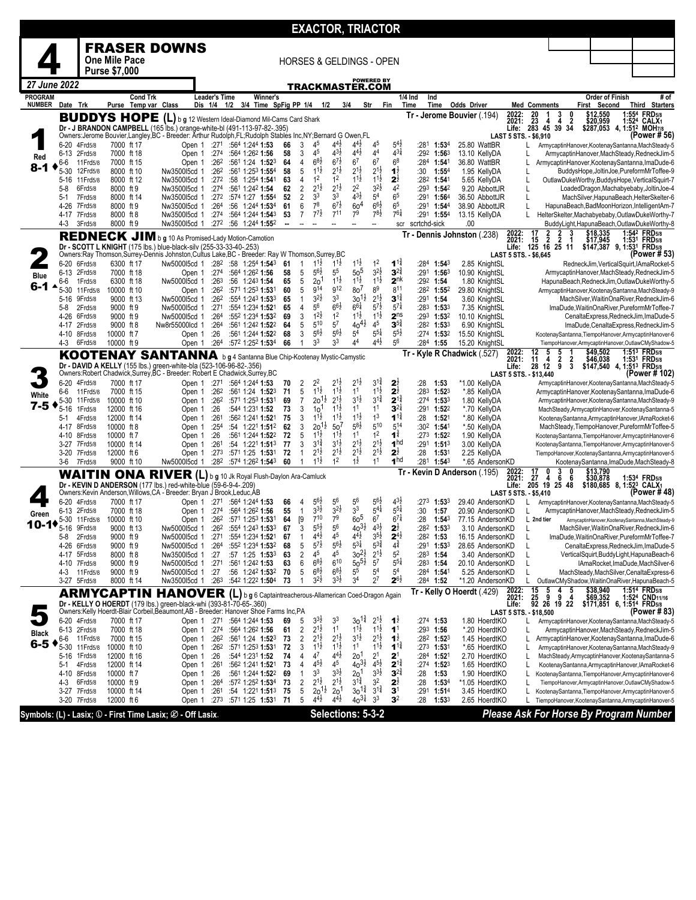|                                 |                 |                              |                                              |                                                                                                                                                                                                                      |                                     |                                                               |          |                        |                                            |                                            | <b>EXACTOR, TRIACTOR</b>                 |                                            |                                               |                                                       |                                                |                                                                                                          |                                         |                                                                                                            |
|---------------------------------|-----------------|------------------------------|----------------------------------------------|----------------------------------------------------------------------------------------------------------------------------------------------------------------------------------------------------------------------|-------------------------------------|---------------------------------------------------------------|----------|------------------------|--------------------------------------------|--------------------------------------------|------------------------------------------|--------------------------------------------|-----------------------------------------------|-------------------------------------------------------|------------------------------------------------|----------------------------------------------------------------------------------------------------------|-----------------------------------------|------------------------------------------------------------------------------------------------------------|
|                                 |                 |                              |                                              | <b>FRASER DOWNS</b>                                                                                                                                                                                                  |                                     |                                                               |          |                        |                                            |                                            |                                          |                                            |                                               |                                                       |                                                |                                                                                                          |                                         |                                                                                                            |
|                                 |                 |                              | <b>One Mile Pace</b><br><b>Purse \$7,000</b> |                                                                                                                                                                                                                      |                                     |                                                               |          |                        |                                            |                                            | <b>HORSES &amp; GELDINGS - OPEN</b>      |                                            |                                               |                                                       |                                                |                                                                                                          |                                         |                                                                                                            |
| 27 June 2022                    |                 |                              |                                              |                                                                                                                                                                                                                      |                                     |                                                               |          |                        |                                            |                                            | <b>POWERED BY</b><br>TRACKMASTER.COM     |                                            |                                               |                                                       |                                                |                                                                                                          |                                         |                                                                                                            |
| <b>PROGRAM</b><br><b>NUMBER</b> |                 | Date Trk                     | <b>Cond Trk</b><br>Purse Temp var Class      |                                                                                                                                                                                                                      | <b>Leader's Time</b><br>Dis 1/4 1/2 | Winner's<br>3/4 Time SpFig PP 1/4 1/2                         |          |                        |                                            | 3/4                                        | Str                                      |                                            | Fin                                           | 1/4 Ind<br>Ind<br>Time<br>Time                        | <b>Odds Driver</b>                             | <b>Med Comments</b>                                                                                      | <b>Order of Finish</b><br>First Second  | # of<br>Third Starters                                                                                     |
|                                 |                 |                              | <b>BUDDYS HOPE</b>                           |                                                                                                                                                                                                                      |                                     | (L) b g 12 Western Ideal-Diamond Mil-Cams Card Shark          |          |                        |                                            |                                            |                                          |                                            |                                               |                                                       | Tr - Jerome Bouvier (.194)                     | 2022:<br>$^{20}_{23}$<br>$\frac{3}{4}$<br>1<br>2021:<br>4                                                | 0<br>\$12,550<br>$\ddot{2}$<br>\$20,959 | <b>FRD</b> 5/8<br>1:554<br>1:524 CALX1                                                                     |
|                                 |                 |                              |                                              | Dr - J BRANDON CAMPBELL (165 lbs.) orange-white-bl (491-113-97-82-.395)<br>Owners: Jerome Bouvier, Langley, BC - Breeder: Arthur Rudolph, FL; Rudolph Stables Inc, NY; Bernard G Owen, FL                            |                                     |                                                               |          |                        |                                            |                                            |                                          |                                            |                                               |                                                       |                                                | 283 45 39 34<br>Life:<br>LAST 5 STS. - \$6,910                                                           |                                         | \$287,053 4, 1:51 <sup>2</sup> MOH7/8<br>(Power # 56)                                                      |
| Red                             | 6-20            | 4Frd5/8<br>6-13 2Frd5/8      | 7000 ft 17<br>7000 ft 18                     | Open 1                                                                                                                                                                                                               | :274                                | Open 1 :271 :564 1:244 1:53<br>:564 1:262 1:56                | 66<br>58 | 3<br>3                 | 45<br>45                                   | $4^{4}$ <sub>2</sub><br>$4^{3}\frac{1}{2}$ | $4^{4}$ <sub>2</sub><br>$4^{4}$          | 45<br>44                                   | $5^{4}$<br>$4^{31}$                           | :281<br>1:53 <sup>4</sup><br>:292 1:563               | 25.80 WattBR<br>13.10 KellyDA                  | L                                                                                                        |                                         | ArmycaptinHanover,KootenaySantanna,MachSteady-5<br>ArmycaptinHanover.MachSteady.RedneckJim-5               |
| 8-1                             | 6-6<br>5-30     | 11 Frd 5/8<br>12Frd5/8       | 7000 ft 15<br>8000 ft 10                     | Open 1<br>Nw350015cd 1                                                                                                                                                                                               | :262<br>:262                        | :561 1:24 1:523<br>:561 1:253 1:554                           | 64<br>58 | 4<br>5                 | $6^{8}\frac{1}{2}$<br>$11\frac{1}{2}$      | $6^{7\frac{1}{2}}$<br>$2^{1\frac{1}{2}}$   | $6^7$<br>21}                             | 6 <sup>7</sup><br>$2^{1\frac{1}{2}}$       | 6 <sup>8</sup><br>$1\frac{1}{2}$              | :284<br>1:541<br>:30<br>1:554                         | 36.80 WattBR<br>1.95 KellvDA                   |                                                                                                          |                                         | ArmycaptinHanover, KootenaySantanna, ImaDude-6<br>BuddysHope, JoltinJoe, PureformMrToffee-9                |
|                                 | 5-8             | 5-16 11 Frd 5/8<br>6Frd5/8   | 8000 ft 12<br>8000 ft 9                      | Nw350015cd 1<br>Nw350015cd 1                                                                                                                                                                                         | :272<br>:274                        | :58 1:254 1:541<br>:561 1:242 1:54                            | 63<br>62 | 4<br>2                 | 1 <sup>2</sup><br>$2^{1\frac{1}{2}}$       | 1 <sup>2</sup><br>$2^{1\frac{1}{2}}$       | $11\frac{1}{2}$<br>2 <sup>2</sup>        | $1^{1\frac{1}{2}}$<br>$3^{2}\frac{1}{2}$   | $2^{\frac{1}{2}}$<br>42                       | :282 1:541<br>:293 1:542                              | 5.65 KellyDA<br>9.20 AbbottJR                  | L                                                                                                        |                                         | OutlawDukeWorthy,BuddysHope,VerticalSquirt-7<br>LoadedDragon, Machabyebaby, JoltinJoe-4                    |
|                                 | 5-1             | 7Frd5/8                      | 8000 ft 14                                   | Nw350015cd 1                                                                                                                                                                                                         | :272                                | :574 1:27 1:554                                               | 52       | $\overline{2}$         | 3 <sup>3</sup><br>78                       | 3 <sup>3</sup><br>$6^{7\frac{1}{2}}$       | $4^{3}\frac{1}{2}$                       | 5 <sup>4</sup>                             | 6 <sup>5</sup>                                | :291<br>1:56 <sup>4</sup>                             | 36.50 AbbottJR                                 | L                                                                                                        |                                         | MachSilver, HapunaBeach, HelterSkelter-6                                                                   |
|                                 | 4-26            | 7Frd5/8<br>4-17 7Frd5/8      | 8000 ft 9<br>8000 ft 8                       | Nw350015cd 1<br>Nw350015cd 1                                                                                                                                                                                         | :264<br>:274                        | :56 1:244 1:534<br>:564 1:244 1:543                           | 61<br>53 | 6<br>$\overline{7}$    | $7^{7}\frac{1}{2}$                         | $7^{11}$                                   | 60 <sup>4</sup><br>7 <sup>9</sup>        | $66\frac{1}{2}$<br>$7^{8}$ <sub>2</sub>    | 6 <sup>5</sup><br>$76\frac{1}{4}$             | :291 1:544<br>$:291$ 1:554                            | 38.90 AbbottJR<br>13.15 KellyDA                | L                                                                                                        |                                         | HapunaBeach, BadMoonHorizon, IntelligentAm-7<br>HelterSkelter, Machabyebaby, OutlawDukeWorthy-7            |
|                                 | 4-3             | 3Frd5/8                      | 8000 ft 9                                    | Nw350015cd 1<br>REDNECK JIM b g 10 As Promised-Lady Motion-Camotion                                                                                                                                                  |                                     | $:27^2$ :56 1:244 1:55 <sup>2</sup>                           | −−       |                        |                                            |                                            | --                                       | Ξ.                                         | scr                                           | scrtchd-sick                                          | .00<br>Tr - Dennis Johnston (.238)             | $\frac{2}{2}$<br>17<br>$\frac{2}{2}$<br>2022:                                                            | \$18,335<br>3                           | BuddyLight, HapunaBeach, OutlawDukeWorthy-8<br>1:542 FRD <sub>5/8</sub>                                    |
|                                 |                 |                              |                                              | Dr - SCOTT L KNIGHT (175 lbs.) blue-black-silv (255-33-33-40-.253)<br>Owners:Ray Thomson,Surrey-Dennis Johnston,Cultus Lake,BC - Breeder: Ray W Thomson,Surrey,BC                                                    |                                     |                                                               |          |                        |                                            |                                            |                                          |                                            |                                               |                                                       |                                                | 2021:<br>15<br>125 16 25 11<br>Life:<br>LAST 5 STS. - \$6,645                                            | \$17,945                                | 1:531 FRD5/8<br>\$147,387 9, 1:531 FRD5/8<br>(Power # 53)                                                  |
|                                 | 6-13            | 6-20 6Frd5/8<br>2Frd5/8      | 6300 ft 17<br>7000 ft 18                     | Nw500015cd 1<br>Open 1                                                                                                                                                                                               | :274                                | $:28^2$ :58 1:254 1:543<br>:564 1:262 1:56                    | 61<br>58 | 1<br>5                 | $1^{1}\frac{1}{2}$<br>$56\frac{1}{2}$      | $1^{1}\frac{1}{2}$<br>55                   | $1^{11}$<br>50 <sup>5</sup>              | 1 <sup>2</sup><br>$3^{2}\frac{1}{2}$       | $1^{1\frac{3}{4}}$<br>$3^{24}$                | :284<br>$1:54^3$<br>:291<br>1:563                     | 2.85 KnightSL<br>10.90 KnightSL                |                                                                                                          |                                         | RedneckJim, VerticalSquirt, IAmaRocket-5<br>ArmycaptinHanover,MachSteady,RedneckJim-5                      |
| Blue<br>6-1                     | 6-6             | 1Frd5/8                      | 6300 ft 18                                   | Nw500015cd 1                                                                                                                                                                                                         | :26 <sup>3</sup>                    | :56 1:243 1:54                                                | 65       | 5                      | 2 <sup>o</sup>                             | $1^{1\frac{1}{2}}$                         | $1^{1\frac{1}{2}}$                       | $1^{1\frac{1}{2}}$                         | 2 <sup>nk</sup>                               | :292 1:54                                             | 1.80 KnightSL                                  |                                                                                                          |                                         | HapunaBeach, RedneckJim, OutlawDukeWorthy-5                                                                |
|                                 | $5 - 30$        | 11 Frd 5/8<br>5-16 9Frd5/8   | 10000 ft 10<br>9000 ft 13                    | Open 1<br>Nw500015cd 1                                                                                                                                                                                               | :26 <sup>2</sup><br>:262            | :571 1:253 1:531<br>:554 1:243 1:533                          | 60<br>65 | 5<br>$\mathbf{1}$      | g <sub>14</sub><br>$3^{2}\frac{1}{2}$      | g <sub>12</sub><br>3 <sup>3</sup>          | 80'<br>3o l                              | 8 <sup>9</sup><br>$2^{1\frac{1}{2}}$       | 811<br>$3^{14}$                               | $:28^2$ 1:55 <sup>2</sup><br>:291 1:54                | 29.80 KnightSL<br>3.60 KnightSL                |                                                                                                          |                                         | ArmycaptinHanover,KootenaySantanna,MachSteady-9<br>MachSilver, WaitinOnaRiver, RedneckJim-6                |
|                                 | 5-8<br>4-26     | 2Frd5/8<br>6Frd5/8           | 9000 ft 9<br>9000 ft 9                       | Nw500015cd 1<br>Nw500015cd 1                                                                                                                                                                                         | :271<br>:264                        | :554 1:234 1:521<br>:552 1:234 1:532                          | 65<br>69 | 4<br>3                 | 5 <sup>6</sup><br>$12$ <sub>2</sub>        | $6^{6}\frac{1}{2}$<br>1 <sup>2</sup>       | $66\frac{1}{4}$<br>$1^{1\frac{1}{2}}$    | $5^{7}$ <sub>2</sub><br>$1^{1\frac{1}{2}}$ | $5^{7}$<br>2 <sup>ns</sup>                    | $:28^3$ 1:533<br>$:293$ 1:532                         | 7.35 KnightSL<br>10.10 KnightSL                |                                                                                                          |                                         | ImaDude, WaitinOnaRiver, PureformMrToffee-7<br>CenaltaExpress, RedneckJim, ImaDude-5                       |
|                                 | 4-17<br>4-10    | 2Frd5/8<br>8Frd5/8           | 9000 ft 8<br>10000 ft 7                      | Nw8r55000lcd 1<br>Open 1                                                                                                                                                                                             | :264<br>:26                         | :561 1:242 1:522<br>:561 1:244 1:522                          | 64<br>68 | 5<br>3                 | $5^{10}$<br>$5^{6}\frac{1}{2}$             | 5 <sup>7</sup><br>$5^{6}\frac{1}{2}$       | $40^{4}$<br>5 <sup>4</sup>               | $4^5\,$<br>$5^{5\frac{1}{4}}$              | $3^{5^3}$<br>$5^{5}2$                         | $:28^2$ 1:53 <sup>3</sup><br>$:274$ 1:532             | 6.90 KnightSL<br>15.50 KnightSL                |                                                                                                          |                                         | ImaDude,CenaltaExpress,RedneckJim-5<br>KootenaySantanna,TiempoHanover,ArmycaptinHanover-6                  |
|                                 | 4-3             | 6Frd5/8                      | 10000 ft 9                                   | Open 1                                                                                                                                                                                                               | :264                                | :572 1:252 1:534                                              | 66       | 1                      | 3 <sup>3</sup>                             | 3 <sup>3</sup>                             | 44                                       | 44½                                        | 56                                            | :284 1:55                                             | 15.20 KnightSL                                 | 5                                                                                                        |                                         | TiempoHanover,ArmycaptinHanover,OutlawCMyShadow-5<br>1:513 FRD <sub>5/8</sub>                              |
|                                 |                 |                              |                                              | KOOTENAY SANTANNA b g 4 Santanna Blue Chip-Kootenay Mystic-Camystic<br>Dr - DAVID A KELLY (155 lbs.) green-white-bla (523-106-96-82-.356)<br>Owners:Robert Chadwick,Surrey,BC - Breeder: Robert E Chadwick,Surrey,BC |                                     |                                                               |          |                        |                                            |                                            |                                          |                                            |                                               |                                                       | Tr - Kyle R Chadwick (.527)                    | 2022:<br>12<br>5<br>$\begin{array}{cc} 2 & 2 \\ 9 & 3 \end{array}$<br>2021:<br>11<br>4<br>28 12<br>Life: | \$49,502<br>\$46,038                    | 1:531 FRD <sub>5/8</sub><br>\$147,540 4, 1:513 FRD5/8                                                      |
|                                 | 6-20            | 4Frd5/8                      | 7000 ft 17                                   | Open 1                                                                                                                                                                                                               | :271                                | :564 1:244 1:53                                               | 70       | $\overline{c}$         | 22                                         | $2^{1\frac{1}{2}}$                         | 21초                                      | $3^{11}$                                   | 2 <sub>2</sub>                                | :28<br>1:53                                           | *1.00 KellyDA                                  | LAST 5 STS. - \$13,440                                                                                   |                                         | (Power # 102)<br>ArmycaptinHanover,KootenaySantanna,MachSteady-5                                           |
| White                           | 6-6<br>$5 - 30$ | 11 Frd 5/8<br>11 Frd 5/8     | 7000 ft 15<br>10000 ft 10                    | Open 1<br>Open 1                                                                                                                                                                                                     | :262<br>:262                        | :561 1:24 1:523<br>:571 1:253 1:531                           | 71<br>69 | 5<br>7                 | $1^{1\frac{1}{2}}$<br>$20^{11}$            | $1^{1\frac{1}{2}}$<br>$2^{1\frac{1}{2}}$   | 1 <sup>1</sup><br>$3^{1}\frac{1}{2}$     | $1^{1\frac{1}{2}}$<br>$3^{1\frac{3}{4}}$   | $2\frac{1}{2}$<br>$2^{11}$                    | :283<br>1:52 <sup>3</sup><br>:274 1:533               | *.85 KellyDA<br>1.80 KellyDA                   |                                                                                                          |                                         | ArmycaptinHanover, KootenaySantanna, ImaDude-6<br>ArmycaptinHanover,KootenaySantanna,MachSteady-9          |
| 7-5                             | 5-16<br>5-1     | 1Frd5/8<br>4Frd5/8           | 12000 ft 16<br>12000 ft 14                   | Open 1<br>Open 1                                                                                                                                                                                                     | :26<br>:261                         | :544 1:231 1:52<br>:562 1:241 1:521                           | 73<br>75 | 3<br>3                 | 10 <sup>1</sup><br>$1^{1\frac{1}{2}}$      | $11\frac{1}{2}$<br>$1^{1\frac{1}{2}}$      | 11<br>$1^{1\frac{1}{2}}$                 | 11<br>1 <sup>3</sup>                       | $3^{2}$<br>$1^{1\frac{3}{4}}$                 | :291<br>1:522<br>:28<br>1:521                         | *.70 KellyDA<br>*.80 KellyDA                   |                                                                                                          |                                         | MachSteady,ArmycaptinHanover,KootenaySantanna-5<br>KootenaySantanna,ArmycaptinHanover,IAmaRocket-6         |
|                                 |                 | 4-17 8Frd5/8                 | 10000 ft 8                                   | Open 1                                                                                                                                                                                                               | :254                                | :54 1:221 1:512                                               | 62       | 3                      | $20^{11}$                                  | 50 <sup>7</sup>                            | $5^{8}$                                  | 510                                        | 514                                           | :302 1:541                                            | *.50 KellyDA                                   |                                                                                                          |                                         | MachSteady, TiempoHanover, PureformMrToffee-5                                                              |
|                                 | $3-27$          | 4-10 8Frd5/8<br>7Frd5/8      | 10000 ft 7<br>10000 ft 14                    | Open 1<br>Open 1                                                                                                                                                                                                     | :26<br>:261                         | :561 1:244 1:522<br>$:54$ 1:22 <sup>1</sup> 1:51 <sup>3</sup> | 72<br>77 | 5<br>3                 | $11\frac{1}{2}$<br>$3^{1\frac{3}{4}}$      | $1^{11}$<br>$3^{1\frac{1}{2}}$             | 1 <sup>1</sup><br>21촌                    | 1 <sup>2</sup><br>$2^{1\frac{1}{2}}$       | $\mathbf{1}^{\frac{3}{4}}$<br>1 <sup>hd</sup> | $:273$ 1:52 <sup>2</sup><br>$:291$ 1:513              | 1.90 KellyDA<br>3.00 KellyDA                   |                                                                                                          |                                         | KootenaySantanna,TiempoHanover,ArmycaptinHanover-6<br>KootenaySantanna,TiempoHanover,ArmycaptinHanover-5   |
|                                 | 3-6             | 3-20 7Frd5/8<br>7Frd5/8      | 12000 ft 6<br>9000 ft 10                     | Open 1<br>Nw500015cd 1                                                                                                                                                                                               | :27 <sup>3</sup><br>:282            | :571 1:25 1:531<br>:574 1:262 1:543                           | 72<br>60 | $\mathbf{1}$<br>1      | 2 <sup>1</sup> ż<br>$1^{1}\frac{1}{2}$     | $2^{1\frac{1}{2}}$<br>1 <sup>2</sup>       | $2^{1}$<br>$1\frac{1}{2}$                | $2^{1\frac{1}{2}}$<br>1 <sup>1</sup>       | $2^{\frac{1}{2}}$<br>1 <sup>hd</sup>          | :28<br>1:53 <sup>1</sup><br>:281<br>1:54 <sup>3</sup> | 2.25 KellyDA<br>*.65 AndersonKD                |                                                                                                          |                                         | TiempoHanover,KootenaySantanna,ArmycaptinHanover-5<br>KootenaySantanna, ImaDude, MachSteady-8              |
|                                 |                 |                              |                                              | WAITIN ONA RIVER (L) b g 10 Jk Royal Flush-Daylon Ara-Camluck                                                                                                                                                        |                                     |                                                               |          |                        |                                            |                                            |                                          |                                            | Tr                                            |                                                       | Kevin D Anderson (.195)                        | 2022:<br>17<br>$\frac{3}{6}$<br>0<br>2021:<br>27<br>4                                                    | 0<br>\$13,790<br>6<br>\$30,878          | 1:534 FRD5/8                                                                                               |
|                                 |                 |                              |                                              | Dr - KEVIN D ANDERSON (177 lbs.) red-white-blue (59-6-9-4-.209)<br>Owners: Kevin Anderson, Willows, CA - Breeder: Bryan J Brook, Leduc, AB                                                                           |                                     |                                                               |          |                        |                                            |                                            |                                          |                                            |                                               |                                                       |                                                | 205 19<br>25 48<br>Life:<br>LAST 5 STS. - \$5,410                                                        |                                         | \$180,685 8, 1:523 CALX1<br>(Power # 48)                                                                   |
| Green                           |                 | 6-20 4Frd5/8<br>6-13 2Frd5/8 | 7000 ft 17<br>7000 ft 18                     | Open 1<br>Open 1                                                                                                                                                                                                     |                                     | $:27^1$ $:56^4$ 1:244 1:53<br>$:274$ $:564$ 1:262 1:56        | 66<br>55 | 4<br>$\mathbf{1}$      | $5^{6}$<br>$3^{3}\frac{1}{2}$              | $5^6$<br>$3^{2}\frac{1}{2}$                | 56<br>3 <sup>3</sup>                     | $5^{6}\frac{1}{2}$<br>$5^{41}$             | $4^{3}\frac{1}{2}$<br>$5^{5}$                 | :273<br>1:53 <sup>3</sup><br>:30<br>1:57              | 29.40 AndersonKD<br>20.90 AndersonKD           |                                                                                                          |                                         | ArmycaptinHanover,KootenaySantanna,MachSteady-5<br>ArmycaptinHanover,MachSteady,RedneckJim-5               |
| 10.                             | 5-16            | 5-30 11 Frd 5/8<br>9Frd5/8   | 10000 ft 10<br>9000 ft 13                    | Open 1<br>Nw5000l5cd 1                                                                                                                                                                                               | :262                                | $:26^2$ :571 1:253 1:531<br>:554 1:243 1:533                  | 64<br>67 | $\lceil 9 \rceil$<br>3 | $7^{10}$<br>$5^{5}$                        | 7 <sup>9</sup><br>56                       | 60 <sup>5</sup><br>$40^{31}$             | 6 <sup>7</sup><br>$4^{3}\frac{1}{2}$       | $6^{7\frac{1}{4}}$<br>2 <sub>2</sub>          | :28<br>1:54 <sup>3</sup><br>:282 1:533                | 77.15 AndersonKD<br>3.10 AndersonKD            | L 2nd tier                                                                                               |                                         | ArmycaptinHanover,KootenaySantanna,MachSteady-9<br>MachSilver, WaitinOnaRiver, RedneckJim-6                |
|                                 | 5-8             | 2Frd5/8                      | 9000 ft 9                                    | Nw500015cd 1                                                                                                                                                                                                         | :271                                | :554 1:234 1:521                                              | 67       | 1                      | $4^{4}$ <sub>2</sub><br>$5^{7\frac{1}{2}}$ | 4 <sup>5</sup><br>$5^{6}\frac{1}{2}$       | 44½<br>$5^{3\frac{1}{4}}$                | $3^{51}$<br>$5^{3}\frac{3}{4}$             | $2^{4}$<br>$4^{\frac{3}{4}}$                  | $:28^2$ 1:53                                          | 16.15 AndersonKD                               | L                                                                                                        |                                         | ImaDude.WaitinOnaRiver.PureformMrToffee-7                                                                  |
|                                 | 4-17            | 4-26 6Frd5/8<br>5Frd5/8      | 9000 ft 9<br>8000 ft 8                       | Nw500015cd 1<br>Nw350015cd 1                                                                                                                                                                                         | :264<br>:27                         | :552 1:234 1:532<br>:57 1:25 1:533                            | 68<br>63 | 5<br>2                 | 45                                         | 4 <sup>5</sup>                             | $30^{21}$                                | $2^{1\frac{1}{2}}$                         | 5 <sup>2</sup>                                | $:291$ 1:533<br>$:283$ 1:54                           | 28.65 AndersonKD<br>3.40 AndersonKD            | L                                                                                                        |                                         | CenaltaExpress, RedneckJim, ImaDude-5<br>VerticalSquirt,BuddyLight,HapunaBeach-6                           |
|                                 | 4-3             | 4-10 7Frd5/8<br>11 Frd 5/8   | 9000 ft 9<br>9000 ft 9                       | Nw500015cd 1<br>Nw500015cd 1                                                                                                                                                                                         | :271<br>:27                         | :561 1:242 1:53<br>:56 1:242 1:532                            | 63<br>70 | 6<br>5                 | $6^{8}\frac{1}{2}$<br>$6^{8}\frac{1}{2}$   | $6^{10}$<br>$68\frac{1}{2}$                | $50^{51}$<br>55                          | 5 <sup>7</sup><br>5 <sup>4</sup>           | $5^{5\frac{1}{4}}$<br>5 <sup>4</sup>          | $:28^3$ 1:54<br>:284 1:541                            | 20.10 AndersonKD<br>5.25 AndersonKD            |                                                                                                          |                                         | IAmaRocket, ImaDude, MachSilver-6<br>MachSteady, MachSilver, Cenalta Express-6                             |
|                                 |                 | 3-27 5Frd5/8                 | 8000 ft 14                                   | Nw350015cd 1                                                                                                                                                                                                         | :26 <sup>3</sup>                    | :542 1:222 1:504                                              | 73       | $\overline{1}$         | $3^{2}\frac{1}{2}$                         | $3^{3}\frac{1}{2}$                         | 34                                       | $2^7$                                      | $2^{6\frac{1}{2}}$                            | :284 1:52                                             | *1.20 AndersonKD<br>Tr - Kelly O Hoerdt (.429) | L.<br>5<br>4                                                                                             | 5                                       | OutlawCMyShadow,WaitinOnaRiver,HapunaBeach-5<br>1:514 FRD <sub>5/8</sub>                                   |
|                                 |                 |                              | <b>ARMYCAPTIN</b>                            | HANOVER (L) b g 6 Captaintreacherous-Allamerican Coed-Dragon Again<br>Dr - KELLY O HOERDT (179 lbs.) green-black-whi (393-81-70-65-.360)                                                                             |                                     |                                                               |          |                        |                                            |                                            |                                          |                                            |                                               |                                                       |                                                | $\frac{15}{25}$<br>2022:<br>2021:<br>9<br>9<br>92 26 19 22<br>Life:                                      | \$38,940<br>\$69,352<br>4               | 1:524 CND <sub>11/16</sub><br>\$171,851 6, 1:514 FRD5/8                                                    |
|                                 |                 | 6-20 4Frd5/8                 | 7000 ft 17                                   | Owners: Kelly Hoerdt-Blair Corbeil, Beaumont, AB - Breeder: Hanover Shoe Farms Inc, PA                                                                                                                               |                                     | Open 1 :271 :564 1:244 1:53                                   | 69       | 5                      | $3^{3}$                                    | 3 <sup>3</sup>                             | $30^{14}$                                | $2^{1}\frac{1}{2}$                         | $1\overline{2}$                               | $:274$ 1:53                                           | 1.80 HoerdtKO                                  | LAST 5 STS. - \$18,500<br>L                                                                              |                                         | (Power # 83)<br>ArmycaptinHanover,KootenaySantanna,MachSteady-5                                            |
| Black                           | 6-6             | 6-13 2Frd5/8<br>11 Frd 5/8   | 7000 ft 18<br>7000 ft 15                     | Open 1                                                                                                                                                                                                               | :274<br>Open 1 :262                 | :564 1:262 1:56<br>:561 1:24 1:523                            | 61<br>73 | 2<br>2                 | $2^{1\frac{1}{2}}$<br>$2^{1\frac{1}{2}}$   | 1 <sup>1</sup><br>$2^{1\frac{1}{2}}$       | $1^{1\frac{1}{2}}$<br>$3^{1\frac{1}{2}}$ | $1^{1\frac{1}{2}}$<br>$2^{1\frac{1}{2}}$   | 1 <sup>1</sup><br>$1\overline{2}$             | $:29^3$ 1:56<br>:282 1:523                            | *.20 HoerdtKO<br>1.45 HoerdtKO                 | L                                                                                                        |                                         | ArmycaptinHanover, MachSteady, RedneckJim-5<br>ArmycaptinHanover, KootenaySantanna, ImaDude-6              |
| 6-5                             | 5-30            | 11 Frd 5/8                   | 10000 ft 10<br>12000 ft 16                   | Open 1                                                                                                                                                                                                               | :26 <sup>2</sup><br>:26             | :571 1:253 1:531<br>:544 1:231 1:52                           | 72<br>74 | 3<br>4                 | $1^{11}$<br>47                             | $1^{1\frac{1}{2}}$<br>$4^{4}$              | 1 <sup>1</sup><br>2o <sup>1</sup>        | $1^{1}\frac{1}{2}$<br>2 <sup>1</sup>       | $1^{12}$<br>2 <sup>1</sup>                    | $:273$ 1:531<br>:284 1:521                            | *.65 HoerdtKO<br>2.70 HoerdtKO                 | L                                                                                                        |                                         | ArmycaptinHanover,KootenaySantanna,MachSteady-9                                                            |
|                                 | 5-16<br>5-1     | 1Frd5/8<br>4Frd5/8           | 12000 ft 14                                  | Open 1<br>Open 1                                                                                                                                                                                                     | :261                                | :562 1:241 1:521                                              | 73       | $\overline{4}$         | $4^{5}\frac{1}{2}$                         | 4 <sup>5</sup>                             | $40^{31/2}$                              | $4^{5}\frac{1}{2}$                         | $2^{11}$                                      | $:27^4$ 1:52 <sup>3</sup>                             | 1.65 HoerdtKO                                  | L.                                                                                                       |                                         | MachSteady,ArmycaptinHanover,KootenaySantanna-5<br>KootenaySantanna,ArmycaptinHanover,IAmaRocket-6         |
|                                 | 4-3             | 4-10 8Frd5/8<br>6Frd5/8      | 10000 ft 7<br>10000 ft 9                     | Open 1<br>Open 1                                                                                                                                                                                                     | :26<br>:264                         | :561 1:244 1:522<br>:572 1:252 1:534                          | 69<br>73 | $\mathbf{1}$<br>2      | 3 <sup>3</sup><br>$2^{1\frac{1}{2}}$       | $3^{3}\frac{1}{2}$<br>$2^{1\frac{1}{2}}$   | 2o <sup>1</sup><br>$3^{1\frac{3}{4}}$    | $3^{3}\frac{1}{2}$<br>32                   | $3^{27}$<br>$2^{\frac{1}{2}}$                 | :28<br>1:53<br>:28<br>1:534                           | 1.90 HoerdtKO<br>*1.05 HoerdtKO                | L                                                                                                        |                                         | KootenaySantanna,TiempoHanover,ArmycaptinHanover-6<br>TiempoHanover,ArmycaptinHanover,OutlawCMyShadow-5    |
|                                 |                 | 3-27 7Frd5/8<br>3-20 7Frd5/8 | 10000 ft 14<br>12000 ft 6                    | Open 1<br>Open 1                                                                                                                                                                                                     | :261<br>:273                        | :54 1:221 1:513 75<br>:571 1:25 1:531                         | 71       | 5<br>5                 | $20^{11}$<br>$4^{4}$ <sub>2</sub>          | 2 <sup>0</sup><br>$4^{4}$ <sub>2</sub>     | $30^{14}$<br>$40^{31}$                   | $3^{1\frac{3}{4}}$<br>3 <sup>3</sup>       | 3 <sup>1</sup><br>3 <sup>2</sup>              | :291<br>1:51 <sup>4</sup><br>:28<br>1:53 <sup>3</sup> | 3.45 HoerdtKO<br>2.65 HoerdtKO                 |                                                                                                          |                                         | KootenaySantanna,TiempoHanover,ArmycaptinHanover-5<br>TiempoHanover, KootenaySantanna, ArmycaptinHanover-5 |
|                                 |                 |                              |                                              | Symbols: (L) - Lasix; 1 - First Time Lasix; 2 - Off Lasix.                                                                                                                                                           |                                     |                                                               |          |                        |                                            |                                            | Selections: 5-3-2                        |                                            |                                               |                                                       |                                                | Please Ask For Horse By Program Number                                                                   |                                         |                                                                                                            |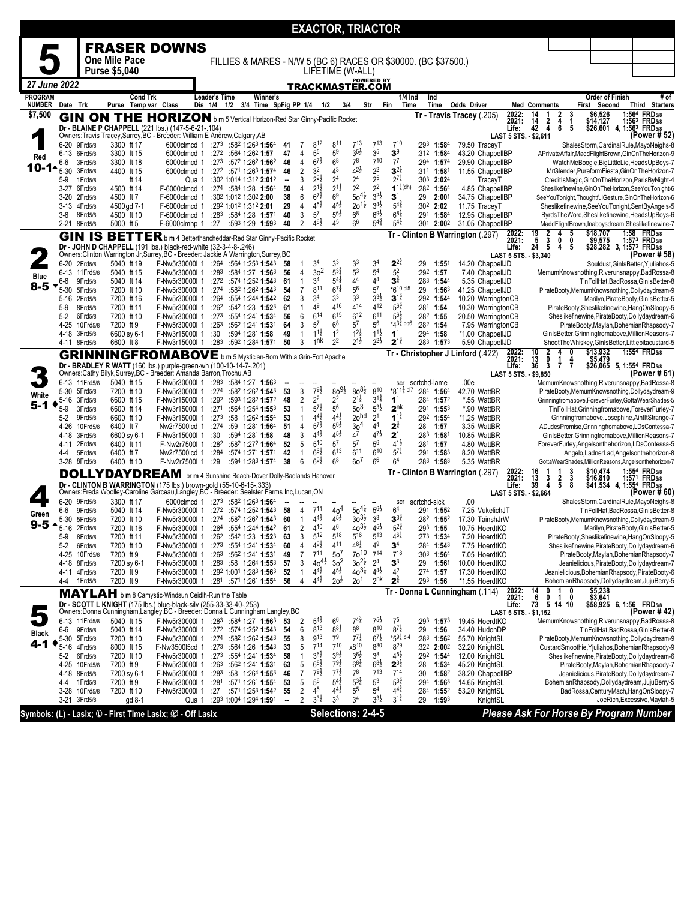|                                 |                             |                                 |                                         |                                                                                                                                                              |                          |     |                                                                                                   |                                |                                |                                              |                                          | <b>EXACTOR, TRIACTOR</b>                 |                                            |                                            |              |                                                  |                                                      |                         |                                                                                               |                                           |      |                                                                                                   |
|---------------------------------|-----------------------------|---------------------------------|-----------------------------------------|--------------------------------------------------------------------------------------------------------------------------------------------------------------|--------------------------|-----|---------------------------------------------------------------------------------------------------|--------------------------------|--------------------------------|----------------------------------------------|------------------------------------------|------------------------------------------|--------------------------------------------|--------------------------------------------|--------------|--------------------------------------------------|------------------------------------------------------|-------------------------|-----------------------------------------------------------------------------------------------|-------------------------------------------|------|---------------------------------------------------------------------------------------------------|
|                                 |                             |                                 |                                         | <b>FRASER DOWNS</b>                                                                                                                                          |                          |     |                                                                                                   |                                |                                |                                              |                                          |                                          |                                            |                                            |              |                                                  |                                                      |                         |                                                                                               |                                           |      |                                                                                                   |
|                                 |                             |                                 | <b>One Mile Pace</b>                    |                                                                                                                                                              |                          |     | FILLIES & MARES - N/W 5 (BC 6) RACES OR \$30000. (BC \$37500.)                                    |                                |                                |                                              |                                          |                                          |                                            |                                            |              |                                                  |                                                      |                         |                                                                                               |                                           |      |                                                                                                   |
|                                 |                             |                                 | <b>Purse \$5,040</b>                    |                                                                                                                                                              |                          |     |                                                                                                   |                                |                                |                                              |                                          | LIFETIME (W-ALL)                         |                                            |                                            |              |                                                  |                                                      |                         |                                                                                               |                                           |      |                                                                                                   |
| 27 June 2022                    |                             |                                 |                                         |                                                                                                                                                              |                          |     |                                                                                                   |                                |                                |                                              |                                          | TRACKMASTER.COM                          | <b>POWERED BY</b>                          |                                            |              |                                                  |                                                      |                         |                                                                                               |                                           |      |                                                                                                   |
| <b>PROGRAM</b><br><b>NUMBER</b> | Date Trk                    |                                 | <b>Cond Trk</b><br>Purse Temp var Class |                                                                                                                                                              | Leader's Time<br>Dis 1/4 | 1/2 | <b>Winner's</b><br>3/4 Time SpFig PP 1/4                                                          |                                |                                | 1/2                                          | 3/4                                      |                                          | Str                                        | $1/4$ Ind<br>Fin<br>Time                   |              | Ind<br>Time                                      | <b>Odds Driver</b>                                   |                         | <b>Med Comments</b>                                                                           | <b>Order of Finish</b><br>First<br>Second |      | # of<br><b>Third Starters</b>                                                                     |
| \$7,500                         |                             |                                 |                                         | <b>GIN ON THE HORIZON</b> b m 5 Vertical Horizon-Red Star Ginny-Pacific Rocket                                                                               |                          |     |                                                                                                   |                                |                                |                                              |                                          |                                          |                                            |                                            |              |                                                  | Tr - Travis Tracey (.205)                            | 2022:<br>2021:          | 14<br>2<br>3<br>1<br>14<br>2<br>4<br>1                                                        | \$6,526<br>\$14,127                       |      | 1:564 FRD5/8<br>1:563 FRD5/8                                                                      |
|                                 |                             |                                 |                                         | Dr - BLAINE P CHAPPELL (221 lbs.) (147-5-6-21-.104)<br>Owners: Travis Tracey, Surrey, BC - Breeder: William E Andrew, Calgary, AB                            |                          |     |                                                                                                   |                                |                                |                                              |                                          |                                          |                                            |                                            |              |                                                  |                                                      | Life:                   | 42<br>4<br>5<br>6<br>LAST 5 STS. - \$2,611                                                    |                                           |      | \$26,601 4, 1:56 <sup>3</sup> FRD <sub>5/8</sub><br>(Power # 52)                                  |
|                                 | 6-20 9Frd5/8                |                                 | 3300 ft 17                              | 6000clmcd 1                                                                                                                                                  |                          |     | $:273$ :582 1:263 1:564                                                                           | 41                             | 7                              | 812                                          | 811                                      | $7^{13}$                                 | $7^{13}$                                   | $7^{10}$                                   | :293         | $1:58^{4}$                                       | 79.50 TraceyT                                        |                         |                                                                                               |                                           |      | ShalesStorm, CardinalRule, MayoNeighs-8                                                           |
| Red                             | 6-13<br>6-6                 | 6Frd5/8<br>3Frd5/8              | 3300 ft 15<br>3300 ft 18                | 6000clmcd 1<br>6000clmcd 1                                                                                                                                   |                          |     | :272 :564 1:262 1:57<br>:273 :572 1:262 1:562                                                     | 47<br>46                       | 4<br>$\overline{4}$            | 55<br>$6^{7}\frac{1}{2}$                     | 5 <sup>9</sup><br>6 <sup>8</sup>         | $3^{51}$<br>$7^8$                        | 3 <sup>5</sup><br>$7^{10}$                 | 3 <sup>9</sup><br>7 <sup>7</sup>           |              | :312 1:584<br>:294 1:574                         | 43.20 ChappelIBP<br>29.90 ChappellBP                 |                         | APrivateAffair,MaddFlightBrown,GinOnTheHorizon-9                                              |                                           |      | WatchMeBoogie, BigLittleLie, HeadsUpBoys-7                                                        |
| 10-14                           | $5 - 30$<br>$5-9$           | 3Frd5/8<br>1Frd5/8              | 4400 ft 15<br>ft 14                     | 6000clmcd 1<br>Qua 1                                                                                                                                         |                          |     | :272 :571 1:263 1:574<br>:302 1:014 1:312 2:012                                                   | 46<br>$\overline{\phantom{a}}$ | 2<br>3                         | 3 <sup>2</sup><br>$2^{2}\frac{1}{2}$         | 43<br>2 <sup>4</sup>                     | $4^{2}\frac{1}{2}$<br>2 <sup>4</sup>     | 2 <sup>2</sup><br>2 <sup>5</sup>           | $3^{21}$<br>$2^{7\frac{1}{4}}$             |              | :311 1:581<br>$:30^3$ 2:024                      | 11.55 ChappelIBP<br>TraceyT                          |                         |                                                                                               |                                           |      | MrGlender, Pureform Fiesta, GinOn The Horizon-7<br>CreditIsMagic, GinOnTheHorizon, ParisByNight-4 |
|                                 | $3-27$                      | 6Frd5/8                         | 4500 ft 14                              | F-6000clmcd 1                                                                                                                                                |                          |     | :274 :584 1:28 1:564                                                                              | 50                             | 4                              | $2^{1\frac{1}{2}}$                           | $2^{1\frac{1}{2}}$                       | 2 <sup>2</sup>                           | 2 <sup>2</sup>                             | $1^{11}$ (dh)                              |              | :282 1:564                                       | 4.85 ChappelIBP                                      |                         |                                                                                               |                                           |      | Sheslikefinewine, GinOnTheHorizon, SeeYouTonight-6                                                |
|                                 | $3 - 20$<br>3-13            | 2Frd5/8<br>4Frd5/8              | 4500 ft 7<br>4500 gd 7-1                | F-6000clmcd 1<br>F-6000clmcd 1                                                                                                                               |                          |     | :302 1:012 1:302 2:00<br>:292 1:012 1:312 2:01                                                    | 38<br>29                       | 6<br>4                         | $6^{7}$<br>$4^{5}\frac{1}{2}$                | 6 <sup>9</sup><br>$4^{51}$               | $50^{41}$<br>$20^{11}$                   | $3^{2}\frac{1}{2}$<br>$3^{4}$ <sub>2</sub> | $\mathbf{3}^1$<br>$5^{4}$                  | :29          | 2:00 <sup>1</sup><br>:30 <sup>2</sup> 2:02       | 34.75 ChappelIBP<br>11.75 TraceyT                    |                         | SeeYouTonight, ThoughtfulGesture, GinOnTheHorizon-6                                           |                                           |      | Sheslikefinewine, See YouTonight, SentBy Angels-5                                                 |
|                                 | 3-6                         | 8Frd5/8                         | 4500 ft 10                              | F-6000clmcd 1                                                                                                                                                |                          |     | :283 :584 1:28 1:571                                                                              | 40                             | 3                              | 5 <sup>7</sup>                               | $56\frac{1}{2}$                          | 6 <sup>8</sup>                           | $69\frac{1}{2}$                            | $68\frac{1}{4}$                            |              | :291 1:584                                       | 12.95 ChappelIBP                                     |                         |                                                                                               |                                           |      | ByrdsTheWord,Sheslikefinewine,HeadsUpBoys-6                                                       |
|                                 | 2-21 8Frd5/8                |                                 | 5000 ft 5                               | F-6000clmhp 1<br><b>GIN IS BETTER</b> b m 4 Betterthancheddar-Red Star Ginny-Pacific Rocket                                                                  | :27                      |     | :593 1:29 1:593                                                                                   | 40                             | $\overline{c}$                 | $4^{6}\frac{1}{2}$                           | 45                                       | 6 <sup>6</sup>                           | $5^{4^3}$                                  | $5^{4}$                                    | :301         | 2:002                                            | 31.05 ChappelIBP<br>Tr - Clinton B Warrington (.297) |                         | 4<br>5<br>19                                                                                  | \$18,707                                  | 1:58 | MaddFlightBrown, Inaboysdream, Sheslikefinewine-7<br><b>FRD</b> 5/8                               |
|                                 |                             |                                 |                                         | Dr - JOHN D CHAPPELL (191 lbs.) black-red-white (32-3-4-8-.246)                                                                                              |                          |     |                                                                                                   |                                |                                |                                              |                                          |                                          |                                            |                                            |              |                                                  |                                                      | 2022:<br>2021:<br>Life: | 3<br>-5<br>0<br>0<br>24<br>5<br>4<br>5                                                        | \$9,575                                   |      | 1:573 FRD <sub>5/8</sub><br>\$28,282 3, 1:57 <sup>3</sup> FRD5/8                                  |
|                                 | 6-20 2Frd5/8                |                                 | 5040 ft 19                              | Owners: Clinton Warrington Jr, Surrey, BC - Breeder: Jackie A Warrington, Surrey, BC<br>F-Nw5r30000l 1                                                       | :264                     |     | :564 1:253 <b>1:54</b> 3                                                                          | 58                             | 1                              | 34                                           | 33                                       | 3 <sup>3</sup>                           | 3 <sup>4</sup>                             | $2^{2\frac{3}{4}}$                         | :29          | $1:55^{\circ}$                                   | 14.20 ChappellJD                                     |                         | LAST 5 STS. - \$3,340                                                                         |                                           |      | (Power # 58)<br>Souldust, GinIsBetter, Yjuliahos-5                                                |
| Blue                            | 6-13 11 Frd5/8              |                                 | 5040 ft 15                              | F-Nw5r30000I 1                                                                                                                                               |                          |     | $:28^3$ $:58^4$ 1:27 1:56 <sup>3</sup>                                                            | 56                             | 4                              | 30 <sup>2</sup>                              | $5^{3}\frac{3}{4}$                       | 5 <sup>3</sup>                           | 5 <sup>4</sup>                             | 5 <sup>2</sup>                             |              | :292 1:57                                        | 7.40 ChappellJD                                      |                         | MemumKnowsnothing, Riverunsnappy, BadRossa-8                                                  |                                           |      |                                                                                                   |
| 8-5                             | 6-6<br>$5 - 30$             | 9Frd5/8<br>5Frd5/8              | 5040 ft 14<br>7200 ft 10                | F-Nw5r30000l 1<br>F-Nw5r30000l 1                                                                                                                             | :274                     |     | :272 :574 1:252 1:543<br>:582 1:262 1:543                                                         | 61<br>54                       | $\mathbf{1}$<br>$\overline{7}$ | 3 <sup>4</sup><br>811                        | 54‡<br>$6^{7\frac{1}{4}}$                | 44<br>5 <sup>6</sup>                     | 44<br>5 <sup>7</sup>                       | $3^{\frac{3}{4}}$<br>$*6^{10}$ pl5         | :29          | :283 <b>1:54</b> 4<br>$1:56^3$                   | 5.35 ChappellJD<br>41.25 ChappellJD                  |                         | PirateBooty,MemumKnowsnothing,Dollydaydream-9                                                 |                                           |      | TinFoilHat,BadRossa,GinIsBetter-8                                                                 |
|                                 | $5-16$<br>$5-9$             | 2Frd5/8<br>8Frd5/8              | 7200 ft 16<br>7200 ft 11                | F-Nw5r30000I 1<br>F-Nw5r30000I 1                                                                                                                             | :264<br>:262             |     | :554 1:244 1:542<br>$:54^2$ 1:23 1:52 <sup>3</sup>                                                | 62<br>61                       | 3<br>1                         | 34<br>49                                     | 33<br>416                                | 33<br>414                                | $3^{3}\frac{1}{2}$<br>412                  | $3^{1\frac{3}{4}}$<br>$5^{64}$             |              | :292 1:544<br>$:281$ 1:54                        | 10.20 WarringtonCB<br>10.30 WarringtonCB             |                         |                                                                                               |                                           |      | Marilyn, PirateBooty, GinIsBetter-5<br>PirateBooty, Sheslikefinewine, HangOnSloopy-5              |
|                                 | $5-2$                       | 6Frd5/8                         | 7200 ft 10                              | F-Nw5r30000I 1                                                                                                                                               |                          |     | :273 :554 1:241 1:534                                                                             | 56                             | 6                              | $6^{14}$                                     | 615                                      | 612                                      | 611                                        | $56\frac{1}{2}$                            |              | :282 1:55                                        | 20.50 WarringtonCB                                   |                         |                                                                                               |                                           |      | Sheslikefinewine, PirateBooty, Dollydaydream-6                                                    |
|                                 | 4-25<br>4-18 3Frd5/8        | 10Frd5/8                        | 7200 ft 9<br>6600 sy 6-1                | F-Nw5r30000I 1<br>F-Nw3r15000l 1                                                                                                                             | :263<br>:30              |     | :562 1:241 1:531<br>:594 1:281 1:58                                                               | 64<br>49                       | 3<br>-1                        | $5^7$<br>$1^{11}$                            | 6 <sup>8</sup><br>1 <sup>2</sup>         | $5^7$<br>$12$ <sub>2</sub>               | 5 <sup>6</sup><br>$1^{1\frac{1}{2}}$       | $*4^{3}\frac{3}{4}$ dq6<br>1 <sup>1</sup>  |              | $:282$ 1:54<br>:294 1:58                         | 7.95 WarringtonCB<br>*1.00 ChappellJD                |                         |                                                                                               |                                           |      | PirateBooty, Maylah, Bohemian Rhapsody-7<br>GinIsBetter, Grinningfromabove, MillionReasons-7      |
|                                 | 4-11 8Frd5/8                |                                 | 6600 ft 8                               | F-Nw3r15000l 1                                                                                                                                               | :283                     |     | :592 1:284 1:571                                                                                  | 50                             | 3                              | 1 <sup>nk</sup>                              | 2 <sup>2</sup>                           | $2^{1\frac{1}{2}}$                       | $2^{2\frac{1}{2}}$                         | $2^{1\frac{3}{4}}$                         |              | :28 <sup>3</sup> 1:57 <sup>3</sup>               | 5.90 ChappellJD                                      |                         |                                                                                               |                                           |      | ShootTheWhiskey, GinIsBetter, Littlebitacustard-5                                                 |
|                                 |                             | <b>GRINN</b>                    |                                         | NGFROMABOVE b m 5 Mystician-Born With a Grin-Fort Apache<br>Dr - BRADLEY R WATT (160 lbs.) purple-green-wh (100-10-14-7-.201)                                |                          |     |                                                                                                   |                                |                                |                                              |                                          |                                          |                                            |                                            |              |                                                  | Tr - Christopher J Linford (422)                     | 2022:<br>2021:          | $\overline{2}$<br>10<br>4<br>0<br>0<br>13<br>1<br>4<br>36<br>3                                | \$13,932<br>\$5,479                       |      | 1:554 FRD <sub>5/8</sub>                                                                          |
|                                 |                             |                                 |                                         | Owners:Cathy Bilyk,Surrey,BC - Breeder: Amanda Barron,Trochu,AB                                                                                              |                          |     |                                                                                                   |                                |                                |                                              |                                          |                                          |                                            |                                            |              |                                                  |                                                      | Life:                   | 7 <sub>7</sub><br>LAST 5 STS. - \$9,850                                                       |                                           |      | \$26,065 5, 1:554 FRD5/8<br>(Power # 61)                                                          |
|                                 | 6-13 11 Frd 5/8<br>$5 - 30$ | 5Frd5/8                         | 5040 ft 15<br>7200 ft 10                | F-Nw5r30000l 1<br>F-Nw5r30000l 1                                                                                                                             | :274                     |     | :283 :584 1:27 1:563<br>:582 1:262 1:543                                                          | 53                             | 3                              | $79\frac{1}{2}$                              | $80^{91}$                                | $80^{81}$                                | 810                                        | scr<br>*811 <sup>1</sup> pl7               |              | scrtchd-lame<br>:284 1:564                       | .00e<br>42.70 WattBR                                 |                         | MemumKnowsnothing, Riverunsnappy, BadRossa-8<br>PirateBooty,MemumKnowsnothing,Dollydaydream-9 |                                           |      |                                                                                                   |
| White<br>5-1                    | $5-16$                      | 3Frd5/8                         | 6600 ft 15                              | F-Nw3r15000l 1                                                                                                                                               | :292                     |     | :593 1:282 1:572                                                                                  | 48                             | $\overline{2}$                 | 2 <sup>2</sup><br>$5^{7\frac{1}{2}}$         | $2^2$<br>56                              | $2^{1\frac{1}{2}}$<br>50 <sup>3</sup>    | $3^{1\frac{3}{4}}$<br>$5^{3}\frac{1}{2}$   | 1 <sup>1</sup><br>$2^{nk}$                 |              | :28 <sup>4</sup> 1:57 <sup>2</sup>               | *.55 WattBR                                          |                         | Grinningfromabove, ForeverFurley, GottaWearShades-5                                           |                                           |      |                                                                                                   |
|                                 | $5-9$<br>$5-2$              | 3Frd5/8<br>9Frd5/8              | 6600 ft 14<br>6600 ft 10                | F-Nw3r15000l 1<br>F-Nw3r15000l 1                                                                                                                             | :271<br>:273             |     | :564 1:254 1:553<br>:58 1:262 1:554                                                               | 53<br>53                       | $\mathbf{1}$<br>$\mathbf{1}$   | $4^{4}$                                      | $4^{41}$                                 | 2o <sub>hd</sub>                         | 2 <sup>1</sup>                             | $1^{1\frac{3}{4}}$                         |              | :29 <sup>1</sup> 1:55 <sup>3</sup><br>:292 1:554 | *.90 WattBR<br>*1.25 WattBR                          |                         |                                                                                               |                                           |      | TinFoilHat, Grinningfromabove, ForeverFurley-7<br>Grinningfromabove, Josephine, AintltStrange-7   |
|                                 | $4 - 26$<br>4-18            | 10Frd5/8<br>3Frd5/8             | 6400 ft 7<br>6600 sy 6-1                | Nw2r7500lcd 1<br>F-Nw3r15000l 1                                                                                                                              | :274<br>:30              |     | :59 1:281 1:564<br>:594 1:281 1:58                                                                | -51<br>48                      | 4<br>3                         | $5^{7\frac{1}{2}}$<br>$4^{4}$ <sub>2</sub>   | $5^{6}\frac{1}{2}$<br>$4^{51}$           | 3 <sup>4</sup><br>47                     | 4 <sup>4</sup><br>$4^{7}\frac{1}{2}$       | $2^{3}$<br>$\mathbf{2}^1$                  | :28          | 1:57<br>:283 1:581                               | 3.35 WattBR<br>10.85 WattBR                          |                         | ADudesPromise, Grinningfromabove, LDsContessa-7                                               |                                           |      | GinIsBetter, Grinningfromabove, MillionReasons-7                                                  |
|                                 | 4-11                        | 2Frd5/8                         | 6400 ft 11                              | F-Nw2r7500l 1                                                                                                                                                | :282                     |     | :582 1:272 1:564                                                                                  | 52                             | 5                              | 510                                          | 5 <sup>7</sup>                           | 57                                       | 5 <sup>6</sup>                             | $4^{1\frac{1}{2}}$                         | :281         | 1:57                                             | 4.80 WattBR                                          |                         | ForeverFurley, Angelsonthehorizon, LDsContessa-5                                              |                                           |      |                                                                                                   |
|                                 | $4 - 4$<br>3-28 8Frd5/8     | 5Frd5/8                         | 6400 ft 7<br>6400 ft 10                 | Nw2r7500lcd 1<br>F-Nw2r7500l 1                                                                                                                               | :284<br>:29              |     | :574 1:271 1:571<br>:594 1:283 1:574                                                              | 42<br>38                       | $\mathbf{1}$<br>$\,6\,$        | $66\frac{1}{2}$<br>$69\frac{1}{2}$           | $6^{13}$<br>6 <sup>8</sup>               | $6^{11}$<br>60 <sup>7</sup>              | 610<br>6 <sup>6</sup>                      | $5^{7\frac{1}{4}}$<br>6 <sup>4</sup>       | :291         | $1:58^{3}$<br>:28 <sup>3</sup> 1:58 <sup>3</sup> | 8.20 WattBR<br>5.35 WattBR                           |                         | GottaWearShades, MillionReasons, Angelsonthehorizon-7                                         |                                           |      | Angelo, LadnerLad, Angelsonthehorizon-8                                                           |
|                                 |                             |                                 |                                         | <b>DOLLYDAYDREAM</b> br m 4 Sunshine Beach-Dover Dolly-Badlands Hanover                                                                                      |                          |     |                                                                                                   |                                |                                |                                              |                                          |                                          |                                            |                                            |              |                                                  | Tr - Clinton B Warrington (.297)                     | 2022:<br>2021:          | $\frac{16}{13}$<br>39<br>3<br>$\frac{2}{5}$                                                   | \$10,474                                  |      | 1:554 FRD <sub>5/8</sub>                                                                          |
|                                 |                             |                                 |                                         | Dr - CLINTON B WARRINGTON (175 lbs.) brown-gold (55-10-6-15-.333)<br>Owners:Freda Woolley-Caroline Garceau,Langley,BC - Breeder: Seelster Farms Inc,Lucan,ON |                          |     |                                                                                                   |                                |                                |                                              |                                          |                                          |                                            |                                            |              |                                                  |                                                      | Life:                   | $\frac{3}{4}$<br>$\frac{3}{8}$<br>LAST 5 STS. - \$2,664                                       |                                           |      | \$16,810 1:571 FRD5/8<br>\$41,534 4, 1:554 FRD5/8<br>(Power # 60)                                 |
|                                 | $6 - 20$                    | 9Frd5/8                         | 3300 ft 17                              | 6000clmcd 1 :273 :582 1:263 1:564                                                                                                                            |                          |     | $:27^2$ $:57^4$ 1:25 <sup>2</sup> 1:54 <sup>3</sup>                                               |                                |                                | $7^{11}$                                     |                                          | $50^{4}$                                 | $5^{6}$                                    | scr<br>6 <sup>4</sup>                      | scrtchd-sick |                                                  | .00                                                  |                         |                                                                                               |                                           |      | ShalesStorm,CardinalRule,MayoNeighs-8<br>TinFoilHat.BadRossa.GinIsBetter-8                        |
| Green<br>9-5                    | 6-6<br>5-30 5Frd5/8         | 9Frd5/8                         | 5040 ft 14<br>7200 ft 10                | F-Nw5r30000l 1<br>F-Nw5r30000l 1 :274 :582 1:262 1:543 60                                                                                                    |                          |     |                                                                                                   | 58                             | 4<br>$\mathbf{1}$              | $4^{4}$ <sub>2</sub>                         | 40 <sup>4</sup><br>$4^{5}\frac{1}{2}$    | $30^{31/2}$                              | 3 <sup>3</sup>                             | $3^{3}_{4}$                                |              | :291 1:552<br>$:28^2$ 1:55 <sup>2</sup>          | 7.25 VukelichJT<br>17.30 TainshJrW                   |                         | PirateBooty,MemumKnowsnothing,Dollydaydream-9                                                 |                                           |      |                                                                                                   |
|                                 | 5-16<br>$5-9$               | 2Frd5/8<br>8Frd5/8              | 7200 ft 16<br>7200 ft 11                | F-Nw5r30000l 1<br>F-Nw5r30000l 1                                                                                                                             | :264                     |     | :554 1:244 1:542<br>$:26^2$ :54 <sup>2</sup> 1:23 1:52 <sup>3</sup>                               | 61<br>63                       | 2<br>3                         | 410<br>$5^{12}$                              | 46<br>518                                | $40^{31}$<br>$5^{16}$                    | $4^{51}$<br>$5^{13}$                       | $5^{2^{3}_{4}}$<br>$4^{6}\frac{1}{4}$      |              | :293 1:55<br>$:27^3$ 1:534                       | 10.75 HoerdtKO<br>7.20 HoerdtKO                      |                         |                                                                                               |                                           |      | Marilyn, PirateBooty, GinIsBetter-5<br>PirateBooty, Sheslikefinewine, HangOnSloopy-5              |
|                                 | $5-2$                       | 6Frd5/8                         | 7200 ft 10                              | F-Nw5r30000I 1                                                                                                                                               |                          |     | :273 :554 1:241 1:534                                                                             | 60                             | 4                              | $4^{9}\frac{1}{2}$                           | 411                                      | 4 <sup>81</sup>                          | 4 <sup>9</sup>                             | $\mathbf{3}^4$                             |              | $:284$ 1:543                                     | 7.75 HoerdtKO                                        |                         |                                                                                               |                                           |      | Sheslikefinewine, PirateBooty, Dollydaydream-6                                                    |
|                                 | 4-25<br>4-18                | 10Frd5/8<br>8Frd5/8             | 7200 ft 9<br>7200 sy 6-1                | F-Nw5r30000l 1<br>F-Nw5r30000I 1                                                                                                                             |                          |     | :263 :562 1:241 1:531<br>$:28^3$ :58 1:26 <sup>4</sup> 1:55 <sup>3</sup>                          | 49<br>57                       | $\overline{7}$<br>3            | $7^{11}$<br>$40^{41}$                        | $50^7$<br>30 <sup>2</sup>                | $70^{10}$<br>$30^{21}$                   | $7^{14}$<br>2 <sup>4</sup>                 | $7^{18}$<br>3 <sup>3</sup>                 | :29          | $:30^3$ 1:564<br>1:561                           | 7.05 HoerdtKO<br>10.00 HoerdtKO                      |                         |                                                                                               |                                           |      | PirateBooty,Maylah,BohemianRhapsody-7<br>Jeanielicious, PirateBooty, Dollydaydream-7              |
|                                 | 4-11 4Frd5/8                | 1Frd5/8                         | 7200 ft 9<br>7200 ft 9                  | F-Nw5r30000l 1<br>F-Nw5r30000l 1                                                                                                                             |                          |     | :292 1:001 1:283 1:563<br>:281 :571 1:261 1:554 56                                                | - 52                           | $\mathbf{1}$<br>$\overline{4}$ | $4^{4}$ <sub>2</sub><br>$4^{4}$ <sub>2</sub> | $4^{5}\frac{1}{2}$<br>2o <sup>2</sup>    | $40^{31}$<br>2 <sup>0</sup>              | $4^{4}\frac{1}{2}$<br>2 <sup>nk</sup>      | 4 <sup>2</sup><br>$2^{\frac{3}{4}}$        |              | :274 1:57<br>:293 1:56                           | 17.30 HoerdtKO<br>*1.55 HoerdtKO                     |                         |                                                                                               |                                           |      | Jeanielicious, BohemianRhapsody, PirateBooty-6<br>BohemianRhapsody,Dollydaydream,JujuBerry-5      |
|                                 | 4-4                         |                                 |                                         | MAYLAH b m 8 Camystic-Windsun Ceidlh-Run the Table                                                                                                           |                          |     |                                                                                                   |                                |                                |                                              |                                          |                                          |                                            |                                            |              |                                                  | Tr - Donna L Cunningham (.114)                       | 2022:<br>2021:          | $\frac{14}{6}$<br>0                                                                           | \$5,238                                   |      |                                                                                                   |
|                                 |                             |                                 |                                         | Dr - SCOTT L KNIGHT (175 lbs.) blue-black-silv (255-33-33-40-.253)                                                                                           |                          |     |                                                                                                   |                                |                                |                                              |                                          |                                          |                                            |                                            |              |                                                  |                                                      | Life:                   | 0<br>0<br>73 5 14 10                                                                          | \$3.641                                   |      | \$58,925 6, 1:56 FRD5/8                                                                           |
|                                 | 6-13 11 Frd 5/8             |                                 | 5040 ft 15                              | Owners: Donna Cunningham, Langley, BC - Breeder: Donna L Cunningham, Langley, BC<br>F-Nw5r30000l 1 :283 :584 1:27 1:563                                      |                          |     |                                                                                                   | 53                             | $\overline{2}$                 | $5^{4}$                                      | 6 <sup>6</sup>                           | $7^{4}$                                  | $7^{5}\frac{1}{2}$                         | 7 <sup>5</sup>                             |              | $:293$ 1:573                                     | 19.45 HoerdtKO                                       |                         | LAST 5 STS. - \$1.152<br>MemumKnowsnothing, Riverunsnappy, BadRossa-8                         |                                           |      | (Power #42)                                                                                       |
| <b>Black</b>                    | 6-6                         | 9Frd5/8<br>5Frd5/8              | 5040 ft 14                              | F-Nw5r30000l 1                                                                                                                                               |                          |     | $:27^2$ :574 1:25 <sup>2</sup> 1:54 <sup>3</sup><br>$:274$ $:582$ 1:26 <sup>2</sup> <b>1:54</b> 3 | 54<br>55                       | 6<br>8                         | $8^{13}$<br>g <sub>13</sub>                  | $8^{8}\frac{1}{2}$<br>7 <sup>9</sup>     | 8 <sup>8</sup><br>$7^{7}$ <sub>2</sub>   | 810<br>$6^{7\frac{1}{2}}$                  | $8^{7\frac{1}{2}}$<br>$*59\frac{1}{4}$ pl4 | :29          | 1:56<br>:283 1:562                               | 34.40 HudonDP                                        |                         | PirateBooty,MemumKnowsnothing,Dollydaydream-9                                                 |                                           |      | TinFoilHat,BadRossa,GinIsBetter-8                                                                 |
| 4-1                             | 5-30<br>$5-16$              | 4Frd5/8                         | 7200 ft 10<br>8000 ft 15                | F-Nw5r30000I 1<br>F-Nw3500l5cd 1                                                                                                                             |                          |     | $:27^3$ $:56^4$ 1:26 1:54 <sup>3</sup>                                                            | 33                             | 5                              | $7^{14}$                                     | $7^{10}$                                 | x810                                     | 830                                        | 829                                        |              | $:32^2$ 2:00 <sup>2</sup>                        | 55.70 KnightSL<br>32.20 KnightSL                     |                         | CustardSmoothie, Yjuliahos, BohemianRhapsody-9                                                |                                           |      |                                                                                                   |
|                                 | $5-2$<br>4-25               | 6Frd <sub>5/8</sub><br>10Frd5/8 | 7200 ft 10<br>7200 ft 9                 | F-Nw5r30000I 1<br>F-Nw5r30000l 1                                                                                                                             |                          |     | $:27^3$ :554 1:241 1:534<br>:263 :562 1:241 1:531                                                 | 58<br>63                       | $\mathbf{1}$<br>5              | $3^{6}2$<br>$6^{8}\frac{1}{2}$               | $3^{9}\frac{1}{2}$<br>$7^{9}\frac{1}{2}$ | $3^{6}\frac{1}{2}$<br>$6^{8}\frac{1}{2}$ | 3 <sup>8</sup><br>$6^{8}\frac{1}{2}$       | $4^{5}\frac{1}{2}$<br>$2^{3\frac{1}{2}}$   | :28          | :292 1:544<br>1:53 <sup>4</sup>                  | 12.00 KnightSL<br>45.20 KnightSL                     |                         |                                                                                               |                                           |      | Sheslikefinewine, PirateBooty, Dollydaydream-6<br>PirateBooty,Maylah,BohemianRhapsody-7           |
|                                 | 4-18                        | 8Frd5/8                         | 7200 sy 6-1                             | F-Nw5r30000l 1                                                                                                                                               | :283                     |     | :58 1:26 <sup>4</sup> 1:55 <sup>3</sup>                                                           | 46                             | $\overline{7}$                 | $79\frac{1}{2}$<br>$5^6$                     | $7^{7\frac{1}{2}}$<br>$5^{4\frac{1}{2}}$ | $7^8$<br>$5^{3\frac{1}{2}}$              | $7^{13}$<br>$5^3$                          | $7^{14}$<br>$5^{3\frac{3}{4}}$             | :30          | 1:582                                            | 38.20 ChappellBP                                     |                         |                                                                                               |                                           |      | Jeanielicious, PirateBooty, Dollydaydream-7                                                       |
|                                 | 4-4<br>3-28 10Frd5/8        | 1Frd5/8                         | 7200 ft 9<br>7200 ft 10                 | F-Nw5r30000l 1<br>F-Nw5r30000I 1                                                                                                                             | :27                      |     | $:281$ $:571$ 1:261 1:554 53<br>:571 1:253 1:542 55                                               |                                | 5<br>$\overline{2}$            | 45                                           | 44}                                      | 5 <sup>5</sup>                           | 5 <sup>4</sup>                             | $4^{4}$                                    | :294         | 1:56 <sup>3</sup><br>$:284$ 1:552                | 14.65 KnightSL<br>53.20 KnightSL                     |                         |                                                                                               |                                           |      | BohemianRhapsody,Dollydaydream,JujuBerry-5<br>BadRossa, CenturyMach, HangOnSloopy-7               |
|                                 | 3-21                        | 3Frd5/8                         | gd 8-1                                  | Qua 1                                                                                                                                                        |                          |     | :293 1:004 1:294 1:591                                                                            | $\overline{\phantom{a}}$       | $\overline{2}$                 | $3^{3}\frac{1}{2}$                           | 3 <sup>3</sup>                           | 3 <sup>4</sup>                           | $3^{3}\frac{1}{2}$                         | $3^{1\frac{3}{4}}$                         | :29          | 1:593                                            | KnightSL                                             |                         |                                                                                               |                                           |      | JoeRich, Excessive, Maylah-5                                                                      |
|                                 |                             |                                 |                                         | Symbols: (L) - Lasix; (D - First Time Lasix; Ø - Off Lasix.                                                                                                  |                          |     |                                                                                                   |                                |                                |                                              |                                          | Selections: 2-4-5                        |                                            |                                            |              |                                                  |                                                      |                         | Please Ask For Horse By Program Number                                                        |                                           |      |                                                                                                   |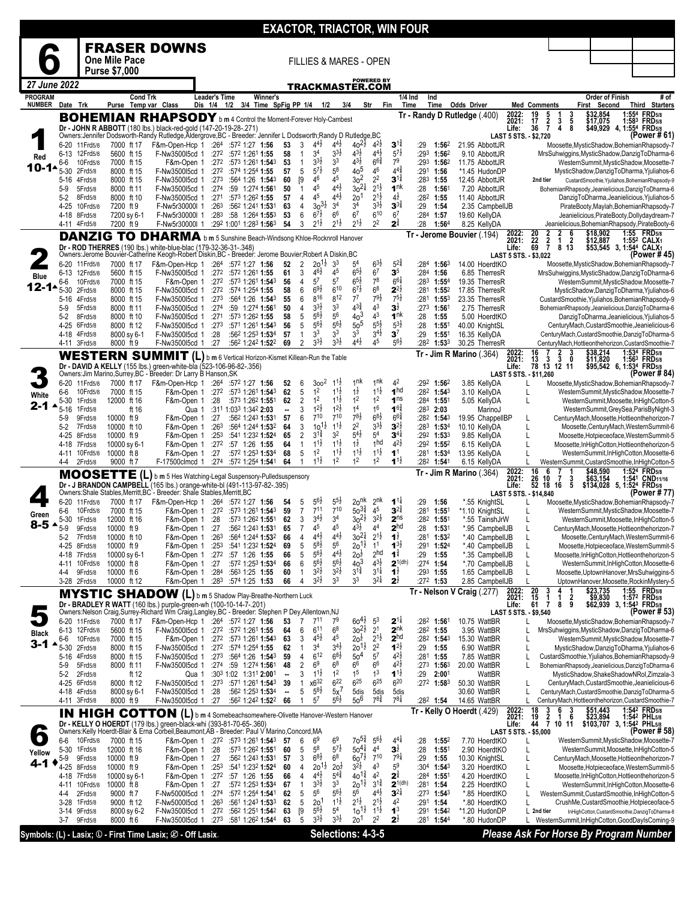|                                |                               |                           |                            |                                                                                                                                                                                |                                       |                                                                                  |                                |                                |                                            |                                            |                                       |                                          | <b>EXACTOR, TRIACTOR, WIN FOUR</b>       |             |                                                        |                                    |                                 |                                        |                                                          |                                                               |      |                                                                                                    |
|--------------------------------|-------------------------------|---------------------------|----------------------------|--------------------------------------------------------------------------------------------------------------------------------------------------------------------------------|---------------------------------------|----------------------------------------------------------------------------------|--------------------------------|--------------------------------|--------------------------------------------|--------------------------------------------|---------------------------------------|------------------------------------------|------------------------------------------|-------------|--------------------------------------------------------|------------------------------------|---------------------------------|----------------------------------------|----------------------------------------------------------|---------------------------------------------------------------|------|----------------------------------------------------------------------------------------------------|
|                                |                               |                           |                            | <b>FRASER DOWNS</b>                                                                                                                                                            |                                       |                                                                                  |                                |                                |                                            |                                            |                                       |                                          |                                          |             |                                                        |                                    |                                 |                                        |                                                          |                                                               |      |                                                                                                    |
|                                |                               |                           | One Mile Pace              |                                                                                                                                                                                |                                       |                                                                                  |                                |                                |                                            |                                            | <b>FILLIES &amp; MARES - OPEN</b>     |                                          |                                          |             |                                                        |                                    |                                 |                                        |                                                          |                                                               |      |                                                                                                    |
|                                |                               |                           | <b>Purse \$7,000</b>       |                                                                                                                                                                                |                                       |                                                                                  |                                |                                |                                            |                                            |                                       | <b>POWERED BY</b>                        |                                          |             |                                                        |                                    |                                 |                                        |                                                          |                                                               |      |                                                                                                    |
| 27 June 2022<br><b>PROGRAM</b> |                               |                           |                            | <b>Cond Trk</b>                                                                                                                                                                | <b>Leader's Time</b>                  | Winner's                                                                         |                                |                                |                                            |                                            | TRACKMASTER.COM                       |                                          | 1/4 Ind                                  |             | Ind                                                    |                                    |                                 |                                        |                                                          | <b>Order of Finish</b>                                        |      | # of                                                                                               |
| <b>NUMBER</b>                  | Date Trk                      |                           |                            | Purse Temp var Class                                                                                                                                                           | Dis 1/4 1/2 3/4 Time SpFig PP 1/4 1/2 |                                                                                  |                                |                                |                                            | 3/4                                        |                                       | Str<br>Fin                               | Time                                     |             | Time                                                   | <b>Odds Driver</b>                 |                                 | <b>Med Comments</b>                    |                                                          | First Second                                                  |      | <b>Third Starters</b>                                                                              |
|                                |                               |                           |                            | <b>BOHEMIAN RHAPSODY</b> b m 4 Control the Moment-Forever Holy-Cambest                                                                                                         |                                       |                                                                                  |                                |                                |                                            |                                            |                                       |                                          |                                          |             |                                                        | Tr - Randy D Rutledge (400)        | 2022:<br>2021:                  | 19<br>$\frac{5}{2}$<br>17              | $\frac{3}{5}$<br>$\frac{1}{3}$                           | \$32,854<br>\$17,075                                          | :554 | <b>FRD5/8</b><br>1:583 FRD5/8                                                                      |
|                                |                               |                           |                            | Dr - JOHN R ABBOTT (180 lbs.) black-red-gold (147-20-19-28-.271)<br>Owners:Jennifer Dodsworth-Randy Rutledge,Aldergrove,BC - Breeder: Jennifer L Dodsworth;Randy D Rutledge,BC |                                       |                                                                                  |                                |                                |                                            |                                            |                                       |                                          |                                          |             |                                                        |                                    | Life:<br>LAST 5 STS. - \$2,720  | 36                                     | 8<br>4                                                   | \$49,929                                                      |      | 4, 1:55 <sup>4</sup> FRD <sub>5/8</sub><br>(Power # 61)                                            |
|                                | 6-20<br>6-13                  | 11 Frd 5/8<br>12Frd5/8    | 7000 ft 17<br>5600 ft 15   | F&m-Open-Hcp 1<br>F-Nw3500l5cd 1                                                                                                                                               |                                       | $:264$ $:572$ 1:27 1:56<br>$:27^2$ :57 <sup>2</sup> 1:26 <sup>1</sup> 1:55       | 53<br>58                       | 3<br>$\overline{1}$            | $4^{4}$ <sub>2</sub><br>3 <sup>4</sup>     | $4^{4}$ <sub>2</sub><br>$3^{3}\frac{1}{2}$ | $40^{21}$<br>$4^{3}\frac{1}{2}$       | $4^{2}\frac{1}{2}$<br>$4^{4}$            | $3^{1\frac{3}{4}}$<br>$5^{7}$            | :29<br>:293 | 1:562<br>1:562                                         | 21.95 AbbottJR<br>9.10 AbbottJR    |                                 |                                        |                                                          |                                                               |      | Moosette, MysticShadow, BohemianRhapsody-7<br>MrsSuhwiggins, MysticShadow, DanzigToDharma-6        |
| Red<br>10-1                    | 6-6                           | 10Frd5/8                  | 7000 ft 15                 | F&m-Open 1                                                                                                                                                                     |                                       | $:272$ $:573$ 1:261 <b>1:54</b> 3                                                | 53                             | $\mathbf{1}$                   | $3^{3}\frac{1}{2}$<br>$5^{7\frac{1}{2}}$   | 3 <sup>3</sup><br>5 <sup>8</sup>           | $4^{3}\frac{1}{2}$<br>405             | $6^{6}\frac{3}{4}$<br>46                 | 7 <sup>9</sup><br>$4^{4^{3}_{4}}$        |             | :293 1:562                                             | 11.75 AbbottJR                     |                                 |                                        |                                                          |                                                               |      | WesternSummit, MysticShadow, Moosette-7                                                            |
|                                | 5-30<br>5-16                  | 2Frd5/8<br>4Frd5/8        | 8000 ft 15<br>8000 ft 15   | F-Nw350015cd 1<br>F-Nw3500l5cd 1                                                                                                                                               | :273                                  | $:27^2$ :574 1:254 1:55<br>:564 1:26 1:543                                       | 57<br>60                       | 5<br>[9]                       | 46                                         | 45                                         | 3 <sup>2</sup>                        | 2 <sup>2</sup>                           | $3^{1\frac{3}{4}}$                       |             | $:291$ 1:56<br>$:283$ 1:55                             | *1.45 HudonDP<br>12.45 AbbottJR    |                                 | 2nd tier                               |                                                          |                                                               |      | MysticShadow,DanzigToDharma,Yjuliahos-6<br>CustardSmoothie, Yjuliahos, BohemianRhapsody-9          |
|                                | 5-9                           | 5Frd5/8<br>8Frd5/8        | 8000 ft 11<br>8000 ft 10   | F-Nw3500l5cd 1<br>F-Nw3500l5cd 1                                                                                                                                               | :271                                  | :274 :59 1:274 1:561<br>:573 1:262 1:55                                          | 50<br>57                       | $\mathbf{1}$<br>$\overline{4}$ | 45<br>45                                   | $4^{4}\frac{1}{2}$<br>$4^{4}\frac{1}{2}$   | $30^{21}$<br>2o <sup>1</sup>          | $2^{1\frac{1}{2}}$<br>$2^{1\frac{1}{2}}$ | 1 <sup>nk</sup><br>$4^{\frac{1}{2}}$     | :28         | $1:56^{\circ}$<br>$:28^2$ 1:55                         | 7.20 AbbottJR<br>11.40 AbbottJR    |                                 |                                        |                                                          |                                                               |      | BohemianRhapsody,Jeanielicious,DanzigToDharma-6<br>DanzigToDharma, Jeanielicious, Yjuliahos-5      |
|                                | $5-2$<br>4-25                 | 10Frd5/8                  | 7200 ft 9                  | F-Nw5r30000I 1                                                                                                                                                                 | :263                                  | :562 1:241 1:531                                                                 | 63                             | 4                              | $30^{31}$                                  | 3 <sup>4</sup>                             | 34                                    | $3^{3}\frac{1}{2}$                       | $3^{34}$                                 | :29         | 1:54                                                   | 2.35 CampbellJB                    |                                 |                                        |                                                          |                                                               |      | PirateBooty, Maylah, Bohemian Rhapsody-7                                                           |
|                                | 4-18 8Frd5/8<br>4-11 4Frd5/8  |                           | 7200 sy 6-1<br>7200 ft 9   | F-Nw5r30000l 1<br>F-Nw5r30000l 1                                                                                                                                               | :283                                  | $:58$ 1:264 1:553<br>:292 1:001 1:283 1:563                                      | 53<br>54                       | 6<br>3                         | $6^{7}_{2}$<br>$2^{1\frac{1}{2}}$          | 6 <sup>6</sup><br>$2^{1\frac{1}{2}}$       | 6 <sup>7</sup><br>$2^{1\frac{1}{2}}$  | 610<br>2 <sup>2</sup>                    | 6 <sup>7</sup><br>$2^{\frac{3}{4}}$      | :28         | :284 1:57<br>1:564                                     | 19.60 KellyDA<br>8.25 KellyDA      |                                 |                                        |                                                          |                                                               |      | Jeanielicious, PirateBooty, Dollydaydream-7<br>Jeanielicious, BohemianRhapsody, PirateBooty-6      |
|                                |                               |                           |                            | <b>DANZIG TO DHARMA</b> b m 5 Sunshine Beach-Windsong Khloe-Rocknroll Hanover                                                                                                  |                                       |                                                                                  |                                |                                |                                            |                                            |                                       |                                          |                                          |             |                                                        | Tr - Jerome Bouvier (.194)         | 2022:<br>2021:                  | $\frac{20}{22}$<br>69<br>$\frac{2}{7}$ | $\frac{2}{1}$                                            | \$18,902<br>\$12,887                                          |      | 1:55 FRD5/8<br>1:552 CALX1                                                                         |
|                                |                               |                           |                            | Dr - ROD THERRES (190 lbs.) white-blue-blac (179-32-36-31-.348)<br>Owners:Jerome Bouvier-Catherine Keogh-Robert Diskin,BC - Breeder: Jerome Bouvier;Robert A Diskin,BC         |                                       |                                                                                  |                                |                                |                                            |                                            |                                       |                                          |                                          |             |                                                        |                                    | Life:                           |                                        | $\begin{array}{cc} 2 & 6 \\ 1 & 2 \\ 8 & 13 \end{array}$ | $$5\overline{3},5\overline{4}5$ 3, 1:544 CALX1                |      | (Power # 45)                                                                                       |
|                                | 6-20                          | 11 Frd 5/8                | 7000 ft 17                 | F&m-Open-Hcp 1                                                                                                                                                                 |                                       | $:264$ $:572$ 1:27 1:56                                                          | 52                             | $\overline{2}$                 | $20^{11}$                                  | 3 <sup>3</sup>                             | 5 <sup>4</sup>                        | $6^{3}\frac{1}{2}$                       | $5^{24}$                                 |             | $:284$ 1:563                                           | 14.00 HoerdtKO                     | LAST 5 STS. - \$3,022           |                                        |                                                          |                                                               |      | Moosette, MysticShadow, BohemianRhapsody-7                                                         |
| Blue                           | 6-6                           | 6-13 12Frd5/8<br>10Frd5/8 | 5600 ft 15<br>7000 ft 15   | F-Nw3500l5cd 1<br>F&m-Open 1                                                                                                                                                   | :272                                  | :272 :572 1:261 1:55<br>:573 1:261 1:543                                         | 61<br>56                       | 3<br>$\overline{4}$            | $46\frac{1}{2}$<br>$5^7$                   | 45<br>5 <sup>7</sup>                       | $65\frac{1}{2}$<br>$6^{5\frac{1}{2}}$ | 6 <sup>7</sup><br>$7^8$                  | 3 <sup>5</sup><br>$6^{6}$                |             | :284 1:56<br>$:283$ 1:554                              | 6.85 TherresR<br>19.35 TherresR    |                                 |                                        |                                                          |                                                               |      | MrsSuhwiggins, MysticShadow, DanzigToDharma-6<br>WesternSummit, MysticShadow, Moosette-7           |
| $12 - 14$                      | 5-30                          | 2Frd5/8                   | 8000 ft 15                 | F-Nw3500l5cd 1                                                                                                                                                                 |                                       | :272 :574 1:254 1:55                                                             | 58                             | 6                              | $69\frac{1}{2}$                            | 610                                        | $6^{7}\frac{1}{2}$                    | 6 <sup>8</sup>                           | $2^{2\frac{1}{2}}$                       |             | :281 1:552                                             | 17.85 TherresR                     |                                 |                                        |                                                          |                                                               |      | MysticShadow,DanzigToDharma,Yjuliahos-6                                                            |
|                                | 5-16<br>$5-9$                 | 4Frd5/8<br>5Frd5/8        | 8000 ft 15<br>8000 ft 11   | F-Nw3500l5cd 1<br>F-Nw3500l5cd 1                                                                                                                                               | :273<br>:274                          | :564 1:26 1:543<br>:59 1:274 1:561                                               | 55<br>50                       | 6<br>4                         | 816<br>$3^{3}\frac{1}{2}$                  | 812<br>3 <sup>3</sup>                      | $7^7$<br>$4^{3}\frac{3}{4}$           | $7^{9}\frac{1}{2}$<br>4 <sup>3</sup>     | $7^{51}$<br>$3\frac{1}{2}$               | :281        | $1:55^{3}$<br>:273 1:561                               | 23.35 TherresR<br>2.75 TherresR    |                                 |                                        |                                                          |                                                               |      | CustardSmoothie, Yjuliahos, BohemianRhapsody-9<br>BohemianRhapsody,Jeanielicious,DanzigToDharma-6  |
|                                | 5-2                           | 8Frd5/8                   | 8000 ft 10                 | F-Nw3500l5cd 1                                                                                                                                                                 | :271                                  | :573 1:262 1:55                                                                  | 58                             | 5                              | $5^{6}2$<br>$5^{6}2$                       | 56<br>$5^{6}\frac{1}{2}$                   | 40 <sup>3</sup>                       | 4 <sup>3</sup><br>$5^{5\frac{1}{2}}$     | 1 <sup>nk</sup><br>$5^{3}\frac{1}{2}$    | :28         | 1:55                                                   | 5.00 HoerdtKO                      |                                 |                                        |                                                          |                                                               |      | DanzigToDharma, Jeanielicious, Yjuliahos-5                                                         |
|                                | 4-25<br>4-18                  | 6Frd5/8<br>4Frd5/8        | 8000 ft 12<br>8000 sy 6-1  | F-Nw3500l5cd 1<br>F-Nw3500l5cd 1                                                                                                                                               | :273<br>:28                           | :571 1:261 1:543<br>:562 1:253 1:534                                             | 56<br>57                       | 5<br>$\mathbf{1}$              | 3 <sup>3</sup>                             | 33                                         | 50 <sup>5</sup><br>3 <sup>3</sup>     | $34$ <sub>2</sub>                        | 3 <sup>7</sup>                           | :28<br>:29  | 1:55 <sup>1</sup><br>1:551                             | 40.00 KnightSL<br>16.35 KellyDA    |                                 |                                        |                                                          |                                                               |      | CenturyMach, CustardSmoothie, Jeanielicious-6<br>CenturyMach, CustardSmoothie, DanzigToDharma-5    |
|                                | 4-11 3Frd5/8                  |                           | 8000 ft 9                  | F-Nw3500l5cd 1                                                                                                                                                                 | :27                                   | :562 1:242 1:522                                                                 | 69                             | $\overline{2}$                 | $3^{3}\frac{1}{2}$                         | $3^{3}\frac{1}{2}$                         | $4^{4}$ <sub>2</sub>                  | 45                                       | $5^{6}\frac{1}{2}$                       |             | :282 1:533                                             | 30.25 TherresR                     |                                 | 16                                     | 3                                                        | \$38,214                                                      |      | CenturyMach, Hottieonthehorizon, CustardSmoothie-7<br>1:534 FRD5/8                                 |
|                                |                               |                           |                            | WESTERN SUMMIT (L) b m 6 Vertical Horizon-Kismet Killean-Run the Table<br>Dr - DAVID A KELLY (155 lbs.) green-white-bla (523-106-96-82-.356)                                   |                                       |                                                                                  |                                |                                |                                            |                                            |                                       |                                          |                                          |             |                                                        | $Tr - Jim R$ Marino (.364)         | 2022:<br>2021:<br>Life:         | 13<br>3<br>78 13 12 11                 | $\frac{2}{3}$<br>0                                       | \$11,820<br>\$95,542 6, 1:534 FRD5/8                          |      | 1:56 <sup>3</sup> FRD <sub>5/8</sub>                                                               |
|                                |                               |                           |                            | Owners:Jim Marino,Surrey,BC - Breeder: Dr Larry B Hanson,SK                                                                                                                    |                                       |                                                                                  |                                |                                |                                            |                                            |                                       |                                          |                                          |             |                                                        |                                    | LAST 5 STS. - \$11,260          |                                        |                                                          |                                                               |      | (Power # 84)                                                                                       |
|                                | 6-20<br>6-6                   | 11 Frd 5/8<br>10Frd5/8    | 7000 ft 17<br>7000 ft 15   | F&m-Open-Hcp 1<br>F&m-Open 1                                                                                                                                                   | :272                                  | $:264$ $:572$ 1:27 1:56<br>:573 1:261 1:543                                      | 52<br>62                       | 6<br>5                         | 300 <sup>2</sup><br>1 <sup>2</sup>         | $1^{1\frac{1}{2}}$<br>$1^{1\frac{1}{2}}$   | 1 <sup>nk</sup><br>$1\overline{2}$    | 1 <sup>nk</sup><br>$1^{11}$              | 4 <sup>2</sup><br>1 <sup>hd</sup>        |             | $:29^2$ 1:56 <sup>2</sup><br>$:28^2$ 1:54 <sup>3</sup> | 3.85 KellyDA<br>3.10 KellyDA       |                                 |                                        |                                                          |                                                               |      | Moosette, MysticShadow, BohemianRhapsody-7<br>WesternSummit, MysticShadow, Moosette-7              |
| White<br>2-1                   | 5-30                          | 1 Frd 5/8                 | 12000 ft 16                | F&m-Open 1                                                                                                                                                                     | :28                                   | :573 1:262 1:551                                                                 | 62                             | $\overline{2}$<br>3            | 1 <sup>2</sup><br>$1^{2}\frac{1}{2}$       | $1^{1\frac{1}{2}}$<br>$1^{2}\frac{1}{2}$   | 1 <sup>2</sup><br>1 <sup>4</sup>      | 1 <sup>2</sup><br>1 <sup>6</sup>         | 1 <sup>ns</sup><br>$1^{6^{3}_{4}}$       |             | :284 1:551                                             | 5.05 KellyDA                       |                                 | L                                      |                                                          |                                                               |      | WesternSummit,Moosette,InHighCotton-5                                                              |
|                                | 5-16<br>5-9                   | 1Frd5/8<br>9Frd5/8        | ft 16<br>10000 ft 9        | F&m-Open 1                                                                                                                                                                     | Qua 1<br>:27                          | :311 1:033 1:342 2:03<br>:562 1:243 1:531                                        | $\blacksquare$<br>57           | 6                              | $7^{10}$                                   | $7^{10}$                                   | $7^{8\frac{1}{2}}$                    | $6^{81}$                                 | $6^{64}$                                 |             | $:283$ 2:03<br>:28 <sup>2</sup> 1:54 <sup>3</sup>      | MarinoJ<br>19.95 ChappelIBP        |                                 | L                                      |                                                          |                                                               |      | WesternSummit, GreySea, ParisByNight-3<br>CenturyMach,Moosette,Hottieonthehorizon-7                |
|                                | 5-2<br>4-25                   | 7Frd5/8<br>8Frd5/8        | 10000 ft 10<br>10000 ft 9  | F&m-Open 1<br>F&m-Open 1                                                                                                                                                       | :26 <sup>3</sup><br>:253              | :564 1:244 1:532<br>:541 1:232 1:524                                             | 64<br>65                       | 3<br>$\overline{2}$            | $10^{11}$<br>$3^{1\frac{3}{4}}$            | $1^{1\frac{1}{2}}$<br>32                   | 2 <sup>2</sup><br>$5^{4}$             | $3^{3}\frac{1}{2}$<br>5 <sup>4</sup>     | $3^{2}$<br>$3^{4}$                       |             | $:283$ 1:534<br>:292 1:533                             | 10.10 KellyDA<br>9.85 KellyDA      |                                 | $\mathsf{L}$<br>L                      |                                                          |                                                               |      | Moosette, Century Mach, Western Summit-6<br>Moosette, Hotpieceoface, WesternSummit-5               |
|                                | 4-18                          | 7Frd5/8                   | 10000 sy 6-1               | F&m-Open 1                                                                                                                                                                     | :27 <sup>2</sup>                      | :57 1:26 1:55                                                                    | 64                             | $\mathbf{1}$                   | $1^{1\frac{1}{2}}$                         | $1^{1\frac{1}{2}}$                         | $1\frac{1}{2}$                        | 1 <sub>hd</sub>                          | $4^{2}\frac{1}{2}$                       |             | $:29^2$ 1:55 <sup>2</sup>                              | 6.15 KellyDA                       |                                 | L                                      |                                                          |                                                               |      | Moosette, InHighCotton, Hottieonthehorizon-5                                                       |
|                                | 4-4                           | 4-11 10Frd5/8<br>2Frd5/8  | 10000 ft 8<br>9000 ft 7    | F&m-Open 1<br>F-17500clmcd 1                                                                                                                                                   | :27<br>:274                           | :572 1:253 1:534<br>:572 1:254 1:541                                             | 68<br>64                       | 5<br>$\mathbf{1}$              | 1 <sup>2</sup><br>$1^{1\frac{1}{2}}$       | $11\frac{1}{2}$<br>1 <sup>2</sup>          | $11\frac{1}{2}$<br>1 <sup>2</sup>     | $11\frac{1}{2}$<br>1 <sup>2</sup>        | 1 <sup>1</sup><br>$1^{1\frac{1}{2}}$     |             | :281 1:534<br>:28 <sup>2</sup> 1:541                   | 13.95 KellyDA<br>6.15 KellyDA      |                                 |                                        |                                                          |                                                               |      | WesternSummit, InHighCotton, Moosette-6<br>WesternSummit,CustardSmoothie,InHighCotton-5            |
|                                |                               |                           |                            | MOOSETTE (L) b m 5 Hes Watching-Legal Suspensory-Pulledsuspensory                                                                                                              |                                       |                                                                                  |                                |                                |                                            |                                            |                                       |                                          |                                          |             |                                                        | <b>Tr - Jim R Marino</b> (.364)    | 2022:<br>2021:                  | 16<br>6                                | 3                                                        | \$48,590<br>\$63,154                                          |      | 1:524 FRD5/8<br>1:541 CND11/16                                                                     |
|                                |                               |                           |                            | Dr - J BRANDON CAMPBELL (165 lbs.) orange-white-bl (491-113-97-82-.395)<br>Owners:Shale Stables,Merritt,BC`- Breeder: Shale Stables,Merritt,BC                                 |                                       |                                                                                  |                                |                                |                                            |                                            |                                       |                                          |                                          |             |                                                        |                                    | Life:<br>LAST 5 STS. - \$14,840 | 26 10 7<br>52 18 16                    | 5                                                        | \$134,028 5, 1:524 FRD5/8                                     |      | (Power # 77)                                                                                       |
|                                |                               | 6-20 11 Frd5/8            | 7000 ft 17                 | F&m-Open-Hcp 1                                                                                                                                                                 |                                       | :264 :572 1:27 1:56                                                              | 54                             | 5                              | $5^{6}\frac{1}{2}$                         | $5^{5\frac{1}{2}}$                         | 20 <sup>nk</sup>                      | 2 <sup>nk</sup>                          | $1^{1\frac{1}{4}}$                       | :29         | 1:56                                                   | *.55 KnightSL                      |                                 |                                        |                                                          |                                                               |      | Moosette, MysticShadow, BohemianRhapsody-7                                                         |
| Green                          | 6-6<br>5-30                   | 10Frd5/8<br>1Frd5/8       | 7000 ft 15<br>12000 ft 16  | F&m-Open 1<br>F&m-Open 1                                                                                                                                                       | :272<br>:28                           | :57 <sup>3</sup> 1:26 <sup>1</sup> 1: <b>54</b> <sup>3</sup><br>:573 1:262 1:551 | 59<br>62                       | $\overline{7}$<br>3            | $7^{11}$<br>$34$ <sub>2</sub>              | $7^{10}$<br>3 <sup>4</sup>                 | $50^{3\frac{3}{4}}$<br>$30^{21}$      | 4 <sup>5</sup><br>$3^{21}$               | $3^{24}$<br>2 <sup>ns</sup>              | :281        | 1:55 <sup>1</sup><br>:282 1:551                        | *1.10 KnightSL<br>*.55 TainshJrW   |                                 |                                        |                                                          |                                                               |      | WesternSummit, MysticShadow, Moosette-7<br>WesternSummit, Moosette, InHighCotton-5                 |
| $8-5$ $\triangle$              | $5-9$                         | 9Frd5/8                   | 10000 ft 9                 | F&m-Open 1                                                                                                                                                                     | :27                                   | :562 1:243 1:531                                                                 | 65                             | $\overline{7}$                 | 45                                         | 45                                         | $4^{3}\frac{1}{2}$                    | 44                                       | 2 <sup>hd</sup>                          | :28         | 1:53 <sup>1</sup>                                      | *.95 CampbellJB                    |                                 |                                        |                                                          |                                                               |      | CenturyMach, Moosette, Hottieonthehorizon-7                                                        |
|                                | 5-2<br>4-25                   | 7Frd5/8<br>8Frd5/8        | 10000 ft 10<br>10000 ft 9  | F&m-Open 1<br>F&m-Open 1                                                                                                                                                       | :263<br>:253                          | :564 1:244 1:532<br>:541 1:232 1:524                                             | 66<br>69                       | 4<br>5                         | $4^{4}$<br>$5^{8}$                         | $4^{4}$ <sub>2</sub><br>56                 | $30^{21}$<br>$20^{11}$                | $2^{1\frac{1}{2}}$<br>1 <sup>1</sup>     | 1 <sup>1</sup><br>$1^{3}$                | :281        | 1:532<br>:291 1:524                                    | *.40 CampbellJB<br>*.40 CampbellJB |                                 | L<br>L                                 |                                                          |                                                               |      | Moosette, Century Mach, Western Summit-6<br>Moosette, Hotpieceoface, WesternSummit-5               |
|                                | 4-18 7Frd5/8                  |                           | 10000 sy 6-1               | F&m-Open 1                                                                                                                                                                     | :272                                  | :57 1:26 1:55                                                                    | 66                             | 5                              | $5^{6}\frac{1}{2}$<br>$5^{6}\frac{1}{2}$   | $4^{4}$ <sub>2</sub><br>$5^{6}\frac{1}{2}$ | 20 <sup>1</sup>                       | 2 <sup>hd</sup><br>$4^{3}\frac{1}{2}$    | $1^{\frac{3}{4}}$                        | :29         | 1:55                                                   | *.35 CampbellJB                    |                                 |                                        |                                                          |                                                               |      | Moosette, InHighCotton, Hottieonthehorizon-5                                                       |
|                                | 4-11 10Frd5/8<br>4-4          | 9Frd5/8                   | 10000 ft 8<br>10000 ft 6   | F&m-Open 1<br>F&m-Open 1                                                                                                                                                       | :27<br>:284                           | :572 1:253 1:534<br>:563 1:25 1:55                                               | 66<br>60                       | 6<br>$\mathbf{1}$              | $3^{2}\frac{1}{2}$                         | $3^{2}\frac{1}{2}$                         | $40^{3}$<br>$3^{1\frac{3}{4}}$        | $3^{11}$                                 | $2^{1(dh)}$<br>$1\overline{2}$           |             | $:274$ 1:54<br>:293 1:55                               | *.70 CampbellJB<br>1.65 CampbellJB |                                 | $\mathsf{L}$                           |                                                          |                                                               |      | WesternSummit, InHighCotton, Moosette-6<br>Moosette, UptownHanover, MrsSuhwiggins-5                |
|                                | 3-28 2Frd5/8                  |                           | 10000 ft 12                | F&m-Open 1                                                                                                                                                                     | :28 <sup>3</sup>                      | :574 1:25 1:53                                                                   | 66                             | $\overline{4}$                 | $3^{2}\frac{1}{2}$                         | 3 <sup>3</sup>                             | 3 <sup>3</sup>                        | $3^{21}$                                 | $2\frac{1}{2}$                           |             | $:27^2$ 1:53                                           | 2.85 CampbellJB                    |                                 | 20<br>3                                |                                                          | \$23,735                                                      | 1:55 | UptownHanover,Moosette,RockinMystery-5<br><b>FRD</b> 5/8                                           |
|                                |                               |                           |                            | MYSTIC SHADOW (L) b m 5 Shadow Play-Breathe-Northern Luck<br>Dr - BRADLEY R WATT (160 lbs.) purple-green-wh (100-10-14-7-.201)                                                 |                                       |                                                                                  |                                |                                |                                            |                                            |                                       |                                          |                                          |             |                                                        | Tr - Nelson V Craig (.277)         | 2022:<br>2021:<br>Life:         | 15<br>1<br>61<br>7                     | 2<br>-1<br>9<br>8                                        | \$9,830<br>\$62,939 3, 1:54 <sup>3</sup> FRD <sub>5/8</sub>   |      | 1:572 FRD5/8                                                                                       |
|                                |                               |                           |                            | Owners:Nelson Craig,Surrey-Richard Wm Craig,Langley,BC - Breeder: Stephen P Dey,Allentown,NJ                                                                                   |                                       |                                                                                  |                                |                                |                                            |                                            |                                       |                                          |                                          |             |                                                        |                                    | LAST 5 STS. - \$9,540           |                                        |                                                          |                                                               |      | (Power # 53)                                                                                       |
| Black                          | 6-13 12Frd5/8                 | 6-20 11 Frd5/8            | 7000 ft 17<br>5600 ft 15   | F&m-Open-Hcp 1<br>F-Nw350015cd 1                                                                                                                                               |                                       | $:264$ :572 1:27 1:56<br>$:27^2$ $:57^2$ 1:26 <sup>1</sup> 1:55                  | 53<br>64                       | 7<br>6                         | $7^{11}$<br>611                            | 7 <sup>9</sup><br>6 <sup>8</sup>           | $60^{41}$<br>$30^{21}$                | 5 <sup>3</sup><br>2 <sup>1</sup>         | $2^{11}$<br>2 <sup>nk</sup>              |             | :28 <sup>2</sup> 1:561<br>$:28^2$ 1:55                 | 10.75 WattBR<br>3.95 WattBR        |                                 |                                        |                                                          |                                                               |      | Moosette, MysticShadow, BohemianRhapsody-7<br>MrsSuhwiggins, MysticShadow, DanzigToDharma-6        |
| 3-1                            | 6-6<br>5-30                   | 10Frd5/8                  | 7000 ft 15                 | F&m-Open 1<br>F-Nw3500l5cd 1                                                                                                                                                   |                                       | :272 :573 1:261 1:543                                                            | 63<br>62                       | 3<br>$\mathbf{1}$              | $4^{5}\frac{1}{2}$<br>3 <sup>4</sup>       | 45<br>$34$ ż                               | $2o\overline{z}$                      | $2^{1\frac{1}{2}}$<br>2 <sup>2</sup>     | 2 <sup>hd</sup><br>$1^{2}$               | :29         | :282 1:543                                             | 15.30 WattBR                       |                                 | L<br>L                                 |                                                          |                                                               |      | WesternSummit, MysticShadow, Moosette-7                                                            |
|                                | 5-16                          | 2Frd5/8<br>4Frd5/8        | 8000 ft 15<br>8000 ft 15   | F-Nw350015cd 1                                                                                                                                                                 | :273                                  | $:27^2$ $:57^4$ 1:254 1:55<br>:564 1:26 1:543                                    | 59                             | 4                              | $6^{12}$                                   | $6^{8}$ <sub>2</sub>                       | $20^{12}$<br>50 <sup>4</sup>          | 5 <sup>7</sup>                           | $4^{2}\frac{1}{2}$                       |             | 1:55<br>:281 1:55                                      | 6.90 WattBR<br>7.85 WattBR         |                                 |                                        |                                                          |                                                               |      | MysticShadow,DanzigToDharma,Yjuliahos-6<br>CustardSmoothie, Yjuliahos, BohemianRhapsody-9          |
|                                | 5-9<br>5-2                    | 5Frd5/8<br>2Frd5/8        | 8000 ft 11<br>ft 12        | F-Nw350015cd 1                                                                                                                                                                 | Qua 1                                 | :274 :59 1:274 1:561<br>:303 1:02 1:311 2:001                                    | 48<br>$\blacksquare$           | 2<br>3                         | 6 <sup>9</sup><br>$1^{11}$                 | $6^8$<br>$1^2$                             | 66<br>1 <sup>5</sup>                  | 6 <sup>6</sup><br>1 <sup>3</sup>         | $4^{2}\frac{1}{2}$<br>$1^{1\frac{1}{2}}$ | :29         | $:273$ 1:563<br>2:001                                  | 20.00 WattBR<br>WattBR             |                                 | L                                      |                                                          |                                                               |      | BohemianRhapsody,Jeanielicious,DanzigToDharma-6<br>MysticShadow,ShakeShadowNRol,Zimzala-3          |
|                                | 4-25                          | 6Frd5/8                   | 8000 ft 12                 | F-Nw350015cd 1                                                                                                                                                                 | :273                                  | :571 1:261 1:543                                                                 | 39                             | 1                              | $x6^{32}$                                  | 622                                        | $6^{25}$                              | $6^{25}$                                 | 620                                      |             | :272 1:583                                             | 50.30 WattBR                       |                                 |                                        |                                                          |                                                               |      | CenturyMach, CustardSmoothie, Jeanielicious-6                                                      |
|                                | 4-18 4Frd5/8<br>4-11 3Frd5/8  |                           | 8000 sy 6-1<br>8000 ft 9   | F-Nw350015cd 1<br>F-Nw3500l5cd 1                                                                                                                                               | :28<br>:27                            | :562 1:253 1:534<br>:562 1:242 1:522                                             | $\overline{\phantom{a}}$<br>66 | 5<br>$\mathbf{1}$              | $5^{8}$<br>$5^7$                           | 5x'<br>$5^{6}\frac{1}{2}$                  | 5dis<br>$50^6$                        | 5dis<br>$7^{8\frac{3}{4}}$               | 5dis<br>$7^{8\frac{1}{4}}$               |             | :282 1:54                                              | 30.60 WattBR<br>14.65 WattBR       |                                 |                                        |                                                          |                                                               |      | CenturyMach,CustardSmoothie,DanzigToDharma-5<br>CenturyMach, Hottieonthehorizon, CustardSmoothie-7 |
|                                |                               |                           |                            | IN HIGH COTTON (L) b m 4 Somebeachsomewhere-Olivette Hanover-Western Hanover                                                                                                   |                                       |                                                                                  |                                |                                |                                            |                                            |                                       |                                          |                                          |             |                                                        | Tr - Kelly O Hoerdt (.429)         | 2022:                           | 18<br>3<br>$\overline{2}$              | 6<br>3                                                   | \$51,443                                                      |      | 1:542 FRD5/8                                                                                       |
|                                |                               |                           |                            | Dr - KELLY O HOERDT (179 lbs.) green-black-whi (393-81-70-65-.360)                                                                                                             |                                       |                                                                                  |                                |                                |                                            |                                            |                                       |                                          |                                          |             |                                                        |                                    | 2021:<br>Life:                  | 19<br>44                               | -1<br>6<br>7 10 11                                       | \$23,894<br>\$103,707 3, 1:54 <sup>2</sup> PHL <sub>5/8</sub> |      | 1:542 PHL5/8                                                                                       |
|                                | 6-6                           | 10Frd5/8                  | 7000 ft 15                 | Owners:Kelly Hoerdt-Blair & Erna Corbeil, Beaumont, AB - Breeder: Paul V Marino, Concord, MA<br>F&m-Open 1                                                                     |                                       | $:27^2$ $:57^3$ 1:26 <sup>1</sup> 1:54 <sup>3</sup> 57                           |                                | 6                              | 6 <sup>9</sup>                             | 6 <sup>9</sup>                             | $70^{5\frac{3}{4}}$                   | $5^{6}$                                  | 44                                       | :28         | 1:55 <sup>2</sup>                                      | 7.70 HoerdtKO                      | LAST 5 STS. - \$5,000           |                                        |                                                          |                                                               |      | (Power # 58)<br>WesternSummit, MysticShadow, Moosette-7                                            |
| Yellow                         | $5-30$                        | 1 Frd 5/8                 | 12000 ft 16                | F&m-Open 1                                                                                                                                                                     | :28                                   | :573 1:262 1:551                                                                 | 60                             | 5                              | $5^8$<br>$68\frac{1}{2}$                   | $5^{7}$<br>6 <sup>8</sup>                  | $50^{41}$<br>$60^{7}$                 | 4 <sup>4</sup><br>710                    | $3\frac{1}{2}$<br>$79\frac{1}{4}$        | :28         | 1:55 <sup>1</sup>                                      | 2.90 HoerdtKO                      |                                 | L                                      |                                                          |                                                               |      | WesternSummit,Moosette,InHighCotton-5                                                              |
| 4-1                            | 5-9<br>4-25                   | 9Frd5/8<br>8Frd5/8        | 10000 ft 9<br>10000 ft 9   | F&m-Open 1<br>F&m-Open 1                                                                                                                                                       | :27<br>:25 <sup>3</sup>               | :562 1:243 1:531<br>:541 1:232 1:524                                             | 57<br>60                       | 3<br>$\overline{4}$            | 20 <sup>1</sup>                            | 2o <sub>2</sub>                            | $3^{2}\frac{1}{2}$                    | 4 <sup>3</sup>                           | 5 <sup>9</sup>                           | :29<br>:304 | 1:55<br>$1:54^3$                                       | 10.30 KnightSL<br>3.20 HoerdtKO    |                                 | L                                      |                                                          |                                                               |      | CenturyMach,Moosette,Hottieonthehorizon-7<br>Moosette, Hotpieceoface, WesternSummit-5              |
|                                | 4-18 7Frd5/8<br>4-11 10Frd5/8 |                           | 10000 sy 6-1<br>10000 ft 8 | F&m-Open 1<br>F&m-Open 1                                                                                                                                                       | :272<br>:27                           | :57 1:26 1:55<br>:572 1:253 1:534                                                | 66<br>67                       | 4<br>1                         | $4^{4}$ <sub>2</sub><br>$3^{3}\frac{1}{2}$ | $5^{4}$<br>3 <sup>3</sup>                  | $40^{14}$<br>$20^{11}$                | 4 <sup>2</sup><br>$3^{1\frac{3}{4}}$     | $2^{\frac{3}{4}}$<br>$2^{1(dh)}$         |             | :28 <sup>4</sup> 1:551<br>$:281$ 1:54                  | 4.20 HoerdtKO<br>2.25 HoerdtKO     |                                 | L                                      |                                                          |                                                               |      | Moosette, In High Cotton, Hottie on the horizon-5<br>WesternSummit,InHighCotton,Moosette-6         |
|                                | 4-4                           | 2Frd5/8                   | 9000 ft 7                  | F-Nw5000l5cd 1                                                                                                                                                                 | :274                                  | :572 1:254 1:541                                                                 | 62                             | 5                              | $5^6$                                      | $5^{6}\frac{1}{2}$                         | 56                                    | $4^{4}$                                  | $3^{2}$                                  |             | :273 1:543                                             | *.85 HoerdtKO                      |                                 |                                        |                                                          |                                                               |      | WesternSummit,CustardSmoothie,InHighCotton-5                                                       |
|                                | 3-28<br>3-14 9Frd5/8          | 1Frd5/8                   | 9000 ft 12<br>8000 sy 6-2  | F-Nw5000l5cd 1<br>F-Nw3500l5cd 1                                                                                                                                               | :263<br>:272                          | :561 1:243 1:533<br>:562 1:251 1:542                                             | 62<br>63                       | 5<br>[9                        | $20^{\circ}$<br>$56\frac{1}{2}$            | $1^{1\frac{1}{2}}$<br>5 <sup>4</sup>       | $2^{1\frac{1}{2}}$<br>$10^{11}$       | $2^{1\frac{1}{2}}$<br>$1^{1\frac{1}{2}}$ | 4 <sup>2</sup><br>1 <sup>3</sup>         |             | :291 1:54<br>:291 <b>1:54</b> 2                        | *.80 HoerdtKO<br>*1.20 HudonDP     |                                 | L<br>L 2nd tier                        |                                                          |                                                               |      | CrushMe,CustardSmoothie,Hotpieceoface-5<br>InHighCotton,CustardSmoothie,DanzigToDharma-8           |
|                                | 3-7                           | 9Frd5/8                   | 8000 ft 6                  | F-Nw350015cd                                                                                                                                                                   | :273                                  | :58 <sup>1</sup> 1:26 <sup>2</sup> <b>1:54</b> 4                                 | 63                             | 5                              | $3^{3}\frac{1}{2}$                         | $3^{3}\frac{1}{2}$                         | 2o <sup>1</sup>                       | 2 <sup>2</sup>                           | $2\frac{1}{2}$                           |             | :281 1:544                                             | *.80 HudonDP                       |                                 |                                        |                                                          |                                                               |      | WesternSummit,InHighCotton,GoodDayIsComing-9                                                       |
|                                |                               |                           |                            | Symbols: (L) - Lasix; (D - First Time Lasix; Ø - Off Lasix.                                                                                                                    |                                       |                                                                                  |                                |                                |                                            |                                            | Selections: 4-3-5                     |                                          |                                          |             |                                                        |                                    |                                 |                                        |                                                          |                                                               |      | Please Ask For Horse By Program Number                                                             |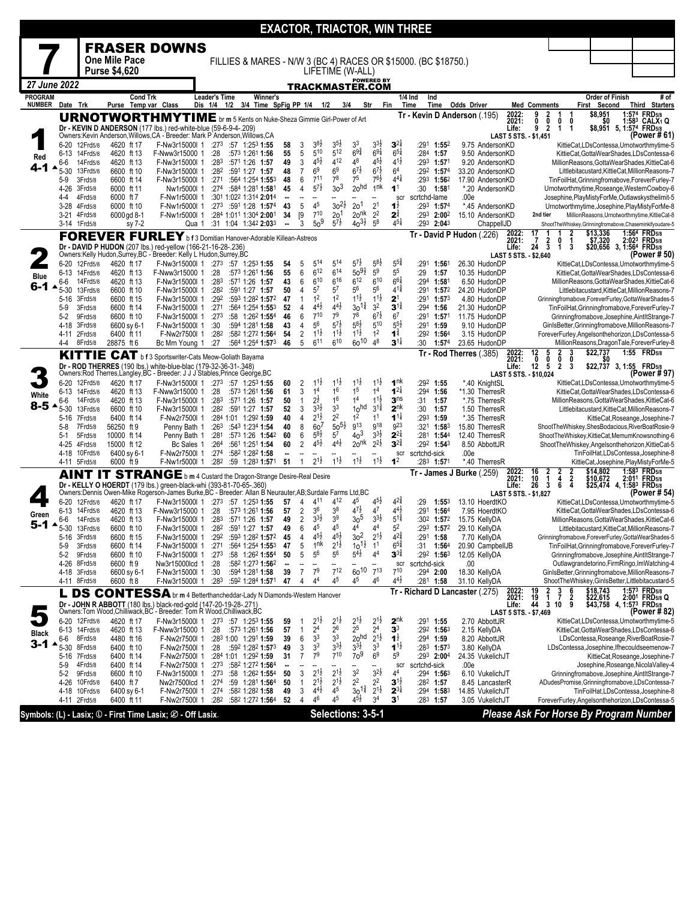|                                 |                      |                               |                            |                                                                                                                                                                                 |                                     |                                                    |          |                          |                                     |                                      |                                           |                                       |                                        | <b>EXACTOR, TRIACTOR, WIN THREE</b>                            |                                                  |                                |                                                                      |                                |                                 |                                                                                                                                      |
|---------------------------------|----------------------|-------------------------------|----------------------------|---------------------------------------------------------------------------------------------------------------------------------------------------------------------------------|-------------------------------------|----------------------------------------------------|----------|--------------------------|-------------------------------------|--------------------------------------|-------------------------------------------|---------------------------------------|----------------------------------------|----------------------------------------------------------------|--------------------------------------------------|--------------------------------|----------------------------------------------------------------------|--------------------------------|---------------------------------|--------------------------------------------------------------------------------------------------------------------------------------|
|                                 |                      |                               |                            | <b>FRASER DOWNS</b>                                                                                                                                                             |                                     |                                                    |          |                          |                                     |                                      |                                           |                                       |                                        |                                                                |                                                  |                                |                                                                      |                                |                                 |                                                                                                                                      |
|                                 |                      |                               | One Mile Pace              |                                                                                                                                                                                 |                                     |                                                    |          |                          |                                     |                                      |                                           |                                       |                                        | FILLIES & MARES - N/W 3 (BC 4) RACES OR \$15000. (BC \$18750.) |                                                  |                                |                                                                      |                                |                                 |                                                                                                                                      |
|                                 |                      |                               | <b>Purse \$4,620</b>       |                                                                                                                                                                                 |                                     |                                                    |          |                          |                                     | LIFETIME (W-ALL)                     |                                           |                                       |                                        |                                                                |                                                  |                                |                                                                      |                                |                                 |                                                                                                                                      |
| 27 June 2022                    |                      |                               |                            |                                                                                                                                                                                 |                                     |                                                    |          |                          |                                     | <b>TRACKMASTER.COM</b>               |                                           | <b>POWERED BY</b>                     |                                        |                                                                |                                                  |                                |                                                                      |                                |                                 |                                                                                                                                      |
| <b>PROGRAM</b><br><b>NUMBER</b> | Date Trk             |                               | <b>Cond Trk</b><br>Purse   | Temp var Class                                                                                                                                                                  | <b>Leader's Time</b><br>Dis 1/4 1/2 | Winner's<br>3/4 Time SpFig PP 1/4                  |          |                          | 1/2                                 | 3/4                                  |                                           | Str                                   | Fin                                    | Ind<br>1/4 Ind<br>Time<br>Time                                 | <b>Odds Driver</b>                               |                                | <b>Med Comments</b>                                                  |                                | Order of Finish<br>First Second | # of<br><b>Third Starters</b>                                                                                                        |
|                                 |                      |                               |                            | <b>URNOTWORTHMYTIME</b> br m 5 Kents on Nuke-Sheza Gimmie Girl-Power of Art                                                                                                     |                                     |                                                    |          |                          |                                     |                                      |                                           |                                       |                                        |                                                                | Tr - Kevin D Anderson (.195)                     | 2022:<br>2021:                 | 9<br>$\frac{2}{0}$<br>1<br>0<br>$\mathbf 0$                          | -1<br>0                        | \$8,951<br>\$0                  | 1:574 FRD5/8<br>1:583 CALX1 Q                                                                                                        |
|                                 |                      |                               |                            | Dr - KEVIN D ANDERSON (177 lbs.) red-white-blue (59-6-9-4-.209)<br>Owners: Kevin Anderson, Willows, CA - Breeder: Mark P Anderson, Willows, CA                                  |                                     |                                                    |          |                          |                                     |                                      |                                           |                                       |                                        |                                                                |                                                  | Life:<br>LAST 5 STS. - \$1,451 | 9<br>$\overline{2}$<br>1                                             | $\mathbf{1}$                   |                                 | \$8,951 5, 1:574 FRD5/8<br>(Power #61)                                                                                               |
|                                 | 6-20                 | 12Frd5/8                      | 4620 ft 17                 | F-Nw3r15000l 1                                                                                                                                                                  |                                     | $:27^3$ :57 1:25 <sup>3</sup> 1:55                 | 58       | 3                        | $3^{8}\frac{1}{2}$                  | 3 <sup>5}</sup>                      | 3 <sup>3</sup>                            | $3^{3}\frac{1}{2}$                    | $3^{2\frac{1}{4}}$                     | $:291$ 1:552                                                   | 9.75 AndersonKD                                  |                                |                                                                      |                                |                                 | KittieCat,LDsContessa,Urnotworthmytime-5                                                                                             |
| Red                             | $6 - 13$<br>6-6      | 14Frd5/8<br>14Frd5/8          | 4620 ft 13<br>4620 ft 13   | F-Nww3r15000 1<br>F-Nw3r15000l 1                                                                                                                                                | :28<br>:283                         | :573 1:261 1:56<br>:571 1:26 1:57                  | 55<br>49 | 5<br>3                   | 510<br>$4^{51}$                     | 512<br>412                           | $69\frac{3}{4}$<br>48                     | $69\frac{1}{4}$<br>$4^{5\frac{1}{2}}$ | $6^{51}$<br>$4^{1\frac{1}{2}}$         | :284 1:57<br>$:293$ 1:571                                      | 9.50 AndersonKD<br>9.20 AndersonKD               |                                |                                                                      |                                |                                 | KittieCat, GottaWearShades, LDsContessa-6<br>MillionReasons, GottaWearShades, KittieCat-6                                            |
| 4-1                             | $5 - 30$             | 13Frd5/8                      | 6600 ft 10                 | F-Nw3r15000I 1                                                                                                                                                                  | :282                                | :591 1:27 1:57                                     | 48       | $\overline{7}$           | 6 <sup>9</sup>                      | 6 <sup>9</sup>                       | $6^{7}$ <sub>2</sub>                      | $6^{7\frac{1}{2}}$                    | 6 <sup>4</sup>                         | :292 1:574                                                     | 33.20 AndersonKD                                 |                                |                                                                      |                                |                                 | Littlebitacustard, KittieCat, MillionReasons-7                                                                                       |
|                                 | $5-9$<br>4-26        | 3Frd5/8<br>3Frd5/8            | 6600 ft 14<br>6000 ft 11   | F-Nw3r15000l 1<br>Nw1r5000l 1                                                                                                                                                   | :271                                | :564 1:254 1:553<br>:274 :584 1:281 1:581          | 48<br>45 | 6<br>4                   | $7^{11}$<br>$5^{7\frac{1}{2}}$      | $7^8$<br>3 <sup>3</sup>              | 7 <sup>5</sup><br>2o <sub>hd</sub>        | $7^{6}\frac{1}{2}$<br>1 <sup>nk</sup> | $4^{4}$<br>1 <sup>1</sup>              | $:293$ 1:56 <sup>2</sup><br>:30<br>1:581                       | 17.90 AndersonKD<br>*.20 AndersonKD              |                                |                                                                      |                                |                                 | TinFoilHat, Grinningfromabove, ForeverFurley-7<br>Urnotworthmytime, Roseange, WesternCowboy-6                                        |
|                                 | $4 - 4$              | 4Frd5/8                       | 6000 ft 7                  | F-Nw1r5000l 1                                                                                                                                                                   |                                     | :301 1:022 1:314 2:014                             | --       | $\overline{\phantom{a}}$ |                                     |                                      |                                           |                                       | scr                                    | scrtchd-lame                                                   | .00e                                             |                                |                                                                      |                                |                                 | Josephine, PlayMistyForMe, Outlawskysthelimit-5                                                                                      |
|                                 | $3 - 28$             | 4Frd5/8<br>3-21 4Frd5/8       | 6000 ft 10<br>6000 gd 8-1  | F-Nw1r5000l 1<br>F-Nw1r5000l 1                                                                                                                                                  |                                     | $:27^3$ :591 1:28 1:574<br>:284 1:011 1:304 2:001  | 43<br>34 | 5<br>[9                  | 45<br>$7^{10}$                      | $30^{21}$<br>20 <sup>1</sup>         | 20 <sup>1</sup><br>20 <sup>nk</sup>       | 2 <sup>1</sup><br>2 <sup>2</sup>      | $1^{\frac{1}{2}}$<br>$2^{\frac{3}{4}}$ | :29 <sup>3</sup> 1:57 <sup>4</sup><br>:293 2:002               | *.45 AndersonKD<br>15.10 AndersonKD              |                                | 2nd tier                                                             |                                |                                 | Urnotworthmytime, Josephine, PlayMistyForMe-8<br>MillionReasons, Urnotworthmytime, KittieCat-8                                       |
|                                 |                      | 3-14 1Frd5/8                  | sy 7-2                     | Qua 1                                                                                                                                                                           |                                     | :31 1:04 1:34 <sup>2</sup> 2:03 <sup>3</sup>       | −−       | 3                        | 50 <sup>9</sup>                     | $5^{7}$                              | $40^{31}$                                 | $5^8$                                 | $4^{51}$                               | $:293$ 2:043                                                   | ChappellJD                                       |                                |                                                                      |                                |                                 | ShootTheWhiskey,Grinningfromabove,Chaseminkifyoudare-5                                                                               |
|                                 |                      |                               |                            | <b>FOREVER FURLEY</b> b f 3 Domitian Hanover-Adorable Killean-Astreos                                                                                                           |                                     |                                                    |          |                          |                                     |                                      |                                           |                                       |                                        |                                                                | Tr - David P Hudon (.226)                        | 2022:<br>2021:                 | 17<br>1<br>1<br>$\frac{2}{3}$<br>0<br>-7                             | 2                              | \$13,336<br>\$7,320             | 1:564 FRD5/8<br>2:023 FRD5/8                                                                                                         |
|                                 |                      |                               |                            | Dr - DAVID P HUDON (207 lbs.) red-yellow (166-21-16-28-.236)<br>Owners:Kelly Hudon,Surrey,BC - Breeder: Kelly L Hudon,Surrey,BC                                                 |                                     |                                                    |          |                          |                                     |                                      |                                           |                                       |                                        |                                                                |                                                  | Life:<br>LAST 5 STS. - \$2,640 | 24<br>1                                                              | 3                              |                                 | \$20,656 3, 1:564 FRD5/8<br>(Power # 50)                                                                                             |
|                                 | $6 - 13$             | 6-20 12Frd5/8<br>14Frd5/8     | 4620 ft 17<br>4620 ft 13   | F-Nw3r15000l 1 :273 :57 1:253 1:55<br>F-Nww3r15000 1                                                                                                                            | :28                                 | :573 1:261 1:56                                    | 54<br>55 | 5<br>6                   | 514<br>$6^{12}$                     | 514<br>$6^{14}$                      | $5^{7}$ <sub>2</sub><br>$50^{91}$         | $5^{8}2$<br>5 <sup>9</sup>            | $5^{5^{3}_{4}}$<br>5 <sup>5</sup>      | :291<br>1:561<br>:29<br>1:57                                   | 26.30 HudonDF<br>10.35 HudonDP                   |                                |                                                                      |                                |                                 | KittieCat,LDsContessa,Urnotworthmytime-5<br>KittieCat.GottaWearShades.LDsContessa-6                                                  |
| Blue                            | 6-6                  | 14Frd5/8                      | 4620 ft 13                 | F-Nw3r15000I 1                                                                                                                                                                  | :283                                | :571 1:26 1:57                                     | 43       | 6                        | $6^{10}$                            | 616                                  | $6^{12}$                                  | $6^{10}$                              | $6^{6}$                                | :294<br>1:58                                                   | 6.50 HudonDP                                     |                                |                                                                      |                                |                                 | MillionReasons, GottaWearShades, KittieCat-6                                                                                         |
| 6-1                             | $5 - 30$<br>$5 - 16$ | 13Frd5/8<br>3Frd5/8           | 6600 ft 10<br>6600 ft 15   | F-Nw3r15000l 1<br>F-Nw3r15000l 1                                                                                                                                                | :282<br>:292                        | :591 1:27 1:57<br>:593 1:282 1:572                 | 50<br>47 | 4<br>$\mathbf{1}$        | $5^7$<br>1 <sup>2</sup>             | 57<br>1 <sup>2</sup>                 | 56<br>$1^{1\frac{1}{2}}$                  | 5 <sup>6</sup><br>$1^{1\frac{1}{2}}$  | $4^{1\frac{3}{4}}$<br>$\mathbf{2}^1$   | :291<br>1:57 <sup>2</sup><br>:291<br>$1:57^{3}$                | 24.20 HudonDP<br>4.80 HudonDP                    |                                |                                                                      |                                |                                 | Littlebitacustard, KittieCat, MillionReasons-7<br>Grinningfromabove, ForeverFurley, GottaWearShades-5                                |
|                                 | $5-9$                | 3Frd5/8                       | 6600 ft 14                 | F-Nw3r15000l 1                                                                                                                                                                  | :271                                | :564 1:254 1:553                                   | 52       | 4                        | $4^{4}$ <sub>2</sub>                | $4^{41}$                             | $30^{1\frac{3}{4}}$                       | 3 <sup>2</sup>                        | $3^{11}$                               | $:294$ 1:56                                                    | 21.30 HudonDP                                    |                                |                                                                      |                                |                                 | TinFoilHat, Grinningfromabove, ForeverFurley-7                                                                                       |
|                                 | $5-2$<br>4-18        | 9Frd5/8<br>3Frd5/8            | 6600 ft 10<br>6600 sy 6-1  | F-Nw3r15000l 1<br>F-Nw3r15000l 1                                                                                                                                                | :273<br>:30                         | :58 1:262 1:554<br>:594 1:281 1:58                 | 46<br>43 | 6<br>4                   | $7^{10}$<br>56                      | 7 <sup>9</sup><br>$5^{7}\frac{1}{2}$ | 7 <sup>8</sup><br>$5^{8}$                 | $6^{7\frac{1}{2}}$<br>510             | 6 <sup>7</sup><br>$5^{5}2$             | :291<br>1:57 <sup>1</sup><br>:291 1:59                         | 11.75 HudonDP<br>9.10 HudonDP                    |                                |                                                                      |                                |                                 | Grinningfromabove, Josephine, AintltStrange-7<br>GinIsBetter, Grinningfromabove, MillionReasons-7                                    |
|                                 | $4 - 11$             | 2Frd5/8                       | 6400 ft 11                 | F-Nw2r7500l 1                                                                                                                                                                   | :28 $2$                             | :582 1:272 1:564                                   | 54       | 2                        | $1^{1}\frac{1}{2}$                  | $1^{1\frac{1}{2}}$                   | $1^{1\frac{1}{2}}$                        | 1 <sup>2</sup>                        | $1^{\frac{3}{4}}$                      | :29 <sup>2</sup> 1:56 <sup>4</sup>                             | 3.15 HudonDP                                     |                                |                                                                      |                                |                                 | ForeverFurley, Angelsonthehorizon, LDsContessa-5                                                                                     |
|                                 | 4-4                  | 8Frd5/8                       | 28875 ft 6                 | Bc Mrn Young 1                                                                                                                                                                  | :27                                 | :564 1:254 1:573                                   | 46       | 5                        | 6 <sup>11</sup>                     | 610                                  | $60^{10}$                                 | 48                                    | $3^{11}$                               | :30<br>1:574                                                   | 23.65 HudonDP<br>Tr - Rod Therres (.385)         |                                | 5                                                                    | 3                              | \$22,737                        | MillionReasons, DragonTale, ForeverFurley-8<br>1:55 FRD5/8                                                                           |
|                                 |                      |                               |                            | KITTIE CAT b f 3 Sportswriter-Cats Meow-Goliath Bayama<br>Dr - ROD THERRES (190 lbs.) white-blue-blac (179-32-36-31-.348)                                                       |                                     |                                                    |          |                          |                                     |                                      |                                           |                                       |                                        |                                                                |                                                  | 2022:<br>2021:<br>Life:        | $\frac{2}{0}$<br>$\frac{12}{0}$<br>0<br>12<br>5                      | 0<br>$\mathbf{2}$<br>-3        |                                 | \$22,737 3, 1:55 FRD5/8                                                                                                              |
|                                 | 6-20                 | 12Frd5/8                      | 4620 ft 17                 | Owners:Rod Therres,Langley,BC - Breeder: J J J Stables, Prince George, BC<br>F-Nw3r15000l 1                                                                                     |                                     | $:27^3$ $:57$ 1:25 <sup>3</sup> 1:55               | 60       | 2                        | $1^{1}$                             | $1^{1}\frac{1}{2}$                   | $1^{1}\frac{1}{2}$                        | $11\frac{1}{2}$                       | 1 <sup>nk</sup>                        | :292 1:55                                                      | *.40 KnightSL                                    | LAST 5 STS. - \$10,024         |                                                                      |                                |                                 | (Power # 97)<br>KittieCat,LDsContessa,Urnotworthmytime-5                                                                             |
| White                           | 6-13                 | 14Frd5/8                      | 4620 ft 13                 | F-Nww3r15000 1                                                                                                                                                                  | :28<br>:283                         | :573 1:261 1:56                                    | 61       | 3<br>$\mathbf{1}$        | 1 <sup>4</sup><br>$2^{\frac{1}{2}}$ | 16<br>1 <sup>6</sup>                 | 1 <sup>5</sup><br>1 <sup>4</sup>          | 1 <sup>4</sup><br>$11\frac{1}{2}$     | $1^{21}$<br>3 <sup>ns</sup>            | :294 1:56                                                      | *1.30 TherresR                                   |                                |                                                                      |                                |                                 | KittieCat,GottaWearShades,LDsContessa-6                                                                                              |
| $8 - 5$                         | 6-6<br>$5 - 30$      | 14Frd5/8<br>13Frd5/8          | 4620 ft 13<br>6600 ft 10   | F-Nw3r15000l 1<br>F-Nw3r15000l 1                                                                                                                                                | :282                                | :571 1:26 1:57<br>:591 1:27 1:57                   | 50<br>52 | 3                        | $3^{3}\frac{1}{2}$                  | 3 <sup>3</sup>                       | 1 <sub>0</sub> hd                         | $3^{1\frac{3}{4}}$                    | 2 <sup>nk</sup>                        | :31<br>1:57<br>:30<br>1:57                                     | *.75 TherresR<br>1.50 TherresR                   |                                |                                                                      |                                |                                 | MillionReasons, GottaWearShades, KittieCat-6<br>Littlebitacustard, KittieCat, MillionReasons-7                                       |
|                                 | $5 - 16$<br>5-8      | 7Frd5/8<br>7Frd5/8            | 6400 ft 14<br>56250 ft 9   | F-Nw2r7500l 1<br>Penny Bath 1                                                                                                                                                   |                                     | :284 1:01 1:292 1:59<br>:263 :543 1:234 1:54       | 40<br>40 | 4<br>8                   | $2^{1\frac{1}{2}}$<br>60'           | 2 <sup>2</sup><br>$50^{51}$          | 1 <sup>2</sup><br>g13                     | 1 <sup>1</sup><br>g18                 | $1^{1\frac{1}{4}}$<br><b>923</b>       | $:293$ 1:59<br>:321 1:583                                      | *.35 TherresR<br>15.80 TherresR                  |                                |                                                                      |                                |                                 | KittieCat, Roseange, Josephine-7<br>ShootTheWhiskey,ShesBodacious,RiverBoatRosie-9                                                   |
|                                 | $5-1$                | 5Frd5/8                       | 10000 ft 14                | Penny Bath 1                                                                                                                                                                    | :281                                | :573 1:26 1:542                                    | 60       | 6                        | $5^{8}$                             | $5^7$                                | 40 <sup>3</sup>                           | $3^{3}\frac{1}{2}$                    | $2^{2\frac{1}{4}}$                     | :281<br>$1:54^{4}$                                             | 12.40 TherresR                                   |                                |                                                                      |                                |                                 | ShootTheWhiskey,KittieCat,MemumKnowsnothing-6                                                                                        |
|                                 | 4-25<br>4-18         | 4Frd5/8<br>10Frd5/8           | 15000 ft 12<br>6400 sy 6-1 | Bc Sales 1<br>F-Nw2r7500l 1                                                                                                                                                     | :264<br>:274                        | :561 1:251 1:54<br>:582 1:282 1:58                 | 60       | 2                        | $4^{5}\frac{1}{2}$                  | $4^{4}\frac{1}{2}$                   | 20 <sup>nk</sup>                          | $2^{2\frac{1}{2}}$                    | $3^{2\frac{3}{4}}$<br>scr              | :292 1:543<br>scrtchd-sick                                     | 8.50 AbbottJR<br>.00e                            |                                |                                                                      |                                |                                 | ShootTheWhiskey,Angelsonthehorizon,KittieCat-5<br>TinFoilHat,LDsContessa,Josephine-8                                                 |
|                                 | 4-11                 | 5Frd5/8                       | 6000 ft 9                  | F-Nw1r5000l 1                                                                                                                                                                   |                                     | :282 :59 1:283 1:571                               | 51       | $\mathbf{1}$             | 2 <sup>1</sup> ż                    | $1^{1\frac{1}{2}}$                   | $1^{1\frac{1}{2}}$                        | $1^{1\frac{1}{2}}$                    | 1 <sup>2</sup>                         | $:28^3$ 1:571                                                  | *.40 TherresR                                    |                                |                                                                      |                                |                                 | KittieCat, Josephine, PlayMistyForMe-5                                                                                               |
|                                 |                      |                               |                            | AINT IT STRANGE b m 4 Custard the Dragon-Strange Desire-Real Desire                                                                                                             |                                     |                                                    |          |                          |                                     |                                      |                                           |                                       |                                        |                                                                | Tr - James J Burke (.259)                        | 2022:<br>2021:                 | $\frac{16}{10}$<br>$\frac{2}{1}$                                     | $\frac{2}{2}$<br>$\frac{2}{4}$ | \$14,802<br>\$10,672            | 1:583 FRD5/8<br>2:011 FRD5/8                                                                                                         |
|                                 |                      |                               |                            | Dr - KELLY O HOERDT (179 lbs.) green-black-whi (393-81-70-65-.360)<br>Owners: Dennis Owen-Mike Rogerson-James Burke, BC - Breeder: Allan B Neurauter, AB; Surdale Farms Ltd, BC |                                     |                                                    |          |                          |                                     |                                      |                                           |                                       |                                        |                                                                |                                                  | Life:<br>LAST 5 STS. - \$1,827 | $\overline{\mathbf{3}}$<br>26<br>6                                   |                                |                                 | \$25,474 4, 1:58 <sup>3</sup> FRD <sub>5/8</sub><br>(Power # 54)                                                                     |
|                                 | 6-20                 | 12Frd5/8                      | 4620 ft 17                 | F-Nw3r15000l 1                                                                                                                                                                  |                                     | :273 :57 1:253 1:55                                | 57       | 4                        | 411<br>36                           | 412<br>38                            | 45<br>$4^{7\frac{1}{2}}$                  | $45\frac{1}{2}$<br>4 <sup>7</sup>     | 4 <sup>2</sup><br>$4^{4}$ <sub>2</sub> | 1:553<br>:29<br>1:564                                          | 13.10 HoerdtKC                                   |                                |                                                                      |                                |                                 | KittieCat,LDsContessa,Urnotworthmytime-5<br>KittieCat, GottaWearShades, LDsContessa-6                                                |
| Green                           | $6 - 13$<br>6-6      | 14Frd5/8<br>14Frd5/8          | 4620 ft 13<br>4620 ft 13   | F-Nww3r15000 1<br>F-Nw3r15000l 1                                                                                                                                                | :28<br>:283                         | :573 1:261 1:56<br>:571 1:26 1:57                  | 57<br>49 | 2<br>2                   | $3^{3}\frac{1}{2}$                  | 3 <sup>9</sup>                       | 3 <sub>0</sub> 5                          | $3^{3}\frac{1}{2}$                    | $5^{1\frac{3}{4}}$                     | :291<br>:302 1:572                                             | 7.95 HoerdtKO<br>15.75 KellyDA                   |                                |                                                                      |                                |                                 | MillionReasons, GottaWearShades, KittieCat-6                                                                                         |
| 5-1                             | ▲<br>5-16            | 5-30 13Frd5/8<br>3Frd5/8      | 6600 ft 10<br>6600 ft 15   | F-Nw3r15000l 1<br>F-Nw3r15000l 1                                                                                                                                                | :292                                | :282 :591 1:27 1:57<br>:593 1:282 1:572            | 49<br>45 | 6<br>4                   | 4 <sup>5</sup><br>$4^{5}$           | 45<br>$4^{5}\frac{1}{2}$             | 44<br>3 <sup>2</sup>                      | 44<br>$2^{1\frac{1}{2}}$              | 5 <sup>2</sup><br>$4^{2*}$             | :293<br>1:57 <sup>2</sup><br>:291 1:58                         | 29.10 KellyDA<br>7.70 KellyDA                    |                                |                                                                      |                                |                                 | Littlebitacustard, KittieCat, MillionReasons-7<br>Grinningfromabove, ForeverFurley, GottaWearShades-5                                |
|                                 | $5-9$                | 3Frd5/8                       | 6600 ft 14                 | F-Nw3r15000l 1                                                                                                                                                                  | :271                                | :564 1:254 1:553                                   | 47       | 5                        | 1 <sup>nk</sup>                     | $2^{1\frac{1}{2}}$                   | $10^{1\frac{1}{2}}$<br>$5^{4\frac{1}{2}}$ | 1 <sup>1</sup>                        | $6^{5*}$                               | :31<br>1:56 <sup>4</sup>                                       | 20.90 CampbellJB                                 |                                |                                                                      |                                |                                 | TinFoilHat, Grinningfromabove, ForeverFurley-7                                                                                       |
|                                 | $5-2$                | 9Frd5/8<br>4-26 8Frd5/8       | 6600 ft 10<br>6600 ft 9    | F-Nw3r15000l 1<br>Nw3r15000lcd 1                                                                                                                                                | :273<br>:28                         | :58 $1:26^2$ 1:55 <sup>4</sup><br>:582 1:273 1:562 | 50       | 5                        | $5^6$<br>--                         | $5^6$                                | --                                        | 4 <sup>4</sup>                        | $3^{34}$<br>scr                        | :292 1:563<br>scrtchd-sick                                     | 12.05 KellyDA<br>.00                             |                                |                                                                      |                                |                                 | Grinningfromabove, Josephine, AintltStrange-7<br>Outlawgrandetorino, Firm Ringo, Im Watching-4                                       |
|                                 |                      | 4-18 3Frd5/8                  | 6600 sy 6-1                | F-Nw3r15000l 1                                                                                                                                                                  | :30                                 | :594 1:281 1:58                                    | 39       | $\overline{7}$           | 7 <sup>9</sup>                      | $7^{12}$                             | $60^{10}$                                 | $7^{13}$                              | $7^{10}$                               | :294 2:00                                                      | 18.30 KellyDA                                    |                                |                                                                      |                                |                                 | GinIsBetter, Grinningfromabove, MillionReasons-7                                                                                     |
|                                 |                      | 4-11 8Frd5/8                  | 6600 ft 8                  | F-Nw3r15000l 1                                                                                                                                                                  | :283                                | :592 1:284 1:571                                   | 47       | 4                        | 44                                  | 45                                   | 45                                        | 46                                    | $4^{4}$ <sub>2</sub>                   | :281 1:58                                                      | 31.10 KellyDA<br>Tr - Richard D Lancaster (.275) |                                | 19                                                                   |                                |                                 | ShootTheWhiskey, GinIsBetter, Littlebitacustard-5                                                                                    |
|                                 | L                    |                               |                            | <b>DS CONTESSA</b> br m 4 Betterthancheddar-Lady N Diamonds-Western Hanover<br>Dr - JOHN R ABBOTT (180 lbs.) black-red-gold (147-20-19-28-.271)                                 |                                     |                                                    |          |                          |                                     |                                      |                                           |                                       |                                        |                                                                |                                                  | 2022:<br>2021:<br>Life:        | $\begin{array}{cc} 2 & 3 \\ 1 & 7 \\ 3 & 10 \end{array}$<br>19<br>44 | $\frac{6}{2}$                  |                                 | \$18,743 1:57 <sup>3</sup> FRD5/8<br>\$22,615 2:001 FRD5/8<br>\$43,758 4, 1:57 <sup>3</sup> FRD5/8<br>1:573 FRD5/8<br>2:001 FRD5/8 Q |
|                                 |                      | 6-20 12Frd5/8                 | 4620 ft 17                 | Owners: Tom Wood, Chilliwack, BC - Breeder: Tom R Wood, Chilliwack, BC<br>F-Nw3r15000l 1                                                                                        |                                     | $:27^3$ :57 1:25 <sup>3</sup> 1:55                 | 59       | -1                       | $2^{1\frac{1}{2}}$                  | $2^{1\frac{1}{2}}$                   | $2^{1\frac{1}{2}}$                        | $2^{1\frac{1}{2}}$                    | $2^{nk}$                               | :291 1:55                                                      | 2.70 AbbottJR                                    | LAST 5 STS. - \$7,469          |                                                                      |                                |                                 | (Power # 82)<br>KittieCat,LDsContessa,Urnotworthmytime-5                                                                             |
| <b>Black</b>                    |                      | 6-13 14Frd5/8                 | 4620 ft 13                 | F-Nww3r15000 1                                                                                                                                                                  | :28                                 | :573 1:261 <b>1:56</b>                             | 57       | $\mathbf{1}$             | 24                                  | $2^6$                                | 2 <sup>5</sup>                            | 2 <sup>4</sup>                        | 3 <sup>3</sup>                         | $:29^2$ 1:56 <sup>3</sup>                                      | 2.15 KellyDA                                     |                                |                                                                      |                                |                                 | KittieCat, GottaWearShades, LDsContessa-6                                                                                            |
| 3-1                             | 6-6<br>$5 - 30$      | 8Frd5/8<br>8Frd5/8            | 4480 ft 16<br>6400 ft 10   | F-Nw2r7500l 1<br>F-Nw2r7500l 1                                                                                                                                                  | :28                                 | :283 1:00 1:291 1:59<br>:592 1:282 1:573           | 39<br>49 | 6<br>3                   | 3 <sup>3</sup><br>3 <sup>3</sup>    | 3 <sup>3</sup><br>$3^{3}\frac{1}{2}$ | 20 <sup>hd</sup><br>$3^{3}\frac{1}{2}$    | $2^{1\frac{1}{2}}$<br>3 <sup>3</sup>  | $1^{\frac{1}{2}}$<br>$1^{1}$           | :294 1:59<br>:283 1:573                                        | 8.20 AbbottJR<br>3.80 KellyDA                    |                                |                                                                      |                                |                                 | LDsContessa, Roseange, RiverBoatRosie-7<br>LDsContessa, Josephine, Ifhecouldseemenow-7                                               |
|                                 | $5-16$               | 7Frd5/8                       | 6400 ft 14                 | F-Nw2r7500l 1                                                                                                                                                                   |                                     | :284 1:01 1:292 1:59                               | 31       | 7                        | 7 <sup>9</sup>                      | $7^{10}$                             | 70 <sup>9</sup>                           | 6 <sup>9</sup>                        | 5 <sup>9</sup>                         | $:293$ 2:004                                                   | 24.35 VukelichJT                                 |                                |                                                                      |                                |                                 | KittieCat, Roseange, Josephine-7                                                                                                     |
|                                 | $5-9$<br>$5-2$       | 4Frd5/8<br>9Frd5/8            | 6400 ft 14<br>6600 ft 10   | F-Nw2r7500l 1<br>F-Nw3r15000l 1                                                                                                                                                 |                                     | :273 :582 1:272 1:564<br>:273 :58 1:262 1:554      | 50       | 3                        | --<br>$2^{1\frac{1}{2}}$            | $2^{1\frac{1}{2}}$                   | 3 <sup>2</sup>                            | --<br>$3^{21}$                        | scr<br>4 <sup>4</sup>                  | scrtchd-sick<br>:29 <sup>4</sup> 1:56 <sup>3</sup>             | .00e<br>6.10 VukelichJT                          |                                |                                                                      |                                |                                 | Josephine, Roseange, Nicola Valley-4<br>Grinningfromabove, Josephine, AintltStrange-7                                                |
|                                 | 4-26                 | 10Frd5/8                      | 6400 ft 7                  | Nw2r7500lcd 1                                                                                                                                                                   | :274                                | :59 1:281 1:564                                    | 50       | $\mathbf{1}$             | $2^{1\frac{1}{2}}$                  | $2^{1\frac{1}{2}}$                   | 2 <sup>2</sup>                            | 2 <sup>2</sup>                        | $3^{1\frac{1}{2}}$                     | :282 1:57                                                      | 8.45 LancasterR                                  |                                |                                                                      |                                |                                 | ADudesPromise, Grinningfromabove, LDsContessa-7                                                                                      |
|                                 |                      | 4-18 10Frd5/8<br>4-11 2Frd5/8 | 6400 sy 6-1<br>6400 ft 11  | F-Nw2r7500l 1<br>F-Nw2r7500l 1                                                                                                                                                  | :274<br>:282                        | :582 1:282 1:58<br>:582 1:272 1:564                | 49<br>52 | 3<br>4                   | $4^{4}$<br>46                       | 45<br>45                             | $30^{1\frac{3}{4}}$<br>$4^{5}\frac{1}{2}$ | $2^{1\frac{1}{2}}$<br>3 <sup>4</sup>  | $2^{3\frac{1}{4}}$<br>$\mathbf{3}^1$   | $:294$ 1:583<br>:28 <sup>3</sup> 1:57                          | 14.85 VukelichJT<br>3.05 VukelichJT              |                                |                                                                      |                                |                                 | TinFoilHat,LDsContessa,Josephine-8<br>ForeverFurley, Angelsonthehorizon, LDsContessa-5                                               |
|                                 |                      |                               |                            | Symbols: (L) - Lasix; ① - First Time Lasix; ② - Off Lasix.                                                                                                                      |                                     |                                                    |          |                          |                                     | Selections: 3-5-1                    |                                           |                                       |                                        |                                                                |                                                  |                                |                                                                      |                                |                                 | Please Ask For Horse By Program Number                                                                                               |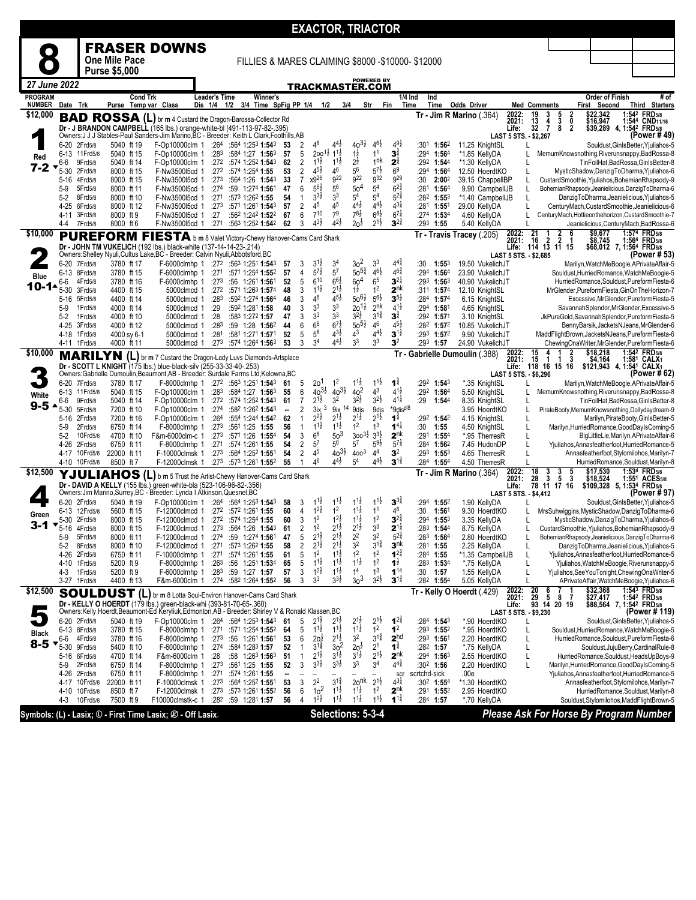|                           |                               |                       |                           |                 |                                                                                                                                                                     |                      |                  |           |                                                                   |                      |                              |                                          | <b>EXACTOR, TRIACTOR</b>                 |                                          |                                         |                                                 |             |                                                |                                                    |                |                                                                                       |                                                |                                                  |                                                                                                     |
|---------------------------|-------------------------------|-----------------------|---------------------------|-----------------|---------------------------------------------------------------------------------------------------------------------------------------------------------------------|----------------------|------------------|-----------|-------------------------------------------------------------------|----------------------|------------------------------|------------------------------------------|------------------------------------------|------------------------------------------|-----------------------------------------|-------------------------------------------------|-------------|------------------------------------------------|----------------------------------------------------|----------------|---------------------------------------------------------------------------------------|------------------------------------------------|--------------------------------------------------|-----------------------------------------------------------------------------------------------------|
|                           |                               |                       |                           |                 | <b>FRASER DOWNS</b>                                                                                                                                                 |                      |                  |           |                                                                   |                      |                              |                                          |                                          |                                          |                                         |                                                 |             |                                                |                                                    |                |                                                                                       |                                                |                                                  |                                                                                                     |
|                           |                               |                       | <b>One Mile Pace</b>      |                 |                                                                                                                                                                     |                      |                  |           | FILLIES & MARES CLAIMING \$8000 -\$10000- \$12000                 |                      |                              |                                          |                                          |                                          |                                         |                                                 |             |                                                |                                                    |                |                                                                                       |                                                |                                                  |                                                                                                     |
| 27 June 2022              |                               |                       | <b>Purse \$5,000</b>      |                 |                                                                                                                                                                     |                      |                  |           |                                                                   |                      |                              |                                          |                                          |                                          | <b>POWERED BY</b>                       |                                                 |             |                                                |                                                    |                |                                                                                       |                                                |                                                  |                                                                                                     |
| <b>PROGRAM</b>            |                               |                       |                           | <b>Cond Trk</b> |                                                                                                                                                                     | <b>Leader's Time</b> |                  |           | Winner's                                                          |                      |                              |                                          | TRACKMASTER.COM                          |                                          |                                         |                                                 | $1/4$ Ind   | Ind                                            |                                                    |                |                                                                                       |                                                | <b>Order of Finish</b>                           | # of                                                                                                |
| <b>NUMBER</b><br>\$12,000 | Date Trk                      |                       | Purse Temp var Class      |                 |                                                                                                                                                                     | Dis 1/4 1/2          |                  |           | 3/4 Time SpFig PP 1/4                                             |                      |                              | 1/2                                      | 3/4                                      |                                          | Str                                     | Fin                                             | Time        | Time                                           | <b>Odds Driver</b><br>$Tr - Jim R$ Marino $(.364)$ | 2022:          | <b>Med Comments</b><br>19<br>3                                                        |                                                | First Second<br>\$22,342                         | Third Starters                                                                                      |
|                           |                               |                       |                           |                 | <b>BAD ROSSA (L)</b> br m 4 Custard the Dragon-Barossa-Collector Rd<br>Dr - J BRANDON CAMPBELL (165 lbs.) orange-white-bl (491-113-97-82-.395)                      |                      |                  |           |                                                                   |                      |                              |                                          |                                          |                                          |                                         |                                                 |             |                                                |                                                    | 2021:<br>Life: | 13<br>$\frac{4}{7}$<br>32                                                             | 5<br>3<br>8<br>$\frac{2}{0}$<br>$\overline{2}$ | \$16,947                                         | 1:542 FRD5/8<br>1:544 CND11/16<br>\$39,289 4, 1:54 <sup>2</sup> FRD <sub>5/8</sub>                  |
|                           | 6-20                          | 2Frd5/8               | 5040 ft 19                |                 | Owners: J J J Stables-Paul Sanders-Jim Marino, BC - Breeder: Keith L Clark, Foothills, AB<br>F-Op10000clm 1                                                         |                      |                  |           | $:264$ $:564$ 1:253 1:543                                         | 53                   | 2                            | 48                                       | $4^{4}\frac{1}{2}$                       | $40^{31}$                                | $4^{6}\frac{1}{2}$                      | $4^{9}\frac{1}{2}$                              | :301        | 1:562                                          | 11.25 KnightSL                                     |                | LAST 5 STS. - \$2,267<br>L                                                            |                                                |                                                  | (Power # 49<br>Souldust, GinIsBetter, Yjuliahos-5                                                   |
| Red                       | 6-13<br>6-6                   | 11 Frd 5/8<br>9Frd5/8 | 5040 ft 15<br>5040 ft 14  |                 | F-Op10000clm 1<br>F-Op10000clm 1                                                                                                                                    |                      | :283<br>:272     |           | :584 1:27 1:563<br>:574 1:252 1:543                               | 57<br>62             | 5<br>2                       | $200^{11}$<br>$1^{11}$                   | $1^{1\frac{1}{2}}$<br>$1^{1\frac{1}{2}}$ | $1\overline{2}$<br>$2^{\frac{1}{2}}$     | 1 <sup>1</sup><br>1 <sup>nk</sup>       | $\mathbf{3}^{\frac{3}{4}}$<br>$2^{\frac{3}{4}}$ | :294        | 1:56 <sup>4</sup><br>:292 1:544                | *1.85 KellyDA<br>*1.30 KellyDA                     |                |                                                                                       |                                                |                                                  | MemumKnowsnothing, Riverunsnappy, BadRossa-8<br>TinFoilHat.BadRossa.GinIsBetter-8                   |
| 7-2                       | 5-30                          | 2Frd5/8               | 8000 ft 15                |                 | F-Nw3500l5cd 1                                                                                                                                                      |                      | :27 <sup>2</sup> |           | :574 1:254 1:55                                                   | 53                   | 2                            | $4^{5}\frac{1}{2}$                       | 46                                       | 56                                       | $5^{7\frac{1}{2}}$                      | 6 <sup>9</sup>                                  | :294        | 1:56 <sup>4</sup>                              | 12.50 HoerdtKO                                     |                | L                                                                                     |                                                |                                                  | MysticShadow,DanzigToDharma,Yjuliahos-6                                                             |
|                           | 5-16<br>5-9                   | 4Frd5/8<br>5Frd5/8    | 8000 ft 15<br>8000 ft 11  |                 | F-Nw3500l5cd 1<br>F-Nw3500l5cd 1                                                                                                                                    |                      | :273<br>:274     |           | :564 1:26 1:543<br>:59 1:274 1:561                                | 33<br>47             | $\overline{7}$<br>6          | x926<br>$5^{6}2$                         | g <sub>22</sub><br>56                    | 9 <sup>22</sup><br>50 <sup>4</sup>       | g <sub>32</sub><br>5 <sup>4</sup>       | g <sub>29</sub><br>$6^{2\frac{3}{4}}$           | :30         | 2:002<br>$:28^1$ 1:56 <sup>4</sup>             | 39.15 ChappelIBP<br>9.90 CampbellJB                |                |                                                                                       |                                                |                                                  | CustardSmoothie, Yjuliahos, BohemianRhapsody-9<br>BohemianRhapsody,Jeanielicious,DanzigToDharma-6   |
|                           | $5-2$                         | 8Frd5/8               | 8000 ft 10                |                 | F-Nw3500l5cd 1                                                                                                                                                      |                      | :271             |           | :573 1:262 1:55                                                   | 54                   | $\mathbf{1}$                 | 3 <sup>3</sup>                           | 3 <sup>3</sup>                           | 5 <sup>4</sup>                           | 5 <sup>4</sup>                          | $5^{21}$                                        |             | :282 1:553                                     | *1.40 CampbellJB                                   |                | L                                                                                     |                                                |                                                  | DanzigToDharma, Jeanielicious, Yjuliahos-5                                                          |
|                           | $4 - 25$<br>4-11              | 6Frd5/8<br>3Frd5/8    | 8000 ft 12<br>8000 ft 9   |                 | F-Nw3500l5cd 1<br>F-Nw350015cd 1                                                                                                                                    |                      | :273<br>:27      |           | :571 1:261 1:543<br>:562 1:242 <b>1:52</b> 2                      | 57<br>67             | $\overline{c}$<br>6          | 45<br>710                                | 45<br>79                                 | $4^{4}$<br>$78\frac{1}{2}$               | $4^{4}$ <sub>2</sub><br>$68\frac{1}{2}$ | $4^{3\frac{1}{4}}$<br>$67\frac{1}{4}$           |             | $:281$ 1:551<br>:274 1:534                     | 29.00 KellyDA<br>4.60 KellyDA                      |                |                                                                                       |                                                |                                                  | CenturyMach, CustardSmoothie, Jeanielicious-6<br>CenturyMach, Hottieonthehorizon, CustardSmoothie-7 |
|                           | 4-4                           | 7Frd5/8               | 8000 ft 6                 |                 | F-Nw3500l5cd 1                                                                                                                                                      |                      | :271             |           | :563 1:252 1:542                                                  | 62                   | 3                            | $4^{3}\frac{1}{2}$                       | 42}                                      | $20\frac{1}{2}$                          | $2^{1\frac{1}{2}}$                      | $3^{2\frac{3}{4}}$                              | :293        | 1:55                                           | 5.40 KellyDA                                       |                |                                                                                       |                                                |                                                  | Jeanielicious, CenturyMach, BadRossa-6                                                              |
| \$10,000                  |                               |                       |                           |                 | <b>PUREFORM FIESTA</b> b m 8 Valet Victory-Chewy Hanover-Cams Card Shark                                                                                            |                      |                  |           |                                                                   |                      |                              |                                          |                                          |                                          |                                         |                                                 |             |                                                | Tr - Travis Tracey (.205)                          | 2022:<br>2021: | $\frac{21}{16}$<br>$\overline{2}$                                                     | $\frac{2}{2}$<br>6                             | $$9,677$<br>\$8,745                              | 1:574 FRD5/8<br>1:564 FRD5/8                                                                        |
|                           |                               |                       |                           |                 | Dr - JOHN TM VUKELICH (192 lbs.) black-white (137-14-14-23-.214)<br>Owners: Shelley Nyuli, Cultus Lake, BC - Breeder: Calvin Nyuli, Abbotsford, BC                  |                      |                  |           |                                                                   |                      |                              |                                          |                                          |                                          |                                         |                                                 |             |                                                |                                                    |                | Life: 114 13 11 15<br>LAST 5 STS. - \$2,685                                           |                                                | \$68,012 7, 1:564 FRD5/8                         | (Power # 53)                                                                                        |
|                           | 6-20 7Frd5/8                  |                       | 3780 ft 17                |                 | F-6000clmhp 1                                                                                                                                                       |                      |                  |           | $:272$ $:563$ 1:251 <b>1:54</b> 3                                 | 57                   | 3                            | $3^{1}$<br>$5^{7\frac{1}{2}}$            | 34<br>5 <sup>7</sup>                     | 3 <sup>2</sup><br>$50^{5\frac{3}{4}}$    | 3 <sup>3</sup><br>$4^{6}\frac{1}{2}$    | $4^{4}$<br>$4^{6}\frac{3}{4}$                   | :30         | 1:553                                          | 19.50 VukelichJT                                   |                |                                                                                       |                                                |                                                  | Marilyn, WatchMeBoogie, APrivateAffair-                                                             |
| <b>Blue</b>               | 6-13<br>6-6                   | 8Frd5/8<br>4Frd5/8    | 3780 ft 15<br>3780 ft 16  |                 | F-6000clmhp 1<br>F-6000clmhp 1                                                                                                                                      |                      | :271<br>:273     |           | :571 1:254 1:552<br>:56 1:261 1:561                               | 57<br>52             | 4<br>5                       | 610                                      | $66\frac{1}{2}$                          | 60 <sup>4</sup>                          | $65$                                    | $3^{2\frac{1}{4}}$                              | :294        | 1:56 <sup>4</sup><br>$:29^3$ 1:56 <sup>3</sup> | 23.90 VukelichJT<br>40.90 VukelichJT               |                |                                                                                       |                                                |                                                  | Souldust, HurriedRomance, WatchMeBoogie-5<br>HurriedRomance,Souldust,PureformFiesta-6               |
| $10 - 14$                 | 5-30                          | 3Frd5/8               | 4400 ft 15                |                 | 5000clmcd 1                                                                                                                                                         |                      | :272             |           | :571 1:263 1:574                                                  | 48                   | 3                            | $1^{1\frac{1}{2}}$                       | $2^{1\frac{1}{2}}$                       | $1\frac{1}{2}$                           | 1 <sup>2</sup>                          | 2 <sup>nk</sup>                                 |             | :311 1:574                                     | 12.10 KnightSL                                     |                |                                                                                       |                                                |                                                  | MrGlender, Pureform Fiesta, GinOn The Horizon-7                                                     |
|                           | 5-16<br>5-9                   | 5Frd5/8<br>1Frd5/8    | 4400 ft 14<br>4000 ft 14  |                 | 5000clmcd 1<br>5000clmcd 1                                                                                                                                          |                      | :283<br>:29      |           | :592 1:274 1:564<br>:592 1:281 1:58                               | 46<br>40             | 3<br>3                       | 46<br>3 <sup>3</sup>                     | 45}<br>3 <sup>3</sup>                    | $50^{61}$<br>$20^{11}$                   | $5^{6}\frac{1}{2}$<br>2 <sup>nk</sup>   | $3^{5\frac{1}{2}}$<br>$4^{1\frac{1}{2}}$        |             | :284 1:574<br>:294 1:581                       | 6.15 KnightSL<br>4.65 KnightSL                     |                |                                                                                       |                                                |                                                  | Excessive, MrGlender, Pureform Fiesta-5<br>SavannahSplendor, MrGlender, Excessive-5                 |
|                           | $5-2$                         | 1Frd5/8               | 4000 ft 10                |                 | 5000clmcd 1                                                                                                                                                         |                      | :28              |           | :583 1:272 1:57                                                   | 47                   | 3                            | 3 <sup>3</sup>                           | 3 <sup>3</sup>                           | $3^{21}$                                 | $3^{1\frac{3}{4}}$                      | $\mathbf{3}^{\frac{3}{4}}$                      |             | :292 1:571                                     | 3.10 KnightSL                                      |                |                                                                                       |                                                |                                                  | JkPureGold,SavannahSplendor,PureformFiesta-5                                                        |
|                           | $4 - 25$<br>4-18 1Frd5/8      | 3Frd5/8               | 4000 ft 12<br>4000 sy 6-1 |                 | 5000clmcd 1<br>5000clmcd 1                                                                                                                                          |                      | :283<br>:281     |           | :59 1:28 1:562<br>:581 1:271 1:571                                | 44<br>52             | 6<br>5                       | 6 <sup>8</sup><br>5 <sup>8</sup>         | $6^{7\frac{1}{2}}$<br>$4^{3}\frac{1}{2}$ | $50^{51}$<br>43                          | 46<br>$4^{4}$                           | $4^{5}\frac{1}{2}$<br>$3^{1\frac{1}{2}}$        |             | $:28^2$ 1:57 <sup>2</sup><br>:293 1:572        | 10.85 VukelichJT<br>9.90 VukelichJT                |                |                                                                                       |                                                |                                                  | BennyBarsik,JacketsNJeans,MrGlender-6<br>MaddFlightBrown, JacketsNJeans, PureformFiesta-6           |
|                           | 4-11 1Frd5/8                  |                       | 4000 ft 11                |                 | 5000clmcd 1                                                                                                                                                         |                      | :273             |           | :574 1:264 1:563                                                  | 53                   | 3                            | 3 <sup>4</sup>                           | $4^{41}$                                 | 3 <sup>3</sup>                           | 3 <sup>3</sup>                          | 3 <sup>2</sup>                                  |             | $:29^3$ 1:57                                   | 24.90 VukelichJT                                   |                |                                                                                       |                                                |                                                  | ChewingOnaWriter, MrGlender, PureformFiesta-6                                                       |
| \$10,000                  |                               | <b>MARILYN</b>        |                           |                 | (L) br m 7 Custard the Dragon-Lady Luvs Diamonds-Artsplace                                                                                                          |                      |                  |           |                                                                   |                      |                              |                                          |                                          |                                          |                                         |                                                 |             |                                                | Tr - Gabrielle Dumoulin (.388)                     | 2022:<br>2021: | $\frac{15}{15}$<br>1                                                                  | 2<br>$\bar{3}$<br>1                            | $$18,218$<br>\$4,164                             | 1:542 FRD5/8<br>1:581 CALX1                                                                         |
|                           |                               |                       |                           |                 | Dr - SCOTT L KNIGHT (175 lbs.) blue-black-silv (255-33-33-40-.253)<br>Owners: Gabrielle Dumoulin, Beaumont, AB - Breeder: Surdale Farms Ltd, Kelowna, BC            |                      |                  |           |                                                                   |                      |                              |                                          |                                          |                                          |                                         |                                                 |             |                                                |                                                    |                | Life: 118 16 15 16<br>LAST 5 STS. - \$6,296                                           |                                                | \$121,943 4, 1:54 <sup>1</sup> CALX <sub>1</sub> | (Power # 62                                                                                         |
|                           | $6 - 20$                      | 7Frd5/8               | 3780 ft 17                |                 | F-8000clmhp 1                                                                                                                                                       |                      | :272             |           | :56 <sup>3</sup> 1:25 <sup>1</sup> <b>1:54</b> <sup>3</sup>       | 61                   | 5                            | 2o'                                      | 1 <sup>2</sup>                           | $1^{1\frac{1}{2}}$                       | $1^{1\frac{1}{2}}$                      | $\mathbf{1}^{\frac{3}{4}}$                      |             | $:29^2$ 1:543                                  | *.35 KnightSL                                      |                | L                                                                                     |                                                |                                                  | Marilyn, WatchMeBoogie, APrivateAffair-5                                                            |
| White                     | 6-13<br>6-6                   | 11 Frd 5/8<br>9Frd5/8 | 5040 ft 15<br>5040 ft 14  |                 | F-Op10000clm 1<br>F-Op10000clm 1                                                                                                                                    |                      | :283<br>:272     |           | $:584$ 1:27 1:56 <sup>3</sup><br>:574 1:252 1:543                 | 55<br>61             | 6<br>$\overline{7}$          | $40^{31}$<br>$2^{1\frac{1}{2}}$          | $40^{31}$<br>3 <sup>2</sup>              | 40 <sup>2</sup><br>$3^{2}\frac{1}{2}$    | 4 <sup>3</sup><br>$3^{21}$              | $4^{1\frac{1}{2}}$<br>$4^{11}$                  | :292<br>:29 | 1:56 <sup>4</sup><br>1:544                     | 5.50 KnightSL<br>8.35 KnightSL                     |                | L                                                                                     |                                                |                                                  | MemumKnowsnothing, Riverunsnappy, BadRossa-8<br>TinFoilHat,BadRossa,GinIsBetter-8                   |
| $9 - 5$                   | 5-30                          | 5Frd5/8               | 7200 ft 10                |                 | F-Op10000clm 1                                                                                                                                                      |                      | :274             |           | :582 1:262 1:543                                                  | $\ddot{\phantom{a}}$ | 2                            | 3<br>3ix                                 | 9ix                                      | 9dis                                     | 9dis                                    | *9dis <sup>pl8</sup>                            |             |                                                | 3.95 HoerdtKO                                      |                | L                                                                                     |                                                |                                                  | PirateBooty,MemumKnowsnothing,Dollydaydream-9                                                       |
|                           | 5-16<br>5-9                   | 2Frd5/8<br>2Frd5/8    | 7200 ft 16<br>6750 ft 14  |                 | F-Op10000clm 1<br>F-8000clmhp 1                                                                                                                                     |                      | :264<br>:273     |           | :554 1:244 1:542<br>:561 1:25 1:55                                | 62<br>56             | $\mathbf{1}$<br>$\mathbf{1}$ | $2^{2}\frac{1}{2}$<br>$1^{1\frac{1}{2}}$ | $2^{1\frac{1}{2}}$<br>$1^{1\frac{1}{2}}$ | $2^{1\frac{1}{2}}$<br>1 <sup>2</sup>     | $2^{1\frac{1}{2}}$<br>1 <sup>3</sup>    | $1^{\frac{3}{4}}$<br>$1^{4\frac{1}{4}}$         | :30         | :292 1:542<br>1:55                             | 4.15 KnightSL<br>4.50 KnightSL                     |                | L<br>L                                                                                |                                                |                                                  | Marilyn, PirateBooty, GinIsBetter-5<br>Marilyn, Hurried Romance, Good Dayls Coming-5                |
|                           | 5-2                           | 10Frd5/8              | 4700 ft 10                |                 | F&m-6000clm-c 1                                                                                                                                                     |                      | :273             |           | :571 1:26 1:554                                                   | 54                   | 3                            | 6 <sup>6</sup>                           | 50 <sup>3</sup>                          | $300^{31}$                               | $3^{31}$                                | 2 <sup>nk</sup>                                 |             | :291 1:554                                     | *.95 TherresR                                      |                | L                                                                                     |                                                |                                                  | BigLittleLie, Marilyn, APrivateAffair-6                                                             |
|                           | 4-26                          | 2Frd5/8               | 6750 ft 11                |                 | F-8000clmhp 1                                                                                                                                                       |                      | :271             |           | :574 1:261 1:55                                                   | 54                   | $\overline{2}$               | $5^7$<br>45                              | 56<br>$40^{31}$                          | $5^7$                                    | $5^{9}\frac{1}{2}$                      | $5^{7}$                                         | :284        | 1:562                                          | 7.45 HudonDP                                       |                | L                                                                                     |                                                |                                                  | Yjuliahos, Annasfeatherfoot, Hurried Romance-5                                                      |
|                           | 4-17<br>4-10                  | 10Frd5/8<br>10Frd5/8  | 22000 ft 11<br>8500 ft 7  |                 | F-10000clmsk 1<br>F-12000clmsk 1                                                                                                                                    |                      | :273             |           | :564 1:252 1:551<br>:273 :573 1:261 1:552                         | 54<br>55             | $\overline{2}$<br>-1         | 46                                       | 44}                                      | 400 <sup>3</sup><br>5 <sup>4</sup>       | 44<br>$4^{4}\frac{1}{2}$                | 3 <sup>2</sup><br>$3^{1\frac{3}{4}}$            |             | $:29^3$ 1:553<br>:284 1:554                    | 4.65 TherresR<br>4.50 TherresR                     |                |                                                                                       |                                                |                                                  | Annasfeatherfoot, Stylomilohos, Marilyn-7<br>HurriedRomance,Souldust,Marilyn-8                      |
| \$12,500                  |                               |                       |                           |                 | YJULIAHOS (L) b m 5 Trust the Artist-Chewy Hanover-Cams Card Shark                                                                                                  |                      |                  |           |                                                                   |                      |                              |                                          |                                          |                                          |                                         |                                                 |             |                                                | $Tr - Jim R$ Marino $(.364)$                       | 2022:<br>2021: | 18<br>3                                                                               | 3<br>5<br>5                                    | \$17,530                                         | 1:534 FRD5/8<br>1:551 ACES5/8                                                                       |
|                           |                               |                       |                           |                 | Dr - DAVID A KELLY (155 lbs.) green-white-bla (523-106-96-82-.356)<br>Owners: Jim Marino, Surrey, BC - Breeder: Lynda I Atkinson, Quesnel, BC                       |                      |                  |           |                                                                   |                      |                              |                                          |                                          |                                          |                                         |                                                 |             |                                                |                                                    | Life:          | $\frac{28}{78}$ $\frac{3}{11}$ $\frac{5}{17}$ $\frac{3}{16}$<br>LAST 5 STS. - \$4,412 |                                                | \$18,524 1:551 ACES5<br>\$109,328 5, 1:534 FRD58 | (Power # 97)                                                                                        |
|                           | $6 - 20$                      | 2Frd5/8               | 5040 ft 19                |                 | F-Op10000clm 1                                                                                                                                                      |                      | :264             |           | :564 1:253 1:543                                                  | 58                   | 3                            | $1^{11}$                                 | $1^{1}\frac{1}{2}$                       | $1^{1\frac{1}{2}}$                       | $11\frac{1}{2}$                         | $3^{34}$                                        | :294        | 1:55 <sup>2</sup>                              | 1.90 KellyDA                                       |                |                                                                                       |                                                |                                                  | Souldust, GinlsBetter, Yjuliahos-5                                                                  |
| Green                     | 6-13 12Frd5/8<br>5-30 2Frd5/8 |                       | 5600 ft 15<br>8000 ft 15  |                 | F-12000clmcd 1<br>F-12000clmcd 1                                                                                                                                    |                      |                  |           | $:27^2$ $:57^2$ 1:26 <sup>1</sup> 1:55<br>$:27^2$ :574 1:254 1:55 | 60<br>60             | 4<br>3                       | $1^{2}\frac{1}{2}$<br>1 <sup>2</sup>     | 1 <sup>2</sup><br>$12$ <sub>2</sub>      | $1^{1\frac{1}{2}}$<br>$1^{1\frac{1}{2}}$ | 1 <sup>1</sup><br>1 <sup>2</sup>        | 46<br>$3^{2^3}$                                 | :30         | 1:561<br>$:294$ 1:553                          | 9.30 HoerdtKO<br>3.35 KellvDA                      |                | L                                                                                     |                                                |                                                  | MrsSuhwiggins, MysticShadow, DanzigToDharma-6<br>MysticShadow,DanzigToDharma,Yjuliahos-6            |
| 3.1                       | 5-16                          | 4Frd5/8               | 8000 ft 15                |                 | F-12000clmcd 1                                                                                                                                                      |                      | :273             | :564 1:26 | $1:54^3$                                                          | 61                   | 2                            |                                          | 2'ż                                      | $2^12$                                   | 3 <sup>3</sup>                          | $2^{14}$                                        | :283        | 1:544                                          | 8.75 KellyDA                                       |                | L                                                                                     |                                                |                                                  | CustardSmoothie, Yjuliahos, BohemianRhapsody-9                                                      |
|                           | 5-9                           | 5Frd5/8<br>8Frd5/8    | 8000 ft 11<br>8000 ft 10  |                 | F-12000clmcd 1<br>F-12000clmcd 1                                                                                                                                    |                      | :274<br>:271     |           | :59 1:274 1:561<br>:573 1:262 1:55                                | 47<br>58             | 5<br>$\overline{2}$          | $2^{1\frac{1}{2}}$<br>$2^{1\frac{1}{2}}$ | $2^{1\frac{1}{2}}$<br>$2^{1\frac{1}{2}}$ | 2 <sup>2</sup><br>3 <sup>2</sup>         | 3 <sup>2</sup><br>$3^{1\frac{3}{4}}$    | $5^{2^{3}_{4}}$<br>3 <sup>nk</sup>              |             | $:28^3$ 1:56 <sup>4</sup><br>$:28^1$ 1:55      | 2.80 HoerdtKO<br>2.25 KellyDA                      |                | L                                                                                     |                                                |                                                  | BohemianRhapsody,Jeanielicious,DanzigToDharma-6<br>DanzigToDharma, Jeanielicious, Yjuliahos-5       |
|                           | $5-2$<br>4-26                 | 2Frd5/8               | 6750 ft 11                |                 | F-10000clmhp 1                                                                                                                                                      |                      |                  |           | :271 :574 1:261 1:55                                              | 61                   | 5                            | 1 <sup>2</sup>                           | $1^{1\frac{1}{2}}$                       | 1 <sup>2</sup>                           | 1 <sup>2</sup>                          | $1^{2^3}$                                       |             | :284 1:55                                      | *1.35 CampbellJB                                   |                | L                                                                                     |                                                |                                                  | Yjuliahos, Annasfeatherfoot, Hurried Romance-5                                                      |
|                           | 4-10                          | 1Frd5/8               | 5200 ft 9                 |                 | F-8000clmhp 1                                                                                                                                                       |                      | :26 <sup>3</sup> |           | :56 1:251 1:534                                                   | 65                   | 5                            | $1^{1\frac{1}{2}}$                       | $1^{1\frac{1}{2}}$<br>$1^{1\frac{1}{2}}$ | $1^{1\frac{1}{2}}$<br>1 <sup>4</sup>     | 1 <sup>2</sup><br>1 <sup>3</sup>        | $1^{\frac{1}{2}}$                               |             | $:283$ 1:534                                   | *.75 KellyDA                                       |                | L                                                                                     |                                                |                                                  | Yjuliahos, WatchMeBoogie, Riverunsnappy-5                                                           |
|                           | 4-3<br>3-27 1Frd5/8           | 1Frd5/8               | 5200 ft 9<br>4400 ft 13   |                 | F-6000clmhp 1<br>F&m-6000clm 1                                                                                                                                      |                      |                  |           | :283 :59 1:27 1:57<br>:274 :582 1:264 1:552                       | 57<br>56             | 3<br>3                       | 1 <sup>2</sup><br>3 <sup>3</sup>         | $3^{3}\frac{1}{2}$                       | 3 <sup>3</sup>                           | $3^{21}$                                | $1^{14}$<br>$3^{1\frac{3}{4}}$                  | :30         | 1:57<br>:282 1:554                             | 1.55 KellyDA<br>5.05 KellyDA                       |                | L<br>L                                                                                |                                                |                                                  | Yjuliahos, See You Tonight, Chewing Ona Writer-5<br>APrivateAffair, WatchMeBoogie, Yjuliahos-6      |
| \$12,500                  |                               |                       |                           |                 | <b>SOULDUST</b> (L) br m 8 Lotta Soul-Environ Hanover-Cams Card Shark                                                                                               |                      |                  |           |                                                                   |                      |                              |                                          |                                          |                                          |                                         |                                                 |             |                                                | Tr - Kelly O Hoerdt (.429)                         | 2022:<br>2021: | $\frac{20}{29}$<br>93<br>6<br>5                                                       | 8<br>- 7                                       | \$32,368<br>\$27,417                             | 1:543 FRD5/8<br>1:54 <sup>2</sup> FRD <sub>5/8</sub>                                                |
|                           |                               |                       |                           |                 | Dr - KELLY O HOERDT (179 lbs.) green-black-whi (393-81-70-65-.360)<br>Owners:Kelly Hoerdt,Beaumont-Ed Keryliuk,Edmonton,AB - Breeder: Shirley V & Ronald Klassen,BC |                      |                  |           |                                                                   |                      |                              |                                          |                                          |                                          |                                         |                                                 |             |                                                |                                                    | Life:          |                                                                                       | 14 20 19                                       | \$88,564 7, 1:542 FRD5/8                         | (Power # 119)                                                                                       |
|                           | 6-20                          | 2Frd5/8               | 5040 ft 19                |                 | F-Op10000clm 1                                                                                                                                                      |                      |                  |           | $:264$ $:564$ 1:253 1:543                                         | 61                   | 5                            | $2^{1}$                                  | $2^{1\frac{1}{2}}$                       | $2^{1\frac{1}{2}}$                       | $2^{1\frac{1}{2}}$                      | $1^{24}$                                        |             | :284 1:543                                     | *.90 HoerdtKO                                      |                | LAST 5 STS. - \$9,230<br>L                                                            |                                                |                                                  | Souldust, GinIsBetter, Yjuliahos-5                                                                  |
| <b>Black</b>              | 6-13 8Frd5/8                  |                       | 3780 ft 15                |                 | F-8000clmhp 1                                                                                                                                                       |                      | :271             |           | :571 1:254 1:552                                                  | 64                   | 5                            | $1^{1\frac{1}{2}}$                       | $1^{1\frac{1}{2}}$<br>$2^{1\frac{1}{2}}$ | $1^{1\frac{1}{2}}$<br>3 <sup>2</sup>     | 1 <sup>2</sup><br>$3^{1\frac{3}{4}}$    | 1 <sup>2</sup><br>2 <sup>hd</sup>               |             | :293 1:552                                     | *.95 HoerdtKO                                      |                | L                                                                                     |                                                |                                                  | Souldust, Hurried Romance, Watch MeBoogie-5                                                         |
| $8-5$                     | 6-6<br>$5-30$                 | 4Frd5/8<br>9Frd5/8    | 3780 ft 16<br>5400 ft 10  |                 | F-8000clmhp 1<br>F-6000clmhp 1                                                                                                                                      |                      | :273<br>:274     |           | :56 1:261 1:561<br>:584 1:283 1:57                                | 53<br>52             | 6<br>$\mathbf{1}$            | $20\frac{1}{2}$<br>$3^{1\frac{3}{4}}$    | $30$ <sup>2</sup>                        | $20^{1/2}$                               | 2 <sup>1</sup>                          | $1^{\frac{3}{4}}$                               |             | :293 1:561<br>$:28^2$ 1:57                     | 2.20 HoerdtKO<br>*.75 KellyDA                      |                | L<br>L                                                                                |                                                |                                                  | HurriedRomance,Souldust,PureformFiesta-6<br>Souldust, JujuBerry, CardinalRule-8                     |
|                           | 5-16                          | 6Frd5/8               | 4700 ft 14                |                 | F&m-6000clm 1                                                                                                                                                       |                      | :28              |           | :58 $1:26^3$ 1:56 <sup>3</sup>                                    | 51                   | $\mathbf{1}$                 | $2^{1\frac{1}{2}}$                       | $3^{1\frac{1}{2}}$<br>$3^{31}$           | $3^{1\frac{1}{2}}$<br>3 <sup>3</sup>     | $2^{1\frac{1}{2}}$<br>3 <sup>4</sup>    | $2^{nk}$<br>$4^{4^{3}_{4}}$                     |             | $:294$ 1:563                                   | 2.55 HoerdtKO                                      |                | L                                                                                     |                                                |                                                  | HurriedRomance,Souldust,HeadsUpBoys-9                                                               |
|                           | $5-9$<br>4-26                 | 2Frd5/8<br>2Frd5/8    | 6750 ft 14<br>6750 ft 11  |                 | F-8000clmhp 1<br>F-8000clmhp 1                                                                                                                                      |                      | :273<br>:271     |           | :561 1:25 1:55<br>:574 1:261 1:55                                 | 52<br>               | 3                            | $3^{3}\frac{1}{2}$                       |                                          |                                          |                                         | <b>SCI</b>                                      |             | :302 1:56<br>scrtchd-sick                      | 2.20 HoerdtKO<br>.00e                              |                | L                                                                                     |                                                |                                                  | Marilyn, Hurried Romance, Good Dayls Coming-5<br>Yjuliahos, Annasfeatherfoot, Hurried Romance-5     |
|                           | 4-17                          | 10Frd5/8              | 22000 ft 11               |                 | F-10000clmsk 1                                                                                                                                                      |                      | :273             |           | :564 1:252 1:551                                                  | 53                   | 3                            | 2 <sup>2</sup>                           | $3^{11/2}$                               | 2o <sup>nk</sup>                         | $2^{1\frac{1}{2}}$                      | $4^{3}\frac{1}{4}$                              |             | :302 1:554                                     | *1.30 HoerdtKO                                     |                |                                                                                       |                                                |                                                  | Annasfeatherfoot, Stylomilohos, Marilyn-7                                                           |
|                           | 4-10<br>$4 - 3$               | 10Frd5/8<br>10Frd5/8  | 8500 ft 7<br>7500 ft 9    |                 | F-12000clmsk 1<br>F10000clmstk-c 1                                                                                                                                  |                      | :273<br>:282     |           | :573 1:261 1:552<br>:59 1:281 1:57                                | 56<br>56             | 6<br>$\overline{4}$          | $\frac{1}{10^2}$                         | $1^{1\frac{1}{2}}$<br>$1^{11}$           | $1^{1\frac{1}{2}}$<br>$1^{1\frac{1}{2}}$ | 1 <sup>2</sup><br>$1^{1\frac{1}{2}}$    | 2 <sup>nk</sup><br>$1^{1\frac{3}{4}}$           |             | $:291$ 1:55 <sup>2</sup><br>$:284$ 1:57        | 2.95 HoerdtKO<br>*.70 KellyDA                      |                |                                                                                       |                                                |                                                  | HurriedRomance,Souldust,Marilyn-8<br>Souldust, Stylomilohos, MaddFlightBrown-5                      |
|                           |                               |                       |                           |                 | Symbols: (L) - Lasix; ① - First Time Lasix; ② - Off Lasix.                                                                                                          |                      |                  |           |                                                                   |                      |                              |                                          | Selections: 5-3-4                        |                                          |                                         |                                                 |             |                                                |                                                    |                |                                                                                       |                                                |                                                  | <b>Please Ask For Horse By Program Number</b>                                                       |
|                           |                               |                       |                           |                 |                                                                                                                                                                     |                      |                  |           |                                                                   |                      |                              |                                          |                                          |                                          |                                         |                                                 |             |                                                |                                                    |                |                                                                                       |                                                |                                                  |                                                                                                     |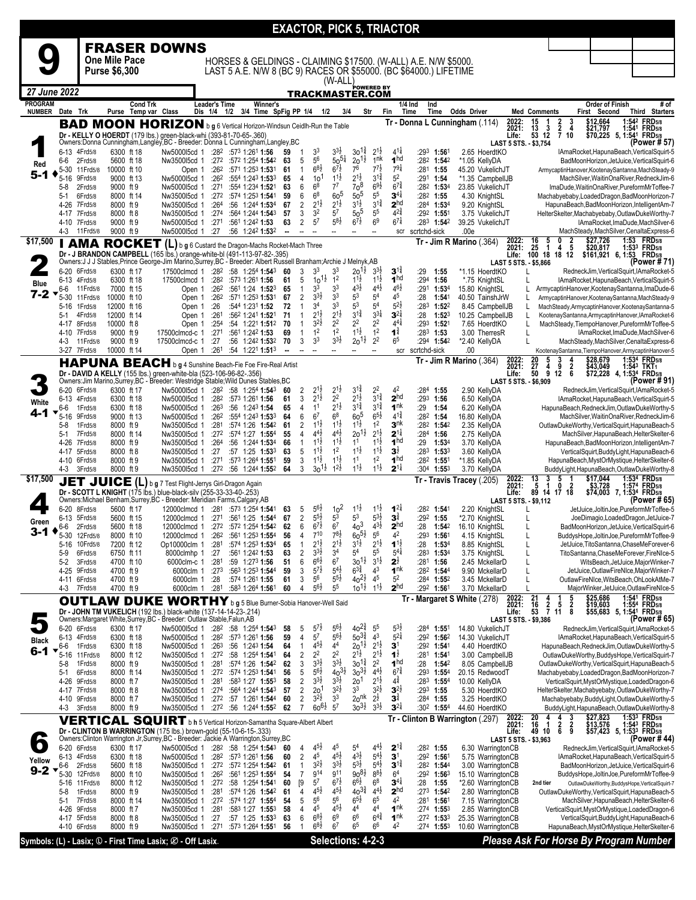|                |                              |                       |                            |                      |                                                                                                                                                                                               |                          |                                                   |          |                                  |                                            |                                          |                                           |                                          | <b>EXACTOR, PICK 5, TRIACTOR</b>              |                                                                   |                                                      |                         |                                                                                   |                                      |                                                                                                    |                 |                                                                  |
|----------------|------------------------------|-----------------------|----------------------------|----------------------|-----------------------------------------------------------------------------------------------------------------------------------------------------------------------------------------------|--------------------------|---------------------------------------------------|----------|----------------------------------|--------------------------------------------|------------------------------------------|-------------------------------------------|------------------------------------------|-----------------------------------------------|-------------------------------------------------------------------|------------------------------------------------------|-------------------------|-----------------------------------------------------------------------------------|--------------------------------------|----------------------------------------------------------------------------------------------------|-----------------|------------------------------------------------------------------|
|                |                              |                       |                            |                      | <b>FRASER DOWNS</b>                                                                                                                                                                           |                          |                                                   |          |                                  |                                            |                                          |                                           |                                          |                                               |                                                                   |                                                      |                         |                                                                                   |                                      |                                                                                                    |                 |                                                                  |
|                |                              |                       | <b>One Mile Pace</b>       |                      |                                                                                                                                                                                               |                          |                                                   |          |                                  |                                            |                                          |                                           |                                          |                                               | HORSES & GELDINGS - CLAIMING \$17500. (W-ALL) A.E. N/W \$5000.    |                                                      |                         |                                                                                   |                                      |                                                                                                    |                 |                                                                  |
|                |                              |                       | Purse \$6,300              |                      |                                                                                                                                                                                               |                          |                                                   |          |                                  |                                            |                                          |                                           |                                          |                                               | LAST 5 A.E. N/W 8 (BC 9) RACES OR \$55000. (BC \$64000.) LIFETIME |                                                      |                         |                                                                                   |                                      |                                                                                                    |                 |                                                                  |
| 27 June 2022   |                              |                       |                            |                      |                                                                                                                                                                                               |                          |                                                   |          |                                  |                                            | $(W-ALL)$                                | TRACKMASTER.COM                           | POWERED BY                               |                                               |                                                                   |                                                      |                         |                                                                                   |                                      |                                                                                                    |                 |                                                                  |
| <b>PROGRAM</b> |                              |                       |                            | <b>Cond Trk</b>      |                                                                                                                                                                                               | Leader's Time            | Winner's                                          |          |                                  |                                            |                                          |                                           |                                          | 1/4 Ind                                       | Ind                                                               |                                                      |                         |                                                                                   |                                      | Order of Finish                                                                                    |                 | # of                                                             |
| <b>NUMBER</b>  | Date Trk                     |                       |                            | Purse Temp var Class |                                                                                                                                                                                               | Dis 1/4                  | 1/2 3/4 Time SpFig PP 1/4 1/2                     |          |                                  |                                            | 3/4                                      |                                           | Str                                      | Fin<br>Time                                   | Time                                                              | <b>Odds Driver</b><br>Tr - Donna L Cunningham (.114) | 2022:                   | <b>Med Comments</b>                                                               |                                      | First Second                                                                                       |                 | <b>Third Starters</b>                                            |
|                |                              |                       |                            |                      | <b>BAD MOON HORIZON</b> b g 6 Vertical Horizon-Windsun Ceidlh-Run the Table<br>Dr - KELLY O HOERDT (179 lbs.) green-black-whi (393-81-70-65-.360)                                             |                          |                                                   |          |                                  |                                            |                                          |                                           |                                          |                                               |                                                                   |                                                      | 2021:<br>Life:          | $\begin{array}{cc} 15 & 1 \\ 13 & 3 \\ 53 & 12 \end{array}$                       | $\frac{2}{7}$<br>$\frac{3}{4}$<br>10 | \$12,664 1:542 FRD5/8<br>\$21,797 1:541 FRD5/8<br>\$70,225 5, 1:541 FRD5/8                         |                 | 1:54 <sup>2</sup> FRD <sub>5/8</sub><br>1:541 FRD <sub>5/8</sub> |
|                | 6-13 4Frd5/8                 |                       | 6300 ft 18                 |                      | Owners: Donna Cunningham, Langley, BC - Breeder: Donna L Cunningham, Langley, BC<br>Nw500015cd 1                                                                                              |                          | $:28^2$ $:57^3$ 1:26 <sup>1</sup> 1:56            | 59       | $\mathbf{1}$                     | 3 <sup>3</sup>                             | $3^{3}\frac{1}{2}$                       | $30^{13}$                                 | $2^{1\frac{1}{2}}$                       | $4^{11}$                                      | $:29^3$ 1:561                                                     | 2.65 HoerdtKO                                        |                         | LAST 5 STS. - \$3,754                                                             |                                      | IAmaRocket, HapunaBeach, VerticalSquirt-5                                                          |                 | (Power # 57)                                                     |
| Red            | 6-6                          | 2Frd5/8               | 5600 ft 18                 |                      | Nw350015cd 1                                                                                                                                                                                  | :272                     | :572 1:254 1:542                                  | 63       | 5                                | 56                                         | $50^{51}$                                | $20^{11}$                                 | 1 <sup>nk</sup>                          | 1 <sub>hd</sub>                               | :282 1:542                                                        | *1.05 KellyDA                                        |                         |                                                                                   |                                      | BadMoonHorizon, JetJuice, VerticalSquirt-6                                                         |                 |                                                                  |
| 5-1            | $5 - 30$<br>5-16             | 11 Frd 5/8<br>9Frd5/8 | 10000 ft 10<br>9000 ft 13  |                      | Open 1<br>Nw500015cd 1                                                                                                                                                                        | :26 <sup>2</sup><br>:262 | :571 1:253 1:531<br>:554 1:243 1:533              | 61<br>65 | $\mathbf{1}$<br>$\overline{4}$   | $6^{8}\frac{1}{2}$<br>10 <sup>1</sup>      | $6^{7\frac{1}{2}}$<br>$1^{1\frac{1}{2}}$ | 76<br>$2^{1\frac{1}{2}}$                  | $7^{7\frac{1}{2}}$<br>$3^{1\frac{3}{4}}$ | $79\frac{1}{4}$<br>5 <sup>2</sup>             | $:28^1$ 1:55<br>$:291$ 1:54                                       | 45.20 VukelichJT<br>*1.35 CampbellJB                 |                         |                                                                                   |                                      | ArmycaptinHanover,KootenaySantanna,MachSteady-9<br>MachSilver, WaitinOnaRiver, RedneckJim-6        |                 |                                                                  |
|                | 5-8                          | 2Frd5/8               | 9000 ft 9                  |                      | Nw500015cd 1                                                                                                                                                                                  | :271                     | :554 1:234 1:521                                  | 63       | 6<br>6                           | 6 <sup>8</sup><br>6 <sup>8</sup>           | 7 <sup>7</sup><br>60 <sup>5</sup>        | 70 <sup>8</sup><br>$50^5$                 | $69\frac{1}{2}$<br>$5^5\,$               | $6^{7\frac{3}{4}}$<br>$3^{4\frac{1}{4}}$      | :282 1:534                                                        | 23.85 VukelichJT                                     |                         |                                                                                   |                                      | ImaDude, WaitinOnaRiver, PureformMrToffee-7                                                        |                 |                                                                  |
|                | $5-1$<br>4-26 7Frd5/8        | 6Frd5/8               | 8000 ft 14<br>8000 ft 9    |                      | Nw3500I5cd 1<br>Nw350015cd 1                                                                                                                                                                  | :272<br>:264             | :574 1:253 1:541<br>:56 1:244 1:534               | 59<br>67 | $\overline{2}$                   | $2^{1\frac{1}{2}}$                         | $2^{1\frac{1}{2}}$                       | $3^{1}\frac{1}{2}$                        | $3^{1\frac{3}{4}}$                       | 2 <sup>hd</sup>                               | $:28^2$ 1:55<br>$:284$ 1:534                                      | 4.30 KnightSL<br>9.20 KnightSL                       |                         |                                                                                   |                                      | Machabyebaby, Loaded Dragon, Bad Moon Horizon-7<br>HapunaBeach, BadMoonHorizon, IntelligentAm-7    |                 |                                                                  |
|                | 4-17 7Frd5/8<br>4-10 7Frd5/8 |                       | 8000 ft 8<br>9000 ft 9     |                      | Nw350015cd 1<br>Nw500015cd 1                                                                                                                                                                  | :274<br>:271             | :564 1:244 <b>1:54</b> 3<br>:561 1:242 1:53       | 57<br>63 | 3<br>$\overline{2}$              | 3 <sup>2</sup><br>5 <sup>7</sup>           | 5 <sup>7</sup><br>$5^{8}$                | 50 <sup>5</sup><br>$6^{7}$                | 5 <sup>5</sup><br>6 <sup>9</sup>         | $4^{2\frac{3}{4}}$<br>$6^{7\frac{1}{4}}$      | $:29^2$ 1:551<br>$:283$ 1:542                                     | 3.75 VukelichJT<br>39.25 VukelichJT                  |                         |                                                                                   |                                      | HelterSkelter, Machabyebaby, OutlawDukeWorthy-7<br>IAmaRocket, ImaDude, MachSilver-6               |                 |                                                                  |
|                | 4-3                          | 11 Frd 5/8            | 9000 ft 9                  |                      | Nw500015cd 1                                                                                                                                                                                  | :27                      | :56 1:242 1:532                                   | --       |                                  | --                                         | --                                       | --                                        |                                          | scr                                           | scrtchd-sick                                                      | .00e                                                 |                         |                                                                                   |                                      | MachSteady, MachSilver, Cenalta Express-6                                                          |                 |                                                                  |
| \$17,500       |                              |                       | <b>AMA ROCKET</b>          |                      | (L) b g 6 Custard the Dragon-Machs Rocket-Mach Three                                                                                                                                          |                          |                                                   |          |                                  |                                            |                                          |                                           |                                          |                                               |                                                                   | Tr - Jim R Marino (.364)                             | 2022:<br>2021:          | 16 5 0 2<br>25 1 4 5<br>100 18 18 12                                              |                                      | \$27,726<br>\$20,817                                                                               |                 | 1:53 FRD5/8<br>1:533 FRD5/8                                      |
|                |                              |                       |                            |                      | Dr - J BRANDON CAMPBELL (165 lbs.) orange-white-bl (491-113-97-82-.395)<br>Owners: J J J Stables, Prince George-Jim Marino, Surrey, BC - Breeder: Albert Russell Branham; Archie J Melnyk, AB |                          |                                                   |          |                                  |                                            |                                          |                                           |                                          |                                               |                                                                   |                                                      | Life:                   | LAST 5 STS. - \$5,866                                                             |                                      | \$161,921 6, 1:53 FRD5/8                                                                           |                 | (Power # 71)                                                     |
|                | 6-20 6Frd5/8                 |                       | 6300 ft 17                 |                      | 17500clmcd 1                                                                                                                                                                                  |                          | :282 :58 1:254 1:543                              | 60       | 3                                | 3 <sup>3</sup>                             | 3 <sup>3</sup>                           | $20^{11}$                                 | $3^{3}\frac{1}{2}$<br>$1^{1\frac{1}{2}}$ | $3^{12}$<br>1 <sub>hd</sub>                   | :29<br>1:55                                                       | *1.15 HoerdtKO                                       |                         | L                                                                                 |                                      | RedneckJim, VerticalSquirt, IAmaRocket-5                                                           |                 |                                                                  |
| Blue           | 6-13 4Frd5/8<br>6-6          | 11 Frd 5/8            | 6300 ft 18<br>7000 ft 15   |                      | 17500clmcd 1<br>Open 1                                                                                                                                                                        | :282<br>:262             | :573 1:261 1:56<br>:561 1:24 1:523                | 61<br>65 | 5<br>$\mathbf{1}$                | $10^{11}$<br>3 <sup>3</sup>                | 1 <sup>2</sup><br>3 <sup>3</sup>         | $11\frac{1}{2}$<br>$4^{3}\frac{1}{2}$     | $4^{4}$ <sub>2</sub>                     | $4^{6}\frac{1}{2}$                            | :294 1:56<br>:291<br>1:534                                        | *.75 KnightSL<br>15.80 KnightSL                      |                         |                                                                                   |                                      | IAmaRocket, HapunaBeach, VerticalSquirt-5<br>ArmycaptinHanover, KootenaySantanna, ImaDude-6        |                 |                                                                  |
| 7-2            | 5-30<br>5-16                 | 11Frd5/8<br>1Frd5/8   | 10000 ft 10<br>12000 ft 16 |                      | Open 1<br>Open 1                                                                                                                                                                              | :262<br>:26              | :571 1:253 1:531<br>:544 1:231 1:52               | 67<br>72 | 2<br>$\mathbf{1}$                | $3^{3}\frac{1}{2}$<br>3 <sup>4</sup>       | 33<br>3 <sup>3</sup>                     | 5 <sup>3</sup><br>5 <sup>3</sup>          | 5 <sup>4</sup><br>5 <sup>4</sup>         | 45<br>$5^{21}$                                | :28<br>1:541<br>:283<br>$1:52^2$                                  | 40.50 TainshJrW<br>8.45 CampbellJB                   |                         |                                                                                   |                                      | ArmycaptinHanover,KootenaySantanna,MachSteady-9<br>MachSteady,ArmycaptinHanover,KootenaySantanna-5 |                 |                                                                  |
|                | $5-1$                        | 4Frd5/8               | 12000 ft 14                |                      | Open 1                                                                                                                                                                                        | :261                     | :562 1:241 1:521                                  | 71       | $\mathbf{1}$                     | $2^{1\frac{1}{2}}$                         | $2^{1\frac{1}{2}}$                       | $3^{1\frac{3}{4}}$                        | $3^{3}\frac{1}{4}$                       | $3^{21}$                                      | :28<br>1:523                                                      | 10.25 CampbellJB                                     |                         | L                                                                                 |                                      | KootenaySantanna,ArmycaptinHanover,IAmaRocket-6                                                    |                 |                                                                  |
|                | 4-17 8Frd5/8<br>4-10 7Frd5/8 |                       | 10000 ft 8<br>9000 ft 9    |                      | Open 1<br>17500clmcd-c 1                                                                                                                                                                      | :254<br>:271             | :54 1:221 1:512<br>:561 1:242 1:53                | 70<br>69 | $\mathbf{1}$<br>$\mathbf{1}$     | $3^{2}\frac{1}{2}$<br>1 <sup>2</sup>       | 2 <sup>2</sup><br>1 <sup>2</sup>         | $2^2$<br>$11\frac{1}{2}$                  | $2^2$<br>1 <sup>2</sup>                  | $4^{4}$<br>$\mathbf{1}^{\frac{3}{4}}$         | $:293$ 1:521<br>$:283$ 1:53                                       | 7.65 HoerdtKO<br>3.00 TherresR                       |                         | L<br>L                                                                            |                                      | MachSteady, TiempoHanover, PureformMrToffee-5<br>IAmaRocket, ImaDude, MachSilver-6                 |                 |                                                                  |
|                | 4-3                          | 11 Frd 5/8            | 9000 ft 9                  |                      | 17500clmcd-c 1                                                                                                                                                                                | :27                      | :56 1:242 1:532                                   | 70       | 3                                | 3 <sup>3</sup>                             | $3^{3}\frac{1}{2}$                       | $20^{1\frac{1}{2}}$                       | 2 <sup>2</sup>                           | 6 <sup>5</sup>                                | $:294$ 1:54 <sup>2</sup>                                          | *2.40 KellyDA                                        |                         | $\mathsf{L}$                                                                      |                                      | MachSteady, MachSilver, Cenalta Express-6                                                          |                 |                                                                  |
|                | 3-27 7Frd5/8                 |                       | 10000 ft 14                |                      | Open 1<br><b>HAPUNA BEACH</b> b g 4 Sunshine Beach-Fie Foe Fire-Real Artist                                                                                                                   | :261                     | :54 1:221 1:513                                   | ۰.       | $\overline{\phantom{a}}$         | $\overline{\phantom{a}}$                   | $\overline{\phantom{a}}$                 | --                                        | --                                       | scr                                           | scrtchd-sick                                                      | .00<br>$Tr - Jim R$ Marino (.364)                    |                         | 5                                                                                 | 3<br>4                               | KootenaySantanna,TiempoHanover,ArmycaptinHanover-5                                                 |                 | 1:534 FRD5/8<br>1:543 TKT1                                       |
|                |                              |                       |                            |                      | Dr - DAVID A KELLY (155 lbs.) green-white-bla (523-106-96-82-.356)                                                                                                                            |                          |                                                   |          |                                  |                                            |                                          |                                           |                                          |                                               |                                                                   |                                                      | 2022:<br>2021:<br>Life: | $\frac{20}{27}$<br>50<br>4<br>ġ.                                                  | 9<br>$\frac{2}{6}$<br>12             | \$28,679<br>\$43,049<br>\$72,228                                                                   | 4, 1:534 FRD5/8 |                                                                  |
|                | 6-20 6Frd5/8                 |                       | 6300 ft 17                 |                      | Owners: Jim Marino, Surrey, BC - Breeder: Westridge Stable; Wild Dunes Stables, BC<br>Nw500015cd 1                                                                                            | :282                     | :58 1:254 1:543                                   | 60       | $\overline{\mathbf{c}}$          | $2^{1\frac{1}{2}}$                         | $2^{1\frac{1}{2}}$                       | $3^{1\frac{3}{4}}$                        | $2^2$                                    | 4 <sup>2</sup>                                | :284<br>1:55                                                      | 2.90 KellyDA                                         |                         | LAST 5 STS. - \$6,909                                                             |                                      | RedneckJim, VerticalSquirt, IAmaRocket-5                                                           |                 | (Power # 91)                                                     |
| White          | 6-13                         | 4Frd5/8               | 6300 ft 18                 |                      | Nw500015cd 1                                                                                                                                                                                  | :282                     | :573 1:261 <b>1:56</b>                            | 61       | 3                                | $2^{1\frac{1}{2}}$                         | 2 <sup>2</sup>                           | $2^{1\frac{1}{2}}$                        | $3^{1\frac{3}{4}}$                       | 2 <sup>hd</sup>                               | :293 1:56                                                         | 6.50 KellyDA                                         |                         |                                                                                   |                                      | IAmaRocket, HapunaBeach, VerticalSquirt-5                                                          |                 |                                                                  |
| 4-1            | 6-6<br>$5 - 16$              | 1Frd5/8<br>9Frd5/8    | 6300 ft 18<br>9000 ft 13   |                      | Nw500015cd 1<br>Nw500015cd 1                                                                                                                                                                  | :26 <sup>3</sup><br>:262 | :56 1:243 1:54<br>:554 1:243 1:533                | 65<br>64 | $\overline{4}$<br>6              | 1 <sup>1</sup><br>6 <sup>7</sup>           | $2^{1\frac{1}{2}}$<br>6 <sup>8</sup>     | $3^{1\frac{3}{4}}$<br>60 <sup>5</sup>     | $3^{1\frac{3}{4}}$<br>$6^{51}$           | 1 <sup>nk</sup><br>$4^{1\frac{3}{4}}$         | $:29$ 1:54<br>:282 1:54                                           | 6.20 KellyDA<br>16.80 KellyDA                        |                         |                                                                                   |                                      | HapunaBeach, RedneckJim, OutlawDukeWorthy-5<br>MachSilver, WaitinOnaRiver, RedneckJim-6            |                 |                                                                  |
|                | 5-8                          | 1Frd5/8               | 8000 ft 9                  |                      | Nw3500I5cd 1                                                                                                                                                                                  | :281                     | :574 1:26 1:542                                   | 61       | $\overline{2}$                   | $1^{1\frac{1}{2}}$                         | $11\frac{1}{2}$                          | $1^{1\frac{1}{2}}$                        | 1 <sup>2</sup>                           | $\mathbf{3}^{\mathsf{nk}}$                    | $:28^2$ 1:54 <sup>2</sup>                                         | 2.35 KellyDA                                         |                         |                                                                                   |                                      | OutlawDukeWorthy,VerticalSquirt,HapunaBeach-5                                                      |                 |                                                                  |
|                | 5-1<br>4-26                  | 7Frd5/8<br>7Frd5/8    | 8000 ft 14<br>8000 ft 9    |                      | Nw350015cd 1<br>Nw350015cd 1                                                                                                                                                                  | :272<br>:264             | :574 1:27 1:554<br>:56 1:244 1:534                | 55<br>66 | 4<br>$\mathbf{1}$                | $4^{4}$ <sub>2</sub><br>$1^{1\frac{1}{2}}$ | $4^{4}\frac{1}{2}$<br>$1^{1\frac{1}{2}}$ | $20^{11}$<br>1 <sup>1</sup>               | $2^{1\frac{1}{2}}$<br>$1^{1\frac{1}{2}}$ | $2^{1\frac{1}{4}}$<br>1 <sup>hd</sup>         | :284 1:56<br>:29<br>1:53 <sup>4</sup>                             | 2.75 KellyDA<br>3.70 KellyDA                         |                         |                                                                                   |                                      | MachSilver, HapunaBeach, HelterSkelter-6<br>HapunaBeach, BadMoonHorizon, IntelligentAm-7           |                 |                                                                  |
|                | 4-17 5Frd5/8<br>4-10 6Frd5/8 |                       | 8000 ft 8                  |                      | Nw350015cd 1                                                                                                                                                                                  | :27                      | :57 1:25 1:533                                    | 63<br>59 | 5<br>3                           | $1^{11}$<br>$1^{1\frac{1}{2}}$             | 1 <sup>2</sup><br>$1^{1\frac{1}{2}}$     | $1^{1\frac{1}{2}}$<br>1 <sup>1</sup>      | $1^{1\frac{1}{2}}$<br>1 <sup>2</sup>     | $\mathbf{3}^{\frac{1}{2}}$<br>1 <sup>hd</sup> | $:28^3$ 1:533<br>$:28^2$ 1:551                                    | 3.60 KellyDA                                         |                         |                                                                                   |                                      | VerticalSquirt,BuddyLight,HapunaBeach-6                                                            |                 |                                                                  |
|                | 4-3                          | 3Frd5/8               | 8000 ft 9<br>8000 ft 9     |                      | Nw350015cd 1<br>Nw350015cd 1                                                                                                                                                                  | :271<br>:272             | :573 1:264 1:551<br>:56 1:244 1:552               | 64       | 3                                | $30^{11}$                                  | $1^{2}\frac{1}{2}$                       | $1^{1\frac{1}{2}}$                        | $1^{1\frac{1}{2}}$                       | $2^{1\frac{1}{4}}$                            | $:30^4$ 1:553                                                     | *1.85 KellyDA<br>3.70 KellyDA                        |                         |                                                                                   |                                      | HapunaBeach, MystOrMystique, HelterSkelter-6<br>BuddyLight, HapunaBeach, OutlawDukeWorthy-8        |                 |                                                                  |
| \$17,500       |                              |                       |                            |                      | JET JUICE (L) b g 7 Test Flight-Jerrys Girl-Dragon Again                                                                                                                                      |                          |                                                   |          |                                  |                                            |                                          |                                           |                                          |                                               |                                                                   | Tr - Travis Tracey (.205)                            | 2022:<br>2021:          | $\frac{13}{5}$<br>3<br>Ī.                                                         | 5<br>Ō<br>$\overline{\mathbf{2}}$    | $$17,044$<br>\$3,728                                                                               |                 | 1:534 FRD5/8<br>1:574 FRD5/8                                     |
|                |                              |                       |                            |                      | Dr - SCOTT L KNIGHT (175 lbs.) blue-black-silv (255-33-33-40-.253)<br>Owners: Michael Benham, Surrey, BC - Breeder: Meridian Farms, Calgary, AB                                               |                          |                                                   |          |                                  |                                            |                                          |                                           |                                          |                                               |                                                                   |                                                      | Life:                   | 89 14 17 18<br>LAST 5 STS. - \$9,112                                              |                                      | \$74,003 7, 1:534 FRD5/8                                                                           |                 | (Power # 65)                                                     |
|                | 6-20                         | 8Frd5/8               | 5600 ft 17                 |                      | 12000clmcd 1                                                                                                                                                                                  | :281                     | :57 <sup>3</sup> 1:25 <sup>4</sup> 1: <b>54</b> 1 | 63       | 5                                | $5^{6}\overline{2}$<br>$5^{5}\overline{2}$ | $10^{2}$                                 | $1^{1}\frac{1}{2}$                        | $1^{11}$                                 | $1^{2}$                                       | :282 1:541                                                        | 2.20 KnightSL                                        |                         |                                                                                   |                                      | JetJuice.JoltinJoe.PureformMrToffee-5                                                              |                 |                                                                  |
| Green          | 6-13 5Frd5/8<br>6-6          | 2Frd5/8               | 5600 ft 15<br>5600 ft 18   |                      | 12000clmcd 1 :271<br>12000clmcd 1 :272 :572 1:254 1:542                                                                                                                                       |                          | :561 1:25 1:544                                   | 67<br>62 | $\sqrt{2}$<br>6                  | $6^{7\frac{1}{2}}$                         | 5 <sup>3</sup><br>6 <sup>7</sup>         | 5 <sup>3</sup><br>40 <sup>3</sup>         | $5^{31}$<br>$4^{3}\frac{1}{2}$           | $3^{\frac{3}{4}}$<br>2 <sup>hd</sup>          | $:29^2$ 1:55<br>:28 1:542                                         | *2.70 KnightSL<br>16.10 KnightSL                     |                         |                                                                                   |                                      | JoeDimagio,LoadedDragon,JetJuice-7<br>BadMoonHorizon, JetJuice, VerticalSquirt-6                   |                 |                                                                  |
| 3-1            | 5-30                         | 12Frd5/8              | 8000 ft 10                 |                      | 12000clmcd 1                                                                                                                                                                                  | :262                     | :561 1:253 1:554                                  | 56       | 4                                | $7^{10}$<br>$2^{1\frac{1}{2}}$             | $78\frac{1}{2}$<br>$2^{1\frac{1}{2}}$    | $60^{51}$                                 | $5^6$                                    | 4 <sup>2</sup><br>$1^{1\frac{1}{2}}$          | :293<br>1:561                                                     | 4.15 KnightSL                                        |                         |                                                                                   |                                      | BuddysHope, JoltinJoe, PureformMrToffee-9                                                          |                 |                                                                  |
|                | $5 - 16$<br>5-9              | 10Frd5/8<br>6Frd5/8   | 7200 ft 12<br>6750 ft 11   |                      | Op10000clm 1<br>8000clmhp 1                                                                                                                                                                   | :281<br>:27              | :574 1:253 1:534<br>:561 1:242 1:53               | 65<br>63 | $\mathbf{1}$<br>2                | $3^{3}\frac{1}{2}$                         | 34                                       | $3^{1\frac{1}{2}}$<br>5 <sup>4</sup>      | $2^{1\frac{1}{2}}$<br>$5^5$              | $5^{4}$                                       | :28<br>1:53 <sup>4</sup><br>:283<br>1:534                         | 8.85 KnightSL<br>3.75 KnightSL                       |                         | L<br>L                                                                            |                                      | JetJuice, TitoSantanna, ChaseMeForever-6<br>TitoSantanna,ChaseMeForever,FireNIce-5                 |                 |                                                                  |
|                | $5 - 2$<br>4-25              | 3Frd5/8<br>9Frd5/8    | 4700 ft 10<br>4700 ft 9    |                      | 6000clm-c 1<br>6000clm 1                                                                                                                                                                      | :281<br>:273             | :59 1:273 1:56<br>:563 1:253 1:544                | 51<br>59 | 6<br>3                           | $6^{6}\frac{1}{2}$<br>$5^{7\frac{1}{2}}$   | 6 <sup>7</sup><br>$5^{4}$                | $30^{11}$<br>$6^{3\frac{3}{4}}$           | $3^{1\frac{1}{2}}$<br>4 <sup>3</sup>     | $2^{\frac{1}{2}}$<br>1 <sup>nk</sup>          | :281<br>1:56<br>:282 1:544                                        | 2.45 MckellarD<br>9.90 MckellarD                     |                         | L<br>L                                                                            |                                      | WitsBeach, JetJuice, MajorWinker-7<br>JetJuice, OutlawFireNIce, MajorWinker-7                      |                 |                                                                  |
|                | 4-11 6Frd5/8                 |                       | 4700 ft 9                  |                      | 6000clm 1                                                                                                                                                                                     | :28                      | :574 1:261 1:55                                   | 61       | 3                                | 5 <sup>6</sup>                             | $5^{5}\frac{1}{2}$                       | $40^{21}$                                 | $4^5\,$                                  | 5 <sup>2</sup>                                | :284 1:552                                                        | 3.45 MckellarD                                       |                         | L                                                                                 |                                      | OutlawFireNIce, WitsBeach, OhLookAtMe-7                                                            |                 |                                                                  |
|                | 4-3                          | 7Frd5/8               | 4700 ft 9                  |                      | 6000clm 1                                                                                                                                                                                     | :281                     | :583 1:264 1:561                                  | 60       | 4                                | $5^{6}2$                                   | 55                                       | $10^{11}$                                 | $11\frac{1}{2}$                          | 2 <sup>hd</sup>                               | :292 1:561                                                        | 3.70 MckellarD                                       |                         | L                                                                                 | 5                                    | MajorWinker, JetJuice, OutlawFireNIce-5                                                            |                 |                                                                  |
|                |                              |                       | <b>OUTLAW DUKE</b>         |                      | WORTHY b g 5 Blue Burner-Sobia Hanover-Well Said<br>Dr - JOHN TM VUKELICH (192 lbs.) black-white (137-14-14-23-.214)                                                                          |                          |                                                   |          |                                  |                                            |                                          |                                           |                                          |                                               |                                                                   | Tr - Margaret S White (.278)                         | 2022:<br>2021:<br>Life: | $\frac{21}{16}$<br>$\begin{array}{cc} 4 & 1 \\ 2 & 5 \\ 7 & 11 \end{array}$<br>53 | $\frac{2}{8}$                        | \$25,686 1:541 FRD5/8<br>\$19,603 1:554 FRD5/8<br>\$55,683 5, 1:541 FRD5/8                         |                 | 1:541 FRD5/8<br>1:554 FRD5/8                                     |
|                |                              |                       |                            |                      | Owners: Margaret White, Surrey, BC - Breeder: Outlaw Stable, Falun, AB                                                                                                                        |                          |                                                   |          |                                  |                                            |                                          | $40^{2^3}$                                |                                          |                                               |                                                                   |                                                      |                         | LAST 5 STS. - \$9,386                                                             |                                      |                                                                                                    |                 | (Power # 65)                                                     |
| <b>Black</b>   | 6-20 6Frd5/8<br>6-13 4Frd5/8 |                       | 6300 ft 17<br>6300 ft 18   |                      | Nw500015cd 1<br>Nw500015cd 1                                                                                                                                                                  | :282<br>:282             | :58 1:254 1:543<br>:573 1:261 1:56                | 58<br>59 | 5<br>$\overline{\mathbf{4}}$     | $5^{7}$<br>5 <sup>7</sup>                  | $5^{6}$<br>$5^{6}2$                      | $50^{3^3}$                                | 5 <sup>5</sup><br>4 <sup>3</sup>         | $5^{3}$<br>$5^{21}$                           | :284<br>1:551<br>:292<br>1:562                                    | 14.80 VukelichJT<br>14.30 VukelichJT                 |                         |                                                                                   |                                      | RedneckJim, VerticalSquirt, IAmaRocket-5<br>IAmaRocket, HapunaBeach, VerticalSquirt-5              |                 |                                                                  |
| $6 - 1$        | 6-6                          | 1Frd5/8               | 6300 ft 18<br>8000 ft 12   |                      | Nw500015cd 1                                                                                                                                                                                  | :263                     | :56 1:243 1:54                                    | 64       | $\mathbf{1}$                     | $4^{5}\frac{1}{2}$<br>2 <sup>2</sup>       | 44<br>2 <sup>2</sup>                     | $20^{11}$<br>$2^{1\frac{1}{2}}$           | $2^{1\frac{1}{2}}$<br>$2^{1\frac{1}{2}}$ | $\mathbf{3}^1$<br>$1^{\frac{1}{2}}$           | :292 1:541<br>:281 1:541                                          | 4.40 HoerdtKO<br>3.00 CampbellJB                     |                         |                                                                                   |                                      | HapunaBeach, RedneckJim, OutlawDukeWorthy-5<br>OutlawDukeWorthy,BuddysHope,VerticalSquirt-7        |                 |                                                                  |
|                | 5-16<br>5-8                  | 11 Frd 5/8<br>1Frd5/8 | 8000 ft 9                  |                      | Nw350015cd 1<br>Nw350015cd 1                                                                                                                                                                  | :27 <sup>2</sup><br>:281 | :58 1:254 1:541<br>:574 1:26 1:542                | 64<br>62 | 2<br>3                           | $3^{3}\frac{1}{2}$                         | $3^{3}\frac{1}{2}$                       | $30^{13}$                                 | 2 <sup>2</sup>                           | 1 <sup>hd</sup>                               | :28<br>1:542                                                      | 8.05 CampbellJB                                      |                         |                                                                                   |                                      | OutlawDukeWorthy,VerticalSquirt,HapunaBeach-5                                                      |                 |                                                                  |
|                | $5-1$<br>4-26                | 6Frd5/8<br>9Frd5/8    | 8000 ft 14<br>8000 ft 7    |                      | Nw350015cd 1<br>Nw350015cd 1                                                                                                                                                                  | :27 <sup>2</sup><br>:281 | :574 1:253 1:541<br>:583 1:27 1:553               | 56<br>58 | 5<br>$\overline{c}$              | $5^{6}$<br>$3^{31}$                        | $40^{31}$<br>$3^{3}\frac{1}{2}$          | $30^{31/2}$<br>20 <sup>1</sup>            | $4^{4}\frac{1}{2}$<br>$2^{1\frac{1}{2}}$ | $6^{7\frac{3}{4}}$<br>$4^{\frac{3}{4}}$       | :293<br>$1:55^{4}$<br>$:283$ 1:554                                | 20.15 RedwoodT<br>10.00 KellyDA                      |                         |                                                                                   |                                      | Machabyebaby, LoadedDragon, BadMoonHorizon-7<br>VerticalSquirt, MystOrMystique, LoadedDragon-6     |                 |                                                                  |
|                | 4-17 7Frd5/8                 |                       | 8000 ft 8                  |                      | Nw350015cd 1                                                                                                                                                                                  | :274                     | :564 1:244 1:543                                  | 57       | $\overline{2}$                   | 20 <sup>1</sup>                            | $3^{2}\frac{1}{2}$                       | 3 <sup>3</sup>                            | $3^{2}\frac{1}{2}$                       | $3^{2}$                                       | :293 1:55                                                         | 5.30 HoerdtKO                                        |                         |                                                                                   |                                      | HelterSkelter,Machabyebaby,OutlawDukeWorthy-7                                                      |                 |                                                                  |
|                | 4-10 9Frd5/8<br>4-3          | 3Frd5/8               | 8000 ft 7<br>8000 ft 9     |                      | Nw350015cd 1<br>Nw350015cd 1                                                                                                                                                                  | :272                     | :272 :57 1:261 1:544<br>:56 1:244 1:552           | 60<br>62 | $\overline{c}$<br>$\overline{7}$ | $3^{2}\frac{1}{2}$<br>$60^{61}$            | 3 <sup>3</sup><br>5 <sup>7</sup>         | 20 <sup>nk</sup><br>$30^{31}$             | $2^{\frac{1}{2}}$<br>$3^{3}\frac{1}{2}$  | $3^{\frac{3}{4}}$<br>$3^{2\frac{1}{4}}$       | :284 1:55<br>:302 1:554                                           | 3.25 HoerdtKO<br>44.60 HoerdtKO                      |                         |                                                                                   |                                      | Machabyebaby, BuddyLight, OutlawDukeWorthy-5<br>BuddyLight, HapunaBeach, OutlawDukeWorthy-8        |                 |                                                                  |
|                |                              |                       |                            |                      | VERTICAL SQUIRT b h 5 Vertical Horizon-Samantha Square-Albert Albert                                                                                                                          |                          |                                                   |          |                                  |                                            |                                          |                                           |                                          |                                               |                                                                   | Tr - Clinton B Warrington (.297)                     | 2022:<br>2021:          | 20<br>4                                                                           | 3<br>4                               | \$27,823                                                                                           |                 | 1:533 FRD <sub>5/8</sub>                                         |
|                |                              |                       |                            |                      | Dr - CLINTON B WARRINGTON (175 lbs.) brown-gold (55-10-6-15-.333)<br>Owners: Clinton Warrington Jr, Surrey, BC - Breeder: Jackie A Warrington, Surrey, BC                                     |                          |                                                   |          |                                  |                                            |                                          |                                           |                                          |                                               |                                                                   |                                                      | Life:                   | 16<br>1<br>49 10                                                                  | $\frac{2}{6}$<br>$\frac{2}{9}$       | \$13,576 1:54 <sup>3</sup> FRD5/8<br>\$57,423 5, 1:53 <sup>3</sup> FRD5/8                          |                 |                                                                  |
| 6              | 6-20 6Frd5/8                 |                       | 6300 ft 17                 |                      | Nw500015cd 1                                                                                                                                                                                  | :282                     | :58 1:254 1:543                                   | 60       | 4                                | $4^{5}\frac{1}{2}$                         | 45                                       | 5 <sup>4</sup>                            | $4^{4}$ <sub>2</sub>                     | $2^{1\frac{3}{4}}$                            | :282 1:55                                                         | 6.30 WarringtonCB                                    |                         | LAST 5 STS. - \$3,963                                                             |                                      | RedneckJim, VerticalSquirt, IAmaRocket-5                                                           |                 | (Power # 44)                                                     |
| Yellow         | 6-13 4Frd5/8<br>6-6          | 2Frd5/8               | 6300 ft 18<br>5600 ft 18   |                      | Nw500015cd 1<br>Nw350015cd 1                                                                                                                                                                  | :282<br>:272             | :573 1:261 <b>1:56</b><br>:572 1:254 1:542        | 60<br>61 | $\overline{c}$<br>$\mathbf{1}$   | 4 <sup>5</sup><br>$3^{21}$                 | $4^{51}$<br>$3^{3}\frac{1}{2}$           | $4^{3}\frac{1}{2}$<br>$5^{3}\frac{1}{2}$  | $5^{4}$<br>$5^{4}$ <sub>2</sub>          | $\mathbf{3}^1$<br>$3^{1\frac{3}{4}}$          | :292 1:561<br>:282 1:544                                          | 5.75 WarringtonCB<br>3.00 WarringtonCB               |                         |                                                                                   |                                      | IAmaRocket, HapunaBeach, VerticalSquirt-5<br>BadMoonHorizon, JetJuice, VerticalSquirt-6            |                 |                                                                  |
| $9-2$          | 5-30                         | 12Frd5/8              | 8000 ft 10                 |                      | Nw350015cd 1                                                                                                                                                                                  | :26 <sup>2</sup>         | :561 1:253 1:554                                  | 54       | $\overline{7}$                   | g <sub>14</sub>                            | g11                                      | $90^{81}$                                 | $8^{8\frac{1}{2}}$                       | $6^4\,$                                       | $:29^2$ 1:56 <sup>3</sup>                                         | 15.10 WarringtonCB                                   |                         |                                                                                   |                                      | BuddysHope,JoltinJoe,PureformMrToffee-9                                                            |                 |                                                                  |
|                | $5-16$<br>5-8                | 11 Frd 5/8<br>1Frd5/8 | 8000 ft 12<br>8000 ft 9    |                      | Nw350015cd 1<br>Nw350015cd 1                                                                                                                                                                  | :272<br>:281             | :58 1:254 1:541<br>:574 1:26 1:542                | 60<br>61 | [9<br>4                          | 5 <sup>7</sup><br>$4^{5}\frac{1}{2}$       | $6^{7}\frac{1}{2}$<br>$4^{5}\frac{1}{2}$ | $6^{6}\frac{1}{2}$<br>$40^{3\frac{3}{4}}$ | 6 <sup>8</sup><br>$4^{4}$ <sub>2</sub>   | $3^{4}$<br>2 <sup>hd</sup>                    | $:28$ 1:55<br>$:273$ 1:542                                        | *2.60 WarringtonCB<br>2.80 WarringtonCB              |                         | 2nd tier                                                                          |                                      | OutlawDukeWorthy,BuddysHope,VerticalSquirt-7<br>OutlawDukeWorthy,VerticalSquirt,HapunaBeach-5      |                 |                                                                  |
|                | $5-1$                        | 7Frd5/8               | 8000 ft 14                 |                      | Nw350015cd 1                                                                                                                                                                                  | :272                     | :574 1:27 1:554                                   | 54       | 5                                | 5 <sup>6</sup>                             | 5 <sup>6</sup>                           | $6^{51}$                                  | 6 <sup>5</sup>                           | 4 <sup>2</sup>                                | $:28^1$ 1:561                                                     | 7.15 WarringtonCB                                    |                         |                                                                                   |                                      | MachSilver, HapunaBeach, HelterSkelter-6                                                           |                 |                                                                  |
|                | 4-26<br>4-17 5Frd5/8         | 9Frd5/8               | 8000 ft 7<br>8000 ft 8     |                      | Nw350015cd 1<br>Nw350015cd 1                                                                                                                                                                  | :281<br>:27              | :583 1:27 1:553<br>:57 1:25 1:533                 | 58<br>63 | 4<br>6                           | 4 <sup>5</sup><br>$6^{8}\frac{1}{2}$       | $4^{5}\frac{1}{2}$<br>6 <sup>9</sup>     | 4 <sup>4</sup><br>6 <sup>6</sup>          | 44<br>$6^{4^{\frac{3}{4}}}$              | 1 <sup>nk</sup><br>1 <sup>nk</sup>            | :274 1:553<br>$:27^2$ 1:53 <sup>3</sup>                           | 2.85 WarringtonCB<br>25.35 WarringtonCB              |                         |                                                                                   |                                      | VerticalSquirt, MystOrMystique, LoadedDragon-6<br>VerticalSquirt, BuddyLight, HapunaBeach-6        |                 |                                                                  |
|                | 4-10 6Frd5/8                 |                       | 8000 ft 9                  |                      | Nw350015cd 1                                                                                                                                                                                  | :271                     | :57 <sup>3</sup> 1:26 <sup>4</sup> <b>1:55</b> 1  | 56       | $\mathbf{1}$                     | $6^{8}\frac{1}{2}$                         | 6 <sup>7</sup>                           | 6 <sup>5</sup>                            | 6 <sup>6</sup>                           | 4 <sup>2</sup>                                | $:274$ 1:553                                                      | 10.60 WarringtonCB                                   |                         |                                                                                   |                                      | HapunaBeach, MystOrMystique, HelterSkelter-6                                                       |                 |                                                                  |
|                |                              |                       |                            |                      | Symbols: (L) - Lasix; ① - First Time Lasix; ② - Off Lasix.                                                                                                                                    |                          |                                                   |          |                                  |                                            |                                          | Selections: 4-2-3                         |                                          |                                               |                                                                   |                                                      |                         |                                                                                   |                                      | Please Ask For Horse By Program Number                                                             |                 |                                                                  |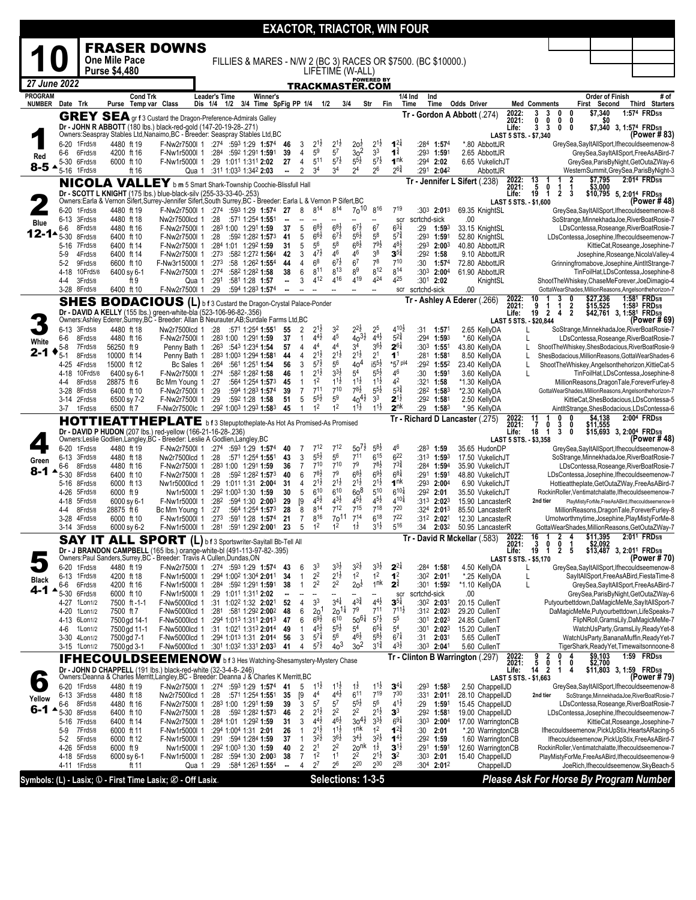|                                 |                                |                     |                                         |                                                                                                                                                              |                                     |                                                                           |                |                          |                                            |                                            |                                       |                                        | <b>EXACTOR, TRIACTOR, WIN FOUR</b>         |                                                                          |                                         |                                |                                                                     |                                  |                                            |                         |                                                                                                       |
|---------------------------------|--------------------------------|---------------------|-----------------------------------------|--------------------------------------------------------------------------------------------------------------------------------------------------------------|-------------------------------------|---------------------------------------------------------------------------|----------------|--------------------------|--------------------------------------------|--------------------------------------------|---------------------------------------|----------------------------------------|--------------------------------------------|--------------------------------------------------------------------------|-----------------------------------------|--------------------------------|---------------------------------------------------------------------|----------------------------------|--------------------------------------------|-------------------------|-------------------------------------------------------------------------------------------------------|
|                                 |                                |                     |                                         | <b>FRASER DOWNS</b>                                                                                                                                          |                                     |                                                                           |                |                          |                                            |                                            |                                       |                                        |                                            |                                                                          |                                         |                                |                                                                     |                                  |                                            |                         |                                                                                                       |
|                                 |                                |                     | One Mile Pace                           |                                                                                                                                                              |                                     |                                                                           |                |                          |                                            |                                            |                                       |                                        |                                            | FILLIES & MARES - N/W 2 (BC 3) RACES OR \$7500. (BC \$10000.)            |                                         |                                |                                                                     |                                  |                                            |                         |                                                                                                       |
|                                 |                                |                     | <b>Purse \$4,480</b>                    |                                                                                                                                                              |                                     |                                                                           |                |                          |                                            | LIFETIME (W-ALL)                           |                                       |                                        |                                            |                                                                          |                                         |                                |                                                                     |                                  |                                            |                         |                                                                                                       |
| 27 June 2022                    |                                |                     |                                         |                                                                                                                                                              |                                     |                                                                           |                |                          |                                            | <u>TRACKMASTER.COM</u>                     | <b>POWERED BY</b>                     |                                        |                                            |                                                                          |                                         |                                |                                                                     |                                  |                                            |                         |                                                                                                       |
| <b>PROGRAM</b><br><b>NUMBER</b> | Date Trk                       |                     | <b>Cond Trk</b><br>Purse Temp var Class |                                                                                                                                                              | <b>Leader's Time</b><br>Dis 1/4 1/2 | Winner's<br>3/4 Time SpFig PP 1/4 1/2                                     |                |                          |                                            | 3/4                                        | Str                                   | Fin                                    | 1/4 Ind<br>Time                            | Ind<br>Time                                                              | <b>Odds Driver</b>                      |                                | <b>Med Comments</b>                                                 |                                  | Order of Finish<br>First                   | Second                  | # of<br>Third Starters                                                                                |
|                                 |                                |                     |                                         | <b>GREY SEA</b> gr f 3 Custard the Dragon-Preference-Admirals Galley                                                                                         |                                     |                                                                           |                |                          |                                            |                                            |                                       |                                        |                                            |                                                                          | Tr - Gordon A Abbott (.274)             | 2022:                          | 3<br>3                                                              | 0                                | \$7,340<br>0                               |                         | 1:574 FRD5/8                                                                                          |
|                                 |                                |                     |                                         | Dr - JOHN R ABBOTT (180 lbs.) black-red-gold (147-20-19-28-.271)                                                                                             |                                     |                                                                           |                |                          |                                            |                                            |                                       |                                        |                                            |                                                                          |                                         | 2021:<br>Life:                 | 0<br>0<br>3<br>3                                                    | 0<br>0                           | 0<br>S0<br>0                               | \$7,340 3, 1:574 FRD5/8 |                                                                                                       |
|                                 | 6-20                           | 1Frd5/8             | 4480 ft 19                              | Owners: Seaspray Stables Ltd, Nanaimo, BC - Breeder: Seaspray Stables Ltd, BC<br>F-Nw2r7500l 1                                                               |                                     | $:274$ $:593$ 1:29 1:574                                                  | 46             | 3                        | $2^{1\frac{1}{2}}$                         | $2^{1\frac{1}{2}}$                         | 2o <sup>2</sup>                       | $2^{1\frac{1}{2}}$                     | $1^{2}$                                    | :284 1:574                                                               | *.80 AbbottJR                           | LAST 5 STS. - \$7,340          |                                                                     |                                  |                                            |                         | (Power # 83)<br>GreySea,SayItAllSport,Ifhecouldseemenow-8                                             |
| Red                             | 6-6                            | 6Frd5/8             | 4200 ft 16                              | F-Nw1r5000l 1                                                                                                                                                |                                     | :284 :592 1:291 1:591                                                     | 39             | 4                        | 5 <sup>9</sup>                             | 5 <sup>7</sup>                             | 3 <sup>2</sup>                        | 3 <sup>3</sup>                         | $1^{\frac{3}{4}}$                          | :29 <sup>3</sup> 1:591                                                   | 2.65 AbbottJR                           |                                |                                                                     |                                  |                                            |                         | GreySea,SayItAllSport,FreeAsABird-7                                                                   |
| 8-5 ^                           | 5-30<br>5-16                   | 6Frd5/8<br>1Frd5/8  | 6000 ft 10<br>ft 16                     | F-Nw1r5000l 1                                                                                                                                                | Qua 1                               | :29 1:011 1:311 2:02<br>:311 1:033 1:342 2:03                             | 27<br>--       | $\overline{4}$<br>2      | 511<br>3 <sup>4</sup>                      | $5^{7}$<br>3 <sup>4</sup>                  | $5^{5\frac{1}{2}}$<br>2 <sup>4</sup>  | $5^{7\frac{1}{2}}$<br>$2^6$            | 1 <sup>nk</sup><br>$2^{6^{\frac{3}{4}}}$   | :294 2:02<br>:291 2:042                                                  | 6.65 VukelichJT<br>AbbottJR             |                                |                                                                     |                                  |                                            |                         | GreySea, ParisByNight, GetOutaZWay-6<br>WesternSummit, GreySea, ParisByNight-3                        |
|                                 |                                |                     |                                         | NICOLA VALLEY b m 5 Smart Shark-Township Coochie-Blissfull Hall                                                                                              |                                     |                                                                           |                |                          |                                            |                                            |                                       |                                        |                                            |                                                                          | Tr - Jennifer L Sifert (.238)           | 2022:<br>2021:                 |                                                                     |                                  | \$7,795<br>\$3,000<br>2                    |                         | 2:014 FRD5/8                                                                                          |
|                                 |                                |                     |                                         | Dr - SCOTT L KNIGHT (175 lbs.) blue-black-silv (255-33-33-40-.253)                                                                                           |                                     |                                                                           |                |                          |                                            |                                            |                                       |                                        |                                            |                                                                          |                                         | Life:                          |                                                                     | $\mathbf 1$<br>1<br>$\mathbf{2}$ | 3                                          |                         | \$10,795 5, 2:014 FRD5/8                                                                              |
|                                 | 6-20 1 Frd 5/8                 |                     | 4480 ft 19                              | Owners:Earla & Vernon Sifert,Surŕey-Jennifer Sifert,South Surrey,BC - Breeder: Earla L & Vernon P Sifert,BC<br>F-Nw2r7500l 1 :274 :593 1:29 1:574 27         |                                     |                                                                           |                | 8                        | 814                                        | 814                                        | $70^{10}$                             | 816                                    | 719                                        | :303 2:013                                                               |                                         | LAST 5 STS. - \$1,600          |                                                                     |                                  |                                            |                         | (Power # 48)                                                                                          |
| Blue                            | 6-13 3Frd5/8                   |                     | 4480 ft 18                              | Nw2r7500lcd 1                                                                                                                                                | :28                                 | :571 1:254 <b>1:55</b> 1                                                  | ۰.             | $\overline{\phantom{a}}$ |                                            |                                            |                                       | --                                     | scr                                        | scrtchd-sick                                                             | 69.35 KnightSL<br>.00                   |                                |                                                                     |                                  |                                            |                         | GreySea, SayItAllSport, Ifhecouldseemenow-8<br>SoStrange, MinnekhadaJoe, RiverBoatRosie-7             |
| 12-1-                           | 6-6                            | 8Frd5/8             | 4480 ft 16                              | F-Nw2r7500l 1                                                                                                                                                |                                     | :283 1:00 1:291 1:59                                                      | 37             | 5                        | $68\frac{1}{2}$<br>$6^{6}\frac{1}{2}$      | $68\frac{1}{2}$<br>$6^{7}\frac{1}{2}$      | $6^{7\frac{1}{2}}$<br>$5^{6}$         | 6 <sup>7</sup><br>$5^8$                | $6^{3}\frac{1}{4}$<br>$5^{7\frac{3}{4}}$   | :29<br>1:593                                                             | 33.15 KnightSL                          |                                |                                                                     |                                  |                                            |                         | LDsContessa, Roseange, RiverBoatRosie-7                                                               |
|                                 | $5 - 30$<br>5-16               | 8Frd5/8<br>7Frd5/8  | 6400 ft 10<br>6400 ft 14                | F-Nw2r7500l 1<br>F-Nw2r7500l 1                                                                                                                               | :28                                 | :592 1:282 1:573<br>:284 1:01 1:292 1:59                                  | 41<br>31       | 5<br>5                   | 56                                         | 58                                         | $6^{8}\frac{1}{2}$                    | $79\frac{1}{2}$                        | $48\frac{1}{2}$                            | :29 <sup>3</sup> 1:59 <sup>1</sup><br>$:293$ 2:003                       | 52.80 KnightSL<br>40.80 AbbottJR        |                                |                                                                     |                                  |                                            |                         | LDsContessa, Josephine, Ifhecouldseemenow-7<br>KittieCat, Roseange, Josephine-7                       |
|                                 | $5-9$                          | 4Frd5/8             | 6400 ft 14                              | F-Nw2r7500l 1                                                                                                                                                | :273                                | :582 1:272 1:564                                                          | 42             | 3                        | $4^{7}\frac{1}{2}$                         | 46                                         | 46                                    | 3 <sup>8</sup><br>78                   | $3^{5^4}$<br>710                           | $:292$ 1:58                                                              | 9.10 AbbottJR                           |                                |                                                                     |                                  |                                            |                         | Josephine, Roseange, Nicola Valley-4                                                                  |
|                                 | $5-2$<br>4-18                  | 9Frd5/8<br>10Frd5/8 | 6600 ft 10<br>6400 sy 6-1               | F-Nw3r15000l 1<br>F-Nw2r7500l 1                                                                                                                              | :273<br>:274                        | :58 1:262 1:554<br>:582 1:282 1:58                                        | 44<br>38       | 4<br>6                   | 6 <sup>8</sup><br>$8^{11}$                 | $6^{7}$<br>$8^{13}$                        | 6 <sup>7</sup><br>8 <sup>9</sup>      | 812                                    | $8^{14}$                                   | :30<br>1:574<br>$:30^3$ 2:00 <sup>4</sup>                                | 72.80 AbbottJR<br>61.90 AbbottJR        |                                |                                                                     |                                  |                                            |                         | Grinningfromabove, Josephine, AintltStrange-7<br>TinFoilHat,LDsContessa,Josephine-8                   |
|                                 | 4-4                            | 3Frd5/8             | ft 9                                    |                                                                                                                                                              | :291<br>Qua 1                       | :581 1:28 1:57                                                            | --             | 3                        | 412                                        | 416                                        | 419                                   | 424                                    | 425                                        | :301 2:02                                                                | KnightSL                                |                                |                                                                     |                                  |                                            |                         | ShootTheWhiskey,ChaseMeForever,JoeDimagio-4                                                           |
|                                 | 3-28 8Frd5/8                   |                     | 6400 ft 10                              | F-Nw2r7500l 1                                                                                                                                                | :29                                 | :594 1:283 1:574                                                          | ۰.             |                          | -                                          | $\overline{\phantom{a}}$                   | $\overline{\phantom{a}}$              | $\overline{\phantom{a}}$               | scr                                        | scrtchd-sick                                                             | .00                                     |                                | 10                                                                  | 3                                | 0                                          |                         | GottaWearShades, MillionReasons, Angelsonthehorizon-7<br>1:581 FRD5/8                                 |
|                                 | <b>SHES</b>                    |                     |                                         | <b>BODACIOUS</b> (L) b f 3 Custard the Dragon-Crystal Palace-Ponder<br>Dr - DAVID A KELLY (155 lbs.) green-white-bla (523-106-96-82-.356)                    |                                     |                                                                           |                |                          |                                            |                                            |                                       |                                        |                                            |                                                                          | Tr - Ashley A Ederer (.266)             | 2022:<br>2021:<br>Life:        | 9<br>1<br>$\overline{2}$<br>19                                      | 1<br>$\overline{4}$              | \$27,236<br>\$15,525<br>$\frac{2}{2}$      |                         | 1:583 FRD5/8<br>\$42,761 3, 1:58 <sup>1</sup> FRD <sub>5/8</sub>                                      |
|                                 |                                |                     |                                         | Owners:Ashley Ederer,Surrey,BC - Breeder: Allan B Neurauter,AB;Surdale Farms Ltd,BC                                                                          |                                     |                                                                           |                |                          |                                            |                                            |                                       |                                        |                                            |                                                                          |                                         | LAST 5 STS. - \$20,844         |                                                                     |                                  |                                            |                         | (Power # 69)                                                                                          |
|                                 | 6-13<br>6-6                    | 3Frd5/8<br>8Frd5/8  | 4480 ft 18<br>4480 ft 16                | Nw2r7500lcd 1<br>F-Nw2r7500l 1                                                                                                                               | :28                                 | :571 1:254 1:551<br>:283 1:00 1:291 1:59                                  | 55<br>37       | 2<br>$\mathbf{1}$        | $2^{1}$<br>$4^{4}$ <sub>2</sub>            | 3 <sup>2</sup><br>4 <sup>5</sup>           | $2^{2}\frac{1}{2}$<br>$40^{31}$       | 2 <sup>5</sup><br>$4^{4}$ <sub>2</sub> | $4^{10\frac{1}{2}}$<br>$5^{2\frac{3}{4}}$  | :31<br>1:571<br>$:294$ 1:593                                             | 2.65 KellyDA<br>*.60 KellyDA            | L<br>L                         |                                                                     |                                  |                                            |                         | SoStrange, MinnekhadaJoe, RiverBoatRosie-7<br>LDsContessa, Roseange, RiverBoatRosie-7                 |
| White                           | 5-8                            | 7Frd5/8             | 56250 ft 9                              | Penny Bath 1                                                                                                                                                 |                                     | :263 :543 1:234 1:54                                                      | 57             | $\overline{4}$           | 44                                         | 44                                         | 34                                    | $36\frac{1}{2}$                        | $2^{6\frac{1}{4}}$                         | :303 1:551                                                               | 43.80 KellyDA                           | L                              |                                                                     |                                  |                                            |                         | ShootTheWhiskey,ShesBodacious,RiverBoatRosie-9                                                        |
| 2-1                             | 5-1                            | 8Frd5/8             | 10000 ft 14                             | Penny Bath 1                                                                                                                                                 |                                     | :283 1:003 1:294 1:581                                                    | 44             | 4                        | $2^{1\frac{1}{2}}$<br>$5^{7}$              | $2^{1\frac{1}{2}}$<br>56                   | $2^{1\frac{1}{2}}$                    | 2 <sup>1</sup><br>$i5^{51}$            | 1 <sup>1</sup><br>*57 pl4                  | :28 <sup>1</sup> 1:581                                                   | 8.50 KellyDA                            | L                              |                                                                     |                                  |                                            |                         | ShesBodacious, MillionReasons, GottaWearShades-6                                                      |
|                                 | 4-25<br>4-18                   | 4Frd5/8<br>10Frd5/8 | 15000 ft 12<br>6400 sy 6-1              | Bc Sales 1<br>F-Nw2r7500l 1                                                                                                                                  | :274                                | :264 :561 1:251 1:54<br>:582 1:282 1:58                                   | 56<br>46       | 3<br>$\mathbf{1}$        | $2^{1\frac{1}{2}}$                         | $3^{3}\frac{1}{2}$                         | 40 <sup>4</sup><br>5 <sup>4</sup>     | $5^{5}\frac{1}{2}$                     | 4 <sup>6</sup>                             | :292 1:552<br>:30<br>1:591                                               | 23.40 KellyDA<br>3.60 KellyDA           | L<br>L                         |                                                                     |                                  |                                            |                         | ShootTheWhiskey,Angelsonthehorizon,KittieCat-5<br>TinFoilHat,LDsContessa,Josephine-8                  |
|                                 | 4-4                            | 8Frd5/8             | 28875 ft 6                              | Bc Mrn Young 1                                                                                                                                               | :27                                 | :564 1:254 1:573                                                          | 45             | $\mathbf{1}$             | 1 <sup>2</sup>                             | $11\frac{1}{2}$                            | $11\frac{1}{2}$                       | $1^{1\frac{1}{2}}$                     | 4 <sup>2</sup>                             | :321 1:58                                                                | *1.30 KellyDA                           |                                |                                                                     |                                  |                                            |                         | MillionReasons, DragonTale, ForeverFurley-8                                                           |
|                                 | 3-28<br>3-14                   | 8Frd5/8<br>2Frd5/8  | 6400 ft 10<br>6500 sy 7-2               | F-Nw2r7500l 1<br>F-Nw2r7500l 1                                                                                                                               | :29<br>:29                          | :594 1:283 1:574<br>:592 1:28 1:58                                        | 39<br>51       | $\overline{7}$<br>5      | $7^{11}$<br>$5^{51}$                       | $7^{10}$<br>5 <sup>9</sup>                 | $7^{8\frac{1}{2}}$<br>$40^{41}$       | $5^{5\frac{1}{2}}$<br>3 <sup>3</sup>   | $5^{3}\frac{3}{4}$<br>$2^{1\frac{1}{2}}$   | $:28^2$ 1:58 <sup>3</sup><br>:292 1:581                                  | *2.30 KellyDA<br>2.50 KellyDA           |                                |                                                                     |                                  |                                            |                         | GottaWearShades,MillionReasons,Angelsonthehorizon-7<br>KittieCat, ShesBodacious, LDsContessa-5        |
|                                 | 3-7                            | 1Frd5/8             | 6500 ft 7                               | F-Nw2r7500lc 1                                                                                                                                               |                                     | :292 1:003 1:293 1:583                                                    | 45             | 1                        | 1 <sup>2</sup>                             | 1 <sup>2</sup>                             | $1^{1}\frac{1}{2}$                    | $1^{1\frac{1}{2}}$                     | 2 <sup>nk</sup>                            | :29<br>$1:58^{3}$                                                        | *.95 KellyDA                            |                                |                                                                     |                                  |                                            |                         | AintItStrange, ShesBodacious, LDsContessa-6                                                           |
|                                 |                                |                     |                                         | <b>HOTTIEATTHEPLATE</b>                                                                                                                                      |                                     | b f 3 Stepuptotheplate-As Hot As Promised-As Promised                     |                |                          |                                            |                                            |                                       |                                        |                                            |                                                                          | Tr - Richard D Lancaster (275)          | 2022:<br>2021:                 | 11<br>$\overline{7}$<br>0                                           | 0<br>3<br>3                      | \$4,138<br>0<br>0<br>\$11,555<br>\$15,693  |                         | 2:004 FRD5/8                                                                                          |
|                                 |                                |                     |                                         | Dr - DAVID P HUDON (207 lbs.) red-yellow (166-21-16-28-.236)<br>Owners:Leslie Godlien,Langley,BC - Breeder: Leslie A Godlien,Langley,BC                      |                                     |                                                                           |                |                          |                                            |                                            |                                       |                                        |                                            |                                                                          |                                         | Life:<br>LAST 5 STS. - \$3,358 | 18<br>1                                                             |                                  | 0                                          |                         | 3, 2:004 FRD5/8<br>(Power # 48)                                                                       |
|                                 | 6-20                           | 1Frd5/8             | 4480 ft 19                              | F-Nw2r7500l 1                                                                                                                                                |                                     | :274 :593 1:29 1:574                                                      | 40             | 7                        | 712                                        | 712                                        | $50^{71}$                             | $5^{8}$                                | 46                                         | :283<br>1:59                                                             | 35.65 HudonDP                           |                                |                                                                     |                                  |                                            |                         | GreySea,SayItAllSport,Ifhecouldseemenow-8                                                             |
| Green                           | 6-13<br>6-6                    | 3Frd5/8<br>8Frd5/8  | 4480 ft 18                              | Nw2r7500lcd 1                                                                                                                                                | :28                                 |                                                                           |                |                          | $5^{5\frac{1}{2}}$                         | 56                                         | $7^{11}$                              |                                        | $6^{22}$                                   |                                                                          |                                         |                                |                                                                     |                                  |                                            |                         |                                                                                                       |
| 8-1                             |                                |                     |                                         |                                                                                                                                                              |                                     | :571 1:254 1:551                                                          | 43             | 3                        |                                            |                                            |                                       | $6^{15}$                               |                                            | $:31^3$ 1:593                                                            | 17.50 VukelichJT                        |                                |                                                                     |                                  | SoStrange, MinnekhadaJoe, RiverBoatRosie-7 |                         |                                                                                                       |
|                                 | 5-30                           | 8Frd5/8             | 4480 ft 16<br>6400 ft 10                | F-Nw2r7500l 1<br>F-Nw2r7500l 1                                                                                                                               | :28                                 | :283 1:00 1:291 1:59<br>:592 1:282 1:573                                  | 36<br>40       | $\overline{7}$<br>6      | $7^{10}$<br>$7^{8}$ <sub>2</sub>           | $7^{10}$<br>7 <sup>9</sup>                 | 7 <sup>9</sup><br>$6^{8\frac{1}{2}}$  | $7^{8}\frac{1}{2}$<br>$69\frac{1}{2}$  | $7^{3}\frac{3}{4}$<br>$6^{81}$             | :284 1:594<br>:291 <b>1:59</b> 1                                         | 35.90 VukelichJT<br>48.80 VukelichJT    |                                |                                                                     |                                  |                                            |                         | LDsContessa, Roseange, RiverBoatRosie-7<br>LDsContessa, Josephine, Ifhecouldseemenow-7                |
|                                 | 5-16 8Frd5/8                   |                     | 6000 ft 13                              | Nw1r5000lcd 1                                                                                                                                                |                                     | :29 1:01 <sup>1</sup> 1:31 <b>2:00</b> <sup>4</sup>                       | -31            | 4                        | $2^{1\frac{1}{2}}$                         | $2^{1\frac{1}{2}}$                         | $2^{1\frac{1}{2}}$                    | $2^{1\frac{1}{2}}$                     | 1 <sup>nk</sup>                            | $:293$ 2:004                                                             | 6.90 VukelichJT                         |                                |                                                                     |                                  |                                            |                         | Hottieattheplate, GetOutaZWay, FreeAsABird-7                                                          |
|                                 | 4-26 5Frd5/8<br>4-18           | 5Frd5/8             | 6000 ft 9<br>6000 sy 6-1                | Nw1r5000I 1<br>F-Nw1r5000l 1                                                                                                                                 | :282                                | $:29^2$ 1:00 <sup>3</sup> 1:30 1:59<br>:594 1:30 2:003                    | 30<br>29       | 5                        | 610<br>$4^{5}\frac{1}{2}$                  | $6^{10}$<br>$4^{3}\frac{1}{2}$             | 60 <sup>8</sup><br>$4^{5}\frac{1}{2}$ | 510<br>$4^{51}$                        | $6^{10\frac{1}{4}}$<br>$4^{10\frac{1}{4}}$ | $:29^2$ 2:01<br>:313 2:023                                               | 35.50 VukelichJT<br>15.90 LancasterR    |                                | 2nd tier                                                            |                                  |                                            |                         | RockinRoller, Ventimatchalatte, Ifhecouldseemenow-7<br>PlayMistyForMe,FreeAsABird,Ifhecouldseemenow-9 |
|                                 | 4-4                            | 8Frd5/8             | 28875 ft 6                              | Bc Mrn Young 1                                                                                                                                               | :27                                 | :564 1:254 1:573                                                          | 28             | [9<br>8                  | 814                                        | 712                                        | 715                                   | 718                                    | 720                                        | :324 2:013                                                               | 85.50 LancasterR                        |                                |                                                                     |                                  |                                            |                         | MillionReasons, DragonTale, ForeverFurley-8                                                           |
|                                 | 3-28<br>3-14 3Frd5/8           | 4Frd5/8             | 6000 ft 10<br>6000 sy 6-2               | F-Nw1r5000I 1<br>F-Nw1r5000l 1                                                                                                                               | :273<br>:281                        | :591 1:28 1:574<br>:591 1:292 2:001                                       | 21<br>23       | $\overline{7}$<br>5      | $8^{16}$<br>1 <sup>2</sup>                 | 70 <sup>11</sup><br>1 <sup>2</sup>         | $7^{14}$<br>$1\frac{1}{2}$            | $6^{18}$<br>$3^{1\frac{1}{2}}$         | $7^{22}$<br>516                            | :31 <sup>2</sup> 2:02 <sup>1</sup><br>2:032<br>:34                       | 12.30 LancasterR<br>50.95 LancasterR    |                                |                                                                     |                                  |                                            |                         | Urnotworthmytime, Josephine, PlayMistyForMe-8<br>GottaWearShades, MillionReasons, GetOutaZWay-7       |
|                                 |                                |                     |                                         |                                                                                                                                                              |                                     |                                                                           |                |                          |                                            |                                            |                                       |                                        |                                            |                                                                          | Tr - David R Mckellar (.583)            |                                | 1                                                                   | 2                                | \$11,395<br>4                              |                         | 2:01 <sup>1</sup> FRD <sub>5/8</sub>                                                                  |
|                                 |                                |                     |                                         | SAY IT ALL SPORT (L) b f 3 Sportswriter-Sayitall Bb-Tell All                                                                                                 |                                     |                                                                           |                |                          |                                            |                                            |                                       |                                        |                                            |                                                                          |                                         | 2022:<br>2021:<br>Life:        | $\begin{array}{r}\n16 \\ 3 \\ 19\n\end{array}$<br>0<br>$\mathbf{1}$ | 0<br>2                           | \$2,092<br>1<br>5                          |                         | \$13,487 3, 2:011 FRD5/8                                                                              |
|                                 |                                |                     |                                         | Dr - J BRANDON CAMPBELL (165 lbs.) orange-white-bl (491-113-97-82-.395)<br>Owners:Paul Sanders,Surrey,BC - Breeder: Travis A Cullen,Dundas,ON                |                                     |                                                                           |                |                          |                                            |                                            |                                       |                                        |                                            |                                                                          |                                         | LAST 5 STS. - \$5,170          |                                                                     |                                  |                                            |                         | (Power # 70)                                                                                          |
|                                 | 6-20 1Frd5/8<br>6-13 1Frd5/8   |                     | 4480 ft 19<br>4200 ft 18                | F-Nw2r7500l 1<br>F-Nw1r5000l 1                                                                                                                               |                                     | $:274$ $:593$ 1:29 1:574<br>:294 1:002 1:304 2:011                        | 43<br>-34      | 6<br>$\mathbf{1}$        | 3 <sup>3</sup><br>2 <sup>2</sup>           | $3^{3}\frac{1}{2}$<br>$2^{1\frac{1}{2}}$   | $3^{2}$<br>1 <sup>2</sup>             | $3^{3}\frac{1}{2}$<br>1 <sup>2</sup>   | $2^{2\frac{1}{4}}$<br>1 <sup>2</sup>       | :28 <sup>4</sup> 1:581<br>:302 2:011                                     | 4.50 KellyDA<br>*.25 KellyDA            | L<br>L                         |                                                                     |                                  |                                            |                         | GreySea,SayItAllSport,Ifhecouldseemenow-8<br>SayItAllSport,FreeAsABird,FiestaTime-8                   |
| Black<br>4-1                    | 6-6                            | 6Frd5/8             | 4200 ft 16                              | F-Nw1r5000l 1                                                                                                                                                |                                     | $:284$ $:592$ 1:291 <b>1:59</b> 1                                         | 38             | $\mathbf{1}$             | 2 <sup>2</sup>                             | 2 <sup>2</sup>                             | 20 <sup>1</sup>                       | 1 <sup>nk</sup>                        | $2^{\frac{3}{4}}$                          | :301 1:592                                                               | *1.10 KellyDA                           | L                              |                                                                     |                                  |                                            |                         | GreySea,SayItAllSport,FreeAsABird-7                                                                   |
|                                 | 5-30 6Frd5/8<br>4-27 1Lon1/2   |                     | 6000 ft 10<br>7500 ft-1-1               | F-Nw1r5000l 1<br>F-Nw5000lcd 1                                                                                                                               |                                     | :29 1:011 1:311 2:02<br>:31 1:02 <sup>2</sup> 1:32 2:02 <sup>1</sup>      | ۰.<br>52       | 4                        | 3 <sup>3</sup>                             | $3^{4\frac{1}{4}}$                         | $4^{3}\frac{3}{4}$                    | $4^{4}$ <sub>2</sub>                   | scr<br>$3^{51}$                            | scrtchd-sick<br>:30 <sup>2</sup> 2:031                                   | .00<br>20.15 CullenT                    |                                |                                                                     |                                  |                                            |                         | GreySea, ParisByNight, GetOutaZWay-6<br>Putyourbettdown,DaMagicMeMe,SayItAllSport-7                   |
|                                 | 4-20 1Lon1/2                   |                     | 7500 ft 7                               | F-Nw5000lcd 1                                                                                                                                                |                                     | :281 :581 1:292 2:002                                                     | 48             | 6                        | 2 <sup>0</sup>                             | $20^{11}$                                  | 7 <sup>9</sup>                        | 711                                    | $7^{11}\frac{1}{2}$                        | :312 2:023                                                               | 29.20 CullenT                           |                                |                                                                     |                                  |                                            |                         | DaMagicMeMe, Putyourbettdown, LifeSpeaks-7                                                            |
|                                 | 4-13 6Lon1/2<br>4-6            | 1Lon1/2             | 7500 gd 14-1<br>7500 gd 11-1            | F-Nw5000lcd 1<br>F-Nw5000lcd 1                                                                                                                               |                                     | :294 1:013 1:311 2:013 47<br>:31 $1:02^1$ 1:31 <sup>3</sup> <b>2:01</b> 4 | 49             | 6<br>$\mathbf{1}$        | $69\frac{1}{2}$<br>$4^{5}\frac{1}{2}$      | $6^{10}$<br>$5^{51}$                       | $50^{61}$<br>5 <sup>4</sup>           | $5^{7\frac{1}{2}}$<br>$6^{51}$         | 5 <sup>5</sup><br>5 <sup>4</sup>           | :30 <sup>1</sup> 2:02 <sup>3</sup><br>:30 <sup>1</sup> 2:02 <sup>3</sup> | 24.85 CullenT<br>15.20 CullenT          |                                |                                                                     |                                  |                                            |                         | FlipNRoll, GramsLily, DaMagicMeMe-7<br>WatchUsParty, GramsLily, ReadyYet-8                            |
|                                 | 3-30 4Lon1/2                   |                     | 7500 gd 7-1                             | F-Nw5000lcd 1                                                                                                                                                |                                     | :294 1:013 1:31 2:014 56                                                  |                | 3                        | $5^{7}$                                    | 56                                         | $46\frac{1}{2}$                       | $5^{8}$                                | $6^{7\frac{1}{4}}$                         | :31 $2:031$                                                              | 5.65 CullenT                            |                                |                                                                     |                                  |                                            |                         | WatchUsParty, BananaMuffin, ReadyYet-7                                                                |
|                                 | 3-15 1Lon1/2                   |                     | 7500 gd 3-1                             | F-Nw5000lcd 1                                                                                                                                                |                                     | :301 1:032 1:331 2:033                                                    | 41             | 4                        | $5^{7}$ <sub>2</sub>                       | $40^{3}$                                   | 30 <sup>2</sup>                       | $3^{1\frac{3}{4}}$                     | $4^{3}\frac{1}{2}$                         | :303 2:041                                                               | 5.60 CullenT                            |                                |                                                                     | 0                                | \$9,103<br>4                               |                         | TigerShark, ReadyYet, Timewaitsonnoone-8<br>1:59 FRD <sub>5/8</sub>                                   |
|                                 |                                |                     |                                         | <b>IFHECOULDSEEMENOW</b> b f 3 Hes Watching-Shesamystery-Mystery Chase                                                                                       |                                     |                                                                           |                |                          |                                            |                                            |                                       |                                        |                                            |                                                                          | Tr - Clinton B Warrington (.297)        | 2022:<br>2021:                 | $\frac{9}{5}$<br>$\frac{2}{0}$                                      | 1                                | \$2,700<br>0                               |                         |                                                                                                       |
|                                 |                                |                     |                                         | Dr - JOHN D CHAPPELL (191 lbs.) black-red-white (32-3-4-8-.246)<br>Owners: Deanna & Charles Merritt, Langley, BC - Breeder: Deanna J & Charles K Merritt, BC |                                     |                                                                           |                |                          |                                            |                                            |                                       |                                        |                                            |                                                                          |                                         | Life:<br>LAST 5 STS. - \$1,663 | 14<br>$\overline{2}$                                                | 1                                | 4                                          |                         | \$11,803 3, 1:59 FRD5/8                                                                               |
| $\bullet$                       | 6-20 1 Frd 5/8<br>6-13 3Frd5/8 |                     | 4480 ft 19<br>4480 ft 18                | F-Nw2r7500l 1                                                                                                                                                |                                     | :274 :593 1:29 1:574 41                                                   | 35             | 5                        | $1^{1}\frac{1}{2}$<br>4 <sup>4</sup>       | $1^{1\frac{1}{2}}$<br>$4^{4}$ <sub>2</sub> | $1\overline{2}$<br>$6^{11}$           | $1^{1\frac{1}{2}}$<br>$7^{19}$         | $3^{4\frac{1}{4}}$<br>$7^{30}$             | :293 1:583<br>:331 2:011                                                 | 2.50 ChappellJD<br>28.10 ChappellJD     |                                | 2nd tier                                                            |                                  |                                            |                         | GreySea,SayItAllSport,Ifhecouldseemenow-8<br>SoStrange, MinnekhadaJoe, RiverBoatRosie-7               |
| Yellow                          | 6-6                            | 8Frd5/8             | 4480 ft 16                              | Nw2r7500lcd 1<br>F-Nw2r7500l 1                                                                                                                               | :28                                 | :571 1:254 <b>1:55</b> 1<br>:283 1:00 1:291 1:59                          | 39             | [9<br>3                  | $5^7$                                      | 57                                         | $5^{5\frac{1}{2}}$                    | $5^6$                                  | $4^{1\frac{1}{2}}$                         | :29<br>1:591                                                             | 15.45 ChappellJD                        |                                |                                                                     |                                  |                                            |                         | LDsContessa, Roseange, RiverBoatRosie-7                                                               |
| 6-1                             | $5 - 30$                       | 8Frd5/8             | 6400 ft 10                              | F-Nw2r7500l 1                                                                                                                                                | :28                                 | :592 1:282 1:573                                                          | 46             | 2                        | $2^{1\frac{1}{2}}$                         | 22<br>$4^{6}\frac{1}{2}$                   | 2 <sup>2</sup>                        | $2^{1\frac{1}{2}}$                     | 3 <sup>3</sup>                             | $:29^2$ 1:581                                                            | 19.00 ChappellJD                        |                                |                                                                     |                                  |                                            |                         | LDsContessa, Josephine, Ifhecouldseemenow-7                                                           |
|                                 | 5-16 7Frd5/8<br>5-9            | 7Frd5/8             | 6400 ft 14<br>6000 ft 11                | F-Nw2r7500l 1<br>F-Nw1r5000l 1                                                                                                                               |                                     | :284 1:01 1:292 1:59<br>$:294$ 1:004 1:31 2:01                            | 31<br>26       | 3<br>$\mathbf{1}$        | $4^{4}$ <sub>2</sub><br>$2^{1\frac{1}{2}}$ | $1^{1\frac{1}{2}}$                         | $30^{41}$<br>1 <sup>nk</sup>          | $3^{3}\frac{1}{2}$<br>1 <sup>2</sup>   | $6^{9\frac{1}{4}}$<br>$1^{2^3}$            | :30 <sup>3</sup> 2:00 <sup>4</sup><br>:30<br>2:01                        | 17.00 WarringtonCB<br>*.20 WarringtonCB |                                |                                                                     |                                  |                                            |                         | (Power # 79)<br>KittieCat, Roseange, Josephine-7<br>Ifhecouldseemenow, PickUpStix, HeartsARacing-5    |
|                                 | 5-2                            | 5Frd5/8             | 6000 ft 12                              | F-Nw1r5000l 1                                                                                                                                                |                                     | :291 :594 1:284 1:59                                                      | 37             | $\mathbf{1}$             | $3^{2}\frac{1}{2}$                         | $36\frac{1}{2}$                            | $3^{4}\frac{1}{2}$                    | $3^{2}\frac{1}{2}$                     | $1^{4}$                                    | :292 1:59                                                                | 1.60 WarringtonCB                       |                                |                                                                     |                                  |                                            |                         | Ifhecouldseemenow, PickUpStix, FreeAsABird-7                                                          |
|                                 | 4-26 5Frd5/8<br>4-18 5Frd5/8   |                     | 6000 ft 9<br>6000 sy 6-1                | Nw1r5000l 1<br>F-Nw1r5000l 1                                                                                                                                 |                                     | :292 1:003 1:30 1:59<br>$:282$ $:594$ 1:30 <b>2:00</b> 3                  | 40<br>38       | 2<br>$\overline{7}$      | 2 <sup>1</sup><br>1 <sup>2</sup>           | 2 <sup>2</sup><br>1 <sup>1</sup>           | 20 <sup>nk</sup><br>$2^2$             | $1\frac{1}{2}$<br>$2^{1\frac{1}{2}}$   | $3^{1/2}$<br>3 <sup>2</sup>                | $:291$ 1:591<br>:303 2:01                                                | 12.60 WarringtonCB<br>15.40 ChappellJD  |                                |                                                                     |                                  |                                            |                         | RockinRoller, Ventimatchalatte, Ifhecouldseemenow-7<br>PlayMistyForMe,FreeAsABird,Ifhecouldseemenow-9 |
|                                 | 4-11 1Frd5/8                   |                     | ft 11                                   | Symbols: (L) - Lasix; (D - First Time Lasix; Ø - Off Lasix.                                                                                                  | Qua 1<br>:29                        | :584 1:263 1:554                                                          | $\blacksquare$ | 4                        | $2^7$                                      | 26<br>Selections: 1-3-5                    | $2^{20}$                              | $2^{30}$                               | $2^{28}$                                   | $:30^4$ 2:01 <sup>2</sup>                                                | ChappellJD                              |                                |                                                                     |                                  |                                            |                         | JoeRich, Ifhecouldseemenow, SkyBeach-5<br><b>Please Ask For Horse By Program Number</b>               |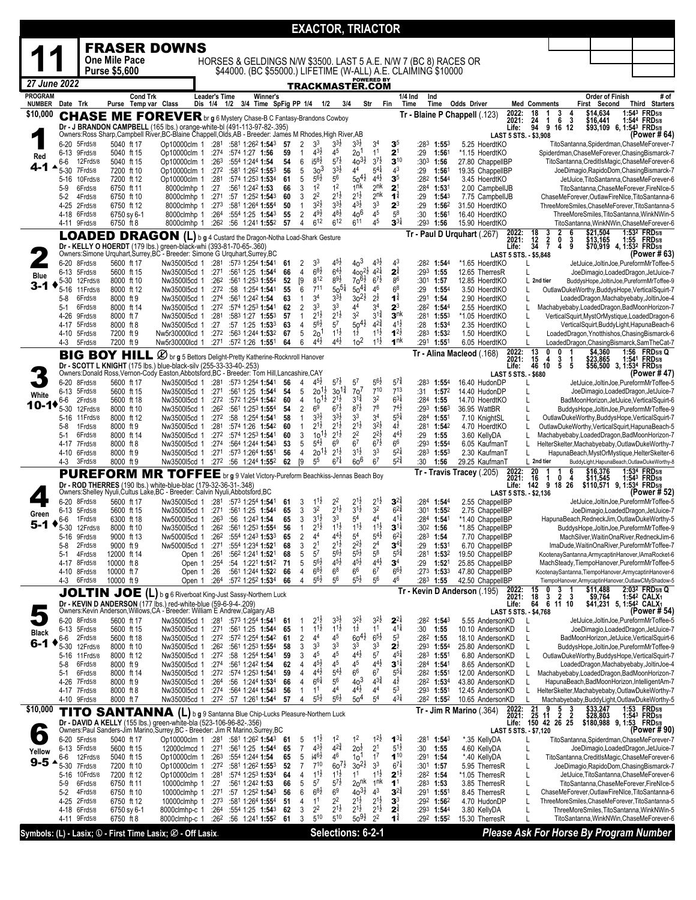|                                                             |                     |                              |                          |                                         |                                                                                                                                                              |                              |                                                                                  |            |                     |                                          | <b>EXACTOR, TRIACTOR</b>                 |                                                         |                                        |                                              |                                      |                                             |                                              |                                     |                                        |                                  |                          |                                                                                                         |
|-------------------------------------------------------------|---------------------|------------------------------|--------------------------|-----------------------------------------|--------------------------------------------------------------------------------------------------------------------------------------------------------------|------------------------------|----------------------------------------------------------------------------------|------------|---------------------|------------------------------------------|------------------------------------------|---------------------------------------------------------|----------------------------------------|----------------------------------------------|--------------------------------------|---------------------------------------------|----------------------------------------------|-------------------------------------|----------------------------------------|----------------------------------|--------------------------|---------------------------------------------------------------------------------------------------------|
|                                                             |                     |                              |                          |                                         | <b>FRASER DOWNS</b>                                                                                                                                          |                              |                                                                                  |            |                     |                                          |                                          |                                                         |                                        |                                              |                                      |                                             |                                              |                                     |                                        |                                  |                          |                                                                                                         |
|                                                             |                     |                              | <b>One Mile Pace</b>     |                                         |                                                                                                                                                              |                              | HORSES & GELDINGS N/W \$3500. LAST 5 A.E. N/W 7 (BC 8) RACES OR                  |            |                     |                                          |                                          |                                                         |                                        |                                              |                                      |                                             |                                              |                                     |                                        |                                  |                          |                                                                                                         |
|                                                             |                     |                              | <b>Purse \$5,600</b>     |                                         |                                                                                                                                                              |                              | \$44000. (BC \$55000.) LIFETIME (W-ALL) A.E. CLAIMING \$10000                    |            |                     |                                          |                                          |                                                         |                                        |                                              |                                      |                                             |                                              |                                     |                                        |                                  |                          |                                                                                                         |
| 27 June 2022                                                |                     |                              |                          |                                         |                                                                                                                                                              |                              |                                                                                  |            |                     |                                          | <u>TRACKMASTER.COM</u>                   |                                                         | <b>POWERED BY</b>                      |                                              |                                      |                                             |                                              |                                     |                                        |                                  |                          |                                                                                                         |
| <b>PROGRAM</b>                                              |                     |                              |                          | <b>Cond Trk</b><br>Purse Temp var Class |                                                                                                                                                              | Leader's Time<br>Dis 1/4 1/2 | Winner's                                                                         |            |                     |                                          | 3/4                                      |                                                         |                                        |                                              | 1/4 Ind<br>Ind                       |                                             |                                              |                                     |                                        |                                  | <b>Order of Finish</b>   | # of                                                                                                    |
| <b>NUMBER</b><br>\$10,000                                   | Date Trk            |                              |                          |                                         | <b>CHASE ME FOREVER</b> br g 6 Mystery Chase-B C Fantasy-Brandons Cowboy                                                                                     |                              | 3/4 Time SpFig PP 1/4 1/2                                                        |            |                     |                                          |                                          |                                                         | Str                                    | Fin                                          | Time                                 | Time                                        | Odds Driver<br>Tr - Blaine P Chappell (.123) | 2022:                               | <b>Med Comments</b><br>$\frac{18}{24}$ | $\frac{3}{6}$                    | First Second<br>\$14,634 | Third Starters<br>1:543 FRD5/8                                                                          |
|                                                             |                     |                              |                          |                                         | Dr - J BRANDON CAMPBELL (165 lbs.) orange-white-bl (491-113-97-82-.395)                                                                                      |                              |                                                                                  |            |                     |                                          |                                          |                                                         |                                        |                                              |                                      |                                             |                                              | 2021:<br>Life:                      | -1<br>94<br>9                          | $\frac{4}{3}$<br>16 12           | \$16,441                 | 1:544 FRD5/8<br>\$93,109 6, 1:54 <sup>3</sup> FRD <sub>5/8</sub>                                        |
|                                                             |                     |                              |                          |                                         | Owners:Ross Sharp,Campbell River,BC-Blaine Chappell,Olds,AB - Breeder: James M Rhodes,High River,AB                                                          |                              |                                                                                  |            |                     |                                          |                                          | $3^{3}\frac{1}{2}$                                      |                                        |                                              |                                      |                                             |                                              | LAST 5 STS. - \$3,908               |                                        |                                  |                          | (Power # 64)                                                                                            |
| Red                                                         |                     | 6-20 5Frd5/8<br>6-13 9Frd5/8 | 5040 ft 17<br>5040 ft 15 |                                         | Op10000clm 1 :281<br>Op10000clm 1                                                                                                                            |                              | $:58^1$ 1:26 <sup>2</sup> 1:54 <sup>3</sup> 57<br>:274 :574 1:27 1:56            | 59         | $\overline{2}$<br>1 | 3 <sup>3</sup><br>$4^{3}\frac{1}{2}$     | $3^{3}\frac{1}{2}$<br>45                 | 2o <sup>1</sup>                                         | 3 <sup>4</sup><br>1 <sup>1</sup>       | 3 <sup>5</sup><br>2 <sup>1</sup>             | :29                                  | $: 28^3$ 1:55 $^3$<br>1:561                 | 5.25 HoerdtKO<br>*1.15 HoerdtKO              |                                     |                                        |                                  |                          | TitoSantanna,Spiderdman,ChaseMeForever-7<br>Spiderdman, ChaseMeForever, Chasing Bismarck-7              |
|                                                             | 6-6                 | 12Frd5/8                     | 5040 ft 15               |                                         | Op10000clm 1                                                                                                                                                 | :263                         | :554 1:244 1:54                                                                  | 54         | 6                   | $15^{8}$                                 | $5^{7}$                                  | $40^{31}$<br>4 <sup>4</sup>                             | $3^{7}\frac{1}{2}$<br>$5^{41}$         | $3^{10}$<br>4 <sup>3</sup>                   | $:303$ 1:56                          |                                             | 27.80 ChappellBP                             |                                     |                                        |                                  |                          | TitoSantanna, CreditIsMagic, ChaseMeForever-6                                                           |
|                                                             | 5-30<br>$5 - 16$    | 7Frd5/8<br>10Frd5/8          | 7200 ft 10<br>7200 ft 12 |                                         | Op10000clm 1<br>Op10000clm 1                                                                                                                                 | :281                         | $:27^2$ $:58^1$ 1:26 <sup>2</sup> 1:55 <sup>3</sup><br>:574 1:253 1:534          | 56<br>61   | 5<br>5              | 30 <sup>3</sup><br>$5^{6}$               | $3^{3}\frac{1}{2}$<br>5 <sup>6</sup>     | $50^{41}$                                               | $4^{4}$ <sub>2</sub> <sup>1</sup>      | 3 <sup>5</sup>                               | :29                                  | $1:56^{\circ}$<br>:282 1:544                | 19.35 ChappellBP<br>3.45 HoerdtKO            |                                     |                                        |                                  |                          | JoeDimagio, RapidoDom, Chasing Bismarck-7<br>JetJuice, TitoSantanna, ChaseMeForever-6                   |
|                                                             | 5-9                 | 6Frd5/8                      | 6750 ft 11               |                                         | 8000clmhp 1                                                                                                                                                  | :27                          | :561 1:242 1:53                                                                  | 66         | 3                   | 1 <sup>2</sup>                           | 1 <sup>2</sup>                           | 1 <sup>nk</sup>                                         | 2 <sup>nk</sup>                        | 2 <sup>1</sup>                               | :284 1:531                           |                                             | 2.00 CampbellJB                              |                                     |                                        |                                  |                          | TitoSantanna,ChaseMeForever,FireNIce-5                                                                  |
|                                                             | 5-2                 | 4Frd5/8<br>4-25 2Frd5/8      | 6750 ft 10<br>6750 ft 12 |                                         | 8000clmhp 1<br>8000clmhp 1                                                                                                                                   | :271<br>:273                 | :57 1:25 <sup>2</sup> 1:54 <sup>3</sup><br>:581 1:264 <b>1:55</b> 4              | 60<br>50   | 3<br>$\mathbf{1}$   | 2 <sup>2</sup><br>3 <sup>2</sup>         | $2^{1\frac{1}{2}}$<br>$3^{3}\frac{1}{2}$ | $2^{1\frac{1}{2}}$<br>$4^{3}\frac{1}{2}$                | 2 <sup>nk</sup><br>3 <sup>3</sup>      | $1^{\frac{3}{4}}$<br>$2^3$                   | :29<br>:29                           | $1:54^{3}$<br>1:562                         | 7.75 CampbellJB<br>31.50 HoerdtKO            |                                     |                                        |                                  |                          | ChaseMeForever,OutlawFireNIce,TitoSantanna-6<br>ThreeMoreSmiles, ChaseMeForever, TitoSantanna-5         |
|                                                             |                     | 4-18 6Frd5/8                 | 6750 sy 6-1              |                                         | 8000clmhp 1                                                                                                                                                  |                              | $:264$ $:554$ 1:25 1:543                                                         | 55         | 2                   | $4^{9}\frac{1}{2}$                       | $4^{8}\frac{1}{2}$                       | $40^{6}$                                                | 45                                     | 5 <sup>8</sup>                               | :30                                  | 1:561                                       | 16.40 HoerdtKO                               |                                     |                                        |                                  |                          | ThreeMoreSmiles, TitoSantanna, WinkNWin-5                                                               |
|                                                             |                     | 4-11 9Frd5/8                 | 6750 ft 8                |                                         | 8000clmhp 1                                                                                                                                                  |                              | :262 :56 1:241 1:552 57                                                          |            | 4                   | 612                                      | 612                                      | 611                                                     | 45                                     | $3^{31}$                                     | :293 1:56                            |                                             | 15.90 HoerdtKO                               | 2022:                               |                                        | 6                                | \$21,504                 | TitoSantanna, WinkNWin, ChaseMeForever-6<br>1:53 <sup>2</sup> FRD <sub>5/8</sub>                        |
|                                                             |                     |                              |                          |                                         | LOADED DRAGON (L) b g 4 Custard the Dragon-Notha Load-Shark Gesture                                                                                          |                              |                                                                                  |            |                     |                                          |                                          |                                                         |                                        |                                              |                                      |                                             | Tr - Paul D Urquhart (.267)                  | 2021:<br>Life:                      | $\frac{18}{12}$<br>34<br>$\frac{3}{2}$ | $\frac{3}{9}$<br>0               | \$13,165                 | 1:55 FRD <sub>5/8</sub><br>\$70,919 4, 1:532 FRD5/8                                                     |
|                                                             |                     |                              |                          |                                         | Dr - KELLY O HOERDT (179 lbs.) green-black-whi (393-81-70-65-.360)<br>Owners: Simone Urquhart, Surrey, BC - Breeder: Simone G Urquhart, Surrey, BC           |                              |                                                                                  |            |                     |                                          |                                          |                                                         |                                        |                                              |                                      |                                             |                                              | LAST 5 STS. - \$5,848               |                                        | $\overline{4}$                   |                          | (Power # 63)                                                                                            |
|                                                             |                     | 6-20 8Frd5/8<br>6-13 5Frd5/8 | 5600 ft 17<br>5600 ft 15 |                                         | Nw350015cd 1<br>Nw350015cd 1                                                                                                                                 |                              | :281 :573 1:254 1:541<br>:271 :561 1:25 1:544                                    | 61<br>66   | 2<br>4              | 3 <sup>3</sup><br>$68\frac{1}{2}$        | $4^{51}$<br>$64\frac{1}{2}$              | 40 <sup>3</sup><br>$400^{2\frac{1}{2}}4^{2\frac{1}{4}}$ | $4^{3}\frac{1}{2}$                     | 4 <sup>3</sup><br>$2^{\frac{3}{4}}$          | $:293$ 1:55                          | :28 <sup>2</sup> 1:54 <sup>4</sup>          | *1.65 HoerdtKO<br>12.65 TherresR             |                                     | L                                      |                                  |                          | JetJuice, JoltinJoe, PureformMrToffee-5<br>JoeDimagio,LoadedDragon,JetJuice-7                           |
| Blue                                                        |                     | 5-30 12Frd5/8                | 8000 ft 10               |                                         | Nw350015cd 1                                                                                                                                                 | :26 <sup>2</sup>             | :561 1:253 1:554                                                                 | 52         | [9                  | 812                                      | 89}                                      | $70^{61}$                                               | $6^{7}\frac{1}{2}$                     | 8 <sup>6</sup>                               | :301 1:57                            |                                             | 12.85 HoerdtKO                               |                                     | L 2nd tier                             |                                  |                          | BuddysHope,JoltinJoe,PureformMrToffee-9                                                                 |
| 3-1                                                         | $5 - 16$            | 11 Frd 5/8<br>6Frd5/8        | 8000 ft 12<br>8000 ft 9  |                                         | Nw350015cd 1<br>Nw350015cd 1                                                                                                                                 | :272<br>:274                 | :58 1:254 1:541<br>:561 1:242 1:54                                               | 55<br>63   | 6<br>$\mathbf{1}$   | $7^{11}$<br>3 <sup>4</sup>               | $50^{51}$<br>33}                         | $50^{4^{\frac{3}{4}}}$<br>$30^{21}$                     | $4^6\,$<br>$2^{\frac{1}{2}}$           | 6 <sup>8</sup><br>$\mathbf{1}^{\frac{3}{4}}$ | :29<br>:291 1:54                     | $1:55^{4}$                                  | 3.50 HoerdtKO<br>2.90 HoerdtKO               |                                     | L<br>L                                 |                                  |                          | OutlawDukeWorthy,BuddysHope,VerticalSquirt-7<br>LoadedDragon, Machabyebaby, JoltinJoe-4                 |
|                                                             | 5-8<br>5-1          | 6Frd5/8                      | 8000 ft 14               |                                         | Nw350015cd 1                                                                                                                                                 |                              | $:27^2$ :574 1:253 1:541                                                         | 62         | 2                   | 3 <sup>3</sup>                           | 3 <sup>3</sup>                           | 44                                                      | 3 <sup>4</sup>                         | $2^3$                                        |                                      | :282 1:544                                  | 2.55 HoerdtKO                                |                                     | L                                      |                                  |                          | Machabyebaby,LoadedDragon,BadMoonHorizon-7                                                              |
|                                                             | 4-26                | 9Frd5/8                      | 8000 ft 7                |                                         | Nw350015cd 1                                                                                                                                                 | :281                         | :583 1:27 1:553                                                                  | 57         | $\mathbf{1}$        | $2^{1\frac{1}{2}}$                       | $2^{1\frac{1}{2}}$                       | 3 <sup>2</sup>                                          | $3^{11}$<br>$4^{2^{\frac{3}{4}}}$      | 3 <sup>nk</sup><br>$4^{1\frac{1}{2}}$        |                                      | :281 1:553                                  | *1.05 HoerdtKO                               |                                     | L                                      |                                  |                          | VerticalSquirt, MystOrMystique, LoadedDragon-6                                                          |
|                                                             | 4-17                | 5Frd5/8<br>4-10 5Frd5/8      | 8000 ft 8<br>7200 ft 9   |                                         | Nw350015cd 1<br>Nw5r30000lcd 1                                                                                                                               | :27                          | $:57$ 1:25 1:53 <sup>3</sup><br>$:27^2$ :56 <sup>3</sup> 1:244 1:53 <sup>2</sup> | 63<br>67   | 4<br>5              | $5^{6}$<br>20 <sup>1</sup>               | 5 <sup>7</sup><br>$1^{1\frac{1}{2}}$     | $50^{41}$<br>$1\frac{1}{2}$                             | $1^{1\frac{1}{2}}$                     | $1^{2\frac{1}{2}}$                           | :28                                  | 1:53 <sup>4</sup><br>$:283$ 1:532           | 2.35 HoerdtKO<br>1.50 HoerdtKO               |                                     | L<br>L                                 |                                  |                          | VerticalSquirt, BuddyLight, HapunaBeach-6<br>LoadedDragon, Ynotthishos, ChasingBismarck-6               |
|                                                             | 4-3                 | 5Frd5/8                      | 7200 ft 9                |                                         | Nw5r30000lcd 1                                                                                                                                               |                              | :271 :572 1:26 1:551                                                             | 64         | 6                   | $4^{4}$                                  | $4^{4}\frac{1}{2}$                       | 10 <sup>2</sup>                                         | $11\frac{1}{2}$                        | 1 <sup>nk</sup>                              |                                      | :291 1:551                                  | 6.05 HoerdtKO                                |                                     | L                                      |                                  |                          | LoadedDragon, ChasingBismarck, SamTheCat-7                                                              |
|                                                             |                     |                              | <b>BIG BOY HILL</b>      |                                         | <b>2</b> br g 5 Bettors Delight-Pretty Katherine-Rocknroll Hanover                                                                                           |                              |                                                                                  |            |                     |                                          |                                          |                                                         |                                        |                                              |                                      |                                             | Tr - Alina Macleod (.168)                    | 2022:<br>2021:                      | $\frac{13}{15}$<br>4                   | $\frac{3}{5}$<br>$\frac{1}{5}$   | \$4,360                  | 1:56<br><b>FRD5/8 Q</b><br>\$23,865 1:541 FRD5/8<br>\$56,500 3, 1:534 FRD5/8                            |
|                                                             |                     |                              |                          |                                         | Dr - SCOTT L KNIGHT (175 lbs.) blue-black-silv (255-33-33-40-.253)<br>Owners:Donald Ross,Vernon-Cody Easton,Abbotsford,BC - Breeder: Tom Hill,Lancashire,CAY |                              |                                                                                  |            |                     |                                          |                                          |                                                         |                                        |                                              |                                      |                                             |                                              | Life:<br><b>LAST 5 STS. - \$680</b> | 46<br>10                               |                                  |                          | (Power # 47)                                                                                            |
|                                                             | 6-20                | 8Frd5/8                      | 5600 ft 17               |                                         | Nw350015cd 1                                                                                                                                                 | :281                         | :57 <sup>3</sup> 1:25 <sup>4</sup> 1: <b>54</b> 1                                | 56         | 4                   | $4^{5}\frac{1}{2}$                       | $5^{7}\frac{1}{2}$                       | $5^7$                                                   | $5^{6}\frac{1}{2}$                     | $5^{74}$                                     | :283                                 | $1:55^{4}$                                  | 16.40 HudonDP                                |                                     |                                        |                                  |                          | JetJuice, JoltinJoe, PureformMrToffee-5                                                                 |
| White                                                       | 6-13 5Frd5/8<br>6-6 | 2Frd5/8                      | 5600 ft 15<br>5600 ft 18 |                                         | Nw350015cd 1<br>Nw350015cd 1                                                                                                                                 | :271                         | :561 1:25 1:544<br>$:27^2$ $:57^2$ 1:25 <sup>4</sup> 1:54 <sup>2</sup>           | 54<br>60   | 5<br>4              | $20^{1\frac{1}{2}}$<br>10 <sup>1</sup>   | $30^{12}$<br>$2^{1\frac{1}{2}}$          | 7o <sup>7</sup><br>$3^{1\frac{3}{4}}$                   | 710<br>3 <sup>2</sup>                  | 713<br>$6^{3}\frac{1}{4}$                    | :31<br>$:284$ 1:55                   | 1:572                                       | 14.40 HudonDP<br>14.70 HoerdtKO              |                                     | L<br>L                                 |                                  |                          | JoeDimagio,LoadedDragon,JetJuice-7<br>BadMoonHorizon, JetJuice, VerticalSquirt-6                        |
| 10-10                                                       | 5-30                | 12Frd5/8                     | 8000 ft 10               |                                         | Nw350015cd 1                                                                                                                                                 | :262                         | :561 1:253 1:554                                                                 | 54         | 2                   | 6 <sup>9</sup>                           | $6^{7}\frac{1}{2}$                       | $8^{7\frac{1}{2}}$                                      | $7^8$                                  | $7^{41}$                                     |                                      | $:29^3$ 1:56 <sup>3</sup>                   | 36.95 WattBR                                 |                                     | L                                      |                                  |                          | BuddysHope,JoltinJoe,PureformMrToffee-9                                                                 |
|                                                             | 5-16<br>5-8         | 11 Frd 5/8<br>1Frd5/8        | 8000 ft 12<br>8000 ft 9  |                                         | Nw350015cd 1<br>Nw350015cd 1                                                                                                                                 | :272<br>:281                 | :58 1:254 1:541<br>:574 1:26 1:542                                               | 58<br>60   | $\mathbf{1}$<br>1   | $3^{3}\frac{1}{2}$<br>$2^{1\frac{1}{2}}$ | $3^{3}\frac{1}{2}$<br>$2^{1\frac{1}{2}}$ | 3 <sup>3</sup><br>$2^{1\frac{1}{2}}$                    | 3 <sup>4</sup><br>$3^{2}\frac{1}{2}$   | $5^{5\frac{1}{4}}$<br>$4\frac{1}{2}$         |                                      | :284 1:551<br>$:28^1$ 1:54 <sup>2</sup>     | 7.10 KnightSL<br>4.70 HoerdtKO               |                                     | L                                      |                                  |                          | OutlawDukeWorthy,BuddysHope,VerticalSquirt-7<br>OutlawDukeWorthy,VerticalSquirt,HapunaBeach-5           |
|                                                             | 5-1                 | 6Frd5/8                      | 8000 ft 14               |                                         | Nw350015cd 1                                                                                                                                                 |                              | :272 :574 1:253 1:541                                                            | 60         | 3                   | 10 <sub>1</sub>                          | $2^{1\frac{1}{2}}$                       | 2 <sup>2</sup>                                          | $2^{2}\frac{1}{2}$                     | $4^{4}\frac{1}{2}$                           | :29                                  | 1:55                                        | 3.60 KellyDA                                 |                                     | L                                      |                                  |                          | Machabyebaby, Loaded Dragon, BadMoon Horizon-7                                                          |
|                                                             |                     | 4-17 7Frd5/8<br>4-10 6Frd5/8 | 8000 ft 8<br>8000 ft 9   |                                         | Nw350015cd 1<br>Nw350015cd 1                                                                                                                                 | :274                         | :564 1:244 1:543<br>:573 1:264 1:551                                             | 53<br>56   | 5<br>4              | $5^{4}$<br>$20^{11}$                     | 6 <sup>9</sup><br>$2^{1\frac{1}{2}}$     | 6 <sup>7</sup><br>$3^{1\frac{1}{2}}$                    | $6^{7\frac{1}{2}}$<br>3 <sup>3</sup>   | 6 <sup>6</sup><br>$5^{21}$                   |                                      | $: 29^3$ 1:554<br>$:283$ 1:553              | 6.05 KaufmanT<br>2.30 KaufmanT               |                                     | L<br>L                                 |                                  |                          | HelterSkelter, Machabyebaby, OutlawDukeWorthy-7                                                         |
|                                                             | 4-3                 | 3Frd5/8                      | 8000 ft 9                |                                         | Nw350015cd 1 :27 <sup>2</sup> :56 1:244 1:55 <sup>2</sup> 62                                                                                                 | :271                         |                                                                                  |            | [9                  | 5 <sup>5</sup>                           | 67‡                                      | $60^6$                                                  | 6 <sup>7</sup>                         | $5^{2^{3}_{4}}$                              | :30                                  | 1:56                                        | 29.25 KaufmanT                               |                                     | L 2nd tier                             |                                  |                          | HapunaBeach, MystOrMystique, HelterSkelter-6<br>BuddyLight, HapunaBeach, OutlawDukeWorthy-8             |
|                                                             |                     |                              |                          |                                         | <b>PUREFORM MR TOFFEE</b> br g 9 Valet Victory-Pureform Beachkiss-Jennas Beach Boy                                                                           |                              |                                                                                  |            |                     |                                          |                                          |                                                         |                                        |                                              |                                      |                                             | Tr - Travis Tracey (.205)                    | 2022:<br>2021:                      | 20<br>16<br>1                          | 6<br>1<br>0<br>4                 | \$16,376                 | 1:534 FRD5/8                                                                                            |
|                                                             |                     |                              |                          |                                         | Dr - ROD THERRES (190 lbs.) white-blue-blac (179-32-36-31-.348)<br>Owners:Shelley Nyuli,Cultus Lake,BC - Breeder: Calvin Nyuli,Abbotsford,BC                 |                              |                                                                                  |            |                     |                                          |                                          |                                                         |                                        |                                              |                                      |                                             |                                              | Life:                               | 142                                    | 9 18 26                          |                          | \$11,545 1:54 <sup>3</sup> FRD <sub>5/8</sub><br>\$110,571 9, 1:534 FRD5/8                              |
|                                                             |                     | 6-20 8Frd5/8                 | 5600 ft 17               |                                         | Nw350015cd 1                                                                                                                                                 | :281                         | :573 1:254 <b>1:54</b> 1                                                         | 61         | 3                   | $11\frac{1}{2}$                          | 22                                       | $2^{1\frac{1}{2}}$                                      | $2^{1\frac{1}{2}}$                     | $3^{24}$                                     |                                      | :284 1:544                                  | 2.55 ChappellBP                              |                                     | LAST 5 STS. - \$2.136                  |                                  |                          | (Power # 52)<br>JetJuice, JoltinJoe, PureformMrToffee-5                                                 |
| Green                                                       |                     | 6-13 5Frd5/8                 | 5600 ft 15               |                                         | Nw350015cd 1                                                                                                                                                 | :271                         | :561 1:25 1:544                                                                  | 65         | 3                   | 3 <sup>2</sup>                           | $2^{1\frac{1}{2}}$                       | $3^{1\frac{1}{2}}$                                      | 3 <sup>2</sup><br>44                   | $6^{24}$<br>$4^{11}$                         |                                      | $:30^1$ 1:55 <sup>2</sup>                   | 2.75 ChappellBP                              |                                     |                                        |                                  |                          | JoeDimagio,LoadedDragon,JetJuice-7                                                                      |
| 5-1                                                         | 6-6                 | 1 Frd 5/8<br>5-30 12Frd5/8   | 6300 ft 18<br>8000 ft 10 |                                         | Nw500015cd 1<br>Nw350015cd 1                                                                                                                                 | :263                         | :56 1:243 1:54<br>$:26^2$ $:56^1$ 1:25 <sup>3</sup> 1:55 <sup>4</sup> 56         | 65         | 3<br>$\mathbf{1}$   | $3^{1\frac{1}{2}}$<br>$2^{1\frac{1}{2}}$ | 3 <sup>3</sup><br>$1^{1\frac{1}{2}}$     | 5 <sup>4</sup><br>$1^{1\frac{1}{2}}$                    | $1^{1\frac{1}{2}}$                     | $3^{11}$                                     | $:30^2$ 1:56                         | :284 <b>1:54</b> 1                          | *1.40 ChappelIBP<br>*1.85 ChappelIBP         |                                     |                                        |                                  |                          | HapunaBeach, RedneckJim, OutlawDukeWorthy-5<br>BuddysHope,JoltinJoe,PureformMrToffee-9                  |
|                                                             | 5-16                | 9Frd5/8                      | 9000 ft 13               |                                         | Nw500015cd 1                                                                                                                                                 | :262                         | :554 1:243 1:533                                                                 | 65         |                     | 44                                       | 4 <sup>4</sup> ż                         | 5 <sup>4</sup>                                          | $5^{4}$                                | $6^{24}$                                     | :283                                 | 1:54                                        | 7.70 ChappelIBP                              |                                     |                                        |                                  |                          | MachSilver,WaitinOnaRiver,RedneckJim-6                                                                  |
|                                                             | 5-8<br>5-1          | 2Frd5/8<br>4Frd5/8           | 9000 ft 9<br>12000 ft 14 |                                         | Nw500015cd 1<br>Open 1                                                                                                                                       | :271<br>:261                 | :554 1:234 1:521<br>:562 1:241 1:521                                             | 68<br>68   | 3<br>5              | 2 <sup>1</sup><br>57                     | 21ż<br>$56\frac{1}{2}$                   | $2^{2}\frac{1}{2}$<br>$5^{5}$                           | 2 <sup>4</sup><br>5 <sup>8</sup>       | $3^{4}$<br>$5^{5}_{4}$                       | :29                                  | 1:531<br>:281 1:532                         | 6.70 ChappellBP<br>19.50 ChappelIBP          |                                     |                                        |                                  |                          | ImaDude, WaitinOnaRiver, PureformMrToffee-7<br>KootenaySantanna,ArmycaptinHanover,IAmaRocket-6          |
|                                                             | $4 - 17$            | 8Frd5/8                      | 10000 ft 8               |                                         | Open 1                                                                                                                                                       | :254                         | :54 1:22 <sup>1</sup> 1:51 <sup>2</sup> 71                                       |            | 5                   | $5^{6}$                                  | $4^{5}\frac{1}{2}$                       | $4^{5}\frac{1}{2}$                                      | $4^{4}$ <sub>2</sub>                   | $\mathbf{3}^4$                               | :29                                  | 1:521                                       | 25.85 ChappellBP                             |                                     |                                        |                                  |                          | MachSteady, TiempoHanover, PureformMrToffee-5                                                           |
|                                                             | 4-3                 | 4-10 8Frd5/8<br>6Frd5/8      | 10000 ft 7<br>10000 ft 9 |                                         | Open 1<br>Open 1                                                                                                                                             | :26<br>:264                  | :561 1:244 1:522<br>:572 1:252 1:534                                             | 66<br>66   | 4<br>4              | $68\frac{1}{2}$<br>$5^{6}$               | 6 <sup>8</sup><br>5 <sup>6</sup>         | 6 <sup>6</sup><br>$5^{5}\frac{1}{2}$                    | 6 <sup>7</sup><br>$5^6$                | $66\frac{1}{2}$<br>46                        |                                      | :273 1:533<br>:28 <sup>3</sup> 1: <b>55</b> | 47.80 ChappelIBP<br>42.50 ChappelIBP         |                                     |                                        |                                  |                          | KootenaySantanna,TiempoHanover,ArmycaptinHanover-6<br>TiempoHanover,ArmycaptinHanover,OutlawCMyShadow-5 |
|                                                             |                     |                              | <b>JOLTIN JOE</b>        |                                         | (L) b g 6 Riverboat King-Just Sassy-Northern Luck                                                                                                            |                              |                                                                                  |            |                     |                                          |                                          |                                                         |                                        |                                              |                                      |                                             | Tr Kevin D Anderson (195)                    | 2022:                               | 15<br>0                                | 3                                | \$11,488                 | 2:032 FRD5/8 Q                                                                                          |
|                                                             |                     |                              |                          |                                         | Dr - KEVIN D ANDERSON (177 lbs.) red-white-blue (59-6-9-4-209)                                                                                               |                              |                                                                                  |            |                     |                                          |                                          |                                                         |                                        |                                              |                                      |                                             |                                              | 2021:<br>Life:                      | 18<br>3<br>64                          | 2<br>3<br>6 11 10                | \$9,764                  | 1:542 CALX1<br>\$41,231 5, 1:54 <sup>2</sup> CALX <sub>1</sub>                                          |
|                                                             |                     | 6-20 8Frd5/8                 | 5600 ft 17               |                                         | Owners:Kevin Anderson,Willows,CA - Breeder: William E Andrew,Calgary,AB<br>Nw3500l5cd 1 :281 :573 1:254 1:541                                                |                              |                                                                                  | -61        | 1                   | $2^{1}$                                  | $3^{3}\frac{1}{2}$                       | $3^{2}$                                                 | $3^{2}$                                | $2^{24}$                                     |                                      | :282 1:543                                  | 5.55 AndersonKD                              | LAST 5 STS. - \$4,768               |                                        |                                  |                          | (Power # 54)<br>JetJuice, JoltinJoe, PureformMrToffee-5                                                 |
| <b>Black</b>                                                | 6-13 5Frd5/8        |                              | 5600 ft 15               |                                         | Nw350015cd 1                                                                                                                                                 | :271                         | :561 1:25 1:544                                                                  | 65         | $\mathbf{1}$        | $1^{11}$                                 | $1^{1\frac{1}{2}}$                       | $1^{\frac{1}{2}}$                                       | 1 <sup>1</sup>                         | $4^{11}$                                     | :30                                  | 1:55                                        | 10.10 AndersonKD                             |                                     | L                                      |                                  |                          | JoeDimagio,LoadedDragon,JetJuice-7                                                                      |
| 6-1                                                         | 6-6<br>$5 - 30$     | 2Frd5/8<br>12Frd5/8          | 5600 ft 18<br>8000 ft 10 |                                         | Nw350015cd 1<br>Nw350015cd 1                                                                                                                                 |                              | :272 :572 1:254 1:542<br>$:26^2$ :561 1:253 1:554                                | -61<br>58  | 2<br>3              | 4 <sup>4</sup><br>3 <sup>3</sup>         | 45<br>33                                 | $60^{41}$<br>3 <sup>3</sup>                             | $6^{5}\frac{1}{2}$<br>3 <sup>3</sup>   | 5 <sup>3</sup><br>$2^{\frac{1}{2}}$          | :282 1:55                            | $:29^3$ 1:554                               | 18.10 AndersonKD<br>25.80 AndersonKD         |                                     | L<br>L                                 |                                  |                          | BadMoonHorizon, JetJuice, VerticalSquirt-6<br>BuddysHope,JoltinJoe,PureformMrToffee-9                   |
|                                                             |                     | 5-16 11 Frd 5/8              | 8000 ft 12               |                                         | Nw350015cd 1                                                                                                                                                 |                              | :272 :58 1:254 1:541                                                             | 59         | 3                   | 45                                       | 45                                       | $4^{4}\frac{1}{2}$                                      | 5 <sup>7</sup>                         | $4^{5}$                                      |                                      | :283 1:551                                  | 6.80 AndersonKD                              |                                     | L                                      |                                  |                          | OutlawDukeWorthy,BuddysHope,VerticalSquirt-7                                                            |
|                                                             | $5-8$<br>5-1        | 6Frd5/8<br>6Frd5/8           | 8000 ft 9<br>8000 ft 14  |                                         | Nw350015cd 1<br>Nw350015cd 1                                                                                                                                 |                              | $:27^4$ :56 <sup>1</sup> 1:24 <sup>2</sup> 1:54<br>:272 :574 1:253 1:541         | 62<br>59   | 4<br>4              | $4^{5}\frac{1}{2}$<br>$4^{4}$            | 45<br>$5^{4}$                            | 45<br>6 <sup>6</sup>                                    | $4^{4}$ <sub>2</sub><br>6 <sup>7</sup> | $3^{11}$<br>$5^{5\frac{1}{4}}$               | :284 1:541                           | :282 1:551                                  | 8.65 AndersonKD<br>12.00 AndersonKD          |                                     | L<br>L                                 |                                  |                          | LoadedDragon, Machabyebaby, JoltinJoe-4<br>Machabyebaby,LoadedDragon,BadMoonHorizon-7                   |
|                                                             |                     | 4-26 7Frd5/8                 | 8000 ft 9                |                                         | Nw350015cd 1                                                                                                                                                 | :26 <sup>4</sup>             | :56 1:244 1:534                                                                  | 66         | 4                   | $6^{6}\frac{1}{4}$                       | 56                                       | 40 <sup>3</sup>                                         | $4^{3}\frac{3}{4}$                     | $4^{\frac{1}{2}}$                            |                                      | $:28^2$ 1:534                               | 43.80 AndersonKD                             |                                     | Г                                      |                                  |                          | HapunaBeach, BadMoonHorizon, IntelligentAm-7                                                            |
|                                                             |                     | 4-17 7Frd5/8<br>4-10 9Frd5/8 | 8000 ft 8<br>8000 ft 7   |                                         | Nw350015cd 1<br>Nw350015cd 1                                                                                                                                 | :274                         | :564 1:244 <b>1:54</b> 3<br>$:27^2$ :57 1:26 <sup>1</sup> 1:54 <sup>4</sup>      | -56<br>-57 | $\mathbf{1}$<br>4   | 1 <sup>1</sup><br>$5^{5}\frac{1}{2}$     | 4 <sup>4</sup><br>$5^{6}\frac{1}{2}$     | $4^{4}$ <sub>2</sub><br>50 <sup>4</sup>                 | 44<br>5 <sup>4</sup>                   | 5 <sup>3</sup><br>$4^{3\frac{1}{4}}$         |                                      | :293 <b>1:55</b> 1<br>:282 1:552            | 12.45 AndersonKD<br>10.65 AndersonKD         |                                     | L                                      |                                  |                          | HelterSkelter, Machabyebaby, OutlawDukeWorthy-7<br>Machabyebaby, BuddyLight, OutlawDukeWorthy-5         |
| \$10,000                                                    |                     |                              |                          |                                         | TITO SANTANNA (L) b g 9 Santanna Blue Chip-Lucks Pleasure-Northern Luck                                                                                      |                              |                                                                                  |            |                     |                                          |                                          |                                                         |                                        |                                              |                                      |                                             | $Tr - Jim R$ Marino (.364)                   | 2022:                               | 21<br>9                                | 5<br>3                           | \$33,247                 | 1:53 FRD <sub>5/8</sub>                                                                                 |
|                                                             |                     |                              |                          |                                         | Dr - DAVID A KELLY (155 lbs.) green-white-bla (523-106-96-82-.356)                                                                                           |                              |                                                                                  |            |                     |                                          |                                          |                                                         |                                        |                                              |                                      |                                             |                                              | 2021:                               | 25<br>11<br>Life: 150 42 26 25         | $\overline{2}$<br>$\overline{2}$ | \$28,803                 | $1:54^3$ FRD <sub>5/8</sub><br>\$180,988 9, 1:53 FRD5/8                                                 |
|                                                             |                     | 6-20 5Frd5/8                 | 5040 ft 17               |                                         | Owners:Paul Sanders-Jim Marino,Surrey,BC - Breeder: Jim R Marino,Surrey,BC<br>Op10000clm 1 :281 :581 1:262 1:543 61                                          |                              |                                                                                  |            | 5                   | $1^{1}$                                  | 1 <sup>2</sup>                           | 1 <sup>2</sup>                                          | $12$ <sub>2</sub>                      | $1^{31}$                                     |                                      | :281 1:543                                  | *.35 KellyDA                                 | LAST 5 STS. - \$7,120               | L                                      |                                  |                          | (Power # 90)<br>TitoSantanna,Spiderdman,ChaseMeForever-7                                                |
| Yellow                                                      |                     | 6-13 5Frd5/8                 | 5600 ft 15               |                                         | 12000clmcd 1                                                                                                                                                 | :271                         | :561 1:25 1:544                                                                  | 65         | $\overline{7}$      | $4^{3}\frac{1}{2}$                       | $4^{2^{3}_{4}}$                          | 20 <sup>1</sup>                                         | 2 <sup>1</sup>                         | $5^{1\frac{1}{2}}$                           | :30                                  | 1:55                                        | 4.60 KellyDA                                 |                                     | L                                      |                                  |                          | JoeDimagio,LoadedDragon,JetJuice-7                                                                      |
| 9-5                                                         | 6-6                 | 12Frd5/8                     | 5040 ft 15               |                                         | Op10000clm 1                                                                                                                                                 | :26 <sup>3</sup>             | :554 1:244 1:54                                                                  | 65         | 5<br>$\overline{7}$ | $14^{6}\frac{1}{2}$<br>710               | 46                                       | 10 <sup>1</sup><br>$30^{21}$                            | 1 <sup>7</sup><br>3 <sup>3</sup>       | $1^{10}$<br>$6^{7\frac{1}{4}}$               | :291                                 | 1:54                                        | *.40 KellyDA                                 |                                     | L                                      |                                  |                          | TitoSantanna,CreditIsMagic,ChaseMeForever-6                                                             |
|                                                             | 5-30<br>5-16        | 7Frd5/8<br>10Frd5/8          | 7200 ft 10<br>7200 ft 12 |                                         | Op10000clm 1<br>Op10000clm 1                                                                                                                                 | :281                         | :272 :581 1:262 1:553<br>:574 1:253 <b>1:53</b> 4                                | 52<br>64   | 4                   | $1^{1\frac{1}{2}}$                       | $60^{7}$<br>$1^{1\frac{1}{2}}$           | 1 <sup>1</sup>                                          | $1^{1\frac{1}{2}}$                     | $2^{1\frac{1}{2}}$                           | $:301$ 1:57<br>:28 <sup>2</sup> 1:54 |                                             | 5.95 TherresR<br>*1.05 TherresR              |                                     | L<br>L                                 |                                  |                          | JoeDimagio, RapidoDom, Chasing Bismarck-7<br>JetJuice, TitoSantanna, ChaseMeForever-6                   |
|                                                             | 5-9                 | 6Frd5/8                      | 6750 ft 11               |                                         | 10000clmhp 1 :27                                                                                                                                             |                              | :561 1:242 1:53                                                                  | 66         | 5                   | 5 <sup>7</sup>                           | $5^{7}\frac{1}{2}$                       | 20 <sup>nk</sup>                                        | 1nk                                    | 1 <sup>1</sup>                               | :283 1:53                            |                                             | 3.85 TherresR                                |                                     | L                                      |                                  |                          | TitoSantanna,ChaseMeForever,FireNIce-5                                                                  |
|                                                             | 5-2<br>4-25 2Frd5/8 | 4Frd5/8                      | 6750 ft 10<br>6750 ft 12 |                                         | 10000clmhp 1<br>10000clmhp 1                                                                                                                                 | :271<br>:273                 | :57 1:252 1:543<br>:581 1:264 1:554                                              | 56<br>51   | 6<br>4              | $6^{8}$<br>1 <sup>1</sup>                | 6 <sup>9</sup><br>22                     | $40^{31}$<br>$2^{1\frac{1}{2}}$                         | $4^3$<br>$2^{1\frac{1}{2}}$            | $3^{24}$<br>3 <sup>3</sup>                   |                                      | :291 1:551<br>$:29^2$ 1:56 <sup>2</sup>     | 8.45 TherresR<br>4.70 HudonDP                |                                     | L<br>L                                 |                                  |                          | ChaseMeForever,OutlawFireNIce,TitoSantanna-6<br>ThreeMoreSmiles, ChaseMeForever, TitoSantanna-5         |
|                                                             |                     | 4-18 6Frd5/8                 | 6750 sy 6-1              |                                         | 8000clmhp-c 1                                                                                                                                                | :264                         | :554 1:25 1:543                                                                  | 62         | 3                   | 2 <sup>2</sup>                           | $2^{1\frac{1}{2}}$                       | $2^{1\frac{1}{2}}$                                      | $2^{1\frac{1}{2}}$                     | $2^{\frac{3}{4}}$                            |                                      | :293 1:544                                  | 3.80 KellyDA                                 |                                     | L                                      |                                  |                          | ThreeMoreSmiles,TitoSantanna,WinkNWin-5                                                                 |
|                                                             |                     | 4-11 9Frd5/8                 | 6750 ft 8                |                                         | 8000clmhp-c 1                                                                                                                                                | :262                         | :56 1:241 <b>1:55</b> <sup>2</sup>                                               | 61         | 3                   | $5^{10}$                                 | $5^{10}$                                 | $50^{91}$                                               | 2 <sup>2</sup>                         | 1 $\frac{3}{4}$                              |                                      | :292 1:552                                  | 15.30 TherresR                               |                                     |                                        |                                  |                          | TitoSantanna, WinkNWin, ChaseMeForever-6                                                                |
| Symbols: (L) - Lasix; (D - First Time Lasix; Ø - Off Lasix. |                     |                              |                          |                                         |                                                                                                                                                              |                              |                                                                                  |            |                     |                                          | Selections: 6-2-1                        |                                                         |                                        |                                              |                                      |                                             |                                              |                                     |                                        |                                  |                          | Please Ask For Horse By Program Number                                                                  |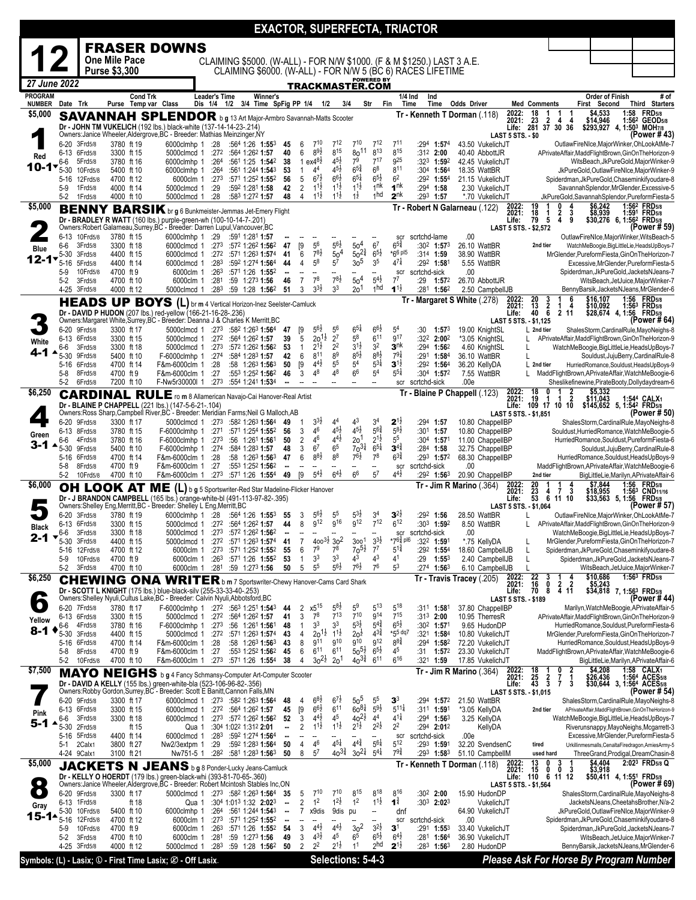|                        |                 |                              |                          |                      |                                                                                                                                                  |                         |                                                                                             |          |                                |                                            |                                            |                                          |                                              |                                          |                                   | <b>EXACTOR, SUPERFECTA, TRIACTOR</b>                                   |                                                 |                            |                                                    |                                                                     |                                                                                                |                                                      |                                              |
|------------------------|-----------------|------------------------------|--------------------------|----------------------|--------------------------------------------------------------------------------------------------------------------------------------------------|-------------------------|---------------------------------------------------------------------------------------------|----------|--------------------------------|--------------------------------------------|--------------------------------------------|------------------------------------------|----------------------------------------------|------------------------------------------|-----------------------------------|------------------------------------------------------------------------|-------------------------------------------------|----------------------------|----------------------------------------------------|---------------------------------------------------------------------|------------------------------------------------------------------------------------------------|------------------------------------------------------|----------------------------------------------|
|                        |                 |                              |                          |                      | <b>FRASER DOWNS</b>                                                                                                                              |                         |                                                                                             |          |                                |                                            |                                            |                                          |                                              |                                          |                                   |                                                                        |                                                 |                            |                                                    |                                                                     |                                                                                                |                                                      |                                              |
|                        |                 |                              | <b>One Mile Pace</b>     |                      |                                                                                                                                                  |                         |                                                                                             |          |                                |                                            |                                            |                                          |                                              |                                          |                                   | CLAIMING \$5000. (W-ALL) - FOR N/W \$1000. (F & M \$1250.) LAST 3 A.E. |                                                 |                            |                                                    |                                                                     |                                                                                                |                                                      |                                              |
| 27 June 2022           |                 |                              | Purse \$3,300            |                      |                                                                                                                                                  |                         |                                                                                             |          |                                |                                            |                                            |                                          |                                              | <b>POWERED BY</b>                        |                                   | CLAIMING \$6000. (W-ALL) - FOR N/W 5 (BC 6) RACES LIFETIME             |                                                 |                            |                                                    |                                                                     |                                                                                                |                                                      |                                              |
| <b>PROGRAM</b>         |                 |                              |                          | <b>Cond Trk</b>      |                                                                                                                                                  | <b>Leader's Time</b>    |                                                                                             | Winner's |                                |                                            |                                            |                                          | <b>TRACKMASTER.COM</b>                       |                                          | 1/4 Ind                           | Ind                                                                    |                                                 |                            |                                                    |                                                                     | <b>Order of Finish</b>                                                                         |                                                      | # of                                         |
| <b>NUMBER</b>          | Date Trk        |                              |                          | Purse Temp var Class |                                                                                                                                                  |                         | Dis 1/4 1/2 3/4 Time SpFig PP 1/4 1/2                                                       |          |                                |                                            |                                            | 3/4                                      | Str                                          | Fin                                      | Time                              | Time                                                                   | <b>Odds Driver</b>                              | 2022:                      | <b>Med Comments</b><br>18<br>-1                    | -1<br>-1                                                            | First Second<br>\$4,533                                                                        | 1:58                                                 | <b>Third Starters</b><br><b>FRD</b> 5/8      |
| \$5,000                |                 |                              |                          |                      | <b>SAVANNAH SPLENDOR</b> b g 13 Art Major-Armbro Savannah-Matts Scooter<br>Dr - JOHN TM VUKELICH (192 lbs.) black-white (137-14-14-23-.214)      |                         |                                                                                             |          |                                |                                            |                                            |                                          |                                              |                                          |                                   |                                                                        | Tr - Kenneth T Dorman (.118)                    | 2021:                      | 23<br>$\overline{2}$                               | 4<br>4<br>Life: 281 37 30 36                                        | \$14,946                                                                                       | \$293,927 4, 1:50 <sup>3</sup> MOH7/8                | 1:56 <sup>2</sup> GEOD <sub>5/8</sub>        |
|                        |                 |                              | 3780 ft 19               |                      | Owners: Janice Wheeler, Aldergrove, BC - Breeder: Mathias Meinzinger, NY                                                                         |                         |                                                                                             |          |                                |                                            | 710                                        | $7^{12}$                                 | $7^{10}$                                     | $7^{12}$                                 | $7^{11}$                          |                                                                        | 43.50 VukelichJT                                | <b>LAST 5 STS. - \$0</b>   |                                                    |                                                                     |                                                                                                |                                                      | (Power #43)                                  |
| Red                    |                 | 6-20 3Frd5/8<br>6-13 6Frd5/8 | 3300 ft 15               |                      | 6000clmhp 1<br>5000clmcd 1                                                                                                                       | :28<br>:27 <sup>2</sup> | $:564$ 1:26 1:553<br>:564 1:262 1:57                                                        |          | 45<br>40                       | 6<br>6                                     | $8^{9}\frac{1}{2}$                         | $8^{15}$                                 | 80 <sup>11</sup>                             | $8^{13}$                                 | $8^{15}$                          | :294 1:574<br>$:31^2$ 2:00                                             | 40.40 AbbottJR                                  |                            |                                                    |                                                                     | OutlawFireNIce,MajorWinker,OhLookAtMe-7<br>APrivateAffair,MaddFlightBrown,GinOnTheHorizon-9    |                                                      |                                              |
| 10-1•                  | 6-6<br>$5 - 30$ | 5Frd5/8<br>10Frd5/8          | 3780 ft 16<br>5400 ft 10 |                      | 6000clmhp 1<br>6000clmhp 1                                                                                                                       | :264<br>:264            | :561 1:25 1:542<br>:561 1:244 1:543                                                         |          | 38<br>53                       | $\mathbf{1}$                               | 1 $ex4^{8}\frac{1}{2}$<br>$4^4\,$          | $4^{5}\frac{1}{2}$<br>$4^{5}\frac{1}{2}$ | 79<br>$6^{5\frac{3}{4}}$                     | $7^{17}$<br>6 <sup>8</sup>               | g <sub>25</sub><br>$8^{11}$       | :323 1:592<br>:304 1:564                                               | 42.45 VukelichJT<br>18.35 WattBR                |                            |                                                    |                                                                     | WitsBeach, JkPureGold, MajorWinker-9<br>JkPureGold,OutlawFireNIce,MajorWinker-9                |                                                      |                                              |
|                        | 5-16            | 12Frd5/8<br>1Frd5/8          | 4700 ft 12               |                      | 6000clm 1                                                                                                                                        | :273                    | :571 1:252 1:552                                                                            |          | 56<br>42                       | 5                                          | $6^{7\frac{1}{2}}$<br>$1^{1}$              | $66\frac{1}{2}$<br>$1^{1\frac{1}{2}}$    | $65\frac{1}{4}$<br>$1^{1}\frac{1}{2}$        | $6^{5}\frac{1}{2}$<br>1 <sup>nk</sup>    | 6 <sup>2</sup><br>1 <sup>nk</sup> | :292 1:554<br>$:294$ 1:58                                              | 21.15 VukelichJT                                |                            |                                                    |                                                                     | Spiderdman, JkPureGold, Chaseminkifyoudare-8                                                   |                                                      |                                              |
|                        | $5-9$<br>$5-2$  | 1Frd5/8                      | 4000 ft 14<br>4000 ft 10 |                      | 5000clmcd 1<br>5000clmcd 1                                                                                                                       | :29<br>:28              | :592 1:281 1:58<br>:583 1:272 1:57                                                          |          | 48                             | $\overline{2}$<br>4                        | $11\frac{1}{2}$                            | $1^{1\frac{1}{2}}$                       | $1\frac{1}{2}$                               | 1hd                                      | 2 <sup>nk</sup>                   | $:293$ 1:57                                                            | 2.30 VukelichJT<br>*.70 VukelichJT              |                            |                                                    |                                                                     | SavannahSplendor, MrGlender, Excessive-5<br>JkPureGold,SavannahSplendor,PureformFiesta-5       |                                                      |                                              |
| \$5,000                |                 |                              |                          |                      | <b>BENNY BARSIK</b> br g 6 Bunkmeister-Jemmas Jet-Emery Flight                                                                                   |                         |                                                                                             |          |                                |                                            |                                            |                                          |                                              |                                          |                                   |                                                                        | Tr - Robert N Galarneau (.122)                  | 2022:<br>2021:             | 19<br>18<br>1                                      | $\frac{2}{4}$<br>3                                                  | \$6,242<br>\$8,939                                                                             | 1:56 <sup>2</sup> FRD <sub>5/8</sub><br>1:591 FRD5/8 |                                              |
|                        |                 |                              |                          |                      | Dr - BRADLEY R WATT (160 lbs.) purple-green-wh (100-10-14-7-.201)<br>Owners:Robert Galarneau,Surrey,BC - Breeder: Darren Lupul,Vancouver,BC      |                         |                                                                                             |          |                                |                                            |                                            |                                          |                                              |                                          |                                   |                                                                        |                                                 | Life:                      | 5<br>79<br>LAST 5 STS. - \$2,572                   | 9                                                                   |                                                                                                | \$30,276 6, 1:562 FRD5/8                             | (Power # 59)                                 |
|                        | 6-6             | 6-13 10Frd5/8<br>3Frd5/8     | 3780 ft 15<br>3300 ft 18 |                      | 6000clmhp 1<br>6000clmcd 1                                                                                                                       | :29<br>:273             | :591 1:281 1:57<br>:572 1:262 1:562                                                         |          | 47                             | [9                                         | $5^6$                                      | $5^{6}\frac{1}{2}$                       | 50 <sup>4</sup>                              | 6 <sup>7</sup>                           | scr<br>$6^{5\frac{3}{4}}$         | scrtchd-lame<br>$:30^2$ 1:573                                          | .00<br>26.10 WattBR                             |                            | 2nd tier                                           |                                                                     | OutlawFireNIce,MajorWinker,WitsBeach-5<br>WatchMeBoogie, BigLittleLie, HeadsUpBoys-7           |                                                      |                                              |
| <b>Blue</b><br>12-17   | $5 - 30$        | 3Frd5/8                      | 4400 ft 15               |                      | 6000clmcd 1                                                                                                                                      | :272                    | :571 1:263 1:574                                                                            |          | 41                             | 6                                          | $7^{8}$ <sub>2</sub>                       | 50 <sup>4</sup>                          | $50^{24}$                                    | $6^{5\frac{1}{2}}$                       | $*66$ pl5                         | $:314$ 1:59                                                            | 38.90 WattBR                                    |                            |                                                    |                                                                     | MrGlender, Pureform Fiesta, GinOn The Horizon-7                                                |                                                      |                                              |
|                        | 5-16<br>$5-9$   | 5Frd5/8<br>10Frd5/8          | 4400 ft 14<br>4700 ft 9  |                      | 6000clmcd 1<br>6000clm 1                                                                                                                         | :283<br>:263            | :592 1:274 1:564<br>:571 1:26 1:552                                                         |          | 44<br>н.                       | $\overline{4}$<br>$\overline{\phantom{a}}$ | 58<br>Ξ.                                   | 5 <sup>7</sup>                           | 3 <sub>0</sub> 5<br>$\overline{\phantom{a}}$ | 3 <sup>5</sup><br>--                     | $47\frac{1}{4}$<br>scr            | :292 1:581<br>scrtchd-sick                                             | 5.55 WattBR<br>.00                              |                            |                                                    |                                                                     | Excessive, MrGlender, Pureform Fiesta-5<br>Spiderdman, JkPureGold, JacketsNJeans-7             |                                                      |                                              |
|                        | $5-2$           | 3Frd5/8                      | 4700 ft 10               |                      | 6000clm 1<br>5000clmcd 1                                                                                                                         | :281                    | :59 1:273 1:56                                                                              |          | 46                             | $\overline{7}$<br>3                        | 7 <sup>8</sup><br>$3^{3}\frac{1}{2}$       | $7^{8}\frac{1}{2}$<br>3 <sup>3</sup>     | 50 <sup>4</sup>                              | $5^{41}$<br>1 <sub>hd</sub>              | $7^7$<br>$1^{1\frac{1}{2}}$       | :29<br>1:57 <sup>2</sup>                                               | 26.70 AbbottJR                                  |                            |                                                    |                                                                     |                                                                                                | WitsBeach, JetJuice, MajorWinker-7                   |                                              |
|                        |                 | 4-25 3Frd5/8                 | 4000 ft 12               |                      | <b>HEADS UP BOYS (L)</b> br m 4 Vertical Horizon-Inez Seelster-Camluck                                                                           | :283                    | :59 1:28 1:562                                                                              |          | 51                             |                                            |                                            |                                          | 20 <sup>1</sup>                              |                                          |                                   | :281 1:562                                                             | 2.50 CampbellJB<br>Tr - Margaret S White (278)  | 2022:<br>2021:             |                                                    | 6                                                                   | BennyBarsik, JacketsNJeans, MrGlender-6<br>\$16,107<br>\$10,092                                | 1:56 FRD5/8<br>1:56 <sup>3</sup> FRD5/8              |                                              |
|                        |                 |                              |                          |                      | Dr - DAVID P HUDON (207 lbs.) red-yellow (166-21-16-28-.236)                                                                                     |                         |                                                                                             |          |                                |                                            |                                            |                                          |                                              |                                          |                                   |                                                                        |                                                 | Life:                      |                                                    | 4<br>$\begin{smallmatrix} 1 & 4 \\ 2 & 11 \end{smallmatrix}$        |                                                                                                | \$28,674 4, 1:56 FRD5/8                              |                                              |
|                        |                 | 6-20 9Frd5/8                 | 3300 ft 17               |                      | Owners: Margaret White, Surrey, BC - Breeder: Deanna J & Charles K Merritt, BC<br>5000clmcd 1 :273 :582 1:263 1:564 47                           |                         |                                                                                             |          |                                | [9                                         | $5^{6}$                                    | $5^6$                                    | $6^{51}$                                     | $6^{6}\frac{1}{2}$                       | 5 <sup>4</sup>                    | :30<br>$1:57^{3}$                                                      | 19.00 KnightSL                                  |                            | LAST 5 STS. - \$1,125<br>$\mathsf{\perp}$ 2nd tier |                                                                     | ShalesStorm, CardinalRule, MayoNeighs-8                                                        |                                                      | (Power # 64)                                 |
| White                  | 6-6             | 6-13 6Frd5/8<br>3Frd5/8      | 3300 ft 15<br>3300 ft 18 |                      | 5000clmcd 1<br>5000clmcd 1                                                                                                                       | :27 $3$                 | $:272$ $:564$ 1:262 1:57<br>:572 1:262 1:562                                                |          | 39<br>53                       | 5<br>$\mathbf{1}$                          | 2 <sub>0</sub><br>1ż<br>$2^{1\frac{1}{2}}$ | 2 <sup>7</sup><br>2 <sup>2</sup>         | 58<br>$3^{1\frac{1}{2}}$                     | 6 <sup>11</sup><br>3 <sup>2</sup>        | g17<br>3 <sup>nk</sup>            | :322 2:002<br>$:294$ 1:56 <sup>2</sup>                                 | *3.05 KnightSL<br>4.60 KnightSL                 |                            | L<br>L                                             |                                                                     | APrivateAffair,MaddFlightBrown,GinOnTheHorizon-9<br>WatchMeBoogie, BigLittleLie, HeadsUpBoys-7 |                                                      |                                              |
| 4-1                    | 5-30            | 9Frd5/8                      | 5400 ft 10               |                      | F-6000clmhp 1                                                                                                                                    | :274                    | :584 1:283 1:57                                                                             |          | 42                             | 6                                          | 811                                        | 89                                       | $8^{5}\frac{1}{2}$                           | $8^{8}\frac{1}{2}$                       | $79\frac{1}{4}$                   | :291 1:584                                                             | 36.10 WattBR                                    |                            | L                                                  |                                                                     |                                                                                                | Souldust, JujuBerry, CardinalRule-8                  |                                              |
|                        | 5-8             | 5-16 6Frd5/8<br>8Frd5/8      | 4700 ft 14<br>4700 ft 9  |                      | F&m-6000clm 1<br>F&m-6000clm 1                                                                                                                   | :28<br>:27              | $:58$ 1:26 <sup>3</sup> 1:56 <sup>3</sup><br>:553 1:252 1:562                               |          | 50<br>46                       | [9<br>3                                    | $4^{4}$ <sub>2</sub><br>48                 | 5 <sup>5</sup><br>48                     | $5^4$<br>6 <sup>6</sup>                      | $5^{3}$<br>5 <sup>4</sup>                | $3^{1\frac{1}{2}}$<br>$5^{51}$    | :292 1:564<br>:304 1:572                                               | 36.20 KellyDA<br>7.55 WattBR                    |                            | L 2nd tier                                         |                                                                     | HurriedRomance,Souldust,HeadsUpBoys-9<br>MaddFlightBrown, APrivateAffair, WatchMeBoogie-6      |                                                      |                                              |
|                        | $5-2$           | 6Frd5/8                      | 7200 ft 10               |                      | F-Nw5r30000I 1                                                                                                                                   | :273                    | :554 1:241 1:534                                                                            |          |                                |                                            |                                            |                                          |                                              | ÷.                                       | scr                               | scrtchd-sick                                                           | .00e                                            |                            |                                                    |                                                                     | Sheslikefinewine, PirateBooty, Dollydaydream-6                                                 |                                                      |                                              |
| \$6,250                |                 |                              |                          |                      | <b>CARDINAL RULE</b> ro m 8 Allamerican Navajo-Cai Hanover-Real Artist                                                                           |                         |                                                                                             |          |                                |                                            |                                            |                                          |                                              |                                          |                                   |                                                                        | Tr - Blaine P Chappell (.123)                   | 2022:<br>2021:             | 18<br>0<br>19<br>-1                                | $\frac{2}{2}$<br>$\mathbf{1}$                                       | $$5,332$<br>\$11,043                                                                           | 1:544 CALX1                                          |                                              |
|                        |                 |                              |                          |                      | Dr - BLAINE P CHAPPELL (221 lbs.) (147-5-6-21-.104)<br>Owners: Ross Sharp, Campbell River, BC - Breeder: Meridian Farms; Neil G Malloch, AB      |                         |                                                                                             |          |                                |                                            |                                            |                                          |                                              |                                          |                                   |                                                                        |                                                 |                            | LAST 5 STS. - \$1,851                              | Life: 109 17 10 10                                                  |                                                                                                | \$145,652 5, 1:54 <sup>2</sup> FRD5/8                | (Power # 50)                                 |
|                        |                 | 6-20 9Frd5/8<br>6-13 8Frd5/8 | 3300 ft 17<br>3780 ft 15 |                      | 5000clmcd 1<br>F-6000clmhp 1                                                                                                                     | :273<br>:271            | :58 <sup>2</sup> 1:26 <sup>3</sup> <b>1:56</b> <sup>4</sup><br>:571 1:254 1:552             |          | 49<br>56                       | -1<br>3                                    | $3^{3}\frac{1}{2}$<br>46                   | 4 <sup>4</sup><br>$4^{5}\frac{1}{2}$     | 43<br>$4^{5}\frac{1}{2}$                     | 3 <sup>4</sup><br>$5^{6^{3}_{4}}$        | $2^{1\frac{1}{2}}$<br>$5^{8}$ z   | $:294$ 1:57<br>$:30^1$ 1:57                                            | 10.80 ChappelIBP<br>10.80 ChappelIBP            |                            |                                                    |                                                                     | ShalesStorm, CardinalRule, MayoNeighs-8<br>Souldust, Hurried Romance, Watch MeBoogie-5         |                                                      |                                              |
| Green<br>3-1           | 6-6             | 4Frd5/8                      | 3780 ft 16               |                      | F-6000clmhp 1                                                                                                                                    | :273                    | :56 1:261 1:561                                                                             |          | 50                             | $\overline{2}$                             | 46                                         | $4^{4}\frac{1}{2}$                       | 2o <sup>1</sup>                              | $2^{1\frac{1}{2}}$                       | 5 <sup>5</sup>                    | $:30^4$ 1:571                                                          | 11.00 ChappelIBP                                |                            |                                                    |                                                                     | HurriedRomance,Souldust,PureformFiesta-6                                                       |                                                      |                                              |
|                        | 5-30<br>5-16    | 9Frd5/8<br>6Frd5/8           | 5400 ft 10<br>4700 ft 14 |                      | F-6000clmhp 1<br>F&m-6000clm 1                                                                                                                   | :274<br>:28             | :584 1:283 1:57<br>$:58$ 1:263 1:563                                                        |          | 48<br>47                       | 3<br>6                                     | 6 <sup>7</sup><br>$8^{8}\frac{1}{2}$       | 6 <sup>5</sup><br>88                     | $70^{31}$<br>$76\frac{1}{2}$                 | $6^{51}$<br>7 <sup>8</sup>               | $3^{4^3}$<br>$6^{3\frac{3}{4}}$   | $:284$ 1:58<br>:293 1:572                                              | 32.75 ChappellBP<br>68.30 ChappelIBP            |                            |                                                    |                                                                     | HurriedRomance,Souldust,HeadsUpBoys-9                                                          | Souldust, JujuBerry, CardinalRule-8                  |                                              |
|                        | 5-8<br>$5-2$    | 8Frd5/8<br>10Frd5/8          | 4700 ft 9<br>4700 ft 10  |                      | F&m-6000clm 1<br>F&m-6000clm 1                                                                                                                   | :27<br>:273             | :553 1:252 1:562<br>:571 1:26 1:554                                                         |          | ٠.<br>49                       | $\overline{\phantom{a}}$<br>[9]            | $\overline{\phantom{a}}$<br>$5^{4}$        | $6^{4}$                                  | 6 <sup>6</sup>                               | --<br>5 <sup>7</sup>                     | scr<br>$4^{4}$ <sub>2</sub>       | scrtchd-sick<br>:292 <b>1:56</b> 3                                     | .00<br>20.90 ChappellBP                         |                            | 2nd tier                                           |                                                                     | MaddFlightBrown, APrivateAffair, WatchMeBoogie-6                                               | BigLittleLie,Marilyn,APrivateAffair-6                |                                              |
| \$6,000                |                 | <b>OH LOOK AT</b>            |                          |                      | ME (L) b g 5 Sportswriter-Red Star Madeline-Flicker Hanover                                                                                      |                         |                                                                                             |          |                                |                                            |                                            |                                          |                                              |                                          |                                   |                                                                        | <b>Tr - Jim R Marino</b> (.364)                 | 2022:<br>2021:             | 20                                                 | $\frac{4}{3}$                                                       | \$7.844<br>\$18,955                                                                            | 1:56                                                 | <b>FRD</b> 5/8<br>1:563 CND <sub>11/16</sub> |
|                        |                 |                              |                          |                      | Dr - J BRANDON CAMPBELL (165 lbs.) orange-white-bl (491-113-97-82-.395)<br>Owners:Shelley Eng, Merritt, BC - Breeder: Shelley L Eng, Merritt, BC |                         |                                                                                             |          |                                |                                            |                                            |                                          |                                              |                                          |                                   |                                                                        |                                                 | Life:                      | LAST 5 STS. - \$1,064                              | $\begin{array}{ccc} 23 & 4 & 7 & 3 \\ 53 & 6 & 11 & 10 \end{array}$ |                                                                                                | \$33,563 5, 1:56 FRD5/8                              | (Power # 57)                                 |
|                        |                 | 6-20 3Frd5/8                 | 3780 ft 19               |                      | 6000clmhp 1 :28                                                                                                                                  |                         | :564 1:26 1:553                                                                             |          | 55                             | 3                                          | $5^{6}$                                    | 5 <sup>5</sup>                           | 532                                          | 3 <sup>4</sup>                           | $3^{2}z$                          | :292<br>1:56                                                           | 28.50 WattBR                                    |                            |                                                    |                                                                     | OutlawFireNIce,MajorWinker,OhLookAtMe-7                                                        |                                                      |                                              |
| Black                  | 6-6             | 6-13 6Frd5/8<br>3Frd5/8      | 3300 ft 15<br>3300 ft 18 |                      | 5000clmcd 1 :272 :564 1:262 1:57<br>5000clmcd 1                                                                                                  | :273                    | :572 1:262 1:562                                                                            |          | 44                             | 8                                          | 912                                        | 9 <sup>16</sup>                          | <b>912</b>                                   | $7^{12}$                                 | $6^{12}$<br>scr                   | :303 1:592<br>scrtchd-sick                                             | 8.50 WattBR<br>.00                              |                            |                                                    |                                                                     | APrivateAffair,MaddFlightBrown,GinOnTheHorizon-9<br>WatchMeBoogie,BigLittleLie,HeadsUpBoys-7   |                                                      |                                              |
| 2-1                    | 5-30            | 3Frd5/8                      | 4400 ft 15               |                      | 5000clmcd 1                                                                                                                                      |                         | :272 :571 1:263 1:574 41                                                                    |          |                                | 7                                          | $400^{3\frac{1}{2}}30^{2}$                 |                                          | 300 <sup>1</sup>                             | $3^{3}\frac{1}{2}$                       | *76≵ pl6                          | :322 1:591                                                             | *.75 KellyDA                                    |                            | L                                                  |                                                                     | MrGlender, Pureform Fiesta, GinOn The Horizon-7                                                |                                                      |                                              |
|                        | $5-9$           | 5-16 12Frd5/8<br>10Frd5/8    | 4700 ft 12<br>4700 ft 9  |                      | 6000clm 1<br>6000clm 1                                                                                                                           | :273<br>:263            | :571 1:252 1:552<br>:571 1:26 1:552                                                         |          | 55<br>53                       | 6<br>1                                     | 7 <sup>9</sup><br>3 <sup>3</sup>           | 78<br>3 <sup>3</sup>                     | $70^{51}$<br>43                              | $7^7$<br>$4^3$                           | $5^{1\frac{3}{4}}$<br>41          | $:29^2$ 1:55 <sup>4</sup><br>:29<br>$1:55^{3}$                         | 18.60 CampbellJB<br>2.40 CampbellJB             |                            | L<br>L                                             |                                                                     | Spiderdman, JkPureGold, Chaseminkifyoudare-8<br>Spiderdman, JkPureGold, JacketsNJeans-7        |                                                      |                                              |
| \$6,250                | $5-2$           | 3Frd5/8                      | 4700 ft 10               |                      | 6000clm 1 :281                                                                                                                                   |                         | :59 1:27 <sup>3</sup> 1:56                                                                  |          | 50                             | 5                                          | $5^5$                                      | $5^{6}\frac{1}{2}$                       | $7^{6}\frac{1}{2}$                           | 76                                       | 5 <sup>3</sup>                    | $:274$ 1:563                                                           | 6.10 CampbellJB                                 | 2022:                      | L<br>3                                             | 4                                                                   | \$10,686                                                                                       | WitsBeach, JetJuice, MajorWinker-7<br>1:563 FRD5/8   |                                              |
|                        |                 | <b>CHEW</b>                  | NG.                      | <b>ONA</b>           | WRITER b m 7 Sportswriter-Chewy Hanover-Cams Card Shark<br>Dr - SCOTT L KNIGHT (175 lbs.) blue-black-silv (255-33-33-40-.253)                    |                         |                                                                                             |          |                                |                                            |                                            |                                          |                                              |                                          |                                   |                                                                        | $Tr - Travis Tracey (0.205)$                    | 2021:<br>Life:             | $\frac{22}{16}$<br>0<br>70<br>8                    | $\overline{2}$<br>2<br>4 11                                         | \$5,243                                                                                        | \$34,818 7, 1:56 <sup>3</sup> FRD <sub>5/8</sub>     |                                              |
| $\bullet$              |                 | 6-20 7Frd5/8                 | 3780 ft 17               |                      | Owners: Shelley Nyuli, Cultus Lake, BC - Breeder: Calvin Nyuli, Abbotsford, BC<br>F-6000clmhp 1 :272 :563 1:251 1:543                            |                         |                                                                                             |          | 44                             | 2                                          | x5 <sup>15</sup>                           | $5^{8}z$                                 | 59                                           | 513                                      | 518                               | :311 1:581                                                             | 37.80 ChappellBP                                | <b>LAST 5 STS. - \$189</b> |                                                    |                                                                     | Marilyn, WatchMeBoogie, APrivateAffair-5                                                       |                                                      | (Power #44)                                  |
| Yellow                 |                 | 6-13 6Frd5/8                 | 3300 ft 15               |                      | 5000clmcd 1 :272 :564 1:262 1:57                                                                                                                 |                         |                                                                                             |          | 41                             | 3                                          | $7^8$                                      | $7^{13}$                                 | $7^{10}$                                     | <b>914</b>                               | 715                               | $:313$ 2:00                                                            | 10.95 TherresR                                  |                            |                                                    |                                                                     | APrivateAffair,MaddFlightBrown,GinOnTheHorizon-9                                               |                                                      |                                              |
| 8-1                    | 6-6<br>$5 - 30$ | 4Frd5/8<br>3Frd5/8           | 3780 ft 16<br>4400 ft 15 |                      | F-6000clmhp 1<br>5000clmcd 1                                                                                                                     | :273                    | :56 1:261 1:561<br>$:27^2$ :571 1:263 1:574                                                 |          | 48<br>43                       | 1<br>4                                     | 3 <sup>3</sup><br>$20^{11}$                | 33<br>$1^{1\frac{1}{2}}$                 | $5^{3}\frac{1}{2}$<br>20 <sup>1</sup>        | $5^{4}\frac{3}{4}$<br>$4^{3\frac{3}{4}}$ | $6^{5}\frac{1}{2}$<br>*55 dq7     | :302 <b>1:57</b> 1<br>:32 <sup>1</sup> 1:58 <sup>4</sup>               | 9.65 HudonDP<br>10.80 VukelichJT                |                            |                                                    |                                                                     | HurriedRomance,Souldust,PureformFiesta-6<br>MrGlender, Pureform Fiesta, GinOn The Horizon-7    |                                                      |                                              |
|                        |                 | 5-16 6Frd5/8                 | 4700 ft 14               |                      | F&m-6000clm 1                                                                                                                                    | :28                     | :58 1:263 1:563                                                                             |          | 43                             | 8                                          | <b>911</b>                                 | 910                                      | g10                                          | g12                                      | $8^{8}\frac{3}{4}$                | :294 1:582                                                             | 72.20 VukelichJT                                |                            |                                                    |                                                                     | HurriedRomance,Souldust,HeadsUpBoys-9                                                          |                                                      |                                              |
|                        | 5-8<br>$5-2$    | 8Frd5/8<br>10Frd5/8          | 4700 ft 9<br>4700 ft 10  |                      | F&m-6000clm 1<br>F&m-6000clm 1                                                                                                                   | :27<br>:27 <sup>3</sup> | :553 1:252 <b>1:56</b> 2<br>:571 1:26 1:554                                                 |          | 45<br>38                       | 6<br>4                                     | $6^{11}$<br>$30^{21}$                      | $6^{11}$<br>20 <sup>1</sup>              | $50^{5\frac{1}{2}}$<br>$40^{3}\frac{3}{4}$   | $6^{5}\frac{1}{2}$<br>$6^{11}$           | 45<br>$6^{16}$                    | :31<br>$1:57^{2}$<br>:321 1:59                                         | 23.30 VukelichJT<br>17.85 VukelichJT            |                            |                                                    |                                                                     | MaddFlightBrown, APrivateAffair, WatchMeBoogie-6                                               | BigLittleLie,Marilyn,APrivateAffair-6                |                                              |
| \$7,500                |                 |                              |                          |                      | MAYO NEIGHS b g 4 Fancy Schmansy-Computer Art-Computer Scooter                                                                                   |                         |                                                                                             |          |                                |                                            |                                            |                                          |                                              |                                          |                                   |                                                                        | <b>Tr - Jim R Marino</b> (.364)                 | 2022:<br>2021:             | 18<br>25<br>$\overline{2}$                         | 0<br>2<br>1<br>7                                                    | \$4,208<br>\$26,436                                                                            |                                                      | 1:58 CALX1<br>1:564 ACES5/8                  |
|                        |                 |                              |                          |                      | Dr - DAVID A KELLY (155 lbs.) green-white-bla (523-106-96-82-.356)<br>Owners:Robby Gordon,Surrey,BC - Breeder: Scott E Banitt,Cannon Falls,MN    |                         |                                                                                             |          |                                |                                            |                                            |                                          |                                              |                                          |                                   |                                                                        |                                                 | Life:                      | $\mathbf{3}$<br>43<br><b>LAST 5 STS. - \$1,015</b> | 3<br>$\mathbf{7}$                                                   |                                                                                                | \$30,644 3, 1:564 ACES5/8                            | (Power # 54)                                 |
|                        | 6-20            | 9Frd5/8                      | 3300 ft 17               |                      | 6000clmcd 1 :273 :582 1:263 1:564                                                                                                                |                         |                                                                                             |          | 48                             | 4                                          | $6^{8}$<br>$6^{6}\frac{1}{2}$              | 6 <sup>1</sup><br>$6^{11}$               | $50^5$<br>$60^{81}$                          | 5 <sup>5</sup><br>$5^{9\frac{1}{2}}$     | $\mathbf{3}^3$<br>$5^{11}$        | :294 1:572                                                             | 21.50 WattBR                                    |                            |                                                    |                                                                     | ShalesStorm, CardinalRule, MayoNeighs-8                                                        |                                                      |                                              |
| Pink                   | 6-6             | 6-13 6Frd5/8<br>3Frd5/8      | 3300 ft 15<br>3300 ft 18 |                      | 6000clmcd 1<br>6000clmcd 1                                                                                                                       |                         | $:27^2$ $:56^4$ 1:26 <sup>2</sup> 1:57<br>$:273$ $:572$ 1:26 <sup>2</sup> 1:56 <sup>2</sup> |          | 45<br>52                       | [9<br>3                                    | $4^{4}$ <sub>2</sub>                       | 4 <sup>5</sup>                           | $40^{21}$                                    | 4 <sup>4</sup>                           | $4^{11}$                          | :311 1:591<br>:29 <sup>4</sup> 1: <b>56</b> 3                          | *3.05 KellyDA<br>3.25 KellyDA                   |                            | 2nd tier                                           |                                                                     | APrivateAffair,MaddFlightBrown,GinOnTheHorizon-9<br>WatchMeBoogie, BigLittleLie, HeadsUpBoys-7 |                                                      |                                              |
| 5-1                    | 5-30<br>5-16    | 2Frd5/8<br>5Frd5/8           | 4400 ft 14               | ft 15                | Qua 1<br>6000clmcd 1                                                                                                                             | :283                    | :304 1:022 1:312 2:01<br>:592 1:274 1:564                                                   |          | ۰.<br>--                       | 2                                          | $11\frac{1}{2}$                            | $1^{1\frac{1}{2}}$                       | $2^{1\frac{1}{2}}$                           | $2^{2}\frac{1}{2}$                       | 2 <sup>2</sup><br>scr             | :294 2:012<br>scrtchd-sick                                             | KellyDA<br>.00e                                 |                            |                                                    |                                                                     | Riverunsnappy, MayoNeighs, Mcgarrett-3<br>Excessive, MrGlender, Pureform Fiesta-5              |                                                      |                                              |
|                        | 5-1             | 2Calx1                       | 3800 ft 27               |                      | Nw2/3extpm 1                                                                                                                                     | :29                     | :592 1:283 1:564                                                                            |          | 50                             | 4                                          | 46                                         | $4^{5}$                                  | $4^{4}\frac{3}{4}$                           | $56\frac{1}{4}$                          | 512                               | :293 <b>1:59</b> 1                                                     | 32.20 SvendsenC                                 |                            | tired                                              |                                                                     | Urkillinmesmalls, Cenalta Firedragon, Arnies Army-5                                            |                                                      |                                              |
| \$5,000                |                 | 4-24 9Calx1                  | 3100 ft 21               |                      | Nw751-5 1                                                                                                                                        |                         | $:28^2$ $:58^1$ 1:28 <sup>3</sup> 1:56 <sup>3</sup>                                         |          | 50                             | 8                                          | $5^7$                                      | $40^{3\frac{3}{4}}$                      | $30^{21}$                                    | $5^{41}$                                 | $79\frac{3}{4}$                   | $:29^3$ 1:58 <sup>3</sup>                                              | 51.10 CampbellM<br>Tr - Kenneth T Dorman (.118) |                            | used hard<br>13<br>0                               | 3                                                                   | ThreeGrand, Prodigal, DreamChasin-8                                                            |                                                      | 2:023 FRD5/8 Q                               |
|                        |                 |                              |                          |                      | JACKETS N JEANS b g 8 Ponder-Lucky Jeans-Camluck<br>Dr - KELLY O HOERDT (179 lbs.) green-black-whi (393-81-70-65-.360)                           |                         |                                                                                             |          |                                |                                            |                                            |                                          |                                              |                                          |                                   |                                                                        |                                                 | 2022:<br>2021:             | 15<br>$\mathbf 0$                                  | 0<br>3<br>Life: 110 6 11 12                                         | $$4,404$<br>$$3,918$                                                                           | \$50,411 4, 1:55 <sup>1</sup> FRD <sub>5/8</sub>     |                                              |
| $\bullet$<br>$\bullet$ |                 | 6-20 9Frd5/8                 | 3300 ft 17               |                      | Owners: Janice Wheeler, Aldergrove, BC - Breeder: Robert Mcintosh Stables Inc, ON<br>5000clmcd 1 :273 :582 1:263 1:564                           |                         |                                                                                             |          | 35                             | 5                                          | $7^{10}$                                   | $7^{10}$                                 | 815                                          | $8^{18}$                                 | 816                               | :302 2:00                                                              | 15.90 HudonDP                                   |                            | LAST 5 STS. - \$1,564                              |                                                                     | ShalesStorm, CardinalRule, MayoNeighs-8                                                        |                                                      | (Power # 69)                                 |
| Gray                   |                 | 6-13 1 Frd 5/8               |                          | ft 18                | Qua 1                                                                                                                                            |                         | :304 1:013 1:32 2:023                                                                       |          | $\blacksquare$                 | 2                                          | 1 <sup>2</sup>                             | $1^{2}\frac{1}{2}$                       | 1 <sup>2</sup>                               | $1^{1\frac{1}{2}}$                       | $1^{\frac{3}{4}}$                 | :303 2:023                                                             | VukelichJT                                      |                            |                                                    |                                                                     | JacketsNJeans, CheetahsBrother, N/a-2                                                          |                                                      |                                              |
| 15-1▲                  | 5-30<br>5-16    | 10Frd5/8<br>12Frd5/8         | 5400 ft 10<br>4700 ft 12 |                      | 6000clmhp 1<br>6000clm 1                                                                                                                         | :27 $3$                 | $:264$ $:561$ 1:244 1:543<br>:571 1:252 1:552                                               |          | $\overline{\phantom{a}}$<br>−− | 7                                          | x9dis                                      | 9dis                                     | pu                                           | --                                       | dnf<br>scr                        | scrtchd-sick                                                           | 64.90 VukelichJT<br>.00                         |                            |                                                    |                                                                     | JkPureGold,OutlawFireNIce,MajorWinker-9<br>Spiderdman, JkPureGold, Chaseminkifyoudare-8        |                                                      |                                              |
|                        | 5-9             | 10Frd5/8                     | 4700 ft 9                |                      | 6000clm 1                                                                                                                                        | :263                    | :571 1:26 1:552                                                                             |          | 54                             | 3                                          | $4^{4}$ <sub>2</sub>                       | $4^{4}$                                  | 3 <sup>2</sup>                               | $3^{2}$                                  | 3 <sup>1</sup>                    | :291 <b>1:55</b> 3                                                     | 33.40 VukelichJT                                |                            |                                                    |                                                                     | Spiderdman, JkPureGold, JacketsNJeans-7                                                        |                                                      |                                              |
|                        | $5-2$<br>4-25   | 3Frd5/8<br>3Frd5/8           | 4700 ft 10<br>4000 ft 12 |                      | 6000clm 1<br>5000clmcd 1                                                                                                                         | :281<br>:283            | $:59$ 1:27 <sup>3</sup> 1:56<br>:59 1:28 1:562                                              |          | 49<br>50                       | 3<br>$\overline{2}$                        | $4^{3}\frac{1}{2}$<br>2 <sup>2</sup>       | 4 <sup>5</sup><br>$2^{1\frac{1}{2}}$     | 6 <sup>5</sup><br>11                         | $6^{5}\frac{1}{2}$<br>2hd                | $6^{4}$<br>$2^{1\frac{1}{2}}$     | :281 1:564<br>:283 1:563                                               | 36.90 VukelichJT<br>2.80 HudonDP                |                            |                                                    |                                                                     | BennyBarsik, JacketsNJeans, MrGlender-6                                                        | WitsBeach, JetJuice, MajorWinker-7                   |                                              |
|                        |                 |                              |                          |                      | Symbols: (L) - Lasix; ① - First Time Lasix; ② - Off Lasix.                                                                                       |                         |                                                                                             |          |                                |                                            |                                            | Selections: 5-4-3                        |                                              |                                          |                                   |                                                                        |                                                 |                            |                                                    |                                                                     | <b>Please Ask For Horse By Program Number</b>                                                  |                                                      |                                              |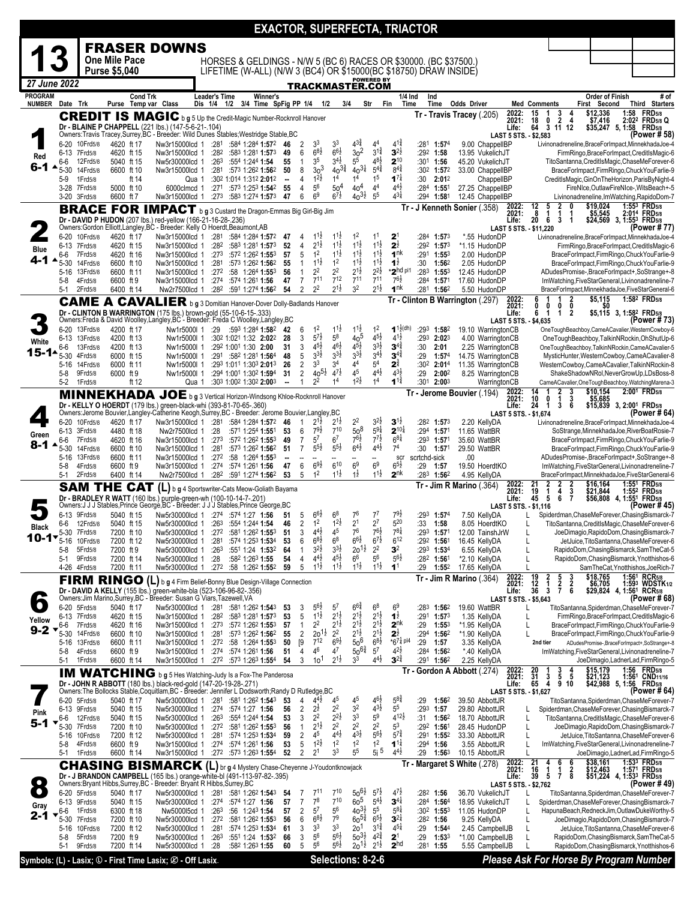|                                                                                                                                                                                                                                                                                                                                                  |                      |                               |                                       |                 |                                                                                                                                                                      |                          |                                                                                    |                           |                                |                                  |                                       |                                          |                                          |                                          |                                      | <b>EXACTOR, SUPERFECTA, TRIACTOR</b>                              |                            |                                          |                                |                      |                                                                                          |                                                                                                    |       |                                                                              |
|--------------------------------------------------------------------------------------------------------------------------------------------------------------------------------------------------------------------------------------------------------------------------------------------------------------------------------------------------|----------------------|-------------------------------|---------------------------------------|-----------------|----------------------------------------------------------------------------------------------------------------------------------------------------------------------|--------------------------|------------------------------------------------------------------------------------|---------------------------|--------------------------------|----------------------------------|---------------------------------------|------------------------------------------|------------------------------------------|------------------------------------------|--------------------------------------|-------------------------------------------------------------------|----------------------------|------------------------------------------|--------------------------------|----------------------|------------------------------------------------------------------------------------------|----------------------------------------------------------------------------------------------------|-------|------------------------------------------------------------------------------|
|                                                                                                                                                                                                                                                                                                                                                  |                      |                               |                                       |                 | <b>FRASER DOWNS</b>                                                                                                                                                  |                          |                                                                                    |                           |                                |                                  |                                       |                                          |                                          |                                          |                                      |                                                                   |                            |                                          |                                |                      |                                                                                          |                                                                                                    |       |                                                                              |
|                                                                                                                                                                                                                                                                                                                                                  |                      |                               | One Mile Pace<br><b>Purse \$5,040</b> |                 |                                                                                                                                                                      |                          |                                                                                    |                           |                                |                                  |                                       |                                          |                                          |                                          |                                      | HORSES & GELDINGS - N/W 5 (BC 6) RACES OR \$30000. (BC \$37500.)  |                            |                                          |                                |                      |                                                                                          |                                                                                                    |       |                                                                              |
| 27 June 2022                                                                                                                                                                                                                                                                                                                                     |                      |                               |                                       |                 |                                                                                                                                                                      |                          |                                                                                    |                           |                                |                                  |                                       |                                          |                                          | <b>POWERED BY</b>                        |                                      | LIFETIME (W-ALL) (N/W 3 (BC4) OR \$15000(BC \$18750) DRAW INSIDE) |                            |                                          |                                |                      |                                                                                          |                                                                                                    |       |                                                                              |
| <b>PROGRAM</b>                                                                                                                                                                                                                                                                                                                                   |                      |                               |                                       | <b>Cond Trk</b> |                                                                                                                                                                      | Leader's Time            |                                                                                    | Winner's                  |                                |                                  |                                       |                                          | <u>TRACKMASTER.COM</u>                   |                                          | 1/4 Ind                              | Ind                                                               |                            |                                          |                                |                      |                                                                                          | Order of Finish                                                                                    |       | # of                                                                         |
| <b>NUMBER</b>                                                                                                                                                                                                                                                                                                                                    | Date Trk             |                               |                                       |                 | Purse Temp var Class                                                                                                                                                 | Dis 1/4 1/2              |                                                                                    | 3/4 Time SpFig PP 1/4 1/2 |                                |                                  |                                       |                                          | 3/4<br>Str                               |                                          | Time<br>Fin                          | Time                                                              | <b>Odds Driver</b>         |                                          |                                | <b>Med Comments</b>  |                                                                                          | First Second                                                                                       |       | Third Starters                                                               |
|                                                                                                                                                                                                                                                                                                                                                  |                      |                               |                                       |                 | <b>CREDIT IS MAGIC</b> b g 5 Up the Credit-Magic Number-Rocknroll Hanover                                                                                            |                          |                                                                                    |                           |                                |                                  |                                       |                                          |                                          |                                          |                                      |                                                                   | Tr - Travis Tracey (.205)  |                                          | 2022:<br>2021:                 | $\frac{15}{18}$      | $\frac{3}{2}$<br>1<br>0<br>4                                                             | \$12,336<br>\$7,416                                                                                |       | 1:58 FRD5/8<br>2:02 <sup>2</sup> FRD <sub>5/8</sub> Q                        |
|                                                                                                                                                                                                                                                                                                                                                  |                      |                               |                                       |                 | Dr - BLAINE P CHAPPELL (221 lbs.) (147-5-6-21-.104)<br>Owners: Travis Tracey, Surrey, BC - Breeder: Wild Dunes Stables; Westridge Stable, BC                         |                          |                                                                                    |                           |                                |                                  |                                       |                                          |                                          |                                          |                                      |                                                                   |                            |                                          | Life:<br>LAST 5 STS. - \$2,583 | 64                   | 3 11 12                                                                                  | \$35,247 5, 1:58 FRD5/8                                                                            |       | (Power # 58                                                                  |
|                                                                                                                                                                                                                                                                                                                                                  |                      | 6-20 10Frd5/8<br>6-13 7Frd5/8 | 4620 ft 17<br>4620 ft 15              |                 | Nw3r15000lcd 1<br>Nw3r15000lcd 1                                                                                                                                     | :281                     | :584 1:284 1:572<br>$:28^2$ $:58^3$ 1:28 <sup>1</sup> 1:57 <sup>3</sup>            |                           | 46<br>49                       | $\overline{2}$<br>6              | 3 <sup>3</sup><br>$6^{8}\frac{1}{2}$  | 3 <sup>3</sup><br>$6^{6}\frac{1}{2}$     | $4^{3\frac{3}{4}}$<br>30 <sup>2</sup>    | 4 <sup>4</sup><br>$3^{1\frac{3}{4}}$     | $4^{1\frac{3}{4}}$<br>$3^{2}$        | :281<br>1:57 <sup>4</sup><br>:292 1:58                            |                            | 9.00 ChappellBP<br>13.95 VukelichJT      |                                |                      |                                                                                          | Livinonadreneline, BraceForImpact, MinnekhadaJoe-4<br>FirmRingo, BraceForImpact, CreditIsMagic-6   |       |                                                                              |
| Red<br>6-1                                                                                                                                                                                                                                                                                                                                       | 6-6                  | 12Frd5/8                      | 5040 ft 15                            |                 | Nw5r30000lcd 1                                                                                                                                                       | :263                     | :554 1:244 1:54                                                                    |                           | 55                             | $\mathbf{1}$                     | 3 <sup>5</sup>                        | $3^{4}$                                  | 5 <sup>5</sup>                           | $48\frac{1}{2}$                          | $2^{10}$                             | $:301$ 1:56                                                       |                            | 45.20 VukelichJT                         |                                |                      |                                                                                          | TitoSantanna,CreditIsMagic,ChaseMeForever-6                                                        |       |                                                                              |
|                                                                                                                                                                                                                                                                                                                                                  | $5 - 30$<br>5-9      | 14Frd5/8<br>1Frd5/8           | 6600 ft 10                            | ft 14           | Nw3r15000lcd 1<br>Qua 1                                                                                                                                              |                          | :281 :573 1:262 1:562<br>:302 1:014 1:312 2:012                                    |                           | 50<br>$\overline{\phantom{a}}$ | 8<br>4                           | 30 <sup>3</sup><br>$1^{2}\frac{1}{2}$ | $40^{3}\frac{3}{4}$<br>1 <sup>4</sup>    | $40^{31}$<br>1 <sup>4</sup>              | $5^{4^{\frac{3}{4}}}$<br>1 <sup>5</sup>  | $8^{4^{3}_{4}}$<br>$1^{7}$           | :30 <sup>2</sup> 1:57 <sup>2</sup><br>:30<br>2:012                |                            | 33.00 ChappelIBP<br>ChappelIBP           |                                |                      |                                                                                          | BraceForImpact,FirmRingo,ChuckYouFarlie-9<br>CreditIsMagic, GinOnTheHorizon, ParisByNight-4        |       |                                                                              |
|                                                                                                                                                                                                                                                                                                                                                  |                      | 3-28 7Frd5/8                  | 5000 ft 10                            |                 | 6000clmcd 1                                                                                                                                                          |                          | $:27^1$ $:57^3$ 1:25 <sup>3</sup> 1:54 <sup>2</sup>                                |                           | 55                             | 4                                | 56<br>6 <sup>9</sup>                  | 50 <sup>4</sup><br>$6^{7}\frac{1}{2}$    | $404$<br>$40^{31}$                       | 4 <sup>4</sup><br>5 <sup>5</sup>         | $4^{4}$ <sub>2</sub><br>43‡          | $:284$ 1:551                                                      |                            | 27.25 ChappelIBP                         |                                |                      |                                                                                          | FireNIce.OutlawFireNIce-.WitsBeach+-5                                                              |       |                                                                              |
|                                                                                                                                                                                                                                                                                                                                                  |                      | 3-20 3Frd5/8                  | 6600 ft 7                             |                 | Nw3r15000lcd 1 :273 :583 1:274 1:573 47                                                                                                                              |                          |                                                                                    |                           |                                | 6                                |                                       |                                          |                                          |                                          |                                      | :294<br>1:581<br>Tr - J Kenneth Sonier (.358)                     |                            | 12.45 ChappelIBP                         | 2022:                          | $\frac{12}{8}$       | 5<br>$\frac{2}{1}$                                                                       | Livinonadreneline, ImWatching, RapidoDom-7<br>\$19,024                                             |       | 1:553 FRD5/8                                                                 |
| <b>BRACE FOR IMPACT</b> b g 3 Custard the Dragon-Emmas Big Girl-Big Jim<br>2021:<br>1<br>\$5,545<br>20<br>Dr - DAVID P HUDON (207 lbs.) red-yellow (166-21-16-28-.236)<br>\$24,569 3, 1:55 <sup>3</sup> FRD5/8<br>6<br>3<br>Life:<br>-1<br>Owners: Gordon Elliott, Langley, BC - Breeder: Kelly O Hoerdt, Beaumont, AB<br>LAST 5 STS. - \$11,220 |                      |                               |                                       |                 |                                                                                                                                                                      |                          |                                                                                    |                           |                                |                                  |                                       |                                          | 2:014 FRD5/8                             |                                          |                                      |                                                                   |                            |                                          |                                |                      |                                                                                          |                                                                                                    |       |                                                                              |
|                                                                                                                                                                                                                                                                                                                                                  |                      | 6-20 10Frd5/8                 | 4620 ft 17                            |                 | Nw3r15000lcd 1 :281                                                                                                                                                  |                          | :584 1:284 1:572 47                                                                |                           |                                | 4                                | $1^{11}$                              | $1^{1\frac{1}{2}}$                       | 1 <sup>2</sup>                           | 1 <sup>1</sup>                           | $\mathbf{z}$                         | :284<br>1:57 <sup>3</sup>                                         |                            | *.55 HudonDP                             |                                |                      |                                                                                          | Livinonadreneline, BraceForImpact, MinnekhadaJoe-4                                                 |       | (Power # 77                                                                  |
| <b>Blue</b>                                                                                                                                                                                                                                                                                                                                      |                      | 6-13 7Frd5/8                  | 4620 ft 15                            |                 | Nw3r15000lcd 1                                                                                                                                                       | :282                     | :583 1:281 1:573                                                                   |                           | 52                             | $\overline{4}$                   | $2^{1\frac{1}{2}}$                    | $1^{1\frac{1}{2}}$<br>$1^{1\frac{1}{2}}$ | $1^{1}\frac{1}{2}$                       | $11\frac{1}{2}$<br>$1^{1\frac{1}{2}}$    | $2^{\frac{1}{2}}$                    | :292<br>$1:57^{3}$                                                |                            | *1.15 HudonDP                            |                                |                      |                                                                                          | FirmRingo, BraceForImpact, CreditIsMagic-6                                                         |       |                                                                              |
| 4-1 ∗                                                                                                                                                                                                                                                                                                                                            | 6-6<br>$5 - 30$      | 7Frd5/8<br>14Frd5/8           | 4620 ft 16<br>6600 ft 10              |                 | Nw3r15000lcd 1<br>Nw3r15000lcd 1                                                                                                                                     | :273<br>:281             | :572 1:262 1:553<br>:573 1:262 1:562                                               |                           | 57<br>55                       | 5<br>$\mathbf{1}$                | 1 <sup>2</sup><br>$1^{11}$            | 1 <sup>2</sup>                           | $11\frac{1}{2}$<br>$11\frac{1}{2}$       | $1^{1\frac{1}{2}}$                       | 1 <sup>nk</sup><br>$1^{\frac{1}{2}}$ | :291<br>1:55 <sup>3</sup><br>:30<br>1:562                         |                            | 2.00 HudonDP<br>2.05 HudonDP             |                                |                      |                                                                                          | BraceForImpact,FirmRingo,ChuckYouFarlie-9<br>BraceForImpact,FirmRingo,ChuckYouFarlie-9             |       |                                                                              |
|                                                                                                                                                                                                                                                                                                                                                  | 5-16                 | 13Frd5/8<br>4Frd5/8           | 6600 ft 11<br>6600 ft 9               |                 | Nw3r15000lcd 1<br>Nw3r15000lcd 1                                                                                                                                     |                          | $:27^2$ :58 1:264 1:553<br>$:27^4$ :574 1:26 <sup>1</sup> 1:56                     |                           | 56<br>47                       | $\mathbf{1}$<br>$\overline{7}$   | 2 <sup>2</sup><br>$7^{11}$            | 2 <sup>2</sup><br>712                    | $2^{1\frac{1}{2}}$<br>7 <sup>11</sup>    | $2^{2\frac{1}{2}}$<br>$7^{11}$           | *2hd pl1<br>$76\frac{1}{2}$          | :283 $1:553$<br>:284<br>1:571                                     |                            | 12.45 HudonDP<br>17.60 HudonDP           |                                |                      |                                                                                          | ADudesPromise-,BraceForImpact+,SoStrange+-8<br>ImWatching, FiveStarGeneral, Livinonadreneline-7    |       |                                                                              |
|                                                                                                                                                                                                                                                                                                                                                  | $5-8$<br>$5-1$       | 2Frd5/8                       | 6400 ft 14                            |                 | Nw2r7500lcd 1                                                                                                                                                        |                          | :282 :591 1:274 1:562                                                              |                           | 54                             | 2                                | 2 <sup>2</sup>                        | $2^{1\frac{1}{2}}$                       | 3 <sup>2</sup>                           | $2^{1\frac{1}{2}}$                       | 1 <sup>nk</sup>                      | :281<br>1:562                                                     |                            | 5.50 HudonDP                             |                                |                      |                                                                                          | BraceForImpact,MinnekhadaJoe,FiveStarGeneral-6                                                     |       |                                                                              |
|                                                                                                                                                                                                                                                                                                                                                  |                      | <b>CAME</b>                   |                                       |                 | A CAVALIER b g 3 Domitian Hanover-Dover Dolly-Badlands Hanover                                                                                                       |                          |                                                                                    |                           |                                |                                  |                                       |                                          |                                          |                                          |                                      | Tr - Clinton B Warrington (.297)                                  |                            |                                          | 2022:<br>2021:                 | 6<br>0               | 2<br>0<br>0<br>0                                                                         | \$5,115                                                                                            |       | 1:582 FRD <sub>5/8</sub><br>$$5,115$ 3, 1:58 <sup>2</sup> FRD <sub>5/8</sub> |
|                                                                                                                                                                                                                                                                                                                                                  |                      |                               |                                       |                 | Dr - CLINTON B WARRINGTON (175 lbs.) brown-gold (55-10-6-15-.333)<br>Owners:Freda & David Woolley,Langley,BC - Breeder: Freda C Woolley,Langley,BC                   |                          |                                                                                    |                           |                                |                                  |                                       |                                          |                                          |                                          |                                      |                                                                   |                            |                                          | Life:<br>LAST 5 STS. - \$4,635 | 6                    | $\mathbf{1}$<br>$\overline{\mathbf{2}}$<br>1                                             |                                                                                                    |       | (Power # 73)                                                                 |
|                                                                                                                                                                                                                                                                                                                                                  | 6-20                 | 13Frd5/8<br>6-13 13Frd5/8     | 4200 ft 17                            |                 | Nw1r5000l 1 :29 :593 1:284 1:582 42                                                                                                                                  |                          | :30 <sup>2</sup> 1:02 <sup>1</sup> 1:32 <b>2:02</b> <sup>2</sup>                   |                           | 28                             | 6<br>3                           | 1 <sup>2</sup><br>$5^{7\frac{1}{2}}$  | $1^{11}$<br>$5^8$                        | $11\frac{1}{2}$<br>40 <sup>5</sup>       | 1 <sup>2</sup><br>$4^{51}$               | $1^{12}$ (dh)<br>$4^{11}$            | :293<br>1:582<br>:293 2:023                                       |                            | 19.10 WarringtonCB<br>4.00 WarringtonCB  |                                |                      |                                                                                          | OneToughBeachboy,CameACavalier,WesternCowboy-6<br>OneToughBeachboy,TalkinNRockin,OhShutUp-6        |       |                                                                              |
| White                                                                                                                                                                                                                                                                                                                                            | 6-6                  | 13Frd5/8                      | 4200 ft 13<br>4200 ft 13              |                 | Nw1r5000I 1<br>Nw1r5000l 1                                                                                                                                           |                          | :292 1:001 1:30 2:00                                                               |                           | 31                             | 3                                | $4^{5}\frac{1}{2}$                    | $4^{6}\frac{1}{2}$                       | $4^{5}\frac{1}{2}$                       | $3^{3}\frac{1}{2}$                       | $3^{4^3}$                            | :30<br>2:01                                                       |                            | 2.25 WarringtonCB                        |                                |                      |                                                                                          | OneToughBeachboy,TalkinNRockin,CameACavalier-5                                                     |       |                                                                              |
| 15-14                                                                                                                                                                                                                                                                                                                                            | $5 - 30$<br>$5-16$   | 4Frd5/8<br>14Frd5/8           | 6000 ft 15<br>6000 ft 11              |                 | Nw1r5000l 1<br>Nw1r5000I 1                                                                                                                                           |                          | :291:5821:2811:564<br>:293 1:011 1:303 2:013 26                                    |                           | 48                             | 5<br>$\overline{2}$              | $3^{3}\frac{1}{2}$<br>3 <sup>3</sup>  | $3^{3}\frac{1}{2}$<br>3 <sup>4</sup>     | $3^{3}\frac{1}{2}$<br>44                 | $3^{4}$ <sub>2</sub><br>5 <sup>4</sup>   | $3^{4}$<br>$2^{3}$                   | :29<br>1:57 <sup>4</sup><br>:302 2:014                            |                            | 14.75 WarringtonCB<br>11.35 WarringtonCB |                                |                      |                                                                                          | MysticHunter, WesternCowboy, CameACavalier-8<br>WesternCowboy,CameACavalier,TalkinNRockin-8        |       |                                                                              |
|                                                                                                                                                                                                                                                                                                                                                  | $5-8$                | 9Frd5/8                       | 6000 ft 9                             |                 | Nw1r5000I 1                                                                                                                                                          |                          | :294 1:001 1:302 1:594                                                             |                           | 31                             | $\overline{2}$                   | $40^{51}$                             | $4^{7\frac{1}{2}}$                       | 45                                       | $4^{4}$ <sub>2</sub>                     | $4^{3}\frac{1}{2}$                   | :29<br>2:002                                                      |                            | 8.25 WarringtonCB                        |                                |                      |                                                                                          | ShakeShadowNRol,NeverGrowUp,LDsBoss-8                                                              |       |                                                                              |
|                                                                                                                                                                                                                                                                                                                                                  | $5-2$                | 1Frd5/8                       |                                       | ft 12           | Qua 1                                                                                                                                                                |                          | :303 1:002 1:302 2:003                                                             |                           | ۰.                             | $\mathbf{1}$                     | 22                                    | 1 <sup>4</sup>                           | $12$ <sub>2</sub>                        | 1 <sup>4</sup>                           | $1^{1\frac{3}{4}}$                   | :301<br>2:00 <sup>3</sup><br>Tr - Jerome Bouvier (.194)           |                            |                                          | WarringtonCB                   | 14                   |                                                                                          | CameACavalier, OneToughBeachboy, WatchingMarena-3<br>\$10,154                                      |       | 2:001 FRD5/8                                                                 |
|                                                                                                                                                                                                                                                                                                                                                  |                      |                               |                                       |                 | MINNEKHADA JOE b g 3 Vertical Horizon-Windsong Khloe-Rocknroll Hanover<br>Dr - KELLY O HOERDT (179 lbs.) green-black-whi (393-81-70-65-.360)                         |                          |                                                                                    |                           |                                |                                  |                                       |                                          |                                          |                                          |                                      |                                                                   |                            |                                          | 2022:<br>2021:<br>Life:        | 10<br>24             | $\frac{2}{1}$<br>$\frac{3}{3}$<br>0<br>$\overline{1}$<br>3<br>- 6                        | \$5,685<br>\$15,839 3, 2:00 <sup>1</sup> FRD5/8                                                    |       |                                                                              |
|                                                                                                                                                                                                                                                                                                                                                  |                      | 6-20 10Frd5/8                 | 4620 ft 17                            |                 | Owners: Jerome Bouvier, Langley-Catherine Keogh, Surrey, BC - Breeder: Jerome Bouvier, Langley, BC<br>Nw3r15000lcd 1 :281 :584 1:284 1:572 46                        |                          |                                                                                    |                           |                                | $\overline{1}$                   | $2^{1\frac{1}{2}}$                    | $2^{1\frac{1}{2}}$                       | $2^2$                                    | $3^{21}$                                 | $3^{1/2}$                            | $:28^2$ 1:573                                                     |                            | 2.20 KellyDA                             | LAST 5 STS. - \$1,674          |                      |                                                                                          | Livinonadreneline, BraceForImpact, MinnekhadaJoe-4                                                 |       | (Power # 64)                                                                 |
| Green                                                                                                                                                                                                                                                                                                                                            | 6-13                 | 3Frd5/8                       | 4480 ft 18                            |                 | Nw2r7500lcd 1                                                                                                                                                        | :28                      | :571 1:254 1:551                                                                   |                           | 53                             | 6                                | $79\frac{1}{2}$                       | 710                                      | $\overline{5}0^8$                        | $5^{9}4$                                 | $2^{10\frac{1}{4}}$                  | :294 1:571                                                        |                            | 11.65 WattBR                             |                                |                      |                                                                                          | SoStrange, MinnekhadaJoe, RiverBoatRosie-7                                                         |       |                                                                              |
| 8-1                                                                                                                                                                                                                                                                                                                                              | 6-6<br>$5 - 30$      | 7Frd5/8<br>14Frd5/8           | 4620 ft 16<br>6600 ft 10              |                 | Nw3r15000lcd 1<br>Nw3r15000lcd 1                                                                                                                                     | :273<br>:281             | :572 1:262 1:553<br>:573 1:262 1:562                                               |                           | 49<br>51                       | $\overline{7}$<br>$\overline{7}$ | $5^7$<br>$5^{5\frac{1}{2}}$           | 6 <sup>7</sup><br>$5^{51}$               | $7^{61}$<br>$6^{4}$                      | $7^{7\frac{1}{2}}$<br>$4^{41}$           | $6^{8\frac{1}{4}}$<br>7 <sup>4</sup> | $:293$ 1:571<br>:30<br>1:57 <sup>1</sup>                          |                            | 35.60 WattBR<br>29.50 WattBR             |                                |                      |                                                                                          | BraceForImpact,FirmRingo,ChuckYouFarlie-9<br>BraceForImpact,FirmRingo,ChuckYouFarlie-9             |       |                                                                              |
|                                                                                                                                                                                                                                                                                                                                                  |                      | 5-16 13Frd5/8                 | 6600 ft 11                            |                 | Nw3r15000lcd 1                                                                                                                                                       |                          | $:27^2$ :58 1:26 <sup>4</sup> 1:55 <sup>3</sup>                                    |                           | ۰.                             |                                  | $6^{9}\frac{1}{2}$                    | $6^{10}$                                 | 6 <sup>9</sup>                           | 6 <sup>9</sup>                           | scr<br>$6^{5}\frac{1}{2}$            | scrtchd-sick                                                      | .00                        |                                          |                                |                      |                                                                                          | ADudesPromise-,BraceForImpact+,SoStrange+-8                                                        |       |                                                                              |
|                                                                                                                                                                                                                                                                                                                                                  | $5-8$<br>5-1         | 4Frd5/8<br>2Frd5/8            | 6600 ft 9<br>6400 ft 14               |                 | Nw3r15000lcd 1<br>Nw2r7500lcd 1                                                                                                                                      |                          | $:274$ $:574$ 1:26 <sup>1</sup> 1:56<br>$:28^2$ $:59^1$ 1:274 1:56 <sup>2</sup>    |                           | 47<br>53                       | 6<br>5                           | 1 <sup>2</sup>                        | $1^{1\frac{1}{2}}$                       | $1\frac{1}{2}$                           | $1^{1\frac{1}{2}}$                       | $2^{nk}$                             | :29<br>1:57<br>$:283$ 1:56 <sup>2</sup>                           |                            | 19.50 HoerdtKO<br>4.95 KellyDA           |                                |                      |                                                                                          | ImWatching, FiveStarGeneral, Livinonadreneline-7<br>BraceForImpact,MinnekhadaJoe,FiveStarGeneral-6 |       |                                                                              |
|                                                                                                                                                                                                                                                                                                                                                  |                      |                               | <b>SAM THE CAT</b>                    |                 | (L) b g 4 Sportswriter-Cats Meow-Goliath Bayama                                                                                                                      |                          |                                                                                    |                           |                                |                                  |                                       |                                          |                                          |                                          |                                      |                                                                   | $Tr - Jim R$ Marino (.364) |                                          | 2022:<br>2021:                 | 21<br>19             | $\begin{array}{c}\n2 \\ 4 \\ 6\n\end{array}$<br>2<br>2<br>$\frac{1}{5}$<br>$\frac{3}{7}$ | \$16,164<br>\$21,844                                                                               |       | 1:551 FRD5/8<br>1:55 <sup>2</sup> FRD <sub>5/8</sub>                         |
|                                                                                                                                                                                                                                                                                                                                                  |                      |                               |                                       |                 | Dr - BRADLEY R WATT (160 lbs.) purple-green-wh (100-10-14-7-.201)<br>Owners:J J J Stables, Prince George, BC - Breeder: J J J Stables, Prince George, BC             |                          |                                                                                    |                           |                                |                                  |                                       |                                          |                                          |                                          |                                      |                                                                   |                            |                                          | Life:<br>LAST 5 STS. - \$1,116 | 45                   |                                                                                          | \$56,808 4, 1:551 FRD5/8                                                                           |       | (Power # 45)                                                                 |
|                                                                                                                                                                                                                                                                                                                                                  | 6-6                  | 6-13 9Frd5/8<br>12Frd5/8      | 5040 ft 15<br>5040 ft 15              |                 | Nw5r30000lcd 1 :274 :574 1:27 1:56<br>Nw5r30000lcd 1 :263 :554 1:244 1:54                                                                                            |                          |                                                                                    |                           | 51<br>46                       | 5<br>2                           | $66\frac{1}{2}$<br>1 <sup>2</sup>     | 6 <sup>8</sup><br>$1^{2\frac{1}{2}}$     | 76<br>2 <sup>1</sup>                     | $7^7$<br>$2^7$                           | 79술<br>520                           | :293 <b>1:57</b> 4<br>:33<br>1:58                                 |                            | 7.50 KellyDA<br>8.05 HoerdtKO            |                                | L                    |                                                                                          | Spiderdman, ChaseMeForever, ChasingBismarck-7<br>TitoSantanna.CreditIsMagic.ChaseMeForever-6       |       |                                                                              |
| Black                                                                                                                                                                                                                                                                                                                                            |                      | 5-30 7Frd5/8                  | 7200 ft 10                            |                 | Nw5r30000lcd 1 .272 .581 1:262 1:553                                                                                                                                 |                          |                                                                                    |                           | 51                             | 3                                | $4^{4}$                               | 45                                       | 76                                       | $76\frac{1}{2}$                          | $78\frac{1}{4}$                      | :293 1:571                                                        |                            | 12.00 TainshJrW                          |                                |                      |                                                                                          | JoeDimagio,RapidoDom,ChasingBismarck-7                                                             |       |                                                                              |
| 10-17                                                                                                                                                                                                                                                                                                                                            | 5-16<br>$5-8$        | 10Frd5/8<br>5Frd5/8           | 7200 ft 12<br>7200 ft 9               |                 | Nw5r30000lcd 1<br>Nw5r30000lcd 1                                                                                                                                     | :281<br>:263             | :574 1:253 1:534<br>:551 1:24 1:532                                                |                           | 53<br>64                       | 6<br>$\mathbf{1}$                | $6^{8}$<br>$3^{21}$                   | 6 <sup>8</sup><br>$3^{3}\frac{1}{2}$     | $66\frac{1}{2}$<br>$20^{11}$             | $6^{7\frac{1}{2}}$<br>2 <sup>2</sup>     | $6^{12}$<br>3 <sup>2</sup>           | :29 <sup>2</sup> 1:561<br>:293 1:534                              |                            | 16.45 KellyDA<br>6.55 KellyDA            |                                | L<br>L               |                                                                                          | JetJuice, TitoSantanna, ChaseMeForever-6<br>RapidoDom, Chasing Bismarck, Sam The Cat-5             |       |                                                                              |
|                                                                                                                                                                                                                                                                                                                                                  | $5-1$                | 9Frd5/8                       | 7200 ft 14                            |                 | Nw5r30000lcd 1                                                                                                                                                       | :28                      | :582 1:263 1:55                                                                    |                           | 54                             | 4                                | $4^{4}$ <sub>2</sub>                  | $4^{5}\frac{1}{2}$                       | 6 <sup>6</sup>                           | 56                                       | $5^{6}$                              | $:28^2$ 1:561                                                     |                            | *2.10 KellyDA                            |                                | $\mathsf{L}$         |                                                                                          | RapidoDom, Chasing Bismarck, Ynotthishos-6                                                         |       |                                                                              |
|                                                                                                                                                                                                                                                                                                                                                  |                      | 4-26 4Frd5/8                  | 7200 ft 11                            |                 | Nw5r30000lcd 1<br>FIRM RINGO (L) b g 4 Firm Belief-Bonny Blue Design-Village Connection                                                                              |                          | $:272$ :58 1:262 1:552                                                             |                           | 59                             | 5                                | $11\frac{1}{2}$                       | $1^{1\frac{1}{2}}$                       | $11\frac{1}{2}$                          | $1^{1\frac{1}{2}}$                       | 1 <sup>1</sup>                       | :29<br>1:552                                                      | $Tr - Jim R$ Marino (.364) | 17.65 KellyDA                            | 2022:                          | 19                   | 2<br>3                                                                                   | \$18,765                                                                                           |       | SamTheCat, Ynotthishos, JoeRich-7<br>1:56 <sup>1</sup> RCR <sub>5/8</sub>    |
|                                                                                                                                                                                                                                                                                                                                                  |                      |                               |                                       |                 | Dr - DAVID A KELLY (155 lbs.) green-white-bla (523-106-96-82-.356)                                                                                                   |                          |                                                                                    |                           |                                |                                  |                                       |                                          |                                          |                                          |                                      |                                                                   |                            |                                          | 2021:<br>Life:                 | 12<br>36             | $\frac{5}{2}$<br>$\frac{2}{6}$<br>1<br>3                                                 | \$6,705<br>\$29,824 4, 1:561 RCR5/8                                                                |       | 1:593 WDSTK1/2                                                               |
| $\bullet$                                                                                                                                                                                                                                                                                                                                        |                      | 6-20 5Frd5/8                  | 5040 ft 17                            |                 | Owners: Jim Marino, Surrey, BC - Breeder: Susan G Viars, Tazewell, VA<br>Nw5r30000lcd 1                                                                              | :281                     | :581 1:262 1:543                                                                   |                           | 53                             | 3                                | 56½                                   | 5 <sup>′</sup>                           | $6^{64}$                                 | 6 <sup>8</sup>                           | 6 <sup>9</sup>                       | :283<br>1:562                                                     |                            | 19.60 WattBR                             | LAST 5 STS. - \$5,643          |                      |                                                                                          | TitoSantanna,Spiderdman,ChaseMeForever-7                                                           |       | (Power # 68)                                                                 |
| Yellow                                                                                                                                                                                                                                                                                                                                           |                      | 6-13 7Frd5/8                  | 4620 ft 15                            |                 | Nw3r15000lcd 1                                                                                                                                                       |                          | $:282$ $:583$ 1:281 <b>1:57</b> 3                                                  |                           | 53                             | 5                                | $1^{1\frac{1}{2}}$                    | $2^{1\frac{1}{2}}$                       | $2^{1\frac{1}{2}}$                       | $2^{1\frac{1}{2}}$                       | $1\frac{1}{2}$                       | :291<br>1:573                                                     |                            | 1.35 KellyDA                             |                                | L                    |                                                                                          | FirmRingo, BraceForImpact, CreditIsMagic-6                                                         |       |                                                                              |
| $9 - 2$                                                                                                                                                                                                                                                                                                                                          | 6-6<br>$5-30$        | 7Frd5/8<br>14Frd5/8           | 4620 ft 16<br>6600 ft 10              |                 | Nw3r15000lcd 1<br>Nw3r15000lcd 1                                                                                                                                     | :27 $3$                  | :572 1:262 1:553<br>:281 :573 1:262 1:562                                          |                           | 57<br>55                       | $\mathbf{1}$<br>$\overline{2}$   | 22<br>$20^{11}$                       | $2^{1\frac{1}{2}}$<br>$2^2$              | $2^{1\frac{1}{2}}$<br>$2^{1\frac{1}{2}}$ | $2^{1\frac{1}{2}}$<br>$2^{1\frac{1}{2}}$ | $2^{nk}$<br>$2^{\frac{1}{2}}$        | :29<br>$1:55^{3}$<br>:294 1:562                                   |                            | *1.95 KellyDA<br>*1.90 KellyDA           |                                | L<br>L               |                                                                                          | BraceForImpact,FirmRingo,ChuckYouFarlie-9<br>BraceForImpact,FirmRingo,ChuckYouFarlie-9             |       |                                                                              |
|                                                                                                                                                                                                                                                                                                                                                  | $5-16$<br>$5-8$      | 13Frd5/8<br>4Frd5/8           | 6600 ft 11<br>6600 ft 9               |                 | Nw3r15000lcd 1<br>Nw3r15000lcd 1                                                                                                                                     |                          | $:27^2$ :58 1:264 1:553<br>$:27^4$ :574 1:26 <sup>1</sup> 1:56                     |                           | 50<br>51                       | [9<br>4                          | $7^{12}$<br>46                        | $6^{9}\frac{1}{2}$<br>47                 | $50^6$<br>$50^{64}$                      | $6^{8}\frac{1}{2}$<br>$5^7$              | $*6^{7\frac{1}{4}p 4}$<br>42}        | :29<br>1:57<br>$:284$ 1:562                                       |                            | 3.35 KellvDA<br>*.40 KellyDA             |                                | 2nd tier             |                                                                                          | ADudesPromise-,BraceForImpact+,SoStrange+-8<br>ImWatching, FiveStarGeneral, Livinonadreneline-7    |       |                                                                              |
|                                                                                                                                                                                                                                                                                                                                                  | $5-1$                | 1Frd5/8                       | 6600 ft 14                            |                 | Nw3r15000lcd 1                                                                                                                                                       |                          | :272 :573 1:263 1:554                                                              |                           | 54                             | 3                                | 10 <sup>1</sup>                       | $2^{1\frac{1}{2}}$                       | 3 <sup>3</sup>                           | $4^{4}$ <sub>2</sub>                     | $3^{24}$                             | :291<br>1:562                                                     |                            | 2.25 KellyDA                             |                                |                      |                                                                                          | JoeDimagio,LadnerLad,FirmRingo-5                                                                   |       |                                                                              |
|                                                                                                                                                                                                                                                                                                                                                  |                      |                               | <b>IM WATCHING</b>                    |                 | b g 5 Hes Watching-Judy Is a Fox-The Panderosa                                                                                                                       |                          |                                                                                    |                           |                                |                                  |                                       |                                          |                                          |                                          |                                      | Tr - Gordon A Abbott (.274)                                       |                            |                                          | 2022:<br>2021:                 | $\frac{20}{31}$      | 3<br>3<br>5<br>5                                                                         | \$15,179<br>\$21,123                                                                               | 1:561 | 1:56 FRD <sub>5/8</sub><br>CND <sub>11/16</sub>                              |
|                                                                                                                                                                                                                                                                                                                                                  |                      |                               |                                       |                 | Dr - JOHN R ABBOTT (180 lbs.) black-red-gold (147-20-19-28-.271)<br>Owners: The Bollocks Stable, Coquitlam, BC - Breeder: Jennifer L Dodsworth; Randy D Rutledge, BC |                          |                                                                                    |                           |                                |                                  |                                       |                                          |                                          |                                          |                                      |                                                                   |                            |                                          | Life:<br>LAST 5 STS. - \$1,627 | 65                   | 9<br>4<br>10                                                                             | \$42,988                                                                                           |       | 5, 1:56 FRD <sub>5/8</sub><br>(Power # 64)                                   |
|                                                                                                                                                                                                                                                                                                                                                  |                      | 6-20 5Frd5/8<br>6-13 9Frd5/8  | 5040 ft 17<br>5040 ft 15              |                 | Nw5r30000lcd 1<br>Nw5r30000lcd 1                                                                                                                                     | :281                     | :58 <sup>1</sup> 1:26 <sup>2</sup> <b>1:54</b> <sup>3</sup><br>:274 :574 1:27 1:56 |                           | 53<br>56                       | 4<br>$\overline{c}$              | $4^{4}$<br>$2\frac{1}{2}$             | 4 <sup>5</sup><br>2 <sup>2</sup>         | 45<br>3 <sup>2</sup>                     | $4^{6}\frac{1}{2}$<br>$4^{3}\frac{1}{2}$ | 58‡<br>5 <sup>5</sup>                | :29<br>1:562<br>:293<br>1:57                                      |                            | 39.50 AbbottJR<br>29.80 AbbottJR         |                                |                      |                                                                                          | TitoSantanna,Spiderdman,ChaseMeForever-7<br>Spiderdman, ChaseMeForever, Chasing Bismarck-7         |       |                                                                              |
| Pink                                                                                                                                                                                                                                                                                                                                             | 6-6                  | 12Frd5/8                      | 5040 ft 15                            |                 | Nw5r30000lcd 1                                                                                                                                                       | :26 <sup>3</sup>         | :554 1:244 1:54                                                                    |                           | 53                             | 3                                | 2 <sup>2</sup>                        | $2^{2}$                                  | 3 <sup>3</sup>                           | 5 <sup>9</sup>                           | $4^{12}\frac{1}{2}$                  | :31<br>1:562                                                      |                            | 18.70 AbbottJR                           |                                | L<br>L               |                                                                                          | TitoSantanna, CreditIsMagic, ChaseMeForever-6                                                      |       |                                                                              |
| 5-1                                                                                                                                                                                                                                                                                                                                              | $5 - 30$<br>$5 - 16$ | 7Frd5/8<br>10Frd5/8           | 7200 ft 10<br>7200 ft 12              |                 | Nw5r30000lcd 1<br>Nw5r30000lcd 1                                                                                                                                     | :281                     | $:272$ $:581$ 1:262 1:553<br>:574 1:253 1:534                                      |                           | 56<br>59                       | $\mathbf{1}$<br>$\overline{2}$   | $2^{1\frac{1}{2}}$<br>4 <sup>5</sup>  | 2 <sup>2</sup><br>$4^{4}$ <sub>2</sub>   | 2 <sup>2</sup><br>$4^{3}\frac{1}{2}$     | 2 <sup>2</sup><br>$5^{6}\frac{1}{2}$     | 5 <sup>3</sup><br>$5^{7\frac{3}{4}}$ | :292 1:561<br>$:291$ 1:55 <sup>2</sup>                            |                            | 28.45 HudonDP<br>33.30 AbbottJR          |                                | L<br>L               |                                                                                          | JoeDimagio, RapidoDom, Chasing Bismarck-7<br>JetJuice, TitoSantanna, ChaseMeForever-6              |       |                                                                              |
|                                                                                                                                                                                                                                                                                                                                                  | 5-8                  | 4Frd5/8                       | 6600 ft 9                             |                 | Nw3r15000lcd 1                                                                                                                                                       |                          | :274 :574 1:261 1:56                                                               |                           | 53                             | 5                                | $12$ <sub>2</sub>                     | 1 <sup>2</sup>                           | 1 <sup>2</sup>                           | 1 <sup>2</sup>                           | $1^{11}$                             | :294 1:56                                                         |                            | 3.55 AbbottJR                            |                                | L                    |                                                                                          | ImWatching, FiveStarGeneral, Livinonadreneline-7                                                   |       |                                                                              |
|                                                                                                                                                                                                                                                                                                                                                  | $5-1$                | 1Frd5/8                       | 6600 ft 14                            |                 | Nw3r15000lcd 1<br><b>CHASING BISMARCK (L)</b> br g 4 Mystery Chase-Cheyenne J-Youdontknowjack                                                                        |                          | $:27^2$ :573 1:263 1:554                                                           |                           | 52                             | 2                                | 2 <sup>1</sup>                        | 3 <sup>3</sup>                           | 5 <sup>5</sup>                           | $5i$ <sup>5</sup>                        | $4^{4}$ <sub>2</sub>                 | :29<br>$1:56^{3}$<br>Tr - Margaret S White (.278)                 |                            | 10.15 AbbottJR                           | 2022:<br>2021:                 | L<br>$\frac{21}{16}$ | 6<br>-6                                                                                  | JoeDimagio,LadnerLad,FirmRingo-5<br>\$38,161<br>\$12,463                                           |       | 1:533 FRD5/8                                                                 |
|                                                                                                                                                                                                                                                                                                                                                  |                      |                               |                                       |                 | Dr - J BRANDON CAMPBELL (165 lbs.) orange-white-bl (491-113-97-82-.395)                                                                                              |                          |                                                                                    |                           |                                |                                  |                                       |                                          |                                          |                                          |                                      |                                                                   |                            |                                          | Life:                          | 39                   | $\overline{\mathbf{2}}$<br>1<br>5<br>7<br>8                                              | \$51,224 4, 1:53 <sup>3</sup> FRD <sub>5/8</sub>                                                   |       | 1:571 FRD5/8                                                                 |
|                                                                                                                                                                                                                                                                                                                                                  |                      | 6-20 5Frd5/8                  | 5040 ft 17                            |                 | Owners: Bryant Hibbs, Surrey, BC - Breeder: Bryant R Hibbs, Surrey, BC<br>Nw5r30000lcd 1                                                                             | :281                     | :581 1:262 1:543                                                                   |                           | -54                            | 7                                | 711                                   | 710                                      | $50^{61}$                                | $5^{7}$                                  | $4^{7}\frac{1}{2}$                   | $:282$ 1:56                                                       |                            | 36.70 VukelichJT                         | LAST 5 STS. - \$2,762          | L                    |                                                                                          | TitoSantanna,Spiderdman,ChaseMeForever-7                                                           |       | (Power # 49)                                                                 |
| Gray                                                                                                                                                                                                                                                                                                                                             |                      | 6-13 9Frd5/8                  | 5040 ft 15                            |                 | Nw5r30000lcd 1                                                                                                                                                       | :274                     | :574 1:27 1:56                                                                     |                           | 57                             | 7                                | 7 <sup>8</sup>                        | $7^{10}$                                 | $60^5$                                   | $5^{41}$                                 | $3^{4}$                              | $:284$ 1:564                                                      |                            | 18.95 VukelichJT                         |                                | L                    |                                                                                          | Spiderdman, ChaseMeForever, Chasing Bismarck-7                                                     |       |                                                                              |
| 2-1                                                                                                                                                                                                                                                                                                                                              | 6-6<br>5-30          | 1 Frd 5/8<br>7Frd5/8          | 6300 ft 18<br>7200 ft 10              |                 | Nw500015cd 1<br>Nw5r30000lcd 1                                                                                                                                       | :26 <sup>3</sup>         | :56 1:243 1:54<br>:272 :581 1:262 1:553                                            |                           | 57<br>56                       | $\overline{2}$<br>6              | $5^7\,$<br>$68\frac{1}{2}$            | 5 <sup>6</sup><br>7 <sup>9</sup>         | $40^{31}$<br>$60^{5\frac{3}{4}}$         | 5 <sup>5</sup><br>$6^{5}$                | $5^{8\frac{1}{4}}$<br>$3^{2}$        | :30 <sup>2</sup> 1:55 <sup>3</sup><br>:282 1:56                   |                            | 11.05 HudonDP<br>9.25 KellyDA            |                                | L                    |                                                                                          | HapunaBeach, RedneckJim, OutlawDukeWorthy-5<br>JoeDimagio, RapidoDom, Chasing Bismarck-7           |       |                                                                              |
|                                                                                                                                                                                                                                                                                                                                                  | $5-16$               | 10Frd5/8<br>5Frd5/8           | 7200 ft 12                            |                 | Nw5r30000lcd 1                                                                                                                                                       | :281<br>:26 <sup>3</sup> | :574 1:253 1:534<br>:551 1:24 1:532                                                |                           | 61<br>66                       | 3<br>3                           | 3 <sup>3</sup><br>$5^6$               | 3 <sup>3</sup><br>$5^{6}$                | 20 <sup>1</sup><br>$50^{31}$             | $3^{1\frac{3}{4}}$<br>$4^{2^{3}_{4}}$    | $4^{51}$<br>2 <sup>1</sup>           | :29<br>$1:54^{4}$<br>1:53 <sup>3</sup>                            |                            | 2.45 CampbellJB<br>*1.00 CampbellJB      |                                | L<br>L               |                                                                                          | JetJuice, TitoSantanna, ChaseMeForever-6<br>RapidoDom, Chasing Bismarck, Sam The Cat-5             |       |                                                                              |
|                                                                                                                                                                                                                                                                                                                                                  | 5-8<br>$5-1$         | 9Frd5/8                       | 7200 ft 9<br>7200 ft 14               |                 | Nw5r30000lcd 1<br>Nw5r30000lcd 1                                                                                                                                     | :28                      | :582 1:263 1:55                                                                    |                           | 60                             | 5                                | 56                                    | $56\frac{1}{2}$                          | $20^{1\frac{1}{2}}$                      | $2^{1\frac{1}{2}}$                       | 2 <sup>hd</sup>                      | :29<br>:281 1:55                                                  |                            | 5.55 CampbellJB                          |                                |                      |                                                                                          | RapidoDom, Chasing Bismarck, Ynotthishos-6                                                         |       |                                                                              |
|                                                                                                                                                                                                                                                                                                                                                  |                      |                               |                                       |                 | Symbols: (L) - Lasix; 1 - First Time Lasix; 2 - Off Lasix.                                                                                                           |                          |                                                                                    |                           |                                |                                  |                                       |                                          | Selections: 8-2-6                        |                                          |                                      |                                                                   |                            |                                          |                                |                      |                                                                                          | Please Ask For Horse By Program Number                                                             |       |                                                                              |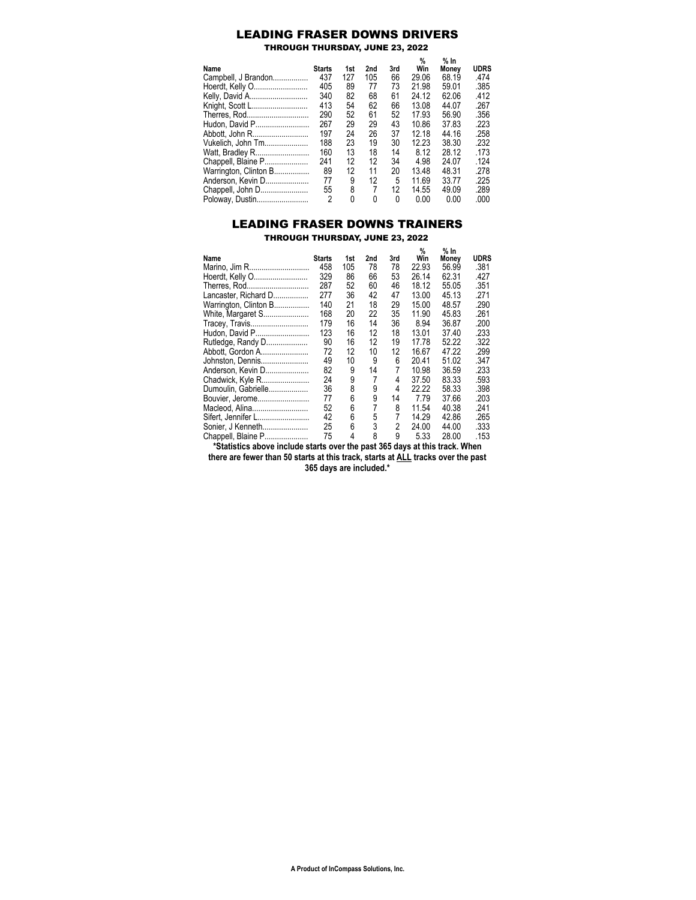## LEADING FRASER DOWNS DRIVERS

THROUGH THURSDAY, JUNE 23, 2022

| Name                  | <b>Starts</b>  | 1st      | 2nd | 3rd      | %<br>Win | % In<br>Monev | <b>UDRS</b> |
|-----------------------|----------------|----------|-----|----------|----------|---------------|-------------|
| Campbell, J Brandon   | 437            | 127      | 105 | 66       | 29.06    | 68.19         | .474        |
| Hoerdt, Kelly O       | 405            | 89       | 77  | 73       | 21.98    | 59.01         | .385        |
| Kelly, David A        | 340            | 82       | 68  | 61       | 24.12    | 62.06         | .412        |
| Knight, Scott L       | 413            | 54       | 62  | 66       | 13.08    | 44.07         | .267        |
| Therres, Rod          | 290            | 52       | 61  | 52       | 17 93    | 56.90         | .356        |
| Hudon, David P        | 267            | 29       | 29  | 43       | 10.86    | 37.83         | .223        |
| Abbott, John R        | 197            | 24       | 26  | 37       | 12.18    | 44 16         | .258        |
| Vukelich, John Tm     | 188            | 23       | 19  | 30       | 12 23    | 38.30         | .232        |
| Watt, Bradley R       | 160            | 13       | 18  | 14       | 8.12     | 28.12         | .173        |
| Chappell, Blaine P    | 241            | 12       | 12  | 34       | 4.98     | 24.07         | .124        |
| Warrington, Clinton B | 89             | 12       | 11  | 20       | 13.48    | 48 31         | .278        |
| Anderson. Kevin D     | 77             | 9        | 12  | 5        | 11.69    | 33.77         | .225        |
| Chappell, John D      | 55             | 8        | 7   | 12       | 14.55    | 49.09         | .289        |
| Poloway, Dustin       | $\overline{2}$ | $\Omega$ | 0   | $\Omega$ | 0.00     | 0.00          | .000        |

## LEADING FRASER DOWNS TRAINERS

THROUGH THURSDAY, JUNE 23, 2022

|                       |               |     |     |     | %     | % In  |             |
|-----------------------|---------------|-----|-----|-----|-------|-------|-------------|
| Name                  | <b>Starts</b> | 1st | 2nd | 3rd | Win   | Money | <b>UDRS</b> |
| Marino, Jim R         | 458           | 105 | 78  | 78  | 22.93 | 56.99 | .381        |
| Hoerdt, Kelly O       | 329           | 86  | 66  | 53  | 26.14 | 62.31 | .427        |
| Therres, Rod          | 287           | 52  | 60  | 46  | 18.12 | 55.05 | .351        |
| Lancaster, Richard D  | 277           | 36  | 42  | 47  | 13.00 | 45.13 | .271        |
| Warrington, Clinton B | 140           | 21  | 18  | 29  | 15.00 | 48.57 | .290        |
| White, Margaret S     | 168           | 20  | 22  | 35  | 11.90 | 45.83 | .261        |
| Tracey, Travis        | 179           | 16  | 14  | 36  | 8.94  | 36.87 | .200        |
| Hudon, David P        | 123           | 16  | 12  | 18  | 13.01 | 37.40 | .233        |
| Rutledge, Randy D     | 90            | 16  | 12  | 19  | 17.78 | 52.22 | .322        |
| Abbott, Gordon A      | 72            | 12  | 10  | 12  | 16.67 | 47.22 | .299        |
| Johnston, Dennis      | 49            | 10  | 9   | 6   | 20.41 | 51.02 | .347        |
| Anderson, Kevin D     | 82            | 9   | 14  | 7   | 10.98 | 36.59 | .233        |
| Chadwick, Kyle R      | 24            | 9   | 7   | 4   | 37.50 | 83.33 | .593        |
| Dumoulin, Gabrielle   | 36            | 8   | 9   | 4   | 22.22 | 58.33 | .398        |
| Bouvier, Jerome       | 77            | 6   | 9   | 14  | 7.79  | 37.66 | .203        |
| Macleod, Alina        | 52            | 6   | 7   | 8   | 11.54 | 40.38 | .241        |
| Sifert, Jennifer L    | 42            | 6   | 5   | 7   | 14.29 | 42.86 | .265        |
| Sonier, J Kenneth     | 25            | 6   | 3   | 2   | 24.00 | 44.00 | .333        |
| Chappell, Blaine P    | 75            | 4   | 8   | 9   | 5.33  | 28.00 | .153        |

**\*Statistics above include starts over the past 365 days at this track. When there are fewer than 50 starts at this track, starts at ALL tracks over the past 365 days are included.\***